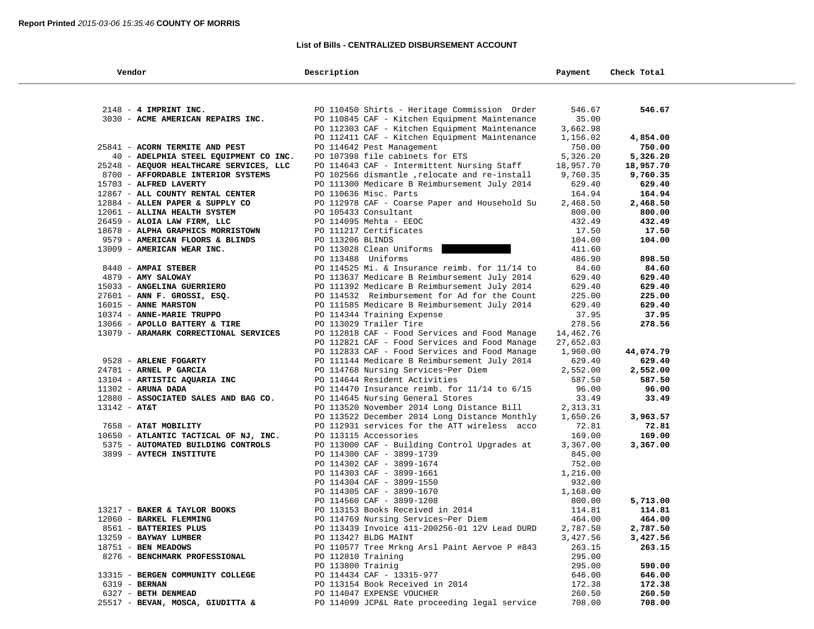#### **List of Bills - CENTRALIZED DISBURSEMENT ACCOUNT**

| Vendor                                  | Description                                      | Payment   | Check Total |  |
|-----------------------------------------|--------------------------------------------------|-----------|-------------|--|
|                                         |                                                  |           |             |  |
| 2148 - 4 IMPRINT INC.                   | PO 110450 Shirts - Heritage Commission Order     | 546.67    | 546.67      |  |
| 3030 - ACME AMERICAN REPAIRS INC.       | PO 110845 CAF - Kitchen Equipment Maintenance    | 35.00     |             |  |
|                                         | PO 112303 CAF - Kitchen Equipment Maintenance    | 3,662.98  |             |  |
|                                         | PO 112411 CAF - Kitchen Equipment Maintenance    | 1,156.02  | 4,854.00    |  |
| 25841 - ACORN TERMITE AND PEST          | PO 114642 Pest Management                        | 750.00    | 750.00      |  |
| 40 - ADELPHIA STEEL EQUIPMENT CO INC.   | PO 107398 file cabinets for ETS                  | 5,326.20  | 5,326.20    |  |
| 25248 - AEQUOR HEALTHCARE SERVICES, LLC | PO 114643 CAF - Intermittent Nursing Staff       | 18,957.70 | 18,957.70   |  |
| 8700 - AFFORDABLE INTERIOR SYSTEMS      | PO 102566 dismantle , relocate and re-install    | 9,760.35  | 9,760.35    |  |
| 15703 - ALFRED LAVERTY                  | PO 111300 Medicare B Reimbursement July 2014     | 629.40    | 629.40      |  |
| 12867 - ALL COUNTY RENTAL CENTER        | PO 110636 Misc. Parts                            | 164.94    | 164.94      |  |
| 12884 - ALLEN PAPER & SUPPLY CO         | PO 112978 CAF - Coarse Paper and Household Su    | 2,468.50  | 2,468.50    |  |
| 12061 - ALLINA HEALTH SYSTEM            | PO 105433 Consultant                             | 800.00    | 800.00      |  |
| 26459 - ALOIA LAW FIRM, LLC             | PO 114095 Mehta - EEOC                           | 432.49    | 432.49      |  |
| 18678 - ALPHA GRAPHICS MORRISTOWN       | PO 111217 Certificates                           | 17.50     | 17.50       |  |
| 9579 - AMERICAN FLOORS & BLINDS         | PO 113206 BLINDS                                 | 104.00    | 104.00      |  |
| 13009 - AMERICAN WEAR INC.              | PO 113028 Clean Uniforms                         | 411.60    |             |  |
|                                         | PO 113488 Uniforms                               | 486.90    | 898.50      |  |
| 8440 - AMPAI STEBER                     | PO 114525 Mi. & Insurance reimb. for 11/14 to    | 84.60     | 84.60       |  |
| 4879 - AMY SALOWAY                      | PO 113637 Medicare B Reimbursement July 2014     | 629.40    | 629.40      |  |
| 15033 - ANGELINA GUERRIERO              | PO 111392 Medicare B Reimbursement July 2014     | 629.40    | 629.40      |  |
| 27601 - ANN F. GROSSI, ESQ.             | PO 114532 Reimbursement for Ad for the Count     | 225.00    | 225.00      |  |
| 16015 - ANNE MARSTON                    | PO 111585 Medicare B Reimbursement July 2014     | 629.40    | 629.40      |  |
| 10374 - ANNE-MARIE TRUPPO               | PO 114344 Training Expense                       | 37.95     | 37.95       |  |
| 13066 - APOLLO BATTERY & TIRE           | PO 113029 Trailer Tire                           | 278.56    | 278.56      |  |
| 13079 - ARAMARK CORRECTIONAL SERVICES   | PO 112818 CAF - Food Services and Food Manage    | 14,462.76 |             |  |
|                                         | PO 112821 CAF - Food Services and Food Manage    | 27,652.03 |             |  |
|                                         | PO 112833 CAF - Food Services and Food Manage    | 1,960.00  | 44,074.79   |  |
| 9528 - ARLENE FOGARTY                   | PO 111144 Medicare B Reimbursement July 2014     | 629.40    | 629.40      |  |
| 24781 - ARNEL P GARCIA                  | PO 114768 Nursing Services~Per Diem              | 2,552.00  | 2,552.00    |  |
| 13104 - ARTISTIC AQUARIA INC            | PO 114644 Resident Activities                    | 587.50    | 587.50      |  |
| $11302$ - ARUNA DADA                    | PO 114470 Insurance reimb. for $11/14$ to $6/15$ | 96.00     | 96.00       |  |
| 12880 - ASSOCIATED SALES AND BAG CO.    | PO 114645 Nursing General Stores                 | 33.49     | 33.49       |  |
| $13142 - AT&T$                          | PO 113520 November 2014 Long Distance Bill       | 2,313.31  |             |  |
|                                         | PO 113522 December 2014 Long Distance Monthly    | 1,650.26  | 3,963.57    |  |
| 7658 - AT&T MOBILITY                    | PO 112931 services for the ATT wireless acco     | 72.81     | 72.81       |  |
| 10650 - ATLANTIC TACTICAL OF NJ, INC.   | PO 113115 Accessories                            | 169.00    | 169.00      |  |
| 5375 - AUTOMATED BUILDING CONTROLS      | PO 113000 CAF - Building Control Upgrades at     | 3,367.00  | 3,367.00    |  |
| 3899 - AVTECH INSTITUTE                 | PO 114300 CAF - 3899-1739                        | 845.00    |             |  |
|                                         | PO 114302 CAF - 3899-1674                        | 752.00    |             |  |
|                                         | PO 114303 CAF - 3899-1661                        | 1,216.00  |             |  |
|                                         | PO 114304 CAF - 3899-1550                        | 932.00    |             |  |
|                                         | PO 114305 CAF - 3899-1670                        | 1,168.00  |             |  |
|                                         | PO 114560 CAF - 3899-1208                        | 800.00    | 5,713.00    |  |
| 13217 - BAKER & TAYLOR BOOKS            | PO 113153 Books Received in 2014                 | 114.81    | 114.81      |  |
| 12060 - BARKEL FLEMMING                 | PO 114769 Nursing Services~Per Diem              | 464.00    | 464.00      |  |
| 8561 - BATTERIES PLUS                   | PO 113439 Invoice 411-200256-01 12V Lead DURD    | 2,787.50  | 2,787.50    |  |
| 13259 - BAYWAY LUMBER                   | PO 113427 BLDG MAINT                             | 3,427.56  | 3,427.56    |  |
| 18751 - BEN MEADOWS                     | PO 110577 Tree Mrkng Arsl Paint Aervoe P #843    | 263.15    | 263.15      |  |
| 8276 - BENCHMARK PROFESSIONAL           | PO 112810 Training                               | 295.00    |             |  |
|                                         | PO 113800 Trainig                                | 295.00    | 590.00      |  |
| 13315 - BERGEN COMMUNITY COLLEGE        | PO 114434 CAF - 13315-977                        | 646.00    | 646.00      |  |
| 6319 - BERNAN                           | PO 113154 Book Received in 2014                  | 172.38    | 172.38      |  |
| 6327 - BETH DENMEAD                     | PO 114047 EXPENSE VOUCHER                        | 260.50    | 260.50      |  |
| 25517 - BEVAN, MOSCA, GIUDITTA &        | PO 114099 JCP&L Rate proceeding legal service    | 708.00    | 708.00      |  |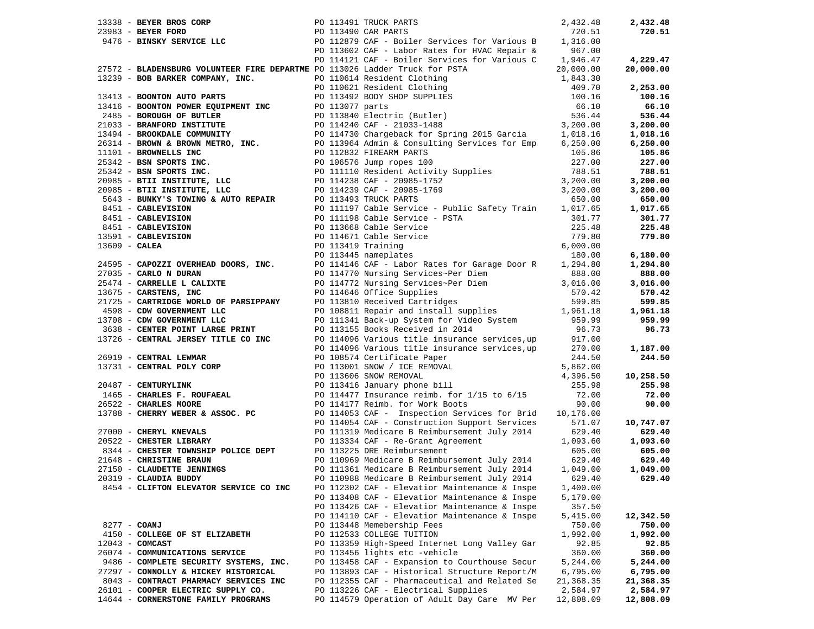|              |                                                                                                                        |  | 13338 - BEYER BROS CORP 113491 TRUCK PARTS 2,432.48<br>23983 - BEYER FORD PO 113490 CAR PARTS 720.51<br>9476 - BINSKY SERVICE LLC PO 112879 CAF - Boiler Services for Various B 1,316.00<br>PO 113602 CAF - Labor Rates for HVAC Rep       |           | 2,432.48  |
|--------------|------------------------------------------------------------------------------------------------------------------------|--|--------------------------------------------------------------------------------------------------------------------------------------------------------------------------------------------------------------------------------------------|-----------|-----------|
|              |                                                                                                                        |  |                                                                                                                                                                                                                                            |           | 720.51    |
|              |                                                                                                                        |  |                                                                                                                                                                                                                                            |           |           |
|              |                                                                                                                        |  |                                                                                                                                                                                                                                            |           |           |
|              |                                                                                                                        |  | PO 114121 CAF - Boiler Services for Various C 1,946.47                                                                                                                                                                                     |           | 4,229.47  |
|              |                                                                                                                        |  | 27572 - BLADENSBURG VOLUNTEER FIRE DEPARTME DO 114121 CAF - Boiler Structure for Various C 1,946.47<br>13239 - BOB BARKER COMPANY, INC.<br>13239 - BOB BARKER COMPANY, INC.<br>13239 - BOB BARKER COMPANY, INC.<br>13239 - BOB BARKER      |           | 20,000.00 |
|              |                                                                                                                        |  |                                                                                                                                                                                                                                            |           |           |
|              |                                                                                                                        |  |                                                                                                                                                                                                                                            |           | 2,253.00  |
|              |                                                                                                                        |  |                                                                                                                                                                                                                                            |           | 100.16    |
|              |                                                                                                                        |  |                                                                                                                                                                                                                                            |           | 66.10     |
|              |                                                                                                                        |  |                                                                                                                                                                                                                                            |           | 536.44    |
|              |                                                                                                                        |  |                                                                                                                                                                                                                                            |           |           |
|              |                                                                                                                        |  |                                                                                                                                                                                                                                            |           | 3,200.00  |
|              |                                                                                                                        |  |                                                                                                                                                                                                                                            |           | 1,018.16  |
|              |                                                                                                                        |  |                                                                                                                                                                                                                                            |           | 6,250.00  |
|              |                                                                                                                        |  |                                                                                                                                                                                                                                            |           | 105.86    |
|              |                                                                                                                        |  |                                                                                                                                                                                                                                            |           | 227.00    |
|              |                                                                                                                        |  |                                                                                                                                                                                                                                            |           | 788.51    |
|              |                                                                                                                        |  |                                                                                                                                                                                                                                            |           | 3,200.00  |
|              |                                                                                                                        |  |                                                                                                                                                                                                                                            |           | 3,200.00  |
|              |                                                                                                                        |  |                                                                                                                                                                                                                                            |           | 650.00    |
|              |                                                                                                                        |  | PO 111197 Cable Service - Public Safety Train 1,017.65                                                                                                                                                                                     |           | 1,017.65  |
|              | 8451 - CABLEVISION<br>8451 - CABLEVISION                                                                               |  |                                                                                                                                                                                                                                            | 301.77    | 301.77    |
|              |                                                                                                                        |  |                                                                                                                                                                                                                                            | 225.48    | 225.48    |
|              |                                                                                                                        |  |                                                                                                                                                                                                                                            | 779.80    | 779.80    |
|              | 8451 - CABLEVISION<br>13591 - CABLEVISION<br>13609 - CALEA                                                             |  | PO 111198 Cable Service - PSTA<br>PO 113668 Cable Service<br>PO 113668 Cable Service<br>PO 114671 Cable Service<br>PO 113419 Training<br>PO 113445 nameplates                                                                              | 6,000.00  |           |
|              |                                                                                                                        |  |                                                                                                                                                                                                                                            | 180.00    | 6,180.00  |
|              | 24595 - CAPOZZI OVERHEAD DOORS, INC.<br>27035 - CARLO N DURAN                                                          |  |                                                                                                                                                                                                                                            |           |           |
|              |                                                                                                                        |  | PO 114146 CAF - Labor Rates for Garage Door R 1,294.80                                                                                                                                                                                     |           | 1,294.80  |
|              |                                                                                                                        |  |                                                                                                                                                                                                                                            |           | 888.00    |
|              | 25474 - CARRELLE L CALIXTE                                                                                             |  |                                                                                                                                                                                                                                            |           | 3,016.00  |
|              | 13675 - CARSTENS, INC                                                                                                  |  | PO 114770 Nursing Services~Per Diem<br>PO 114772 Nursing Services~Per Diem<br>PO 114772 Nursing Services~Per Diem<br>20 114646 Office Supplies<br>PO 108811 Repair and install supplies<br>PO 108811 Repair and install supplies<br>1,961. |           | 570.42    |
|              |                                                                                                                        |  |                                                                                                                                                                                                                                            |           | 599.85    |
|              | 21725 - CARTRIDGE WORLD OF PARSIPPANY<br>4598 - CDW GOVERNMENT LLC<br>13708 - CDW GOVERNMENT LLC                       |  |                                                                                                                                                                                                                                            |           | 1,961.18  |
|              | 13708 - CDW GOVERNMENT LLC                                                                                             |  | PO 111341 Back-up System for Video System 959.99<br>PO 113155 Books Received in 2014 96.73                                                                                                                                                 |           | 959.99    |
|              | 3638 - CENTER POINT LARGE PRINT                                                                                        |  |                                                                                                                                                                                                                                            |           | 96.73     |
|              | 13726 - CENTRAL JERSEY TITLE CO INC                                                                                    |  | PO 114096 Various title insurance services, up 917.00<br>PO 114096 Various title insurance services, up 270.00                                                                                                                             |           |           |
|              |                                                                                                                        |  |                                                                                                                                                                                                                                            |           | 1,187.00  |
|              | 26919 - CENTRAL LEWMAR                                                                                                 |  |                                                                                                                                                                                                                                            | 244.50    | 244.50    |
|              | 13731 - CENTRAL POLY CORP                                                                                              |  | FO 108574 Certificate Paper<br>PO 113001 SNOW / ICE REMOVAL<br>PO 113606 SNOW REMOVAL<br>PO 113416 January phone bill<br>DO 114475 January Phone bill                                                                                      | 5,862.00  |           |
|              |                                                                                                                        |  |                                                                                                                                                                                                                                            | 4,396.50  | 10,258.50 |
|              | 20487 - <b>CENTURYLINK</b><br>1465 - <b>CHARLES F. ROUFAEAL</b><br>26522 - <b>CHARLES MOORE</b><br>20487 - CENTURYLINK |  |                                                                                                                                                                                                                                            | 255.98    | 255.98    |
|              |                                                                                                                        |  | PO 114477 Insurance reimb. for 1/15 to 6/15                                                                                                                                                                                                | 72.00     | 72.00     |
|              | 26522 - CHARLES MOORE                                                                                                  |  | PO 114177 Reimb. for Work Boots                                                                                                                                                                                                            | 90.00     | 90.00     |
|              | 13788 - CHERRY WEBER & ASSOC. PC                                                                                       |  | PO 114053 CAF - Inspection Services for Brid 10,176.00                                                                                                                                                                                     |           |           |
|              |                                                                                                                        |  | PO 114054 CAF - Construction Support Services                                                                                                                                                                                              | 571.07    | 10,747.07 |
|              |                                                                                                                        |  |                                                                                                                                                                                                                                            | 629.40    | 629.40    |
|              | 27000 - CHERYL KNEVALS<br>20522 - CHESTER LIBRARY                                                                      |  |                                                                                                                                                                                                                                            |           |           |
|              | 8344 - CHESTER TOWNSHIP POLICE DEPT                                                                                    |  | PO 111319 Medicare B Reimbursement July 2014<br>PO 113334 CAF - Re-Grant Agreement<br>PO 113225 DRE Reimbursement                                                                                                                          | 1,093.60  | 1,093.60  |
|              |                                                                                                                        |  | PO 113225 DRE Reimbursement                                                                                                                                                                                                                | 605.00    | 605.00    |
|              | 21648 - CHRISTINE BRAUN                                                                                                |  | PO 110969 Medicare B Reimbursement July 2014 629.40                                                                                                                                                                                        |           | 629.40    |
|              | 27150 - CLAUDETTE JENNINGS                                                                                             |  | PO 111361 Medicare B Reimbursement July 2014                                                                                                                                                                                               | 1,049.00  | 1,049.00  |
|              | 20319 - CLAUDIA BUDDY                                                                                                  |  | PO 110988 Medicare B Reimbursement July 2014 629.40                                                                                                                                                                                        |           | 629.40    |
|              | 8454 - CLIFTON ELEVATOR SERVICE CO INC                                                                                 |  | PO 112302 CAF - Elevatior Maintenance & Inspe                                                                                                                                                                                              | 1,400.00  |           |
|              |                                                                                                                        |  | PO 113408 CAF - Elevatior Maintenance & Inspe                                                                                                                                                                                              | 5,170.00  |           |
|              |                                                                                                                        |  | PO 113426 CAF - Elevatior Maintenance & Inspe                                                                                                                                                                                              | 357.50    |           |
|              |                                                                                                                        |  | PO 114110 CAF - Elevatior Maintenance & Inspe                                                                                                                                                                                              | 5,415.00  | 12,342.50 |
| 8277 - COANJ |                                                                                                                        |  | PO 113448 Memebership Fees                                                                                                                                                                                                                 | 750.00    | 750.00    |
|              | 4150 - COLLEGE OF ST ELIZABETH                                                                                         |  | PO 112533 COLLEGE TUITION                                                                                                                                                                                                                  | 1,992.00  | 1,992.00  |
|              | $12043$ - COMCAST                                                                                                      |  | PO 113359 High-Speed Internet Long Valley Gar                                                                                                                                                                                              | 92.85     | 92.85     |
|              | 26074 - COMMUNICATIONS SERVICE                                                                                         |  | PO 113456 lights etc -vehicle                                                                                                                                                                                                              | 360.00    | 360.00    |
|              | 9486 - COMPLETE SECURITY SYSTEMS, INC.                                                                                 |  | PO 113458 CAF - Expansion to Courthouse Secur                                                                                                                                                                                              | 5,244.00  | 5,244.00  |
|              | 27297 - CONNOLLY & HICKEY HISTORICAL                                                                                   |  | PO 113893 CAF - Historical Structure Report/M                                                                                                                                                                                              | 6,795.00  | 6,795.00  |
|              | 8043 - CONTRACT PHARMACY SERVICES INC                                                                                  |  | PO 112355 CAF - Pharmaceutical and Related Se                                                                                                                                                                                              | 21,368.35 | 21,368.35 |
|              | 26101 - COOPER ELECTRIC SUPPLY CO.                                                                                     |  | PO 113226 CAF - Electrical Supplies                                                                                                                                                                                                        | 2,584.97  | 2,584.97  |
|              | 14644 - CORNERSTONE FAMILY PROGRAMS                                                                                    |  | PO 114579 Operation of Adult Day Care MV Per                                                                                                                                                                                               | 12,808.09 | 12,808.09 |
|              |                                                                                                                        |  |                                                                                                                                                                                                                                            |           |           |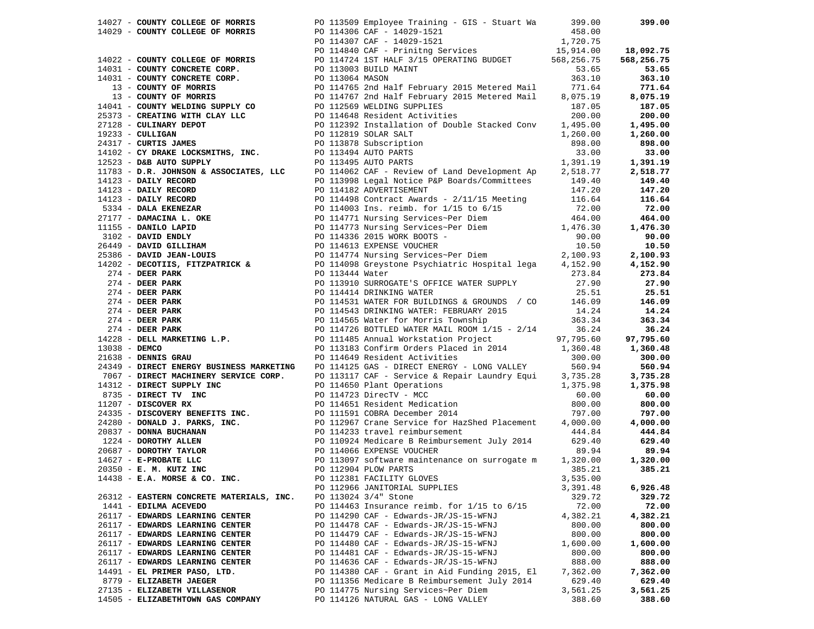|                                          | 14029 <b>CONTRET COLLEGE ON THE SECTION 14029 CONTRESS (1402)</b> 114029 <b>CONTRESS (1402)</b> 1404-2013<br>14029 <b>CONTR COLLEGE OF NORTHS</b> (2011) 14029 1412<br>14022 <b>- CONTR COLLEGE OF NORTHS</b> (2011) 14029 1421<br>14022 <b>- CONTR COLLE</b> |          |          |
|------------------------------------------|---------------------------------------------------------------------------------------------------------------------------------------------------------------------------------------------------------------------------------------------------------------|----------|----------|
|                                          |                                                                                                                                                                                                                                                               |          |          |
|                                          |                                                                                                                                                                                                                                                               |          |          |
|                                          |                                                                                                                                                                                                                                                               |          |          |
|                                          |                                                                                                                                                                                                                                                               |          |          |
|                                          |                                                                                                                                                                                                                                                               |          |          |
|                                          |                                                                                                                                                                                                                                                               |          |          |
|                                          |                                                                                                                                                                                                                                                               |          |          |
|                                          |                                                                                                                                                                                                                                                               |          |          |
|                                          |                                                                                                                                                                                                                                                               |          |          |
|                                          |                                                                                                                                                                                                                                                               |          |          |
|                                          |                                                                                                                                                                                                                                                               |          |          |
|                                          |                                                                                                                                                                                                                                                               |          |          |
|                                          |                                                                                                                                                                                                                                                               |          |          |
|                                          |                                                                                                                                                                                                                                                               |          |          |
|                                          |                                                                                                                                                                                                                                                               |          |          |
|                                          |                                                                                                                                                                                                                                                               |          |          |
|                                          |                                                                                                                                                                                                                                                               |          |          |
|                                          |                                                                                                                                                                                                                                                               |          |          |
|                                          |                                                                                                                                                                                                                                                               |          |          |
|                                          |                                                                                                                                                                                                                                                               |          |          |
|                                          |                                                                                                                                                                                                                                                               |          |          |
|                                          |                                                                                                                                                                                                                                                               |          |          |
|                                          |                                                                                                                                                                                                                                                               |          |          |
|                                          |                                                                                                                                                                                                                                                               |          |          |
|                                          |                                                                                                                                                                                                                                                               |          |          |
|                                          |                                                                                                                                                                                                                                                               |          |          |
|                                          |                                                                                                                                                                                                                                                               |          |          |
|                                          |                                                                                                                                                                                                                                                               |          |          |
|                                          |                                                                                                                                                                                                                                                               |          |          |
|                                          |                                                                                                                                                                                                                                                               |          |          |
|                                          |                                                                                                                                                                                                                                                               |          |          |
|                                          |                                                                                                                                                                                                                                                               |          |          |
|                                          |                                                                                                                                                                                                                                                               |          |          |
|                                          |                                                                                                                                                                                                                                                               |          |          |
|                                          |                                                                                                                                                                                                                                                               |          |          |
|                                          |                                                                                                                                                                                                                                                               |          |          |
|                                          | 21638 - DENNIS GRAU PO 114649 Resident Activities 300.00 300.00<br>24349 - DIRECT ENERGY BUSINESS MARKETING PO 114125 GAS - DIRECT ENERGY - LONG VALLEY 560.94 560.94<br>2067 - PIRECT ANGELIA ANG POSTALET ANG POSTALET ANG POSTALE                          |          |          |
|                                          |                                                                                                                                                                                                                                                               |          |          |
|                                          |                                                                                                                                                                                                                                                               |          |          |
|                                          |                                                                                                                                                                                                                                                               |          |          |
|                                          |                                                                                                                                                                                                                                                               |          |          |
|                                          |                                                                                                                                                                                                                                                               |          |          |
|                                          |                                                                                                                                                                                                                                                               |          |          |
|                                          |                                                                                                                                                                                                                                                               |          |          |
|                                          |                                                                                                                                                                                                                                                               |          |          |
|                                          |                                                                                                                                                                                                                                                               |          |          |
|                                          | 24349 - DIRECT ENERGY BUSINESS MARKETING PO 114125 GAS - DIRECT ENERGY - LONG VALLEY 560.94<br>14312 - DIRECT MACHINERY SERVICE CORP. PO 11317 CAF - Service & Repair Laundry Equi 3,735.28<br>14312 - DIRECT TUPLY INC PO 114550                             |          |          |
|                                          |                                                                                                                                                                                                                                                               |          |          |
|                                          |                                                                                                                                                                                                                                                               |          |          |
|                                          | 14438 - E.A. MORSE & CO. INC.<br>PO 112381 FACILITY GLOVES 6 100 100 100 12381 FACILITY GLOVES                                                                                                                                                                |          |          |
|                                          | PO 112966 JANITORIAL SUPPLIES                                                                                                                                                                                                                                 | 3,391.48 | 6,926.48 |
| 26312 - EASTERN CONCRETE MATERIALS, INC. | PO 113024 3/4" Stone                                                                                                                                                                                                                                          | 329.72   | 329.72   |
| 1441 - EDILMA ACEVEDO                    | PO 114463 Insurance reimb. for $1/15$ to $6/15$                                                                                                                                                                                                               | 72.00    | 72.00    |
| 26117 - EDWARDS LEARNING CENTER          | PO 114290 CAF - Edwards-JR/JS-15-WFNJ                                                                                                                                                                                                                         | 4,382.21 | 4,382.21 |
| 26117 - EDWARDS LEARNING CENTER          | PO 114478 CAF - Edwards-JR/JS-15-WFNJ                                                                                                                                                                                                                         | 800.00   | 800.00   |
| 26117 - EDWARDS LEARNING CENTER          | PO 114479 CAF - Edwards-JR/JS-15-WFNJ                                                                                                                                                                                                                         | 800.00   | 800.00   |
| 26117 - EDWARDS LEARNING CENTER          | PO 114480 CAF - Edwards-JR/JS-15-WFNJ                                                                                                                                                                                                                         | 1,600.00 | 1,600.00 |
| 26117 - EDWARDS LEARNING CENTER          | PO 114481 CAF - Edwards-JR/JS-15-WFNJ                                                                                                                                                                                                                         | 800.00   | 800.00   |
| 26117 - EDWARDS LEARNING CENTER          | PO 114636 CAF - Edwards-JR/JS-15-WFNJ                                                                                                                                                                                                                         | 888.00   | 888.00   |
| 14491 - EL PRIMER PASO, LTD.             | PO 114380 CAF - Grant in Aid Funding 2015, El                                                                                                                                                                                                                 | 7,362.00 | 7,362.00 |
| 8779 - ELIZABETH JAEGER                  | PO 111356 Medicare B Reimbursement July 2014                                                                                                                                                                                                                  | 629.40   | 629.40   |
|                                          | PO 114775 Nursing Services~Per Diem                                                                                                                                                                                                                           |          |          |
| 27135 - ELIZABETH VILLASENOR             |                                                                                                                                                                                                                                                               | 3,561.25 | 3,561.25 |
| 14505 - ELIZABETHTOWN GAS COMPANY        | PO 114126 NATURAL GAS - LONG VALLEY                                                                                                                                                                                                                           | 388.60   | 388.60   |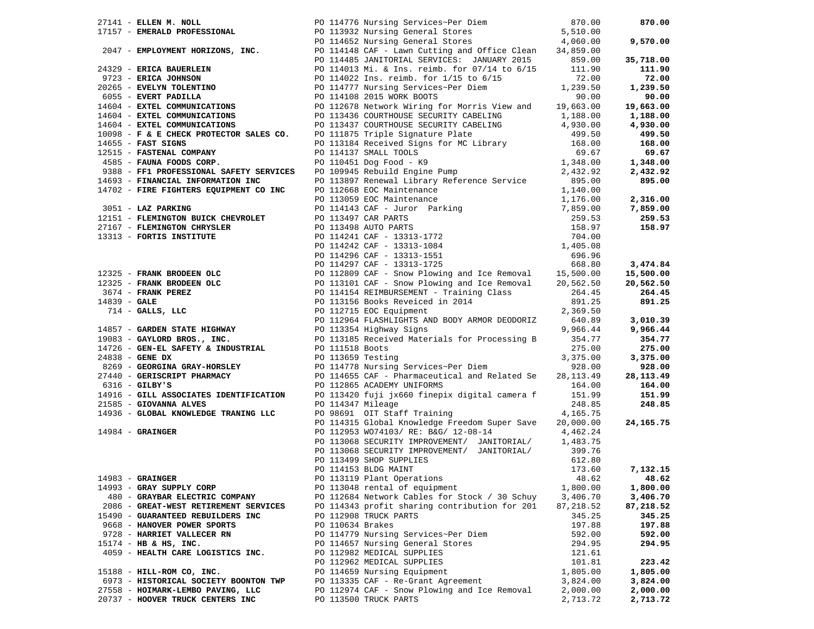| 17157 – EMERALD PROFESSIONAL PO 113932 Nursing General Stores<br>17157 – EMERALD PROFESSIONAL PO 113932 Nursing General Stores<br>PO 114652 Nursing General Stores 4,060.00<br>PU 114052 Nutsing Jeneral Doorley<br>2047 - EMPLOYMENT HORIZONS, INC. PO 114148 CAF - Lawn Cutting and Office Clean 34,859.00<br>2015 - PO 114485 JANITORIAL SERVICES: JANUARY 2015 859.00 | PO 114776 Nursing Services~Per Diem 870.00<br>870.00 |
|---------------------------------------------------------------------------------------------------------------------------------------------------------------------------------------------------------------------------------------------------------------------------------------------------------------------------------------------------------------------------|------------------------------------------------------|
|                                                                                                                                                                                                                                                                                                                                                                           |                                                      |
|                                                                                                                                                                                                                                                                                                                                                                           | 9,570.00                                             |
|                                                                                                                                                                                                                                                                                                                                                                           |                                                      |
|                                                                                                                                                                                                                                                                                                                                                                           | 35,718.00                                            |
| 24329 - ERICA BAUERLEIN<br>2723 - ERICA JOHNSON<br>2723 - ERICA JOHNSON<br>2723 - ERICA JOHNSON<br>2723 - ERICA JOHNSON<br>2723 - ERICA JOHNSON<br>2723 - ERICA JOHNSON<br>2723 - ERICA JOHNSON<br>2723 - ERICA JOHNSON<br>273 - ERICA JOHNSON<br>                                                                                                                        | 111.90                                               |
|                                                                                                                                                                                                                                                                                                                                                                           | 72.00                                                |
|                                                                                                                                                                                                                                                                                                                                                                           | 1,239.50                                             |
|                                                                                                                                                                                                                                                                                                                                                                           | 90.00                                                |
|                                                                                                                                                                                                                                                                                                                                                                           | 19,663.00                                            |
|                                                                                                                                                                                                                                                                                                                                                                           | 1,188.00                                             |
| 14604 - EXTEL COMMUNICATIONS<br>1609 - <b>EXTEL COMMUNICATIONS</b><br>16098 - <b>F &amp; E CHECK PROTECTOR SALES CO.</b><br>16098 - <b>F &amp; E CHECK PROTECTOR SALES CO.</b><br>168.00<br>168.00<br>168.00<br>20 113184 Received Signs for MC Library<br>168.00                                                                                                         |                                                      |
|                                                                                                                                                                                                                                                                                                                                                                           | 4,930.00                                             |
|                                                                                                                                                                                                                                                                                                                                                                           | 499.50                                               |
|                                                                                                                                                                                                                                                                                                                                                                           | 168.00                                               |
| 12515 - FASTENAL COMPANY                                                                                                                                                                                                                                                                                                                                                  | 69.67<br>69.67                                       |
|                                                                                                                                                                                                                                                                                                                                                                           | 1,348.00<br>1,348.00                                 |
|                                                                                                                                                                                                                                                                                                                                                                           | 2,432.92<br>2,432.92                                 |
|                                                                                                                                                                                                                                                                                                                                                                           | 895.00                                               |
|                                                                                                                                                                                                                                                                                                                                                                           |                                                      |
|                                                                                                                                                                                                                                                                                                                                                                           | 1,176.00<br>2,316.00                                 |
|                                                                                                                                                                                                                                                                                                                                                                           | 7,859.00                                             |
|                                                                                                                                                                                                                                                                                                                                                                           | 259.53                                               |
|                                                                                                                                                                                                                                                                                                                                                                           | 158.97                                               |
|                                                                                                                                                                                                                                                                                                                                                                           |                                                      |
|                                                                                                                                                                                                                                                                                                                                                                           |                                                      |
|                                                                                                                                                                                                                                                                                                                                                                           |                                                      |
| 9388 - FFI PROFESSIONAL SAFETY SERVICES<br>14693 - FINANCIAL INFORMATION INC 1001945 Rebuild Engine Pump<br>14693 - FINANCIAL INFORMATION INC 101369 EOC Maintenance 1,140.00<br>14702 - FIRE FIGHTERS EQUIPMENT CO INC 1013659 EOC                                                                                                                                       | 3,474.84                                             |
|                                                                                                                                                                                                                                                                                                                                                                           | 15,500.00                                            |
|                                                                                                                                                                                                                                                                                                                                                                           | 20,562.50                                            |
|                                                                                                                                                                                                                                                                                                                                                                           | 264.45                                               |
|                                                                                                                                                                                                                                                                                                                                                                           | 891.25                                               |
|                                                                                                                                                                                                                                                                                                                                                                           |                                                      |
| 96.96.96<br>249325 - <b>FRANK BRODEEN OLC</b><br>26.96.96<br>26.96.96.96<br>26.96.96.96.96<br>26.96.96.96<br>26.96.96.96<br>26.96.96.96<br>26.96.96.96<br>26.96.96.96<br>26.96.96.96<br>26.96.96.96<br>26.96.96.00<br>26.96.96.96<br>26.96.96.96<br>26.96.96.96                                                                                                           | 3,010.39                                             |
|                                                                                                                                                                                                                                                                                                                                                                           | 9,966.44                                             |
|                                                                                                                                                                                                                                                                                                                                                                           | 354.77                                               |
|                                                                                                                                                                                                                                                                                                                                                                           | 275.00                                               |
| 24838 - GENE DX                                                                                                                                                                                                                                                                                                                                                           | 3,375.00<br>3,375.00                                 |
| PO 113659 Testing<br>PO 114778 Nursing Services~Per Diem<br>8269 - GEORGINA GRAY-HORSLEY                                                                                                                                                                                                                                                                                  | 928.00<br>928.00                                     |
|                                                                                                                                                                                                                                                                                                                                                                           | 28,113.49<br>28, 113. 49                             |
| 27440 - GERISCRIPT PHARMACY PO 114655 CAF - Pharmaceutical and Related Se<br>6316 - GILBY'S PO 112865 ACADEMY UNIFORMS                                                                                                                                                                                                                                                    |                                                      |
|                                                                                                                                                                                                                                                                                                                                                                           | 164.00<br>164.00                                     |
|                                                                                                                                                                                                                                                                                                                                                                           | 151.99                                               |
|                                                                                                                                                                                                                                                                                                                                                                           |                                                      |
| 14916 - GILL ASSOCIATES IDENTIFICATION DO 113420 fuji jx660 finepix digital camera f 151.99<br>21585 - GIOVANNA ALVES DO 114347 Mileage<br>PO 114347 Mileage<br>21585 - GIOVANNA ALVES                                                                                                                                                                                    | 248.85<br>248.85                                     |
| PO 98691 OIT Staff Training<br>14936 - GLOBAL KNOWLEDGE TRANING LLC                                                                                                                                                                                                                                                                                                       | 4,165.75                                             |
| PO 114315 Global Knowledge Freedom Super Save                                                                                                                                                                                                                                                                                                                             | 24, 165. 75<br>20,000.00                             |
| $14984$ - GRAINGER                                                                                                                                                                                                                                                                                                                                                        |                                                      |
| PO 112953 WO74103/ RE: B&G/ 12-08-14 4,462.24<br>PO 113068 SECURITY IMPROVEMENT/ JANITORIAL/ 1,483.75                                                                                                                                                                                                                                                                     |                                                      |
| PO 113068 SECURITY IMPROVEMENT/ JANITORIAL/                                                                                                                                                                                                                                                                                                                               | 399.76                                               |
| PO 113499 SHOP SUPPLIES                                                                                                                                                                                                                                                                                                                                                   | 612.80                                               |
| PO 114153 BLDG MAINT                                                                                                                                                                                                                                                                                                                                                      | 173.60<br>7,132.15                                   |
| $14983$ - GRAINGER<br>PO 113119 Plant Operations                                                                                                                                                                                                                                                                                                                          | 48.62<br>48.62                                       |
| 14993 - GRAY SUPPLY CORP<br>PO 113048 rental of equipment                                                                                                                                                                                                                                                                                                                 | 1,800.00<br>1,800.00                                 |
| 480 - GRAYBAR ELECTRIC COMPANY<br>PO 112684 Network Cables for Stock / 30 Schuy                                                                                                                                                                                                                                                                                           | 3,406.70<br>3,406.70                                 |
| 2086 - GREAT-WEST RETIREMENT SERVICES<br>PO 114343 profit sharing contribution for 201                                                                                                                                                                                                                                                                                    | 87,218.52<br>87,218.52                               |
| 15490 - GUARANTEED REBUILDERS INC<br>PO 112908 TRUCK PARTS                                                                                                                                                                                                                                                                                                                | 345.25<br>345.25                                     |
| PO 110634 Brakes<br>9668 - HANOVER POWER SPORTS                                                                                                                                                                                                                                                                                                                           | 197.88<br>197.88                                     |
| 9728 - HARRIET VALLECER RN<br>PO 114779 Nursing Services~Per Diem                                                                                                                                                                                                                                                                                                         | 592.00<br>592.00                                     |
| 15174 - HB & HS, INC.<br>PO 114657 Nursing General Stores                                                                                                                                                                                                                                                                                                                 | 294.95<br>294.95                                     |
| 4059 - HEALTH CARE LOGISTICS INC.<br>PO 112982 MEDICAL SUPPLIES                                                                                                                                                                                                                                                                                                           | 121.61                                               |
| PO 112962 MEDICAL SUPPLIES                                                                                                                                                                                                                                                                                                                                                | 101.81<br>223.42                                     |
| 15188 - HILL-ROM CO, INC.<br>PO 114659 Nursing Equipment                                                                                                                                                                                                                                                                                                                  | 1,805.00<br>1,805.00                                 |
| PO 113335 CAF - Re-Grant Agreement<br>6973 - HISTORICAL SOCIETY BOONTON TWP                                                                                                                                                                                                                                                                                               | 3,824.00<br>3,824.00                                 |
| 27558 - HOIMARK-LEMBO PAVING, LLC<br>PO 112974 CAF - Snow Plowing and Ice Removal                                                                                                                                                                                                                                                                                         | 2,000.00<br>2,000.00                                 |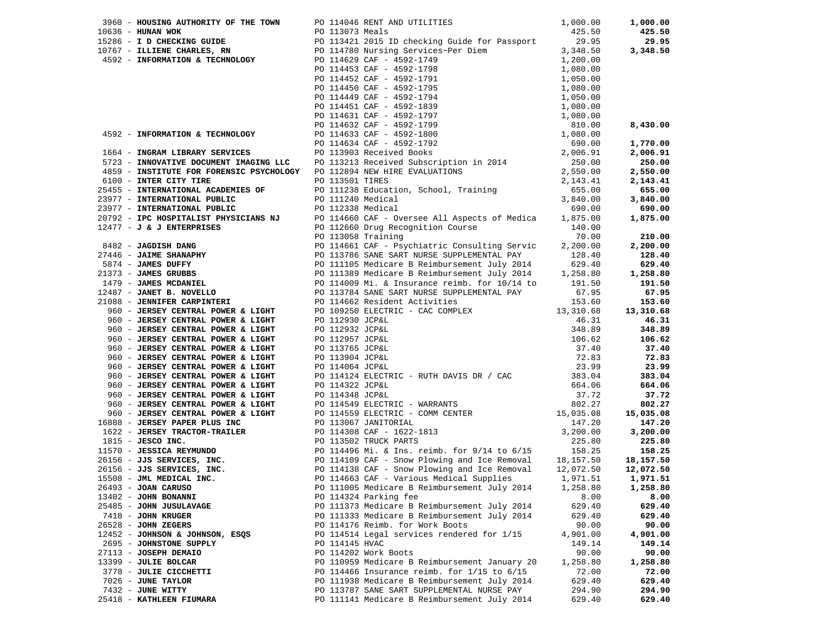|                         |                                                                          |                | 3960 - HOUSING AUTHORITY OF THE TOWN PO 114046 RENT AND UTILITIES 19960 - HUNAN WOK 1,000.00<br>PO 113073 Meals 10636 - HUNAN WOK 425.50<br>1965 <b>HOUGHE CONTROLLATE PRODUCTS</b> FOR 1973 <b>Materix Controllate Controllate Controllate Controllate 1974 <b>Materix 200</b><br/> 1975 <b>F. 2008 CONTROLLATE PRODUCTS CONTROLLATE CONTROLLATE CONTROLLATE CONTROLLATE CONTROLLATE PRO</b></b> |          | 1,000.00  |
|-------------------------|--------------------------------------------------------------------------|----------------|---------------------------------------------------------------------------------------------------------------------------------------------------------------------------------------------------------------------------------------------------------------------------------------------------------------------------------------------------------------------------------------------------|----------|-----------|
|                         |                                                                          |                |                                                                                                                                                                                                                                                                                                                                                                                                   |          | 425.50    |
|                         |                                                                          |                |                                                                                                                                                                                                                                                                                                                                                                                                   |          | 29.95     |
|                         |                                                                          |                |                                                                                                                                                                                                                                                                                                                                                                                                   |          | 3,348.50  |
|                         |                                                                          |                |                                                                                                                                                                                                                                                                                                                                                                                                   |          |           |
|                         |                                                                          |                |                                                                                                                                                                                                                                                                                                                                                                                                   |          |           |
|                         |                                                                          |                |                                                                                                                                                                                                                                                                                                                                                                                                   |          |           |
|                         |                                                                          |                |                                                                                                                                                                                                                                                                                                                                                                                                   |          |           |
|                         |                                                                          |                |                                                                                                                                                                                                                                                                                                                                                                                                   |          |           |
|                         |                                                                          |                |                                                                                                                                                                                                                                                                                                                                                                                                   |          |           |
|                         |                                                                          |                |                                                                                                                                                                                                                                                                                                                                                                                                   |          |           |
|                         |                                                                          |                |                                                                                                                                                                                                                                                                                                                                                                                                   |          |           |
|                         |                                                                          |                |                                                                                                                                                                                                                                                                                                                                                                                                   |          | 8,430.00  |
|                         |                                                                          |                |                                                                                                                                                                                                                                                                                                                                                                                                   |          |           |
|                         |                                                                          |                |                                                                                                                                                                                                                                                                                                                                                                                                   |          | 1,770.00  |
|                         |                                                                          |                |                                                                                                                                                                                                                                                                                                                                                                                                   |          | 2,006.91  |
|                         |                                                                          |                |                                                                                                                                                                                                                                                                                                                                                                                                   |          | 250.00    |
|                         |                                                                          |                |                                                                                                                                                                                                                                                                                                                                                                                                   |          | 2,550.00  |
|                         |                                                                          |                |                                                                                                                                                                                                                                                                                                                                                                                                   |          | 2,143.41  |
|                         |                                                                          |                |                                                                                                                                                                                                                                                                                                                                                                                                   |          | 655.00    |
|                         |                                                                          |                |                                                                                                                                                                                                                                                                                                                                                                                                   |          | 3,840.00  |
|                         |                                                                          |                |                                                                                                                                                                                                                                                                                                                                                                                                   |          | 690.00    |
|                         |                                                                          |                |                                                                                                                                                                                                                                                                                                                                                                                                   |          |           |
|                         |                                                                          |                |                                                                                                                                                                                                                                                                                                                                                                                                   |          | 1,875.00  |
|                         |                                                                          |                |                                                                                                                                                                                                                                                                                                                                                                                                   |          |           |
|                         |                                                                          |                |                                                                                                                                                                                                                                                                                                                                                                                                   |          | 210.00    |
|                         |                                                                          |                |                                                                                                                                                                                                                                                                                                                                                                                                   |          | 2,200.00  |
|                         |                                                                          |                |                                                                                                                                                                                                                                                                                                                                                                                                   |          | 128.40    |
|                         |                                                                          |                |                                                                                                                                                                                                                                                                                                                                                                                                   |          | 629.40    |
|                         |                                                                          |                |                                                                                                                                                                                                                                                                                                                                                                                                   |          | 1,258.80  |
|                         |                                                                          |                |                                                                                                                                                                                                                                                                                                                                                                                                   |          | 191.50    |
|                         |                                                                          |                |                                                                                                                                                                                                                                                                                                                                                                                                   |          | 67.95     |
|                         |                                                                          |                |                                                                                                                                                                                                                                                                                                                                                                                                   |          | 153.60    |
|                         |                                                                          |                |                                                                                                                                                                                                                                                                                                                                                                                                   |          | 13,310.68 |
|                         |                                                                          |                | PO 112930 JCP&L<br>PO 112930 JCP&L<br>PO 112932 JCP&L<br>PO 112957 JCP&L<br>PO 113765 JCP&L<br>PO 113765 JCP&L<br>PO 113904 JCP&L<br>PO 113904 JCP&L<br>23.99<br>PO 114064 JCP&L<br>23.99<br>23.99                                                                                                                                                                                                |          | 46.31     |
|                         |                                                                          |                |                                                                                                                                                                                                                                                                                                                                                                                                   |          | 348.89    |
|                         |                                                                          |                |                                                                                                                                                                                                                                                                                                                                                                                                   |          | 106.62    |
|                         | 960 - JERSEY CENTRAL POWER & LIGHT                                       |                |                                                                                                                                                                                                                                                                                                                                                                                                   |          | 37.40     |
|                         |                                                                          |                |                                                                                                                                                                                                                                                                                                                                                                                                   |          |           |
|                         | 960 - JERSEY CENTRAL POWER & LIGHT<br>960 - JERSEY CENTRAL POWER & LIGHT |                |                                                                                                                                                                                                                                                                                                                                                                                                   |          | 72.83     |
|                         |                                                                          |                |                                                                                                                                                                                                                                                                                                                                                                                                   |          | 23.99     |
|                         |                                                                          |                |                                                                                                                                                                                                                                                                                                                                                                                                   |          |           |
|                         |                                                                          |                |                                                                                                                                                                                                                                                                                                                                                                                                   |          |           |
|                         |                                                                          |                |                                                                                                                                                                                                                                                                                                                                                                                                   |          |           |
|                         |                                                                          |                |                                                                                                                                                                                                                                                                                                                                                                                                   |          |           |
|                         |                                                                          |                | 33.99 23.99 23.99 23.99 23.99 23.99 23.99 23.99 23.99 23.99 23.99 23.99 23.99 23.99 23.99 23.99 23.99 23.99 23.99 23.99 23.99 23.99 23.99 23.99 23.99 23.99 23.99 23.99 23.99 23.99 23.99 23.99 23.99 23.99 23.99 23.99 23.99                                                                                                                                                                     |          |           |
|                         |                                                                          |                |                                                                                                                                                                                                                                                                                                                                                                                                   |          |           |
|                         |                                                                          |                |                                                                                                                                                                                                                                                                                                                                                                                                   |          |           |
|                         |                                                                          |                |                                                                                                                                                                                                                                                                                                                                                                                                   |          |           |
|                         |                                                                          |                |                                                                                                                                                                                                                                                                                                                                                                                                   |          |           |
|                         |                                                                          |                |                                                                                                                                                                                                                                                                                                                                                                                                   |          |           |
|                         |                                                                          |                |                                                                                                                                                                                                                                                                                                                                                                                                   |          |           |
|                         |                                                                          |                | 15508 - JML MEDICAL INC. 2.14663 CAF - Various Medical Supplies 1,971.51 2,971.51                                                                                                                                                                                                                                                                                                                 |          |           |
| 26493 - JOAN CARUSO     |                                                                          |                | PO 111005 Medicare B Reimbursement July 2014                                                                                                                                                                                                                                                                                                                                                      | 1,258.80 | 1,258.80  |
| 13402 - JOHN BONANNI    |                                                                          |                | PO 114324 Parking fee                                                                                                                                                                                                                                                                                                                                                                             | 8.00     | 8.00      |
| 25485 - JOHN JUSULAVAGE |                                                                          |                | PO 111373 Medicare B Reimbursement July 2014                                                                                                                                                                                                                                                                                                                                                      | 629.40   | 629.40    |
| 7418 - JOHN KRUGER      |                                                                          |                | PO 111333 Medicare B Reimbursement July 2014                                                                                                                                                                                                                                                                                                                                                      | 629.40   | 629.40    |
| 26528 - JOHN ZEGERS     |                                                                          |                |                                                                                                                                                                                                                                                                                                                                                                                                   | 90.00    | 90.00     |
|                         |                                                                          |                | PO 114176 Reimb. for Work Boots                                                                                                                                                                                                                                                                                                                                                                   |          |           |
|                         | 12452 - JOHNSON & JOHNSON, ESQS                                          |                | PO 114514 Legal services rendered for 1/15                                                                                                                                                                                                                                                                                                                                                        | 4,901.00 | 4,901.00  |
|                         | 2695 - JOHNSTONE SUPPLY                                                  | PO 114145 HVAC |                                                                                                                                                                                                                                                                                                                                                                                                   | 149.14   | 149.14    |
| 27113 - JOSEPH DEMAIO   |                                                                          |                | PO 114202 Work Boots                                                                                                                                                                                                                                                                                                                                                                              | 90.00    | 90.00     |
| 13399 - JULIE BOLCAR    |                                                                          |                | PO 110959 Medicare B Reimbursement January 20                                                                                                                                                                                                                                                                                                                                                     | 1,258.80 | 1,258.80  |
|                         | 3778 - JULIE CICCHETTI                                                   |                | PO 114466 Insurance reimb. for $1/15$ to $6/15$                                                                                                                                                                                                                                                                                                                                                   | 72.00    | 72.00     |
| 7026 - JUNE TAYLOR      |                                                                          |                | PO 111938 Medicare B Reimbursement July 2014                                                                                                                                                                                                                                                                                                                                                      | 629.40   | 629.40    |
| 7432 - JUNE WITTY       |                                                                          |                | PO 113787 SANE SART SUPPLEMENTAL NURSE PAY                                                                                                                                                                                                                                                                                                                                                        | 294.90   | 294.90    |
|                         | 25418 - KATHLEEN FIUMARA                                                 |                | PO 111141 Medicare B Reimbursement July 2014                                                                                                                                                                                                                                                                                                                                                      | 629.40   | 629.40    |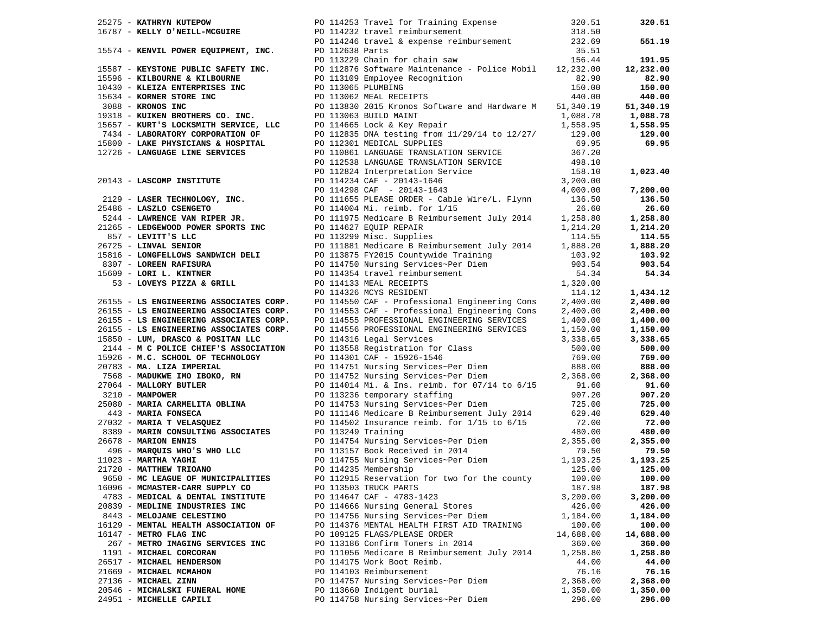| 25275 - KATHRYN KUTEPOW              | PO 114253 Travel for Training Expense 320.51                                                                                                                                                                                            |           | 320.51                |
|--------------------------------------|-----------------------------------------------------------------------------------------------------------------------------------------------------------------------------------------------------------------------------------------|-----------|-----------------------|
|                                      |                                                                                                                                                                                                                                         |           |                       |
|                                      |                                                                                                                                                                                                                                         |           | 551.19                |
|                                      |                                                                                                                                                                                                                                         |           |                       |
|                                      |                                                                                                                                                                                                                                         |           | 191.95                |
|                                      |                                                                                                                                                                                                                                         |           | 12,232.00             |
|                                      |                                                                                                                                                                                                                                         |           | 82.90                 |
|                                      |                                                                                                                                                                                                                                         |           | 150.00                |
|                                      |                                                                                                                                                                                                                                         |           | 440.00                |
|                                      |                                                                                                                                                                                                                                         |           |                       |
|                                      |                                                                                                                                                                                                                                         |           | 51,340.19<br>1,088.78 |
|                                      |                                                                                                                                                                                                                                         |           | 1,558.95              |
|                                      |                                                                                                                                                                                                                                         |           | 129.00                |
|                                      |                                                                                                                                                                                                                                         |           | 69.95                 |
|                                      |                                                                                                                                                                                                                                         |           |                       |
|                                      |                                                                                                                                                                                                                                         |           |                       |
|                                      |                                                                                                                                                                                                                                         |           |                       |
|                                      |                                                                                                                                                                                                                                         |           | 1,023.40              |
|                                      |                                                                                                                                                                                                                                         |           |                       |
|                                      |                                                                                                                                                                                                                                         |           | 7,200.00              |
|                                      |                                                                                                                                                                                                                                         |           | 136.50                |
|                                      |                                                                                                                                                                                                                                         |           | 26.60                 |
|                                      |                                                                                                                                                                                                                                         |           | 1,258.80              |
|                                      |                                                                                                                                                                                                                                         |           | 1,214.20              |
|                                      |                                                                                                                                                                                                                                         |           | 114.55                |
|                                      |                                                                                                                                                                                                                                         |           | 1,888.20              |
|                                      |                                                                                                                                                                                                                                         |           | 103.92                |
|                                      |                                                                                                                                                                                                                                         |           | 903.54                |
|                                      |                                                                                                                                                                                                                                         |           | 54.34                 |
|                                      |                                                                                                                                                                                                                                         |           |                       |
|                                      |                                                                                                                                                                                                                                         |           | 1,434.12              |
|                                      | 26775 - EXTREMENT EVITRE POLITICS 114237 Travel Incident Fracting Experime<br>16787 - EXTREMENT OVER EQUIPMENT, INC.<br>16787 - EXTREMENT MOUTHER (2001)<br>16797 - EXTREMENT MOUTHER (2001)<br>16794 - EXTREMENT MOUTHER (2002)<br>167 |           | 2,400.00              |
|                                      |                                                                                                                                                                                                                                         |           | 2,400.00              |
|                                      |                                                                                                                                                                                                                                         |           | 1,400.00              |
|                                      |                                                                                                                                                                                                                                         |           | 1,150.00              |
|                                      |                                                                                                                                                                                                                                         |           | 3,338.65              |
|                                      |                                                                                                                                                                                                                                         |           | 500.00                |
|                                      |                                                                                                                                                                                                                                         |           | 769.00                |
|                                      |                                                                                                                                                                                                                                         |           | 888.00                |
|                                      |                                                                                                                                                                                                                                         |           | 2,368.00              |
|                                      |                                                                                                                                                                                                                                         |           | 91.60                 |
|                                      |                                                                                                                                                                                                                                         |           | 907.20                |
|                                      |                                                                                                                                                                                                                                         |           | 725.00                |
|                                      |                                                                                                                                                                                                                                         |           | 629.40                |
|                                      |                                                                                                                                                                                                                                         |           | 72.00                 |
|                                      |                                                                                                                                                                                                                                         |           | 480.00                |
|                                      | 26155 - LS ENGINEERING ASSOCIATES CORP. PO 114553 CAP - Professional Engineering Cons<br>26155 - LS ENGINEERING ASSOCIATES CORP. PO 114553 CAP - Professional Engineering Cons<br>26155 - LS ENGINEERING ASSOCIATES CORP. PO 1145       |           | 2,355.00              |
|                                      |                                                                                                                                                                                                                                         |           |                       |
|                                      |                                                                                                                                                                                                                                         |           | 79.50<br>1,193.25     |
|                                      |                                                                                                                                                                                                                                         |           | 125.00                |
| 9650 - MC LEAGUE OF MUNICIPALITIES   |                                                                                                                                                                                                                                         |           |                       |
|                                      | PO 112915 Reservation for two for the county 100.00                                                                                                                                                                                     |           | 100.00                |
| 16096 - MCMASTER-CARR SUPPLY CO      | PO 113503 TRUCK PARTS                                                                                                                                                                                                                   | 187.98    | 187.98                |
| 4783 - MEDICAL & DENTAL INSTITUTE    | PO 114647 CAF - 4783-1423                                                                                                                                                                                                               | 3,200.00  | 3,200.00              |
| 20839 - MEDLINE INDUSTRIES INC       | PO 114666 Nursing General Stores                                                                                                                                                                                                        | 426.00    | 426.00                |
| 8443 - MELOJANE CELESTINO            | PO 114756 Nursing Services~Per Diem                                                                                                                                                                                                     | 1,184.00  | 1,184.00              |
| 16129 - MENTAL HEALTH ASSOCIATION OF | PO 114376 MENTAL HEALTH FIRST AID TRAINING                                                                                                                                                                                              | 100.00    | 100.00                |
| 16147 - METRO FLAG INC               | PO 109125 FLAGS/PLEASE ORDER                                                                                                                                                                                                            | 14,688.00 | 14,688.00             |
| 267 - METRO IMAGING SERVICES INC     | PO 113186 Confirm Toners in 2014                                                                                                                                                                                                        | 360.00    | 360.00                |
| 1191 - MICHAEL CORCORAN              | PO 111056 Medicare B Reimbursement July 2014                                                                                                                                                                                            | 1,258.80  | 1,258.80              |
| 26517 - MICHAEL HENDERSON            | PO 114175 Work Boot Reimb.                                                                                                                                                                                                              | 44.00     | 44.00                 |
| 21669 - MICHAEL MCMAHON              | PO 114103 Reimbursement                                                                                                                                                                                                                 | 76.16     | 76.16                 |
| 27136 - MICHAEL ZINN                 | PO 114757 Nursing Services~Per Diem                                                                                                                                                                                                     | 2,368.00  | 2,368.00              |
| 20546 - MICHALSKI FUNERAL HOME       | PO 113660 Indigent burial                                                                                                                                                                                                               | 1,350.00  | 1,350.00              |
| 24951 - MICHELLE CAPILI              | PO 114758 Nursing Services~Per Diem                                                                                                                                                                                                     | 296.00    | 296.00                |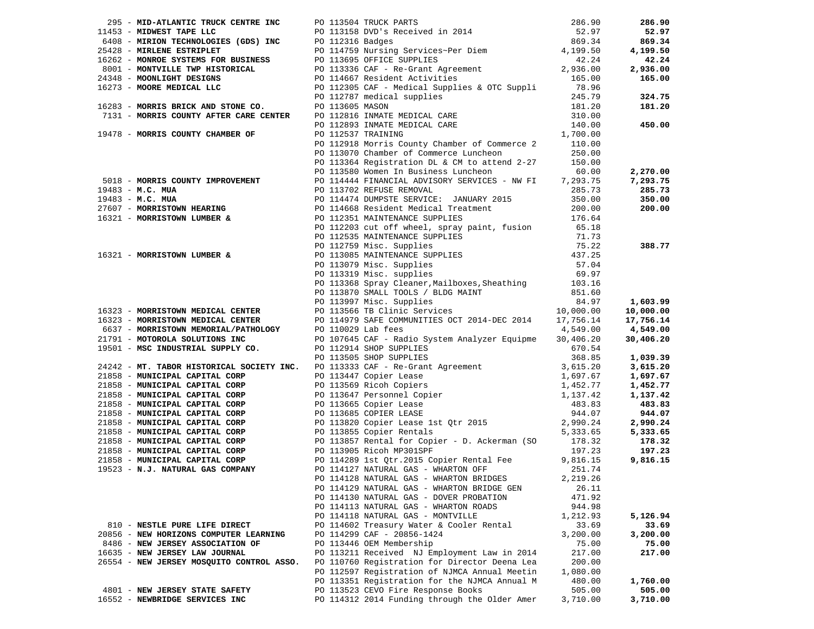|                                           |                                                                                                                                                                                                                                                                                                                                                                                                                                                            |          | 286.90                |
|-------------------------------------------|------------------------------------------------------------------------------------------------------------------------------------------------------------------------------------------------------------------------------------------------------------------------------------------------------------------------------------------------------------------------------------------------------------------------------------------------------------|----------|-----------------------|
|                                           |                                                                                                                                                                                                                                                                                                                                                                                                                                                            |          | 52.97                 |
|                                           |                                                                                                                                                                                                                                                                                                                                                                                                                                                            |          | 869.34                |
|                                           |                                                                                                                                                                                                                                                                                                                                                                                                                                                            |          | 4,199.50              |
|                                           |                                                                                                                                                                                                                                                                                                                                                                                                                                                            |          | 42.24                 |
|                                           |                                                                                                                                                                                                                                                                                                                                                                                                                                                            |          | 2,936.00              |
|                                           |                                                                                                                                                                                                                                                                                                                                                                                                                                                            |          | 165.00                |
|                                           |                                                                                                                                                                                                                                                                                                                                                                                                                                                            |          |                       |
|                                           |                                                                                                                                                                                                                                                                                                                                                                                                                                                            |          | 324.75                |
|                                           |                                                                                                                                                                                                                                                                                                                                                                                                                                                            |          | 181.20                |
|                                           |                                                                                                                                                                                                                                                                                                                                                                                                                                                            |          |                       |
|                                           |                                                                                                                                                                                                                                                                                                                                                                                                                                                            |          | 450.00                |
|                                           |                                                                                                                                                                                                                                                                                                                                                                                                                                                            |          |                       |
|                                           |                                                                                                                                                                                                                                                                                                                                                                                                                                                            |          |                       |
|                                           |                                                                                                                                                                                                                                                                                                                                                                                                                                                            |          |                       |
|                                           |                                                                                                                                                                                                                                                                                                                                                                                                                                                            |          |                       |
|                                           | PO 113070 Chamber of Commerce Luncheon 250.00<br>PO 113364 Registration DL & CM to attend 2-27 150.00<br>PO 113580 Women In Business Luncheon 60.00                                                                                                                                                                                                                                                                                                        |          | 2,270.00              |
|                                           |                                                                                                                                                                                                                                                                                                                                                                                                                                                            |          | 7,293.75              |
|                                           |                                                                                                                                                                                                                                                                                                                                                                                                                                                            |          | 285.73                |
|                                           |                                                                                                                                                                                                                                                                                                                                                                                                                                                            |          | 350.00                |
|                                           |                                                                                                                                                                                                                                                                                                                                                                                                                                                            |          | 200.00                |
|                                           |                                                                                                                                                                                                                                                                                                                                                                                                                                                            |          |                       |
|                                           |                                                                                                                                                                                                                                                                                                                                                                                                                                                            |          |                       |
|                                           |                                                                                                                                                                                                                                                                                                                                                                                                                                                            |          |                       |
|                                           |                                                                                                                                                                                                                                                                                                                                                                                                                                                            |          | 388.77                |
|                                           |                                                                                                                                                                                                                                                                                                                                                                                                                                                            |          |                       |
|                                           |                                                                                                                                                                                                                                                                                                                                                                                                                                                            |          |                       |
|                                           |                                                                                                                                                                                                                                                                                                                                                                                                                                                            |          |                       |
|                                           |                                                                                                                                                                                                                                                                                                                                                                                                                                                            |          |                       |
|                                           |                                                                                                                                                                                                                                                                                                                                                                                                                                                            |          |                       |
|                                           |                                                                                                                                                                                                                                                                                                                                                                                                                                                            |          |                       |
|                                           |                                                                                                                                                                                                                                                                                                                                                                                                                                                            |          | 1,603.99<br>10,000.00 |
|                                           | $16321 - \text{MORMISTOWN LUMBER & \color{red}{16321 - \text{MORMISTOWN LUMBER} \ \text{AD} \ \text{MD} \ \text{AD} \ \text{AD} \ \text{AD} \ \text{AD} \ \text{AD} \ \text{AD} \ \text{AD} \ \text{AD} \ \text{AD} \ \text{AD} \ \text{AD} \ \text{AD} \ \text{AD} \ \text{AD} \ \text{AD} \ \text{AD} \ \text{AD} \ \text{AD} \ \text{AD} \ \text{AD} \ \text{AD} \ \text{AD} \ \text{AD} \ \text{AD} \ \text{AD} \ \text{AD} \ \text{AD} \ \text{AD} \$ |          | 17,756.14             |
|                                           |                                                                                                                                                                                                                                                                                                                                                                                                                                                            |          | 4,549.00              |
|                                           |                                                                                                                                                                                                                                                                                                                                                                                                                                                            |          | 30,406.20             |
|                                           |                                                                                                                                                                                                                                                                                                                                                                                                                                                            |          |                       |
|                                           | 16323 - MORRISTOWN MEDICAL CENTER<br>16323 - MORRISTOWN MEDICAL CENTER<br>16323 - MORRISTOWN MEDICAL CENTER<br>1637 - MORRISTOWN MEMORIAL/PATHOLOGY<br>20114799 Lab fees<br>20110029 Lab fees<br>20110029 Lab fees<br>20110029 Lab fees<br>201                                                                                                                                                                                                             |          |                       |
|                                           |                                                                                                                                                                                                                                                                                                                                                                                                                                                            |          |                       |
|                                           |                                                                                                                                                                                                                                                                                                                                                                                                                                                            |          |                       |
|                                           |                                                                                                                                                                                                                                                                                                                                                                                                                                                            |          |                       |
|                                           |                                                                                                                                                                                                                                                                                                                                                                                                                                                            |          |                       |
|                                           |                                                                                                                                                                                                                                                                                                                                                                                                                                                            |          |                       |
|                                           |                                                                                                                                                                                                                                                                                                                                                                                                                                                            |          |                       |
|                                           |                                                                                                                                                                                                                                                                                                                                                                                                                                                            |          |                       |
|                                           |                                                                                                                                                                                                                                                                                                                                                                                                                                                            |          |                       |
|                                           |                                                                                                                                                                                                                                                                                                                                                                                                                                                            |          |                       |
|                                           |                                                                                                                                                                                                                                                                                                                                                                                                                                                            |          |                       |
|                                           |                                                                                                                                                                                                                                                                                                                                                                                                                                                            |          |                       |
|                                           |                                                                                                                                                                                                                                                                                                                                                                                                                                                            |          |                       |
|                                           | PO 114128 NATURAL GAS - WHARTON BRIDGES 2,219.26                                                                                                                                                                                                                                                                                                                                                                                                           |          |                       |
|                                           | PO 114129 NATURAL GAS - WHARTON BRIDGE GEN                                                                                                                                                                                                                                                                                                                                                                                                                 | 26.11    |                       |
|                                           | PO 114130 NATURAL GAS - DOVER PROBATION                                                                                                                                                                                                                                                                                                                                                                                                                    | 471.92   |                       |
|                                           | PO 114113 NATURAL GAS - WHARTON ROADS                                                                                                                                                                                                                                                                                                                                                                                                                      | 944.98   |                       |
|                                           | PO 114118 NATURAL GAS - MONTVILLE                                                                                                                                                                                                                                                                                                                                                                                                                          | 1,212.93 | 5,126.94              |
| 810 - NESTLE PURE LIFE DIRECT             | PO 114602 Treasury Water & Cooler Rental                                                                                                                                                                                                                                                                                                                                                                                                                   | 33.69    | 33.69                 |
| 20856 - NEW HORIZONS COMPUTER LEARNING    | PO 114299 CAF - 20856-1424                                                                                                                                                                                                                                                                                                                                                                                                                                 | 3,200.00 | 3,200.00              |
| 8486 - NEW JERSEY ASSOCIATION OF          | PO 113446 OEM Membership                                                                                                                                                                                                                                                                                                                                                                                                                                   | 75.00    | 75.00                 |
| 16635 - NEW JERSEY LAW JOURNAL            | PO 113211 Received NJ Employment Law in 2014                                                                                                                                                                                                                                                                                                                                                                                                               | 217.00   | 217.00                |
| 26554 - NEW JERSEY MOSQUITO CONTROL ASSO. | PO 110760 Registration for Director Deena Lea                                                                                                                                                                                                                                                                                                                                                                                                              | 200.00   |                       |
|                                           | PO 112597 Registration of NJMCA Annual Meetin                                                                                                                                                                                                                                                                                                                                                                                                              | 1,080.00 |                       |
|                                           | PO 113351 Registration for the NJMCA Annual M                                                                                                                                                                                                                                                                                                                                                                                                              | 480.00   | 1,760.00              |
| 4801 - NEW JERSEY STATE SAFETY            | PO 113523 CEVO Fire Response Books                                                                                                                                                                                                                                                                                                                                                                                                                         | 505.00   | 505.00                |
| 16552 - NEWBRIDGE SERVICES INC            | PO 114312 2014 Funding through the Older Amer                                                                                                                                                                                                                                                                                                                                                                                                              | 3,710.00 | 3,710.00              |
|                                           |                                                                                                                                                                                                                                                                                                                                                                                                                                                            |          |                       |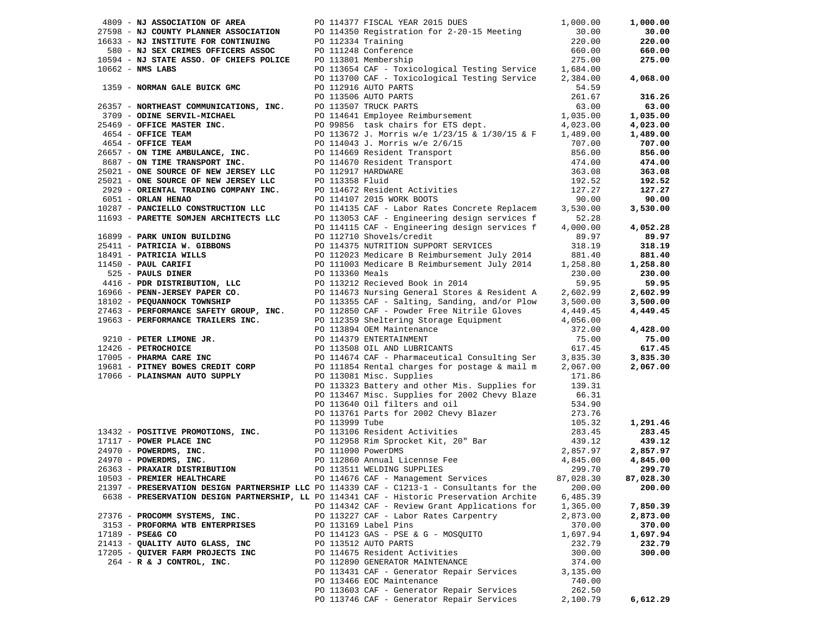| 4809 - NJ ASSOCIATION OF AREA                                                                                                                                                                                                                                |                | PO 114377 FISCAL YEAR 2015 DUES                                                             | 1,000.00             | 1,000.00  |
|--------------------------------------------------------------------------------------------------------------------------------------------------------------------------------------------------------------------------------------------------------------|----------------|---------------------------------------------------------------------------------------------|----------------------|-----------|
| 27598 - NJ COUNTY PLANNER ASSOCIATION DO 114350 Registration for 2-20-15 Meeting<br>16633 - NJ INSTITUTE FOR CONTINUING DO 112334 Training                                                                                                                   |                |                                                                                             | 30.00                | 30.00     |
| 16633 - NJ INSTITUTE FOR CONTINUING                                                                                                                                                                                                                          |                |                                                                                             | 220.00               | 220.00    |
| 580 - NJ SEX CRIMES OFFICERS ASSOC PO 111248 Conference                                                                                                                                                                                                      |                |                                                                                             | 660.00               | 660.00    |
| 10594 - NJ STATE ASSO. OF CHIEFS POLICE PO 113801 Membership                                                                                                                                                                                                 |                |                                                                                             | 275.00               | 275.00    |
| $10662$ - NMS LABS                                                                                                                                                                                                                                           |                | PO 113654 CAF - Toxicological Testing Service 1,684.00                                      |                      |           |
|                                                                                                                                                                                                                                                              |                | PO 113700 CAF - Toxicological Testing Service 2,384.00                                      |                      | 4,068.00  |
|                                                                                                                                                                                                                                                              |                |                                                                                             |                      |           |
|                                                                                                                                                                                                                                                              |                |                                                                                             |                      | 316.26    |
| 1359 - NORMAN GALE BUICK GMC<br>26357 - NORTHEAST COMMUNICATIONS, INC.<br>26357 - NORTHEAST COMMUNICATIONS, INC.<br>274.59<br>261.67<br>261.67<br>261.67<br>261.67<br>261.67<br>261.67<br>261.67<br>261.67<br>261.67<br>261.67<br>261.67<br>26357 - NORTHEAS |                |                                                                                             |                      | 63.00     |
|                                                                                                                                                                                                                                                              |                |                                                                                             |                      | 1,035.00  |
|                                                                                                                                                                                                                                                              |                |                                                                                             |                      | 4,023.00  |
|                                                                                                                                                                                                                                                              |                |                                                                                             |                      | 1,489.00  |
|                                                                                                                                                                                                                                                              |                |                                                                                             |                      | 707.00    |
|                                                                                                                                                                                                                                                              |                |                                                                                             |                      | 856.00    |
|                                                                                                                                                                                                                                                              |                |                                                                                             |                      | 474.00    |
|                                                                                                                                                                                                                                                              |                |                                                                                             |                      | 363.08    |
|                                                                                                                                                                                                                                                              |                |                                                                                             |                      | 192.52    |
|                                                                                                                                                                                                                                                              |                |                                                                                             |                      | 127.27    |
|                                                                                                                                                                                                                                                              |                |                                                                                             |                      | 90.00     |
| 10287 - PANCIELLO CONSTRUCTION LLC                                                                                                                                                                                                                           |                | PO 114135 CAF - Labor Rates Concrete Replacem                                               | 3,530.00             | 3,530.00  |
| 11693 - PARETTE SOMJEN ARCHITECTS LLC                                                                                                                                                                                                                        |                | PO 113053 CAF - Engineering design services f                                               | 52.28                |           |
|                                                                                                                                                                                                                                                              |                | PO 114115 CAF - Engineering design services f                                               | 4,000.00             | 4,052.28  |
| 16899 - PARK UNION BUILDING                                                                                                                                                                                                                                  |                | PO 112710 Shovels/credit                                                                    | 89.97                | 89.97     |
| 25411 - PATRICIA W. GIBBONS                                                                                                                                                                                                                                  |                | PO 114375 NUTRITION SUPPORT SERVICES                                                        | 318.19               | 318.19    |
| 18491 - PATRICIA WILLS                                                                                                                                                                                                                                       |                | PO 112023 Medicare B Reimbursement July 2014                                                | 881.40               | 881.40    |
|                                                                                                                                                                                                                                                              |                |                                                                                             | 1,258.80             | 1,258.80  |
|                                                                                                                                                                                                                                                              |                |                                                                                             | 230.00               | 230.00    |
|                                                                                                                                                                                                                                                              |                |                                                                                             | 59.95                | 59.95     |
|                                                                                                                                                                                                                                                              |                |                                                                                             | 2,602.99             | 2,602.99  |
|                                                                                                                                                                                                                                                              |                |                                                                                             | 3,500.00             | 3,500.00  |
|                                                                                                                                                                                                                                                              |                |                                                                                             | 4,449.45             | 4,449.45  |
|                                                                                                                                                                                                                                                              |                |                                                                                             | 4,056.00             |           |
| 18491 - PATRICIA WILLER<br>1850 - PAUL CARIFI<br>525 - PAULS DISTRIBUTION, LLC<br>416 - PDR DISTRIBUTION, LLC<br>18966 - PENN-JERSEY PAPER CO.<br>18102 - PEQUANNOCK TOWNSHIP<br>27463 - PERFORMANCE SAFETY GROUP, INC.<br>19663 - PERFORMAN                 |                |                                                                                             | 372.00               | 4,428.00  |
|                                                                                                                                                                                                                                                              |                |                                                                                             | 75.00                | 75.00     |
| 12426 - PETROCHOICE                                                                                                                                                                                                                                          |                | PO 113508 OIL AND LUBRICANTS                                                                | 617.45               | 617.45    |
| 17005 - PHARMA CARE INC                                                                                                                                                                                                                                      |                | PO 114674 CAF - Pharmaceutical Consulting Ser 3,835.30                                      |                      | 3,835.30  |
| 19681 - PITNEY BOWES CREDIT CORP                                                                                                                                                                                                                             |                | PO 111854 Rental charges for postage & mail m 2,067.00                                      |                      | 2,067.00  |
| 17066 - PLAINSMAN AUTO SUPPLY                                                                                                                                                                                                                                |                | PO 113081 Misc. Supplies                                                                    | 171.86               |           |
|                                                                                                                                                                                                                                                              |                | PO 113323 Battery and other Mis. Supplies for 139.31                                        |                      |           |
|                                                                                                                                                                                                                                                              |                | PO 113467 Misc. Supplies for 2002 Chevy Blaze 66.31<br>PO 113640 Oil filters and oil 534.90 |                      |           |
|                                                                                                                                                                                                                                                              |                | PO 113640 Oil filters and oil                                                               | 534.90               |           |
|                                                                                                                                                                                                                                                              |                | PO 113761 Parts for 2002 Chevy Blazer                                                       | 273.76               |           |
|                                                                                                                                                                                                                                                              | PO 113999 Tube |                                                                                             | 105.32               | 1,291.46  |
| 13432 - POSITIVE PROMOTIONS, INC.<br>17117 - POWER PLACE INC<br>24970 - POWERDMS, INC.<br>24970 - POWERDMS, INC.<br>26363 - PRAXAIR DISTRIBUTION<br>10503 - PREMIER HEALTHCARE<br>26363 - PRAXAIR DISTRIBUTION<br>20113511 WELDING SUPPLIES<br>              |                |                                                                                             | 283.45               | 283.45    |
|                                                                                                                                                                                                                                                              |                |                                                                                             | 439.12               | 439.12    |
|                                                                                                                                                                                                                                                              |                |                                                                                             | 2,857.97<br>4,845.00 | 2,857.97  |
|                                                                                                                                                                                                                                                              |                |                                                                                             |                      | 4,845.00  |
|                                                                                                                                                                                                                                                              |                |                                                                                             | 299.70               | 299.70    |
| 10503 - PREMIER HEALTHCARE                                                                                                                                                                                                                                   |                | PO 114676 CAF - Management Services                                                         | 87,028.30            | 87,028.30 |
| 21397 - PRESERVATION DESIGN PARTNERSHIP LLC PO 114339 CAF - C1213-1 - Consultants for the                                                                                                                                                                    |                |                                                                                             | 200.00               | 200.00    |
| 6638 - PRESERVATION DESIGN PARTNERSHIP, LL PO 114341 CAF - Historic Preservation Archite                                                                                                                                                                     |                |                                                                                             | 6,485.39             |           |
|                                                                                                                                                                                                                                                              |                | PO 114342 CAF - Review Grant Applications for                                               | 1,365.00             | 7,850.39  |
| 27376 - PROCOMM SYSTEMS, INC.                                                                                                                                                                                                                                |                | PO 113227 CAF - Labor Rates Carpentry                                                       | 2,873.00             | 2,873.00  |
| 3153 - PROFORMA WTB ENTERPRISES                                                                                                                                                                                                                              |                | PO 113169 Label Pins                                                                        | 370.00               | 370.00    |
| 17189 - PSE&G CO                                                                                                                                                                                                                                             |                | PO 114123 GAS - PSE & G - MOSQUITO                                                          | 1,697.94             | 1,697.94  |
| 21413 - QUALITY AUTO GLASS, INC                                                                                                                                                                                                                              |                | PO 113512 AUTO PARTS                                                                        | 232.79               | 232.79    |
| 17205 - QUIVER FARM PROJECTS INC                                                                                                                                                                                                                             |                | PO 114675 Resident Activities                                                               | 300.00               | 300.00    |
| 264 - R & J CONTROL, INC.                                                                                                                                                                                                                                    |                | PO 112890 GENERATOR MAINTENANCE                                                             | 374.00               |           |
|                                                                                                                                                                                                                                                              |                | PO 113431 CAF - Generator Repair Services                                                   | 3,135.00             |           |
|                                                                                                                                                                                                                                                              |                | PO 113466 EOC Maintenance                                                                   | 740.00               |           |
|                                                                                                                                                                                                                                                              |                | PO 113603 CAF - Generator Repair Services                                                   | 262.50               |           |
|                                                                                                                                                                                                                                                              |                | PO 113746 CAF - Generator Repair Services                                                   | 2,100.79             | 6,612.29  |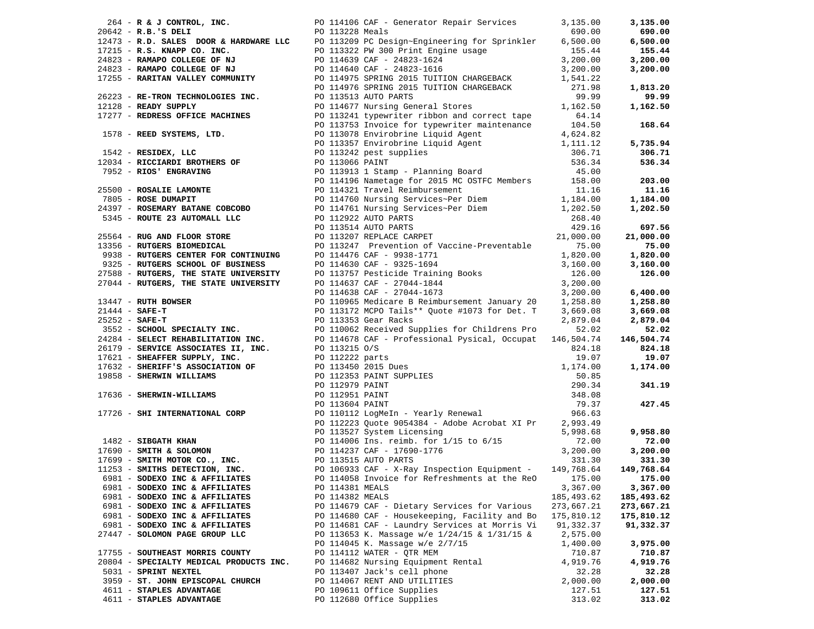| 2014 - R. S. CONTENT - HOLLASS COMPANY (2011) - Jenesto Corporation (2011) - 10. 2013<br>1924 - R. S. Company (2011) - 10. 2013) - 2014 - 2014 - 2014 - 2014 - 2014 - 2014 - 2014 - 2014 - 2014 - 2014<br>1924 - R. S. Company ( |                 |                                               |            |            |
|----------------------------------------------------------------------------------------------------------------------------------------------------------------------------------------------------------------------------------|-----------------|-----------------------------------------------|------------|------------|
|                                                                                                                                                                                                                                  |                 |                                               |            |            |
|                                                                                                                                                                                                                                  |                 |                                               |            |            |
|                                                                                                                                                                                                                                  |                 |                                               |            |            |
|                                                                                                                                                                                                                                  |                 |                                               |            |            |
|                                                                                                                                                                                                                                  |                 |                                               |            |            |
|                                                                                                                                                                                                                                  |                 |                                               |            |            |
|                                                                                                                                                                                                                                  |                 |                                               |            |            |
|                                                                                                                                                                                                                                  |                 |                                               |            |            |
|                                                                                                                                                                                                                                  |                 |                                               |            |            |
|                                                                                                                                                                                                                                  |                 |                                               |            |            |
|                                                                                                                                                                                                                                  |                 |                                               |            |            |
|                                                                                                                                                                                                                                  |                 |                                               |            |            |
|                                                                                                                                                                                                                                  |                 |                                               |            |            |
|                                                                                                                                                                                                                                  |                 |                                               |            |            |
|                                                                                                                                                                                                                                  |                 |                                               |            |            |
|                                                                                                                                                                                                                                  |                 |                                               |            |            |
|                                                                                                                                                                                                                                  |                 |                                               |            |            |
|                                                                                                                                                                                                                                  |                 |                                               |            |            |
|                                                                                                                                                                                                                                  |                 |                                               |            |            |
|                                                                                                                                                                                                                                  |                 |                                               |            |            |
|                                                                                                                                                                                                                                  |                 |                                               |            |            |
| 6981 - SODEXO INC & AFFILIATES PO 114058 Invoice for Refreshments at the ReO 175.00 175.00                                                                                                                                       |                 |                                               |            |            |
| 6981 - SODEXO INC & AFFILIATES                                                                                                                                                                                                   | PO 114381 MEALS |                                               | 3,367.00   | 3,367.00   |
|                                                                                                                                                                                                                                  |                 |                                               |            |            |
| 6981 - SODEXO INC & AFFILIATES                                                                                                                                                                                                   | PO 114382 MEALS |                                               | 185,493.62 | 185,493.62 |
| 6981 - SODEXO INC & AFFILIATES                                                                                                                                                                                                   |                 | PO 114679 CAF - Dietary Services for Various  | 273,667.21 | 273,667.21 |
| 6981 - SODEXO INC & AFFILIATES                                                                                                                                                                                                   |                 | PO 114680 CAF - Housekeeping, Facility and Bo | 175,810.12 | 175,810.12 |
| 6981 - SODEXO INC & AFFILIATES                                                                                                                                                                                                   |                 | PO 114681 CAF - Laundry Services at Morris Vi | 91,332.37  | 91,332.37  |
| 27447 - SOLOMON PAGE GROUP LLC                                                                                                                                                                                                   |                 | PO 113653 K. Massage w/e 1/24/15 & 1/31/15 &  | 2,575.00   |            |
|                                                                                                                                                                                                                                  |                 |                                               |            |            |
|                                                                                                                                                                                                                                  |                 | PO 114045 K. Massage w/e 2/7/15               | 1,400.00   | 3,975.00   |
| 17755 - SOUTHEAST MORRIS COUNTY                                                                                                                                                                                                  |                 | PO 114112 WATER - QTR MEM                     | 710.87     | 710.87     |
| 20804 - SPECIALTY MEDICAL PRODUCTS INC.                                                                                                                                                                                          |                 | PO 114682 Nursing Equipment Rental            | 4,919.76   | 4,919.76   |
| 5031 - SPRINT NEXTEL                                                                                                                                                                                                             |                 | PO 113407 Jack's cell phone                   | 32.28      | 32.28      |
|                                                                                                                                                                                                                                  |                 |                                               |            |            |
| 3959 - ST. JOHN EPISCOPAL CHURCH                                                                                                                                                                                                 |                 | PO 114067 RENT AND UTILITIES                  | 2,000.00   | 2,000.00   |
| 4611 - STAPLES ADVANTAGE                                                                                                                                                                                                         |                 | PO 109611 Office Supplies                     | 127.51     | 127.51     |
| 4611 - STAPLES ADVANTAGE                                                                                                                                                                                                         |                 | PO 112680 Office Supplies                     | 313.02     | 313.02     |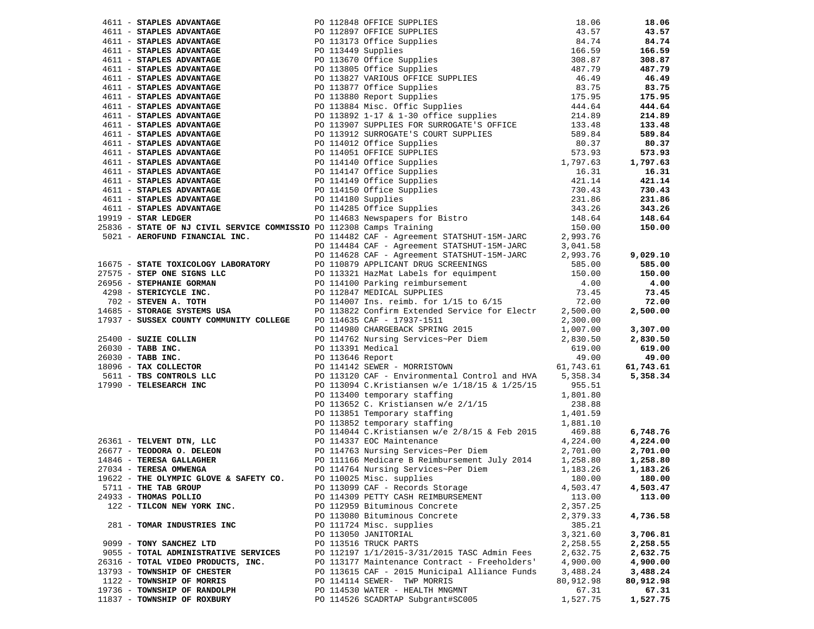|                                                                                                                                                                                                                                                                                             |  |                                                                 |           | 18.06     |
|---------------------------------------------------------------------------------------------------------------------------------------------------------------------------------------------------------------------------------------------------------------------------------------------|--|-----------------------------------------------------------------|-----------|-----------|
|                                                                                                                                                                                                                                                                                             |  |                                                                 |           | 43.57     |
|                                                                                                                                                                                                                                                                                             |  |                                                                 |           | 84.74     |
|                                                                                                                                                                                                                                                                                             |  |                                                                 |           | 166.59    |
|                                                                                                                                                                                                                                                                                             |  |                                                                 |           | 308.87    |
|                                                                                                                                                                                                                                                                                             |  |                                                                 |           |           |
|                                                                                                                                                                                                                                                                                             |  |                                                                 |           | 487.79    |
|                                                                                                                                                                                                                                                                                             |  |                                                                 |           | 46.49     |
|                                                                                                                                                                                                                                                                                             |  |                                                                 |           | 83.75     |
|                                                                                                                                                                                                                                                                                             |  |                                                                 |           | 175.95    |
|                                                                                                                                                                                                                                                                                             |  |                                                                 |           | 444.64    |
|                                                                                                                                                                                                                                                                                             |  |                                                                 |           | 214.89    |
|                                                                                                                                                                                                                                                                                             |  |                                                                 |           | 133.48    |
|                                                                                                                                                                                                                                                                                             |  |                                                                 |           | 589.84    |
|                                                                                                                                                                                                                                                                                             |  |                                                                 |           |           |
|                                                                                                                                                                                                                                                                                             |  |                                                                 |           | 80.37     |
|                                                                                                                                                                                                                                                                                             |  |                                                                 |           | 573.93    |
|                                                                                                                                                                                                                                                                                             |  |                                                                 |           | 1,797.63  |
|                                                                                                                                                                                                                                                                                             |  |                                                                 |           | 16.31     |
|                                                                                                                                                                                                                                                                                             |  |                                                                 |           | 421.14    |
|                                                                                                                                                                                                                                                                                             |  |                                                                 |           | 730.43    |
|                                                                                                                                                                                                                                                                                             |  |                                                                 |           | 231.86    |
|                                                                                                                                                                                                                                                                                             |  |                                                                 |           | 343.26    |
| 4611 <b>STAPLES ADVANTAGE</b><br>4611 <b>STAPLES ADVANTAGE</b><br>4611 <b>STAPLES ADVANTAGE</b><br>4611 <b>STAPLES ADVANTAGE</b><br>4611 <b>STAPLES ADVANTAGE</b><br>4611 <b>STAPLES ADVANTAGE</b><br>4611 <b>STAPLES ADVANTAGE</b><br>4611 <b>STAPLES ADVANTAGE</b><br>4611 <b>STAPLES</b> |  |                                                                 |           | 148.64    |
|                                                                                                                                                                                                                                                                                             |  |                                                                 |           | 150.00    |
|                                                                                                                                                                                                                                                                                             |  |                                                                 |           |           |
|                                                                                                                                                                                                                                                                                             |  |                                                                 |           |           |
|                                                                                                                                                                                                                                                                                             |  |                                                                 |           |           |
|                                                                                                                                                                                                                                                                                             |  |                                                                 |           | 9,029.10  |
|                                                                                                                                                                                                                                                                                             |  |                                                                 |           | 585.00    |
|                                                                                                                                                                                                                                                                                             |  |                                                                 |           | 150.00    |
|                                                                                                                                                                                                                                                                                             |  |                                                                 |           | 4.00      |
|                                                                                                                                                                                                                                                                                             |  |                                                                 |           | 73.45     |
|                                                                                                                                                                                                                                                                                             |  |                                                                 |           | 72.00     |
|                                                                                                                                                                                                                                                                                             |  |                                                                 |           | 2,500.00  |
| 25836 - STATE OF NJ CIVIL SERVICE COMMISSIO PO 112308 Camps Training<br>FINANCIAL INC. The political care - Agreement STATSHUT-15M-JARC 2,993.76<br>PO 114482 CAF - Agreement STATSHUT-15M-JARC 3,041.58<br>PO 114628 CAF - Agreeme                                                         |  |                                                                 |           |           |
|                                                                                                                                                                                                                                                                                             |  |                                                                 |           | 3,307.00  |
|                                                                                                                                                                                                                                                                                             |  |                                                                 |           | 2,830.50  |
|                                                                                                                                                                                                                                                                                             |  |                                                                 |           | 619.00    |
|                                                                                                                                                                                                                                                                                             |  |                                                                 |           |           |
|                                                                                                                                                                                                                                                                                             |  |                                                                 |           | 49.00     |
|                                                                                                                                                                                                                                                                                             |  |                                                                 |           | 61,743.61 |
|                                                                                                                                                                                                                                                                                             |  |                                                                 |           | 5,358.34  |
|                                                                                                                                                                                                                                                                                             |  |                                                                 |           |           |
|                                                                                                                                                                                                                                                                                             |  |                                                                 |           |           |
|                                                                                                                                                                                                                                                                                             |  |                                                                 |           |           |
|                                                                                                                                                                                                                                                                                             |  |                                                                 |           |           |
|                                                                                                                                                                                                                                                                                             |  |                                                                 |           |           |
|                                                                                                                                                                                                                                                                                             |  |                                                                 |           | 6,748.76  |
|                                                                                                                                                                                                                                                                                             |  |                                                                 |           | 4,224.00  |
|                                                                                                                                                                                                                                                                                             |  |                                                                 |           | 2,701.00  |
|                                                                                                                                                                                                                                                                                             |  |                                                                 |           | 1,258.80  |
|                                                                                                                                                                                                                                                                                             |  |                                                                 |           |           |
|                                                                                                                                                                                                                                                                                             |  | PO 114764 Nursing Services~Per Diem<br>PO 110025 Misc. supplies |           | 1,183.26  |
| 19622 - THE OLYMPIC GLOVE & SAFETY CO.                                                                                                                                                                                                                                                      |  | PO 110025 Misc. supplies 180.00 180.00                          |           |           |
| 5711 - THE TAB GROUP                                                                                                                                                                                                                                                                        |  | PO 113099 CAF - Records Storage                                 | 4,503.47  | 4,503.47  |
| 24933 - THOMAS POLLIO                                                                                                                                                                                                                                                                       |  | PO 114309 PETTY CASH REIMBURSEMENT                              | 113.00    | 113.00    |
| 122 - TILCON NEW YORK INC.                                                                                                                                                                                                                                                                  |  | PO 112959 Bituminous Concrete                                   | 2,357.25  |           |
|                                                                                                                                                                                                                                                                                             |  | PO 113080 Bituminous Concrete                                   | 2,379.33  | 4,736.58  |
| 281 - TOMAR INDUSTRIES INC                                                                                                                                                                                                                                                                  |  | PO 111724 Misc. supplies                                        | 385.21    |           |
|                                                                                                                                                                                                                                                                                             |  | PO 113050 JANITORIAL                                            | 3,321.60  | 3,706.81  |
| 9099 - TONY SANCHEZ LTD                                                                                                                                                                                                                                                                     |  | PO 113516 TRUCK PARTS                                           | 2,258.55  | 2,258.55  |
| 9055 - TOTAL ADMINISTRATIVE SERVICES                                                                                                                                                                                                                                                        |  | PO 112197 1/1/2015-3/31/2015 TASC Admin Fees                    | 2,632.75  | 2,632.75  |
| 26316 - TOTAL VIDEO PRODUCTS, INC.                                                                                                                                                                                                                                                          |  | PO 113177 Maintenance Contract - Freeholders'                   | 4,900.00  | 4,900.00  |
|                                                                                                                                                                                                                                                                                             |  |                                                                 |           |           |
| 13793 - TOWNSHIP OF CHESTER                                                                                                                                                                                                                                                                 |  | PO 113615 CAF - 2015 Municipal Alliance Funds                   | 3,488.24  | 3,488.24  |
| 1122 - TOWNSHIP OF MORRIS                                                                                                                                                                                                                                                                   |  | PO 114114 SEWER- TWP MORRIS                                     | 80,912.98 | 80,912.98 |
| 19736 - TOWNSHIP OF RANDOLPH                                                                                                                                                                                                                                                                |  | PO 114530 WATER - HEALTH MNGMNT                                 | 67.31     | 67.31     |
| 11837 - TOWNSHIP OF ROXBURY                                                                                                                                                                                                                                                                 |  | PO 114526 SCADRTAP Subgrant#SC005                               | 1,527.75  | 1,527.75  |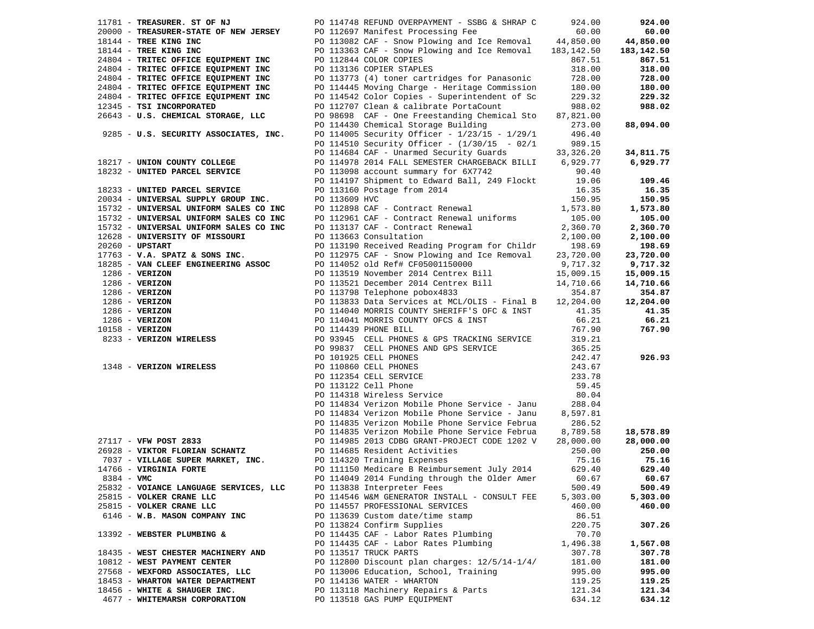| 11781 - TREASURER. ST OF NJ                                                                                                                                                                                                                              |               | PO 114748 REFUND OVERPAYMENT - SSBG & SHRAP C                                                                                             | 924.00    | 924.00     |
|----------------------------------------------------------------------------------------------------------------------------------------------------------------------------------------------------------------------------------------------------------|---------------|-------------------------------------------------------------------------------------------------------------------------------------------|-----------|------------|
|                                                                                                                                                                                                                                                          |               |                                                                                                                                           | 60.00     | 60.00      |
| 20000 - TREASURER-STATE OF NEW JERSEY PO 112697 Manifest Processing Fee<br>18144 - TREE KING INC PO 113082 CAF - Snow Plowing and Ice Removal                                                                                                            |               | PO 113082 CAF - Snow Plowing and Ice Removal 44,850.00                                                                                    |           | 44,850.00  |
| 18144 - TREE KING INC                                                                                                                                                                                                                                    |               | PO 113363 CAF - Snow Plowing and Ice Removal 183,142.50                                                                                   |           | 183,142.50 |
| 24804 - TRITEC OFFICE EQUIPMENT INC                                                                                                                                                                                                                      |               | PO 112844 COLOR COPIES                                                                                                                    | 867.51    | 867.51     |
| 24804 - TRITEC OFFICE EQUIPMENT INC                                                                                                                                                                                                                      |               | PO 113136 COPIER STAPLES                                                                                                                  | 318.00    | 318.00     |
| 24804 - TRITEC OFFICE EQUIPMENT INC                                                                                                                                                                                                                      |               | PO 113773 (4) toner cartridges for Panasonic                                                                                              | 728.00    | 728.00     |
| 24804 - TRITEC OFFICE EQUIPMENT INC                                                                                                                                                                                                                      |               | PO 114445 Moving Charge - Heritage Commission                                                                                             | 180.00    | 180.00     |
| 24804 - TRITEC OFFICE EQUIPMENT INC                                                                                                                                                                                                                      |               | PO 114542 Color Copies - Superintendent of Sc                                                                                             | 229.32    | 229.32     |
| 12345 - TSI INCORPORATED                                                                                                                                                                                                                                 |               | PO 112707 Clean & calibrate PortaCount                                                                                                    | 988.02    | 988.02     |
| 26643 - U.S. CHEMICAL STORAGE, LLC                                                                                                                                                                                                                       |               | PO 98698 CAF - One Freestanding Chemical Sto                                                                                              | 87,821.00 |            |
|                                                                                                                                                                                                                                                          |               | PO 114430 Chemical Storage Building                                                                                                       | 273.00    | 88,094.00  |
| 9285 - U.S. SECURITY ASSOCIATES, INC.                                                                                                                                                                                                                    |               | PO 114005 Security Officer - 1/23/15 - 1/29/1                                                                                             | 496.40    |            |
|                                                                                                                                                                                                                                                          |               | PO 114510 Security Officer - (1/30/15 - 02/1                                                                                              | 989.15    |            |
|                                                                                                                                                                                                                                                          |               | PO 114684 CAF - Unarmed Security Guards 33,326.20                                                                                         |           | 34,811.75  |
| 18217 - UNION COUNTY COLLEGE                                                                                                                                                                                                                             |               | PO 114978 2014 FALL SEMESTER CHARGEBACK BILLI 6,929.77                                                                                    |           | 6,929.77   |
| 18232 - UNITED PARCEL SERVICE                                                                                                                                                                                                                            |               | PO 113098 account summary for 6X7742                                                                                                      | 90.40     |            |
|                                                                                                                                                                                                                                                          |               | PO 114197 Shipment to Edward Ball, 249 Flockt 19.06                                                                                       |           | 109.46     |
| 18233 - UNITED PARCEL SERVICE                                                                                                                                                                                                                            |               |                                                                                                                                           | 16.35     | 16.35      |
| 20034 - UNIVERSAL SUPPLY GROUP INC.                                                                                                                                                                                                                      | PO 113609 HVC | PO 113160 Postage from 2014<br>po 113609 HVC                                                                                              | 150.95    | 150.95     |
| 15732 - UNIVERSAL UNIFORM SALES CO INC<br>15732 - UNIVERSAL UNIFORM SALES CO INC<br>15732 - UNIVERSAL UNIFORM SALES CO INC<br>15732 - UNIVERSAL UNIFORM SALES CO INC<br>1763 - UNIVERSITY OF MISSOURI<br>20260 - UPSTART<br>20260 - UPSTART<br>1776      |               | PO 112898 CAF - Contract Renewal                                                                                                          | 1,573.80  | 1,573.80   |
|                                                                                                                                                                                                                                                          |               |                                                                                                                                           | 105.00    | 105.00     |
|                                                                                                                                                                                                                                                          |               |                                                                                                                                           | 2,360.70  | 2,360.70   |
|                                                                                                                                                                                                                                                          |               |                                                                                                                                           | 2,100.00  | 2,100.00   |
|                                                                                                                                                                                                                                                          |               | PO 113190 Received Reading Program for Childr                                                                                             | 198.69    | 198.69     |
| $17763 - V.A. SPATZ & SONS INC.$                                                                                                                                                                                                                         |               | PO 112975 CAF - Snow Plowing and Ice Removal                                                                                              | 23,720.00 | 23,720.00  |
| 18285 - VAN CLEEF ENGINEERING ASSOC                                                                                                                                                                                                                      |               | PO 114052 old Ref# CF05001150000                                                                                                          | 9,717.32  | 9,717.32   |
|                                                                                                                                                                                                                                                          |               | PO 113519 November 2014 Centrex Bill 15,009.15                                                                                            |           | 15,009.15  |
|                                                                                                                                                                                                                                                          |               |                                                                                                                                           |           | 14,710.66  |
|                                                                                                                                                                                                                                                          |               | PO 113521 December 2014 Centrex Bill 14,710.66<br>PO 113798 Telephone pobox4833 354.87<br>PO 113798 Telephone pobox4833                   | 354.87    | 354.87     |
|                                                                                                                                                                                                                                                          |               | PO 113833 Data Services at MCL/OLIS - Final B 12,204.00                                                                                   |           | 12,204.00  |
|                                                                                                                                                                                                                                                          |               | PO 114040 MORRIS COUNTY SHERIFF'S OFC & INST                                                                                              | 41.35     | 41.35      |
|                                                                                                                                                                                                                                                          |               |                                                                                                                                           | 66.21     | 66.21      |
| 10158 - VERIZON                                                                                                                                                                                                                                          |               | PO 114041 MORRIS COUNTY OFCS & INST<br>po 114439 phone bill.                                                                              | 767.90    | 767.90     |
| 1286 - VERIZON<br>1286 - VERIZON<br>1286 - VERIZON<br>1286 - VERIZON<br>1286 - VERIZON<br>1286 - VERIZON<br>1286 - VERIZON<br>1286 - VERIZON<br>1286 - VERIZON<br>1286 - VERIZON<br>1286 - VERIZON<br>1286 - VERIZON<br>1286 - VERIZON<br>1286 - VERIZON |               |                                                                                                                                           |           |            |
|                                                                                                                                                                                                                                                          |               | PO 93945 CELL PHONES & GPS TRACKING SERVICE 319.21<br>PO 99837 CELL PHONES AND GPS SERVICE 365.25<br>PO 99837 CELL PHONES AND GPS SERVICE |           |            |
|                                                                                                                                                                                                                                                          |               | PO 101925 CELL PHONES                                                                                                                     | 242.47    | 926.93     |
|                                                                                                                                                                                                                                                          |               | PO 101923 CELL PHONES<br>PO 112354 CELL PHONES<br>PO 112354 CELL SERVICE<br>PO 113122 Cell Phone<br>PO 114318 Wireless Service            | 243.67    |            |
|                                                                                                                                                                                                                                                          |               |                                                                                                                                           | 233.78    |            |
|                                                                                                                                                                                                                                                          |               |                                                                                                                                           | 59.45     |            |
|                                                                                                                                                                                                                                                          |               | PO 114318 Wireless Service                                                                                                                | 80.04     |            |
|                                                                                                                                                                                                                                                          |               | PO 114834 Verizon Mobile Phone Service - Janu                                                                                             | 288.04    |            |
|                                                                                                                                                                                                                                                          |               | PO 114834 Verizon Mobile Phone Service - Janu                                                                                             | 8,597.81  |            |
|                                                                                                                                                                                                                                                          |               | PO 114835 Verizon Mobile Phone Service Februa                                                                                             | 286.52    |            |
|                                                                                                                                                                                                                                                          |               | PO 114835 Verizon Mobile Phone Service Februa 8,789.58                                                                                    |           | 18,578.89  |
| 27117 - VFW POST 2833                                                                                                                                                                                                                                    |               | PO 114835 Verizon Mobile Phone Service Februa<br>PO 114985 2013 CDBG GRANT-PROJECT CODE 1202 V                                            | 28,000.00 | 28,000.00  |
|                                                                                                                                                                                                                                                          |               |                                                                                                                                           | 250.00    | 250.00     |
|                                                                                                                                                                                                                                                          |               |                                                                                                                                           | 75.16     | 75.16      |
| 26928 - VIKTOR FLORIAN SCHANTZ<br>7037 - VILLAGE SUPER MARKET, INC.<br>14766 - VIRGINIA FORTE<br>2024 - VIRGINIA FORTE<br>2024 - VIRGINIA FORTE<br>2024 - VIRGINIA FORTE<br>2024 - VIRGINIA FORTE<br>2024 - VIRGINIA FORTE<br>2024 - PO 111150           |               | PO 111150 Medicare B Reimbursement July 2014                                                                                              | 629.40    | 629.40     |
| 8384 - VMC                                                                                                                                                                                                                                               |               | PO 114049 2014 Funding through the Older Amer                                                                                             | 60.67     | 60.67      |
| 25832 - VOIANCE LANGUAGE SERVICES, LLC                                                                                                                                                                                                                   |               | PO 113838 Interpreter Fees                                                                                                                | 500.49    | 500.49     |
| 25815 - VOLKER CRANE LLC                                                                                                                                                                                                                                 |               | PO 114546 W&M GENERATOR INSTALL - CONSULT FEE                                                                                             | 5,303.00  | 5,303.00   |
| 25815 - VOLKER CRANE LLC                                                                                                                                                                                                                                 |               | PO 114557 PROFESSIONAL SERVICES                                                                                                           | 460.00    | 460.00     |
| 6146 - W.B. MASON COMPANY INC                                                                                                                                                                                                                            |               | PO 113639 Custom date/time stamp                                                                                                          | 86.51     |            |
|                                                                                                                                                                                                                                                          |               | PO 113824 Confirm Supplies                                                                                                                | 220.75    | 307.26     |
| 13392 - WEBSTER PLUMBING &                                                                                                                                                                                                                               |               | PO 114435 CAF - Labor Rates Plumbing                                                                                                      | 70.70     |            |
|                                                                                                                                                                                                                                                          |               | PO 114435 CAF - Labor Rates Plumbing                                                                                                      | 1,496.38  | 1,567.08   |
| 18435 - WEST CHESTER MACHINERY AND                                                                                                                                                                                                                       |               | PO 113517 TRUCK PARTS                                                                                                                     | 307.78    | 307.78     |
| 10812 - WEST PAYMENT CENTER                                                                                                                                                                                                                              |               | PO 112800 Discount plan charges: 12/5/14-1/4/                                                                                             | 181.00    | 181.00     |
| 27568 - WEXFORD ASSOCIATES, LLC                                                                                                                                                                                                                          |               | PO 113006 Education, School, Training                                                                                                     | 995.00    | 995.00     |
| 18453 - WHARTON WATER DEPARTMENT                                                                                                                                                                                                                         |               | PO 114136 WATER - WHARTON                                                                                                                 | 119.25    | 119.25     |
| 18456 - WHITE & SHAUGER INC.                                                                                                                                                                                                                             |               | PO 113118 Machinery Repairs & Parts                                                                                                       | 121.34    | 121.34     |
| 4677 - WHITEMARSH CORPORATION                                                                                                                                                                                                                            |               | PO 113518 GAS PUMP EQUIPMENT                                                                                                              | 634.12    | 634.12     |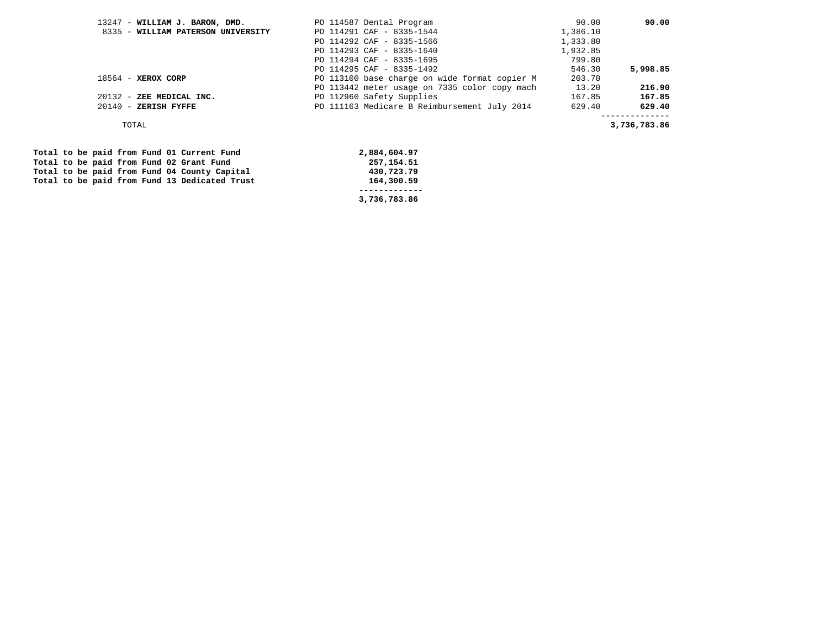| 13247 - WILLIAM J. BARON, DMD.     | PO 114587 Dental Program                      | 90.00    | 90.00        |
|------------------------------------|-----------------------------------------------|----------|--------------|
| 8335 - WILLIAM PATERSON UNIVERSITY | PO 114291 CAF - 8335-1544                     | 1,386.10 |              |
|                                    | PO 114292 CAF - 8335-1566                     | 1,333.80 |              |
|                                    | PO 114293 CAF - 8335-1640                     | 1,932.85 |              |
|                                    | PO 114294 CAF - 8335-1695                     | 799.80   |              |
|                                    | PO 114295 CAF - 8335-1492                     | 546.30   | 5,998.85     |
| $18564$ - XEROX CORP               | PO 113100 base charge on wide format copier M | 203.70   |              |
|                                    | PO 113442 meter usage on 7335 color copy mach | 13.20    | 216.90       |
| 20132 - ZEE MEDICAL INC.           | PO 112960 Safety Supplies                     | 167.85   | 167.85       |
| $20140$ - ZERISH FYFFE             | PO 111163 Medicare B Reimbursement July 2014  | 629.40   | 629.40       |
|                                    |                                               |          |              |
| TOTAL                              |                                               |          | 3,736,783.86 |

Total to be paid from Fund 01 Current Fund 2,884,604.97<br>
Total to be paid from Fund 02 Grant Fund 257,154.51 Total to be paid from Fund 02 Grant Fund 257,154.51 **257,154.51 Total to be paid from Fund 04 County Capital** 257,154.51 Total to be paid from Fund 04 County Capital  **Total to be paid from Fund 13 Dedicated Trust 164,300.59** 

 **------------- 3,736,783.86**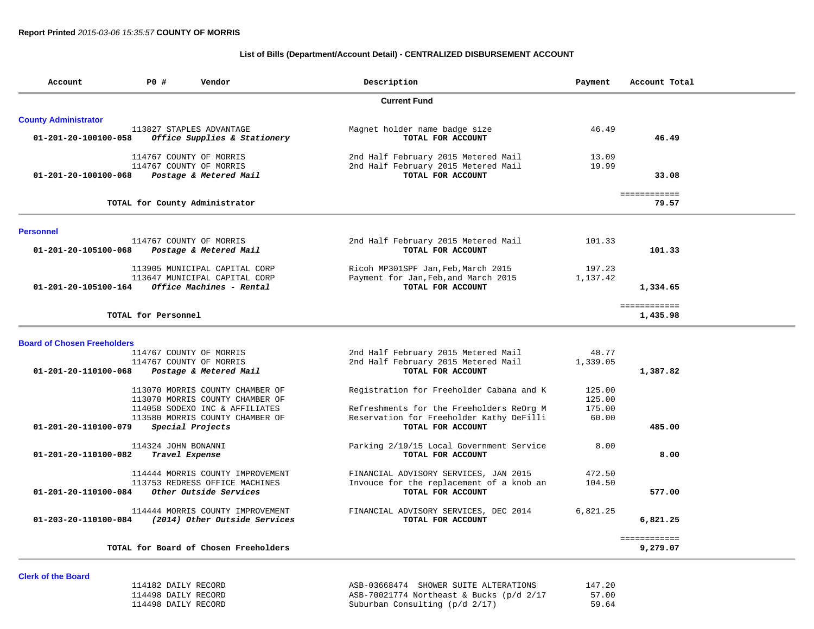### **List of Bills (Department/Account Detail) - CENTRALIZED DISBURSEMENT ACCOUNT**

| Account                            | PO#                 | Vendor                                                                                     | Description                                                                                      | Payment            | Account Total            |
|------------------------------------|---------------------|--------------------------------------------------------------------------------------------|--------------------------------------------------------------------------------------------------|--------------------|--------------------------|
|                                    |                     |                                                                                            | <b>Current Fund</b>                                                                              |                    |                          |
| <b>County Administrator</b>        |                     |                                                                                            |                                                                                                  |                    |                          |
| 01-201-20-100100-058               |                     | 113827 STAPLES ADVANTAGE<br>Office Supplies & Stationery                                   | Magnet holder name badge size<br>TOTAL FOR ACCOUNT                                               | 46.49              | 46.49                    |
|                                    |                     | 114767 COUNTY OF MORRIS                                                                    | 2nd Half February 2015 Metered Mail                                                              | 13.09              |                          |
| 01-201-20-100100-068               |                     | 114767 COUNTY OF MORRIS<br>Postage & Metered Mail                                          | 2nd Half February 2015 Metered Mail<br>TOTAL FOR ACCOUNT                                         | 19.99              | 33.08                    |
|                                    |                     | TOTAL for County Administrator                                                             |                                                                                                  |                    | ============<br>79.57    |
| <b>Personnel</b>                   |                     |                                                                                            |                                                                                                  |                    |                          |
| 01-201-20-105100-068               |                     | 114767 COUNTY OF MORRIS<br>Postage & Metered Mail                                          | 2nd Half February 2015 Metered Mail<br>TOTAL FOR ACCOUNT                                         | 101.33             | 101.33                   |
| 01-201-20-105100-164               |                     | 113905 MUNICIPAL CAPITAL CORP<br>113647 MUNICIPAL CAPITAL CORP<br>Office Machines - Rental | Ricoh MP301SPF Jan, Feb, March 2015<br>Payment for Jan, Feb, and March 2015<br>TOTAL FOR ACCOUNT | 197.23<br>1,137.42 | 1,334.65                 |
|                                    |                     |                                                                                            |                                                                                                  |                    |                          |
|                                    | TOTAL for Personnel |                                                                                            |                                                                                                  |                    | ============<br>1,435.98 |
| <b>Board of Chosen Freeholders</b> |                     |                                                                                            |                                                                                                  |                    |                          |
|                                    |                     | 114767 COUNTY OF MORRIS                                                                    | 2nd Half February 2015 Metered Mail                                                              | 48.77              |                          |
| 01-201-20-110100-068               |                     | 114767 COUNTY OF MORRIS<br>Postage & Metered Mail                                          | 2nd Half February 2015 Metered Mail<br>TOTAL FOR ACCOUNT                                         | 1,339.05           | 1,387.82                 |
|                                    |                     |                                                                                            |                                                                                                  |                    |                          |
|                                    |                     | 113070 MORRIS COUNTY CHAMBER OF                                                            | Registration for Freeholder Cabana and K                                                         | 125.00             |                          |
|                                    |                     | 113070 MORRIS COUNTY CHAMBER OF<br>114058 SODEXO INC & AFFILIATES                          | Refreshments for the Freeholders ReOrg M                                                         | 125.00<br>175.00   |                          |
|                                    |                     | 113580 MORRIS COUNTY CHAMBER OF                                                            | Reservation for Freeholder Kathy DeFilli                                                         | 60.00              |                          |
| 01-201-20-110100-079               |                     | Special Projects                                                                           | TOTAL FOR ACCOUNT                                                                                |                    | 485.00                   |
| 01-201-20-110100-082               | 114324 JOHN BONANNI | Travel Expense                                                                             | Parking 2/19/15 Local Government Service<br>TOTAL FOR ACCOUNT                                    | 8.00               | 8.00                     |
|                                    |                     | 114444 MORRIS COUNTY IMPROVEMENT                                                           | FINANCIAL ADVISORY SERVICES, JAN 2015                                                            | 472.50             |                          |
| 01-201-20-110100-084               |                     | 113753 REDRESS OFFICE MACHINES<br>Other Outside Services                                   | Invouce for the replacement of a knob an<br>TOTAL FOR ACCOUNT                                    | 104.50             | 577.00                   |
| 01-203-20-110100-084               |                     | 114444 MORRIS COUNTY IMPROVEMENT<br>(2014) Other Outside Services                          | FINANCIAL ADVISORY SERVICES, DEC 2014<br>TOTAL FOR ACCOUNT                                       | 6,821.25           | 6,821.25                 |
|                                    |                     | TOTAL for Board of Chosen Freeholders                                                      |                                                                                                  |                    | ============             |
|                                    |                     |                                                                                            |                                                                                                  |                    | 9,279.07                 |

#### **Clerk of the Board**

| 114182 DAILY RECORD | ASB-03668474 SHOWER SUITE ALTERATIONS             | 147.20 |
|---------------------|---------------------------------------------------|--------|
| 114498 DAILY RECORD | ASB-70021774 Northeast & Bucks $\frac{p}{d}$ 2/17 | 57.00  |
| 114498 DAILY RECORD | Suburban Consulting (p/d 2/17)                    | 59.64  |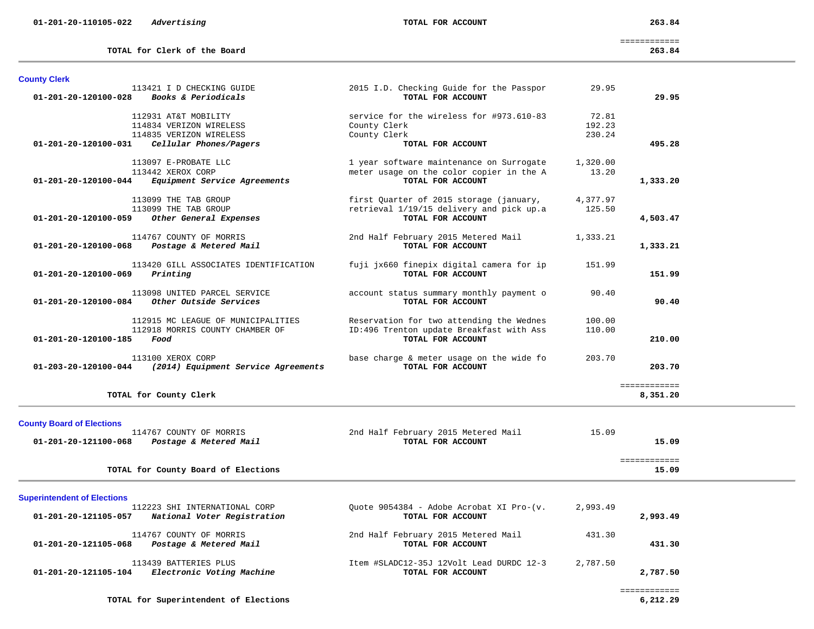**County Clerk** 

 ============ **TOTAL for Clerk of the Board 263.84**

| 01-201-20-120100-028               | <i>Books &amp; Periodicals</i>                                                | TOTAL FOR ACCOUNT                                                                                         |                           | 29.95                    |
|------------------------------------|-------------------------------------------------------------------------------|-----------------------------------------------------------------------------------------------------------|---------------------------|--------------------------|
|                                    | 112931 AT&T MOBILITY<br>114834 VERIZON WIRELESS<br>114835 VERIZON WIRELESS    | service for the wireless for #973.610-83<br>County Clerk<br>County Clerk                                  | 72.81<br>192.23<br>230.24 |                          |
| 01-201-20-120100-031               | Cellular Phones/Pagers                                                        | TOTAL FOR ACCOUNT                                                                                         |                           | 495.28                   |
| 01-201-20-120100-044               | 113097 E-PROBATE LLC<br>113442 XEROX CORP<br>Equipment Service Agreements     | 1 year software maintenance on Surrogate<br>meter usage on the color copier in the A<br>TOTAL FOR ACCOUNT | 1,320.00<br>13.20         | 1,333.20                 |
| 01-201-20-120100-059               | 113099 THE TAB GROUP<br>113099 THE TAB GROUP<br>Other General Expenses        | first Quarter of 2015 storage (january,<br>retrieval 1/19/15 delivery and pick up.a<br>TOTAL FOR ACCOUNT  | 4,377.97<br>125.50        | 4,503.47                 |
| $01 - 201 - 20 - 120100 - 068$     | 114767 COUNTY OF MORRIS<br>Postage & Metered Mail                             | 2nd Half February 2015 Metered Mail<br>TOTAL FOR ACCOUNT                                                  | 1,333.21                  | 1,333.21                 |
| 01-201-20-120100-069               | 113420 GILL ASSOCIATES IDENTIFICATION<br>Printing                             | fuji jx660 finepix digital camera for ip<br>TOTAL FOR ACCOUNT                                             | 151.99                    | 151.99                   |
| 01-201-20-120100-084               | 113098 UNITED PARCEL SERVICE<br>Other Outside Services                        | account status summary monthly payment o<br>TOTAL FOR ACCOUNT                                             | 90.40                     | 90.40                    |
| 01-201-20-120100-185               | 112915 MC LEAGUE OF MUNICIPALITIES<br>112918 MORRIS COUNTY CHAMBER OF<br>Food | Reservation for two attending the Wednes<br>ID:496 Trenton update Breakfast with Ass<br>TOTAL FOR ACCOUNT | 100.00<br>110.00          | 210.00                   |
| $01 - 203 - 20 - 120100 - 044$     | 113100 XEROX CORP<br>(2014) Equipment Service Agreements                      | base charge & meter usage on the wide fo<br>TOTAL FOR ACCOUNT                                             | 203.70                    | 203.70                   |
|                                    | TOTAL for County Clerk                                                        |                                                                                                           |                           | ============<br>8,351.20 |
| <b>County Board of Elections</b>   |                                                                               |                                                                                                           |                           |                          |
| 01-201-20-121100-068               | 114767 COUNTY OF MORRIS<br>Postage & Metered Mail                             | 2nd Half February 2015 Metered Mail<br>TOTAL FOR ACCOUNT                                                  | 15.09                     | 15.09                    |
|                                    | TOTAL for County Board of Elections                                           |                                                                                                           |                           | ============<br>15.09    |
| <b>Superintendent of Elections</b> |                                                                               |                                                                                                           |                           |                          |
| 01-201-20-121105-057               | 112223 SHI INTERNATIONAL CORP<br>National Voter Registration                  | Quote 9054384 - Adobe Acrobat XI Pro-(v.<br>TOTAL FOR ACCOUNT                                             | 2,993.49                  | 2,993.49                 |
| 01-201-20-121105-068               | 114767 COUNTY OF MORRIS<br>Postage & Metered Mail                             | 2nd Half February 2015 Metered Mail<br>TOTAL FOR ACCOUNT                                                  | 431.30                    | 431.30                   |
| $01 - 201 - 20 - 121105 - 104$     | 113439 BATTERIES PLUS<br>Electronic Voting Machine                            | Item #SLADC12-35J 12Volt Lead DURDC 12-3<br>TOTAL FOR ACCOUNT                                             | 2,787.50                  | 2,787.50                 |
|                                    | TOTAL for Superintendent of Elections                                         |                                                                                                           |                           | ============<br>6,212.29 |

113421 I D CHECKING GUIDE 2015 I.D. Checking Guide for the Passpor 29.95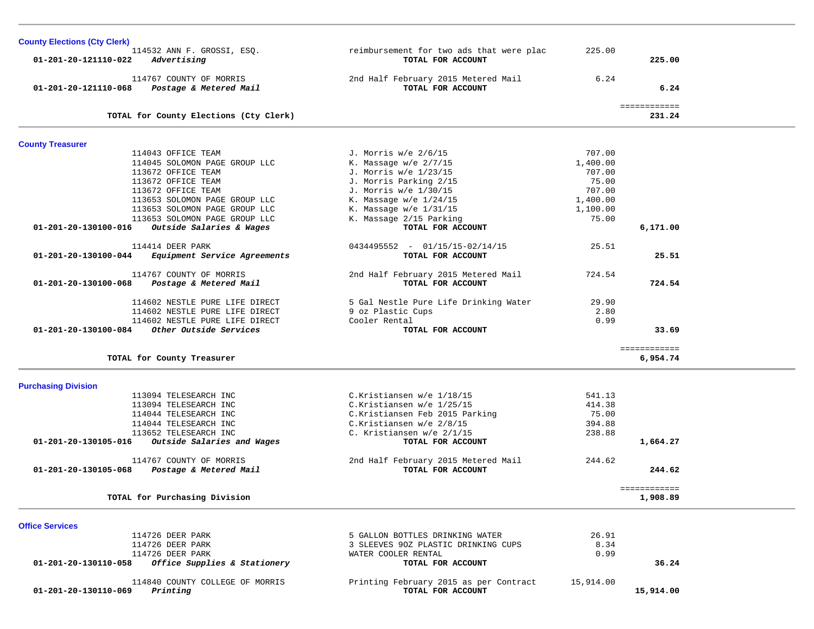| <b>County Elections (Cty Clerk)</b>                  |                                          |           |              |  |
|------------------------------------------------------|------------------------------------------|-----------|--------------|--|
| 114532 ANN F. GROSSI, ESQ.                           | reimbursement for two ads that were plac | 225.00    |              |  |
| 01-201-20-121110-022<br>Advertising                  | TOTAL FOR ACCOUNT                        |           | 225.00       |  |
| 114767 COUNTY OF MORRIS                              | 2nd Half February 2015 Metered Mail      | 6.24      |              |  |
| 01-201-20-121110-068 Postage & Metered Mail          | TOTAL FOR ACCOUNT                        |           | 6.24         |  |
|                                                      |                                          |           | ============ |  |
| TOTAL for County Elections (Cty Clerk)               |                                          |           | 231.24       |  |
| <b>County Treasurer</b>                              |                                          |           |              |  |
| 114043 OFFICE TEAM                                   | J. Morris w/e 2/6/15                     | 707.00    |              |  |
| 114045 SOLOMON PAGE GROUP LLC                        | K. Massage $w/e$ 2/7/15                  | 1,400.00  |              |  |
| 113672 OFFICE TEAM                                   | J. Morris w/e 1/23/15                    | 707.00    |              |  |
| 113672 OFFICE TEAM                                   | J. Morris Parking 2/15                   | 75.00     |              |  |
| 113672 OFFICE TEAM                                   | J. Morris w/e 1/30/15                    | 707.00    |              |  |
| 113653 SOLOMON PAGE GROUP LLC                        | K. Massage w/e $1/24/15$                 | 1,400.00  |              |  |
| 113653 SOLOMON PAGE GROUP LLC                        | K. Massage $w/e$ 1/31/15                 | 1,100.00  |              |  |
| 113653 SOLOMON PAGE GROUP LLC                        | K. Massage 2/15 Parking                  | 75.00     |              |  |
| 01-201-20-130100-016 Outside Salaries & Wages        | TOTAL FOR ACCOUNT                        |           | 6,171.00     |  |
| 114414 DEER PARK                                     | $0434495552 - 01/15/15 - 02/14/15$       | 25.51     |              |  |
| 01-201-20-130100-044 Equipment Service Agreements    | TOTAL FOR ACCOUNT                        |           | 25.51        |  |
|                                                      |                                          |           |              |  |
| 114767 COUNTY OF MORRIS                              | 2nd Half February 2015 Metered Mail      | 724.54    |              |  |
| 01-201-20-130100-068<br>Postage & Metered Mail       | TOTAL FOR ACCOUNT                        |           | 724.54       |  |
| 114602 NESTLE PURE LIFE DIRECT                       | 5 Gal Nestle Pure Life Drinking Water    | 29.90     |              |  |
| 114602 NESTLE PURE LIFE DIRECT                       | 9 oz Plastic Cups                        | 2.80      |              |  |
| 114602 NESTLE PURE LIFE DIRECT                       | Cooler Rental                            | 0.99      |              |  |
| 01-201-20-130100-084 Other Outside Services          | TOTAL FOR ACCOUNT                        |           | 33.69        |  |
|                                                      |                                          |           | ============ |  |
| TOTAL for County Treasurer                           |                                          |           | 6,954.74     |  |
| <b>Purchasing Division</b>                           |                                          |           |              |  |
| 113094 TELESEARCH INC                                | C.Kristiansen w/e 1/18/15                | 541.13    |              |  |
| 113094 TELESEARCH INC                                | C.Kristiansen w/e 1/25/15                | 414.38    |              |  |
| 114044 TELESEARCH INC                                | C.Kristiansen Feb 2015 Parking           | 75.00     |              |  |
| 114044 TELESEARCH INC                                | C.Kristiansen w/e 2/8/15                 | 394.88    |              |  |
| 113652 TELESEARCH INC                                | C. Kristiansen w/e 2/1/15                | 238.88    |              |  |
| 01-201-20-130105-016<br>Outside Salaries and Wages   | TOTAL FOR ACCOUNT                        |           | 1,664.27     |  |
| 114767 COUNTY OF MORRIS                              | 2nd Half February 2015 Metered Mail      | 244.62    |              |  |
| 01-201-20-130105-068 Postage & Metered Mail          | TOTAL FOR ACCOUNT                        |           | 244.62       |  |
|                                                      |                                          |           | ============ |  |
| TOTAL for Purchasing Division                        |                                          |           | 1,908.89     |  |
|                                                      |                                          |           |              |  |
| <b>Office Services</b>                               |                                          |           |              |  |
| 114726 DEER PARK                                     | 5 GALLON BOTTLES DRINKING WATER          | 26.91     |              |  |
| 114726 DEER PARK                                     | 3 SLEEVES 90Z PLASTIC DRINKING CUPS      | 8.34      |              |  |
| 114726 DEER PARK                                     | WATER COOLER RENTAL                      | 0.99      |              |  |
| Office Supplies & Stationery<br>01-201-20-130110-058 | TOTAL FOR ACCOUNT                        |           | 36.24        |  |
| 114840 COUNTY COLLEGE OF MORRIS                      | Printing February 2015 as per Contract   | 15,914.00 |              |  |
| 01-201-20-130110-069<br>Printing                     | TOTAL FOR ACCOUNT                        |           | 15,914.00    |  |
|                                                      |                                          |           |              |  |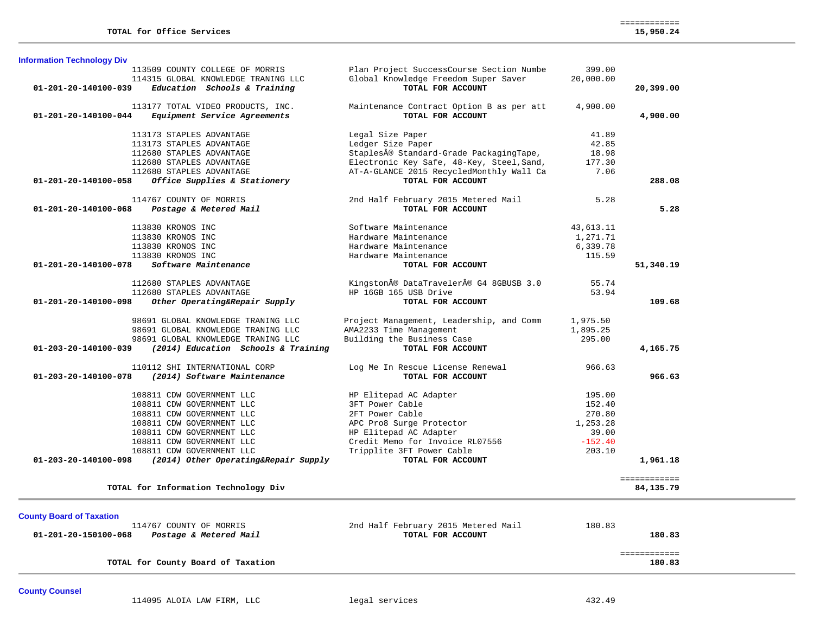| 01-201-20-140100-039<br>01-201-20-140100-044 | 113509 COUNTY COLLEGE OF MORRIS<br>114315 GLOBAL KNOWLEDGE TRANING LLC<br>Education Schools & Training | Plan Project SuccessCourse Section Numbe<br>Global Knowledge Freedom Super Saver<br>TOTAL FOR ACCOUNT | 399.00<br>20,000.00 |                             |
|----------------------------------------------|--------------------------------------------------------------------------------------------------------|-------------------------------------------------------------------------------------------------------|---------------------|-----------------------------|
|                                              |                                                                                                        |                                                                                                       |                     |                             |
|                                              |                                                                                                        |                                                                                                       |                     |                             |
|                                              |                                                                                                        |                                                                                                       |                     | 20,399.00                   |
|                                              | 113177 TOTAL VIDEO PRODUCTS, INC.                                                                      | Maintenance Contract Option B as per att                                                              | 4,900.00            |                             |
|                                              | Equipment Service Agreements                                                                           | TOTAL FOR ACCOUNT                                                                                     |                     | 4,900.00                    |
|                                              | 113173 STAPLES ADVANTAGE                                                                               | Legal Size Paper                                                                                      | 41.89               |                             |
|                                              | 113173 STAPLES ADVANTAGE                                                                               | Ledger Size Paper                                                                                     | 42.85               |                             |
|                                              | 112680 STAPLES ADVANTAGE                                                                               | Staples® Standard-Grade PackagingTape,                                                                | 18.98               |                             |
|                                              | 112680 STAPLES ADVANTAGE                                                                               | Electronic Key Safe, 48-Key, Steel, Sand,                                                             | 177.30              |                             |
|                                              | 112680 STAPLES ADVANTAGE                                                                               | AT-A-GLANCE 2015 RecycledMonthly Wall Ca                                                              | 7.06                |                             |
| 01-201-20-140100-058                         | Office Supplies & Stationery                                                                           | TOTAL FOR ACCOUNT                                                                                     |                     | 288.08                      |
|                                              | 114767 COUNTY OF MORRIS                                                                                | 2nd Half February 2015 Metered Mail                                                                   | 5.28                |                             |
| 01-201-20-140100-068                         | Postage & Metered Mail                                                                                 | TOTAL FOR ACCOUNT                                                                                     |                     | 5.28                        |
|                                              | 113830 KRONOS INC                                                                                      | Software Maintenance                                                                                  | 43,613.11           |                             |
|                                              | 113830 KRONOS INC                                                                                      | Hardware Maintenance                                                                                  | 1,271.71            |                             |
|                                              | 113830 KRONOS INC                                                                                      | Hardware Maintenance                                                                                  | 6,339.78            |                             |
|                                              | 113830 KRONOS INC                                                                                      | Hardware Maintenance                                                                                  | 115.59              |                             |
| 01-201-20-140100-078                         | Software Maintenance                                                                                   | TOTAL FOR ACCOUNT                                                                                     |                     | 51,340.19                   |
|                                              | 112680 STAPLES ADVANTAGE                                                                               | Kingston® DataTraveler® G4 8GBUSB 3.0                                                                 | 55.74               |                             |
|                                              | 112680 STAPLES ADVANTAGE                                                                               | HP 16GB 165 USB Drive                                                                                 | 53.94               |                             |
| 01-201-20-140100-098                         | Other Operating&Repair Supply                                                                          | TOTAL FOR ACCOUNT                                                                                     |                     | 109.68                      |
|                                              | 98691 GLOBAL KNOWLEDGE TRANING LLC                                                                     | Project Management, Leadership, and Comm                                                              | 1,975.50            |                             |
|                                              | 98691 GLOBAL KNOWLEDGE TRANING LLC                                                                     | AMA2233 Time Management                                                                               | 1,895.25            |                             |
|                                              | 98691 GLOBAL KNOWLEDGE TRANING LLC                                                                     | Building the Business Case                                                                            | 295.00              |                             |
| 01-203-20-140100-039                         | (2014) Education Schools & Training                                                                    | TOTAL FOR ACCOUNT                                                                                     |                     | 4,165.75                    |
|                                              | 110112 SHI INTERNATIONAL CORP                                                                          | Log Me In Rescue License Renewal                                                                      | 966.63              |                             |
| 01-203-20-140100-078                         | (2014) Software Maintenance                                                                            | TOTAL FOR ACCOUNT                                                                                     |                     | 966.63                      |
|                                              | 108811 CDW GOVERNMENT LLC                                                                              | HP Elitepad AC Adapter                                                                                | 195.00              |                             |
|                                              | 108811 CDW GOVERNMENT LLC                                                                              | 3FT Power Cable                                                                                       | 152.40              |                             |
|                                              | 108811 CDW GOVERNMENT LLC                                                                              | 2FT Power Cable                                                                                       | 270.80              |                             |
|                                              | 108811 CDW GOVERNMENT LLC                                                                              | APC Pro8 Surge Protector                                                                              | 1,253.28            |                             |
|                                              | 108811 CDW GOVERNMENT LLC                                                                              | HP Elitepad AC Adapter                                                                                | 39.00               |                             |
|                                              | 108811 CDW GOVERNMENT LLC                                                                              | Credit Memo for Invoice RL07556                                                                       | $-152.40$           |                             |
|                                              | 108811 CDW GOVERNMENT LLC                                                                              | Tripplite 3FT Power Cable                                                                             | 203.10              |                             |
| $01 - 203 - 20 - 140100 - 098$               | (2014) Other Operating&Repair Supply                                                                   | TOTAL FOR ACCOUNT                                                                                     |                     | 1,961.18                    |
|                                              | TOTAL for Information Technology Div                                                                   |                                                                                                       |                     | ============<br>84, 135. 79 |

| 114767 COUNTY OF MORRIS                        | 2nd Half February 2015 Metered Mail | 180.83       |  |
|------------------------------------------------|-------------------------------------|--------------|--|
| 01-201-20-150100-068<br>Postage & Metered Mail | TOTAL FOR ACCOUNT                   | 180.83       |  |
|                                                |                                     |              |  |
|                                                |                                     | ------------ |  |
| TOTAL for County Board of Taxation             |                                     | 180.83       |  |
|                                                |                                     |              |  |

**County Counsel**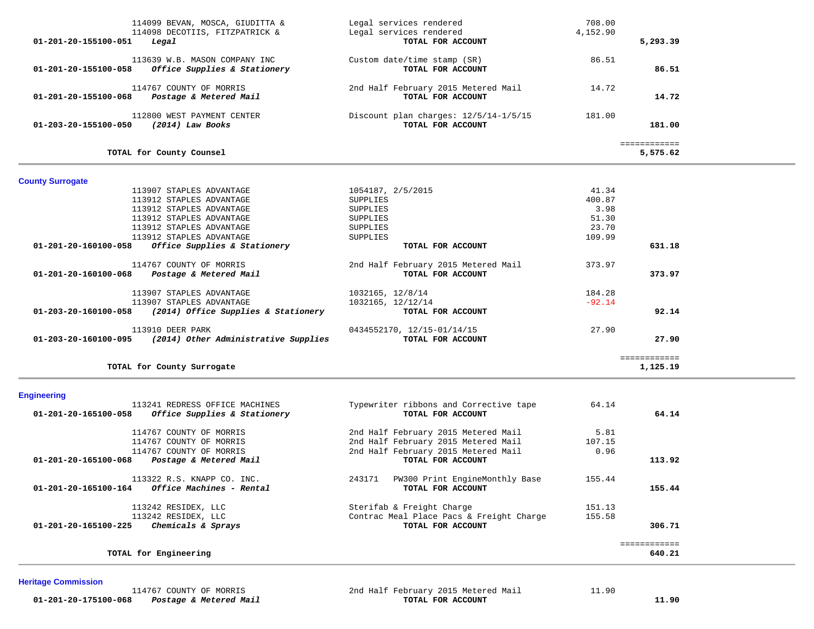| 114099 BEVAN, MOSCA, GIUDITTA &<br>114098 DECOTIIS, FITZPATRICK &<br>01-201-20-155100-051<br>Legal | Legal services rendered<br>Legal services rendered<br>TOTAL FOR ACCOUNT | 708.00<br>4,152.90 | 5,293.39                 |
|----------------------------------------------------------------------------------------------------|-------------------------------------------------------------------------|--------------------|--------------------------|
| 113639 W.B. MASON COMPANY INC<br>Office Supplies & Stationery<br>01-201-20-155100-058              | Custom date/time stamp (SR)<br>TOTAL FOR ACCOUNT                        | 86.51              | 86.51                    |
| 114767 COUNTY OF MORRIS<br>01-201-20-155100-068 Postage & Metered Mail                             | 2nd Half February 2015 Metered Mail<br>TOTAL FOR ACCOUNT                | 14.72              | 14.72                    |
| 112800 WEST PAYMENT CENTER<br>01-203-20-155100-050 (2014) Law Books                                | Discount plan charges: 12/5/14-1/5/15<br>TOTAL FOR ACCOUNT              | 181.00             | 181.00                   |
| TOTAL for County Counsel                                                                           |                                                                         |                    | ============<br>5,575.62 |
| <b>County Surrogate</b>                                                                            |                                                                         |                    |                          |
| 113907 STAPLES ADVANTAGE                                                                           | 1054187, 2/5/2015                                                       | 41.34              |                          |
| 113912 STAPLES ADVANTAGE                                                                           | SUPPLIES                                                                | 400.87             |                          |
| 113912 STAPLES ADVANTAGE                                                                           | SUPPLIES                                                                | 3.98               |                          |
| 113912 STAPLES ADVANTAGE                                                                           | SUPPLIES                                                                | 51.30              |                          |
| 113912 STAPLES ADVANTAGE                                                                           | SUPPLIES                                                                | 23.70              |                          |
| 113912 STAPLES ADVANTAGE                                                                           | SUPPLIES                                                                | 109.99             |                          |
| Office Supplies & Stationery<br>01-201-20-160100-058                                               | TOTAL FOR ACCOUNT                                                       |                    | 631.18                   |
| 114767 COUNTY OF MORRIS                                                                            | 2nd Half February 2015 Metered Mail                                     | 373.97             |                          |
| 01-201-20-160100-068 Postage & Metered Mail                                                        | TOTAL FOR ACCOUNT                                                       |                    | 373.97                   |
|                                                                                                    |                                                                         |                    |                          |
| 113907 STAPLES ADVANTAGE                                                                           | 1032165, 12/8/14                                                        | 184.28             |                          |
| 113907 STAPLES ADVANTAGE                                                                           | 1032165, 12/12/14                                                       | $-92.14$           |                          |
| $01-203-20-160100-058$ (2014) Office Supplies & Stationery                                         | TOTAL FOR ACCOUNT                                                       |                    | 92.14                    |
|                                                                                                    |                                                                         |                    |                          |
| 113910 DEER PARK<br>$01-203-20-160100-095$ (2014) Other Administrative Supplies                    | 0434552170, 12/15-01/14/15<br>TOTAL FOR ACCOUNT                         | 27.90              | 27.90                    |
| TOTAL for County Surrogate                                                                         |                                                                         |                    | ============<br>1,125.19 |
|                                                                                                    |                                                                         |                    |                          |
| <b>Engineering</b>                                                                                 |                                                                         |                    |                          |
| 113241 REDRESS OFFICE MACHINES                                                                     | Typewriter ribbons and Corrective tape                                  | 64.14              |                          |
| Office Supplies & Stationery<br>01-201-20-165100-058                                               | TOTAL FOR ACCOUNT                                                       |                    | 64.14                    |
| $114755$ $201$                                                                                     | $0.4 \text{ m}$ $1.5 \text{ m}$ $1.5 \text{ m}$                         | $F \cap 2$         |                          |

| 01-201-20-165100-058<br>Office Supplies & Stationery | TOTAL FOR ACCOUNT                        | 64.14  |
|------------------------------------------------------|------------------------------------------|--------|
| 114767 COUNTY OF MORRIS                              | 2nd Half February 2015 Metered Mail      | 5.81   |
| 114767 COUNTY OF MORRIS                              | 2nd Half February 2015 Metered Mail      | 107.15 |
| 114767 COUNTY OF MORRIS                              | 2nd Half February 2015 Metered Mail      | 0.96   |
| 01-201-20-165100-068<br>Postage & Metered Mail       | TOTAL FOR ACCOUNT                        | 113.92 |
| 113322 R.S. KNAPP CO. INC.                           | PW300 Print EngineMonthly Base<br>243171 | 155.44 |
| 01-201-20-165100-164<br>Office Machines - Rental     | TOTAL FOR ACCOUNT                        | 155.44 |
| 113242 RESIDEX, LLC                                  | Sterifab & Freight Charge                | 151.13 |
| 113242 RESIDEX, LLC                                  | Contrac Meal Place Pacs & Freight Charge | 155.58 |
| 01-201-20-165100-225<br>Chemicals & Sprays           | TOTAL FOR ACCOUNT                        | 306.71 |
|                                                      |                                          |        |
| TOTAL for Engineering                                |                                          | 640.21 |

# **Heritage Commission**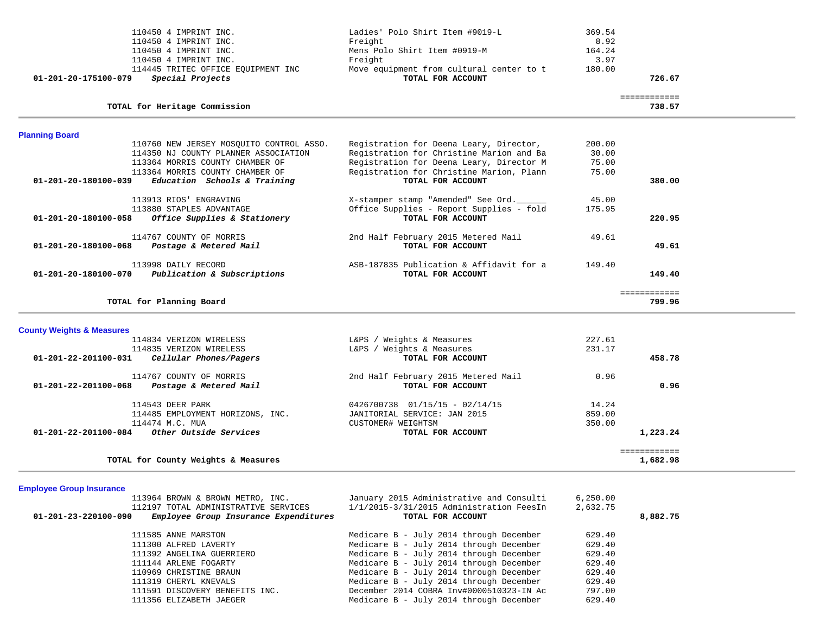| 110450 4 IMPRINT INC.                                    | Ladies' Polo Shirt Item #9019-L          | 369.54 |                          |
|----------------------------------------------------------|------------------------------------------|--------|--------------------------|
| 110450 4 IMPRINT INC.                                    | Freight                                  | 8.92   |                          |
| 110450 4 IMPRINT INC.                                    | Mens Polo Shirt Item #0919-M             | 164.24 |                          |
| 110450 4 IMPRINT INC.                                    | Freight                                  | 3.97   |                          |
| 114445 TRITEC OFFICE EQUIPMENT INC                       | Move equipment from cultural center to t | 180.00 |                          |
| Special Projects<br>01-201-20-175100-079                 | TOTAL FOR ACCOUNT                        |        | 726.67                   |
|                                                          |                                          |        | ============             |
| TOTAL for Heritage Commission                            |                                          |        | 738.57                   |
| <b>Planning Board</b>                                    |                                          |        |                          |
| 110760 NEW JERSEY MOSOUITO CONTROL ASSO.                 | Registration for Deena Leary, Director,  | 200.00 |                          |
| 114350 NJ COUNTY PLANNER ASSOCIATION                     | Registration for Christine Marion and Ba | 30.00  |                          |
| 113364 MORRIS COUNTY CHAMBER OF                          | Registration for Deena Leary, Director M | 75.00  |                          |
| 113364 MORRIS COUNTY CHAMBER OF                          | Registration for Christine Marion, Plann | 75.00  |                          |
| Education Schools & Training<br>01-201-20-180100-039     | TOTAL FOR ACCOUNT                        |        | 380.00                   |
| 113913 RIOS' ENGRAVING                                   | X-stamper stamp "Amended" See Ord.       | 45.00  |                          |
| 113880 STAPLES ADVANTAGE                                 | Office Supplies - Report Supplies - fold | 175.95 |                          |
| Office Supplies & Stationery<br>01-201-20-180100-058     | TOTAL FOR ACCOUNT                        |        | 220.95                   |
| 114767 COUNTY OF MORRIS                                  | 2nd Half February 2015 Metered Mail      | 49.61  |                          |
| Postage & Metered Mail<br>01-201-20-180100-068           | TOTAL FOR ACCOUNT                        |        | 49.61                    |
| 113998 DAILY RECORD                                      | ASB-187835 Publication & Affidavit for a | 149.40 |                          |
| Publication & Subscriptions<br>01-201-20-180100-070      | TOTAL FOR ACCOUNT                        |        | 149.40                   |
| TOTAL for Planning Board                                 |                                          |        | ============<br>799.96   |
|                                                          |                                          |        |                          |
| <b>County Weights &amp; Measures</b>                     |                                          |        |                          |
| 114834 VERIZON WIRELESS                                  | L&PS / Weights & Measures                | 227.61 |                          |
| 114835 VERIZON WIRELESS                                  | L&PS / Weights & Measures                | 231.17 |                          |
| 01-201-22-201100-031<br>Cellular Phones/Pagers           | TOTAL FOR ACCOUNT                        |        | 458.78                   |
| 114767 COUNTY OF MORRIS                                  | 2nd Half February 2015 Metered Mail      | 0.96   |                          |
| 01-201-22-201100-068<br>Postage & Metered Mail           | TOTAL FOR ACCOUNT                        |        | 0.96                     |
| 114543 DEER PARK                                         | $0426700738$ $01/15/15 - 02/14/15$       | 14.24  |                          |
| 114485 EMPLOYMENT HORIZONS, INC.                         | JANITORIAL SERVICE: JAN 2015             | 859.00 |                          |
| 114474 M.C. MUA                                          | CUSTOMER# WEIGHTSM                       | 350.00 |                          |
| Other Outside Services<br>$01 - 201 - 22 - 201100 - 084$ | TOTAL FOR ACCOUNT                        |        | 1,223.24                 |
| TOTAL for County Weights & Measures                      |                                          |        | ============<br>1,682.98 |
|                                                          |                                          |        |                          |

# **Employee Group Insurance**

| 113964 BROWN & BROWN METRO, INC.                                        | January 2015 Administrative and Consulti | 6, 250.00 |          |
|-------------------------------------------------------------------------|------------------------------------------|-----------|----------|
| 112197 TOTAL ADMINISTRATIVE SERVICES                                    | 1/1/2015-3/31/2015 Administration FeesIn | 2,632.75  |          |
| Employee Group Insurance Expenditures<br>$01 - 201 - 23 - 220100 - 090$ | TOTAL FOR ACCOUNT                        |           | 8,882.75 |
| 111585 ANNE MARSTON                                                     | Medicare B - July 2014 through December  | 629.40    |          |
| 111300 ALFRED LAVERTY                                                   | Medicare B - July 2014 through December  | 629.40    |          |
| 111392 ANGELINA GUERRIERO                                               | Medicare B - July 2014 through December  | 629.40    |          |
| 111144 ARLENE FOGARTY                                                   | Medicare B - July 2014 through December  | 629.40    |          |
| 110969 CHRISTINE BRAUN                                                  | Medicare B - July 2014 through December  | 629.40    |          |
| 111319 CHERYL KNEVALS                                                   | Medicare B - July 2014 through December  | 629.40    |          |
| 111591 DISCOVERY BENEFITS INC.                                          | December 2014 COBRA Inv#0000510323-IN Ac | 797.00    |          |
| 111356 ELIZABETH JAEGER                                                 | Medicare B - July 2014 through December  | 629.40    |          |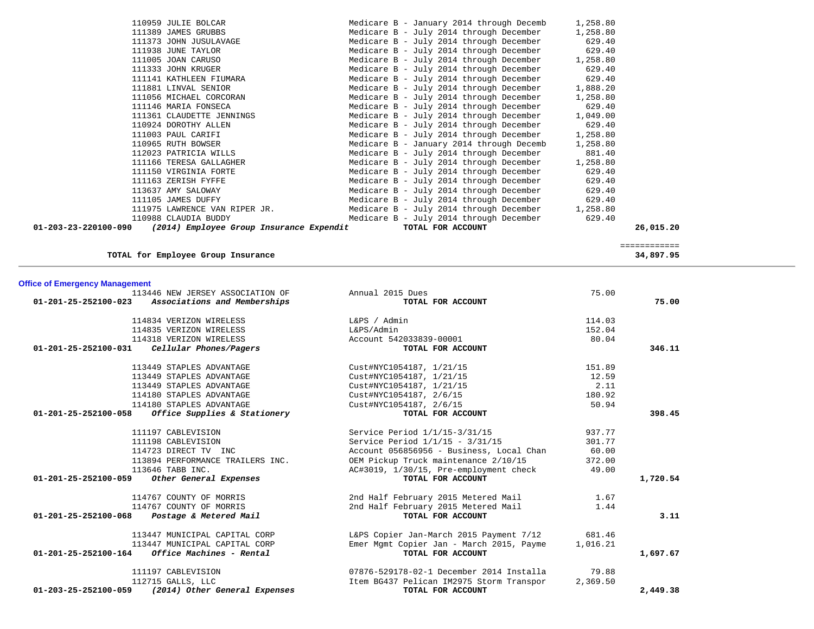| 110959 JULIE BOLCAR                                              | Medicare B - January 2014 through Decemb | 1,258.80 |           |
|------------------------------------------------------------------|------------------------------------------|----------|-----------|
| 111389 JAMES GRUBBS                                              | Medicare B - July 2014 through December  | 1,258.80 |           |
| 111373 JOHN JUSULAVAGE                                           | Medicare B - July 2014 through December  | 629.40   |           |
| 111938 JUNE TAYLOR                                               | Medicare B - July 2014 through December  | 629.40   |           |
| 111005 JOAN CARUSO                                               | Medicare B - July 2014 through December  | 1,258.80 |           |
| 111333 JOHN KRUGER                                               | Medicare B - July 2014 through December  | 629.40   |           |
| 111141 KATHLEEN FIUMARA                                          | Medicare B - July 2014 through December  | 629.40   |           |
| 111881 LINVAL SENIOR                                             | Medicare B - July 2014 through December  | 1,888.20 |           |
| 111056 MICHAEL CORCORAN                                          | Medicare B - July 2014 through December  | 1,258.80 |           |
| 111146 MARIA FONSECA                                             | Medicare B - July 2014 through December  | 629.40   |           |
| 111361 CLAUDETTE JENNINGS                                        | Medicare B - July 2014 through December  | 1,049.00 |           |
| 110924 DOROTHY ALLEN                                             | Medicare B - July 2014 through December  | 629.40   |           |
| 111003 PAUL CARIFI                                               | Medicare B - July 2014 through December  | 1,258.80 |           |
| 110965 RUTH BOWSER                                               | Medicare B - January 2014 through Decemb | 1,258.80 |           |
| 112023 PATRICIA WILLS                                            | Medicare B - July 2014 through December  | 881.40   |           |
| 111166 TERESA GALLAGHER                                          | Medicare B - July 2014 through December  | 1,258.80 |           |
| 111150 VIRGINIA FORTE                                            | Medicare B - July 2014 through December  | 629.40   |           |
| 111163 ZERISH FYFFE                                              | Medicare B - July 2014 through December  | 629.40   |           |
| 113637 AMY SALOWAY                                               | Medicare B - July 2014 through December  | 629.40   |           |
| 111105 JAMES DUFFY                                               | Medicare B - July 2014 through December  | 629.40   |           |
| 111975 LAWRENCE VAN RIPER JR.                                    | Medicare B - July 2014 through December  | 1,258.80 |           |
| 110988 CLAUDIA BUDDY                                             | Medicare B - July 2014 through December  | 629.40   |           |
| 01-203-23-220100-090<br>(2014) Employee Group Insurance Expendit | TOTAL FOR ACCOUNT                        |          | 26,015.20 |
|                                                                  |                                          |          |           |

============

============<br>34,897.95

**TOTAL for Employee Group Insurance 34,897.95**

**Office of Emergency Management**

| 113446 NEW JERSEY ASSOCIATION OF                               | Annual 2015 Dues                         | 75.00    |          |
|----------------------------------------------------------------|------------------------------------------|----------|----------|
| $01 - 201 - 25 - 252100 - 023$<br>Associations and Memberships | TOTAL FOR ACCOUNT                        |          | 75.00    |
| 114834 VERIZON WIRELESS                                        | L&PS / Admin                             | 114.03   |          |
| 114835 VERIZON WIRELESS                                        | L&PS/Admin                               | 152.04   |          |
| 114318 VERIZON WIRELESS                                        | Account 542033839-00001                  | 80.04    |          |
| Cellular Phones/Pagers<br>01-201-25-252100-031                 | TOTAL FOR ACCOUNT                        |          | 346.11   |
| 113449 STAPLES ADVANTAGE                                       | Cust#NYC1054187, 1/21/15                 | 151.89   |          |
| 113449 STAPLES ADVANTAGE                                       | Cust#NYC1054187, 1/21/15                 | 12.59    |          |
| 113449 STAPLES ADVANTAGE                                       | Cust#NYC1054187, 1/21/15                 | 2.11     |          |
| 114180 STAPLES ADVANTAGE                                       | Cust#NYC1054187, 2/6/15                  | 180.92   |          |
| 114180 STAPLES ADVANTAGE                                       | Cust#NYC1054187, 2/6/15                  | 50.94    |          |
| 01-201-25-252100-058<br>Office Supplies & Stationery           | TOTAL FOR ACCOUNT                        |          | 398.45   |
| 111197 CABLEVISION                                             | Service Period 1/1/15-3/31/15            | 937.77   |          |
| 111198 CABLEVISION                                             | Service Period $1/1/15 - 3/31/15$        | 301.77   |          |
| 114723 DIRECT TV INC                                           | Account 056856956 - Business, Local Chan | 60.00    |          |
| 113894 PERFORMANCE TRAILERS INC.                               | OEM Pickup Truck maintenance 2/10/15     | 372.00   |          |
| 113646 TABB INC.                                               | AC#3019, 1/30/15, Pre-employment check   | 49.00    |          |
| $01 - 201 - 25 - 252100 - 059$<br>Other General Expenses       | TOTAL FOR ACCOUNT                        |          | 1,720.54 |
| 114767 COUNTY OF MORRIS                                        | 2nd Half February 2015 Metered Mail      | 1.67     |          |
| 114767 COUNTY OF MORRIS                                        | 2nd Half February 2015 Metered Mail      | 1.44     |          |
| Postage & Metered Mail<br>01-201-25-252100-068                 | TOTAL FOR ACCOUNT                        |          | 3.11     |
| 113447 MUNICIPAL CAPITAL CORP                                  | L&PS Copier Jan-March 2015 Payment 7/12  | 681.46   |          |
| 113447 MUNICIPAL CAPITAL CORP                                  | Emer Mgmt Copier Jan - March 2015, Payme | 1,016.21 |          |
| 01-201-25-252100-164<br>Office Machines - Rental               | TOTAL FOR ACCOUNT                        |          | 1,697.67 |
| 111197 CABLEVISION                                             | 07876-529178-02-1 December 2014 Installa | 79.88    |          |
| 112715 GALLS, LLC                                              | Item BG437 Pelican IM2975 Storm Transpor | 2,369.50 |          |
| (2014) Other General Expenses<br>01-203-25-252100-059          | TOTAL FOR ACCOUNT                        |          | 2,449.38 |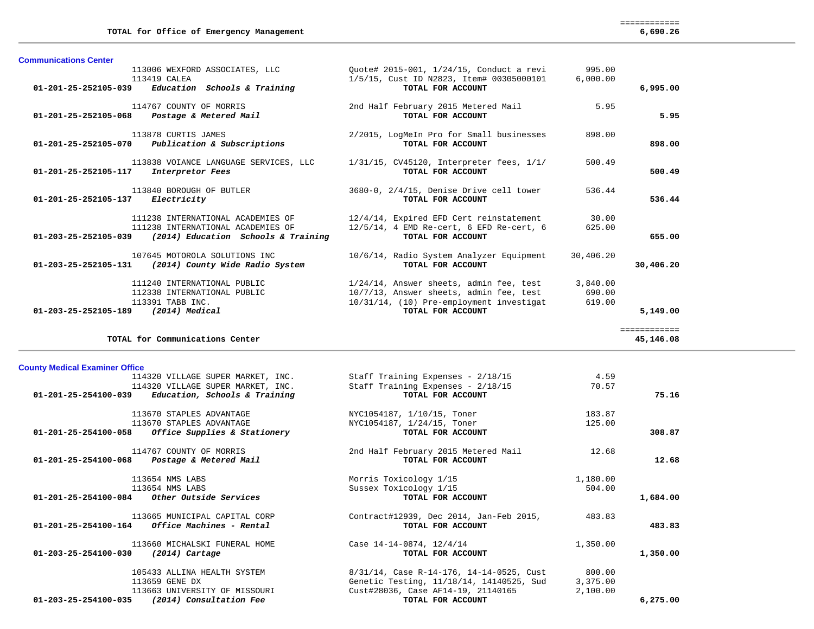| <b>Communications Center</b>          |                                                                     |                                                                                |           |              |
|---------------------------------------|---------------------------------------------------------------------|--------------------------------------------------------------------------------|-----------|--------------|
|                                       | 113006 WEXFORD ASSOCIATES, LLC                                      | Quote# 2015-001, 1/24/15, Conduct a revi                                       | 995.00    |              |
|                                       | 113419 CALEA<br>$01-201-25-252105-039$ Education Schools & Training | 1/5/15, Cust ID N2823, Item# 00305000101                                       | 6,000.00  |              |
|                                       |                                                                     | TOTAL FOR ACCOUNT                                                              |           | 6,995.00     |
|                                       | 114767 COUNTY OF MORRIS                                             | 2nd Half February 2015 Metered Mail                                            | 5.95      |              |
|                                       | 01-201-25-252105-068 Postage & Metered Mail                         | TOTAL FOR ACCOUNT                                                              |           | 5.95         |
|                                       | 113878 CURTIS JAMES                                                 | 2/2015, LogMeIn Pro for Small businesses                                       | 898.00    |              |
|                                       | 01-201-25-252105-070 Publication & Subscriptions                    | TOTAL FOR ACCOUNT                                                              |           | 898.00       |
|                                       |                                                                     | 113838 VOIANCE LANGUAGE SERVICES, LLC 1/31/15, CV45120, Interpreter fees, 1/1/ | 500.49    |              |
| $01 - 201 - 25 - 252105 - 117$        | Interpretor Fees                                                    | TOTAL FOR ACCOUNT                                                              |           | 500.49       |
|                                       | 113840 BOROUGH OF BUTLER                                            | 3680-0, 2/4/15, Denise Drive cell tower                                        | 536.44    |              |
| 01-201-25-252105-137 Electricity      |                                                                     | TOTAL FOR ACCOUNT                                                              |           | 536.44       |
|                                       | 111238 INTERNATIONAL ACADEMIES OF                                   | 12/4/14, Expired EFD Cert reinstatement                                        | 30.00     |              |
|                                       | 111238 INTERNATIONAL ACADEMIES OF                                   | $12/5/14$ , 4 EMD Re-cert, 6 EFD Re-cert, 6                                    | 625.00    |              |
|                                       | $01 - 203 - 25 - 252105 - 039$ (2014) Education Schools & Training  | TOTAL FOR ACCOUNT                                                              |           | 655.00       |
|                                       | 107645 MOTOROLA SOLUTIONS INC                                       | 10/6/14, Radio System Analyzer Equipment                                       | 30,406.20 |              |
| 01-203-25-252105-131                  | (2014) County Wide Radio System                                     | TOTAL FOR ACCOUNT                                                              |           | 30,406.20    |
|                                       | 111240 INTERNATIONAL PUBLIC                                         | 1/24/14, Answer sheets, admin fee, test                                        | 3,840.00  |              |
|                                       | 112338 INTERNATIONAL PUBLIC                                         | 10/7/13, Answer sheets, admin fee, test                                        | 690.00    |              |
|                                       | 113391 TABB INC.                                                    | 10/31/14, (10) Pre-employment investigat                                       | 619.00    |              |
| $01-203-25-252105-189$ (2014) Medical |                                                                     | TOTAL FOR ACCOUNT                                                              |           | 5,149.00     |
|                                       |                                                                     |                                                                                |           | ------------ |
|                                       | TOTAL for Communications Center                                     |                                                                                |           | 45,146.08    |

45,146.08

# **County Medical Examiner Office**

| 114320 VILLAGE SUPER MARKET, INC.                       | Staff Training Expenses - 2/18/15        | 4.59     |          |
|---------------------------------------------------------|------------------------------------------|----------|----------|
| 114320 VILLAGE SUPER MARKET, INC.                       | Staff Training Expenses - 2/18/15        | 70.57    |          |
| $01-201-25-254100-039$ Education, Schools & Training    | TOTAL FOR ACCOUNT                        |          | 75.16    |
| 113670 STAPLES ADVANTAGE                                | NYC1054187, 1/10/15, Toner               | 183.87   |          |
| 113670 STAPLES ADVANTAGE                                | NYC1054187, 1/24/15, Toner               | 125.00   |          |
| 01-201-25-254100-058 Office Supplies & Stationery       | TOTAL FOR ACCOUNT                        |          | 308.87   |
| 114767 COUNTY OF MORRIS                                 | 2nd Half February 2015 Metered Mail      | 12.68    |          |
| $01 - 201 - 25 - 254100 - 068$ Postage & Metered Mail   | TOTAL FOR ACCOUNT                        |          | 12.68    |
| 113654 NMS LABS                                         | Morris Toxicology 1/15                   | 1,180.00 |          |
| 113654 NMS LABS                                         | Sussex Toxicology 1/15                   | 504.00   |          |
| $01-201-25-254100-084$ Other Outside Services           | TOTAL FOR ACCOUNT                        |          | 1,684.00 |
| 113665 MUNICIPAL CAPITAL CORP                           | Contract#12939, Dec 2014, Jan-Feb 2015,  | 483.83   |          |
| $01 - 201 - 25 - 254100 - 164$ Office Machines - Rental | TOTAL FOR ACCOUNT                        |          | 483.83   |
| 113660 MICHALSKI FUNERAL HOME                           | Case 14-14-0874, 12/4/14                 | 1,350.00 |          |
| 01-203-25-254100-030<br>$(2014)$ Cartage                | TOTAL FOR ACCOUNT                        |          | 1,350.00 |
| 105433 ALLINA HEALTH SYSTEM                             | 8/31/14, Case R-14-176, 14-14-0525, Cust | 800.00   |          |
| 113659 GENE DX                                          | Genetic Testing, 11/18/14, 14140525, Sud | 3,375.00 |          |
| 113663 UNIVERSITY OF MISSOURI                           | Cust#28036, Case AF14-19, 21140165       | 2,100.00 |          |
| 01-203-25-254100-035<br>(2014) Consultation Fee         | TOTAL FOR ACCOUNT                        |          | 6,275.00 |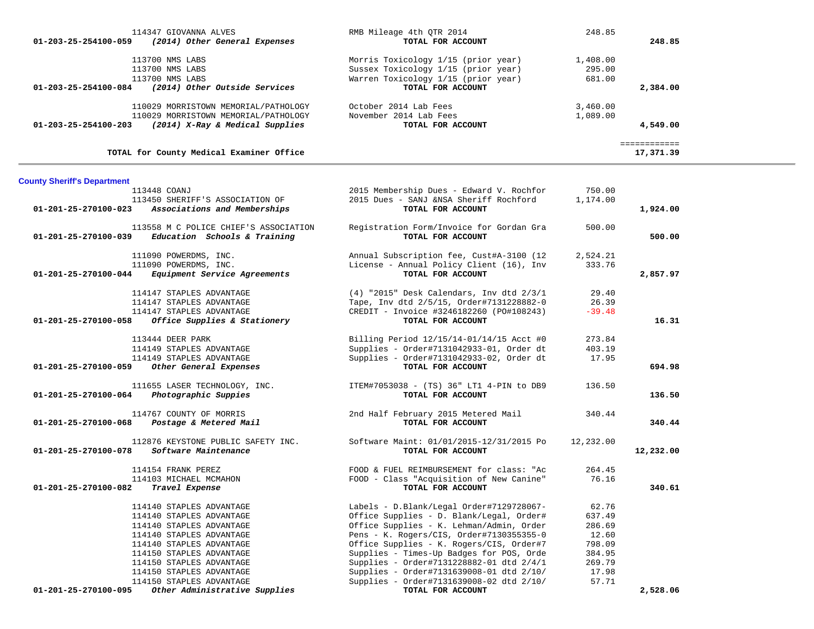| 01-203-25-254100-059                | 114347 GIOVANNA ALVES<br>(2014) Other General Expenses                                                          | RMB Mileage 4th OTR 2014<br>TOTAL FOR ACCOUNT                                                                                          | 248.85                       | 248.85                    |
|-------------------------------------|-----------------------------------------------------------------------------------------------------------------|----------------------------------------------------------------------------------------------------------------------------------------|------------------------------|---------------------------|
|                                     | 113700 NMS LABS<br>113700 NMS LABS<br>113700 NMS LABS<br>01-203-25-254100-084 (2014) Other Outside Services     | Morris Toxicology 1/15 (prior year)<br>Sussex Toxicology 1/15 (prior year)<br>Warren Toxicology 1/15 (prior year)<br>TOTAL FOR ACCOUNT | 1,408.00<br>295.00<br>681.00 | 2,384.00                  |
| 01-203-25-254100-203                | 110029 MORRISTOWN MEMORIAL/PATHOLOGY<br>110029 MORRISTOWN MEMORIAL/PATHOLOGY<br>(2014) X-Ray & Medical Supplies | October 2014 Lab Fees<br>November 2014 Lab Fees<br>TOTAL FOR ACCOUNT                                                                   | 3,460.00<br>1,089.00         | 4,549.00                  |
|                                     | TOTAL for County Medical Examiner Office                                                                        |                                                                                                                                        |                              | ============<br>17,371.39 |
| <b>County Sheriff's Department</b>  |                                                                                                                 |                                                                                                                                        |                              |                           |
|                                     | 113448 COANJ                                                                                                    | 2015 Membership Dues - Edward V. Rochfor                                                                                               | 750.00                       |                           |
| 01-201-25-270100-023                | 113450 SHERIFF'S ASSOCIATION OF<br>Associations and Memberships                                                 | 2015 Dues - SANJ &NSA Sheriff Rochford<br>TOTAL FOR ACCOUNT                                                                            | 1,174.00                     | 1,924.00                  |
| 01-201-25-270100-039                | 113558 M C POLICE CHIEF'S ASSOCIATION<br>Education Schools & Training                                           | Registration Form/Invoice for Gordan Gra<br>TOTAL FOR ACCOUNT                                                                          | 500.00                       | 500.00                    |
|                                     | 111090 POWERDMS, INC.                                                                                           | Annual Subscription fee, Cust#A-3100 (12                                                                                               | 2,524.21                     |                           |
|                                     | 111090 POWERDMS, INC.                                                                                           | License - Annual Policy Client (16), Inv                                                                                               | 333.76                       |                           |
| 01-201-25-270100-044                | Equipment Service Agreements                                                                                    | TOTAL FOR ACCOUNT                                                                                                                      |                              | 2,857.97                  |
|                                     | 114147 STAPLES ADVANTAGE                                                                                        | $(4)$ "2015" Desk Calendars, Inv dtd $2/3/1$                                                                                           | 29.40                        |                           |
|                                     | 114147 STAPLES ADVANTAGE                                                                                        | Tape, Inv dtd 2/5/15, Order#7131228882-0                                                                                               | 26.39                        |                           |
|                                     | 114147 STAPLES ADVANTAGE                                                                                        | CREDIT - Invoice #3246182260 (PO#108243)                                                                                               | $-39.48$                     |                           |
| 01-201-25-270100-058                | Office Supplies & Stationery                                                                                    | TOTAL FOR ACCOUNT                                                                                                                      |                              | 16.31                     |
|                                     | 113444 DEER PARK                                                                                                | Billing Period 12/15/14-01/14/15 Acct #0                                                                                               | 273.84                       |                           |
|                                     | 114149 STAPLES ADVANTAGE                                                                                        | Supplies - Order#7131042933-01, Order dt                                                                                               | 403.19                       |                           |
|                                     | 114149 STAPLES ADVANTAGE                                                                                        | Supplies - Order#7131042933-02, Order dt                                                                                               | 17.95                        |                           |
| 01-201-25-270100-059                | Other General Expenses                                                                                          | TOTAL FOR ACCOUNT                                                                                                                      |                              | 694.98                    |
|                                     | 111655 LASER TECHNOLOGY, INC.                                                                                   | ITEM#7053038 - (TS) 36" LT1 4-PIN to DB9                                                                                               | 136.50                       |                           |
| 01-201-25-270100-064                | Photographic Suppies                                                                                            | TOTAL FOR ACCOUNT                                                                                                                      |                              | 136.50                    |
| 01-201-25-270100-068                | 114767 COUNTY OF MORRIS<br>Postage & Metered Mail                                                               | 2nd Half February 2015 Metered Mail<br>TOTAL FOR ACCOUNT                                                                               | 340.44                       | 340.44                    |
| 01-201-25-270100-078                | 112876 KEYSTONE PUBLIC SAFETY INC.<br>Software Maintenance                                                      | Software Maint: 01/01/2015-12/31/2015 Po<br>TOTAL FOR ACCOUNT                                                                          | 12,232.00                    | 12,232.00                 |
|                                     | 114154 FRANK PEREZ                                                                                              | FOOD & FUEL REIMBURSEMENT for class: "Ac                                                                                               | 264.45                       |                           |
|                                     | 114103 MICHAEL MCMAHON                                                                                          | FOOD - Class "Acquisition of New Canine"                                                                                               | 76.16                        |                           |
| 01-201-25-270100-082 Travel Expense |                                                                                                                 | TOTAL FOR ACCOUNT                                                                                                                      |                              | 340.61                    |
|                                     | 114140 STAPLES ADVANTAGE                                                                                        | Labels - D.Blank/Legal Order#7129728067-                                                                                               | 62.76                        |                           |
|                                     | 114140 STAPLES ADVANTAGE                                                                                        | Office Supplies - D. Blank/Legal, Order#                                                                                               | 637.49                       |                           |
|                                     | 114140 STAPLES ADVANTAGE                                                                                        | Office Supplies - K. Lehman/Admin, Order                                                                                               | 286.69                       |                           |
|                                     | 114140 STAPLES ADVANTAGE                                                                                        | Pens - K. Rogers/CIS, Order#7130355355-0                                                                                               | 12.60                        |                           |
|                                     | 114140 STAPLES ADVANTAGE                                                                                        | Office Supplies - K. Rogers/CIS, Order#7                                                                                               | 798.09                       |                           |
|                                     | 114150 STAPLES ADVANTAGE                                                                                        | Supplies - Times-Up Badges for POS, Orde                                                                                               | 384.95                       |                           |
|                                     | 114150 STAPLES ADVANTAGE                                                                                        | Supplies - Order#7131228882-01 dtd 2/4/1                                                                                               | 269.79                       |                           |
|                                     | 114150 STAPLES ADVANTAGE                                                                                        | Supplies - Order#7131639008-01 dtd 2/10/                                                                                               | 17.98                        |                           |
| 01-201-25-270100-095                | 114150 STAPLES ADVANTAGE<br>Other Administrative Supplies                                                       | Supplies - Order#7131639008-02 dtd 2/10/<br>TOTAL FOR ACCOUNT                                                                          | 57.71                        | 2,528.06                  |
|                                     |                                                                                                                 |                                                                                                                                        |                              |                           |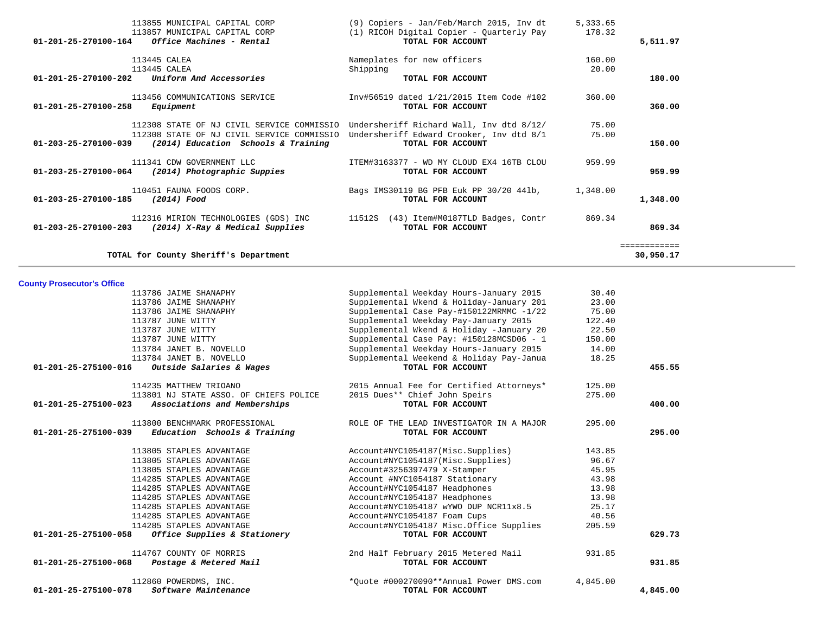| 01-201-25-270100-258              | Equipment                                                               | TOTAL FOR ACCOUNT                                                                                                               |                | 360.00       |
|-----------------------------------|-------------------------------------------------------------------------|---------------------------------------------------------------------------------------------------------------------------------|----------------|--------------|
|                                   | 112308 STATE OF NJ CIVIL SERVICE COMMISSIO                              | 112308 STATE OF NJ CIVIL SERVICE COMMISSIO Undersheriff Richard Wall, Inv dtd 8/12/<br>Undersheriff Edward Crooker, Inv dtd 8/1 | 75.00<br>75.00 |              |
| 01-203-25-270100-039              | (2014) Education Schools & Training                                     | TOTAL FOR ACCOUNT                                                                                                               |                | 150.00       |
|                                   | 111341 CDW GOVERNMENT LLC                                               | ITEM#3163377 - WD MY CLOUD EX4 16TB CLOU                                                                                        | 959.99         |              |
| $01 - 203 - 25 - 270100 - 064$    | (2014) Photographic Suppies                                             | TOTAL FOR ACCOUNT                                                                                                               |                | 959.99       |
| 01-203-25-270100-185              | 110451 FAUNA FOODS CORP.<br>$(2014)$ Food                               | Bags IMS30119 BG PFB Euk PP 30/20 441b,<br>TOTAL FOR ACCOUNT                                                                    | 1,348.00       | 1,348.00     |
| 01-203-25-270100-203              | 112316 MIRION TECHNOLOGIES (GDS) INC<br>(2014) X-Ray & Medical Supplies | 11512S (43) Item#M0187TLD Badges, Contr<br>TOTAL FOR ACCOUNT                                                                    | 869.34         | 869.34       |
|                                   |                                                                         |                                                                                                                                 |                | ============ |
|                                   | TOTAL for County Sheriff's Department                                   |                                                                                                                                 |                | 30,950.17    |
| <b>County Prosecutor's Office</b> |                                                                         |                                                                                                                                 |                |              |
|                                   | 113786 JAIME SHANAPHY                                                   | Supplemental Weekday Hours-January 2015                                                                                         | 30.40          |              |
|                                   | 113786 JAIME SHANAPHY                                                   | Supplemental Wkend & Holiday-January 201                                                                                        | 23.00          |              |
|                                   | 113786 JAIME SHANAPHY                                                   | Supplemental Case Pay-#150122MRMMC -1/22                                                                                        | 75.00          |              |
|                                   | 113787 JUNE WITTY                                                       | Supplemental Weekday Pay-January 2015                                                                                           | 122.40         |              |
|                                   | 113787 JUNE WITTY                                                       | Supplemental Wkend & Holiday -January 20                                                                                        | 22.50          |              |
|                                   | 113787 JUNE WITTY                                                       | Supplemental Case Pay: #150128MCSD06 - 1                                                                                        | 150.00         |              |
|                                   | 113784 JANET B. NOVELLO                                                 | Supplemental Weekday Hours-January 2015                                                                                         | 14.00          |              |
|                                   | 113784 JANET B. NOVELLO                                                 | Supplemental Weekend & Holiday Pay-Janua                                                                                        | 18.25          |              |
| 01-201-25-275100-016              | Outside Salaries & Wages                                                | TOTAL FOR ACCOUNT                                                                                                               |                | 455.55       |
|                                   | 114235 MATTHEW TRIOANO                                                  | 2015 Annual Fee for Certified Attorneys*                                                                                        | 125.00         |              |
|                                   | 113801 NJ STATE ASSO. OF CHIEFS POLICE                                  | 2015 Dues** Chief John Speirs                                                                                                   | 275.00         |              |
| 01-201-25-275100-023              | Associations and Memberships                                            | TOTAL FOR ACCOUNT                                                                                                               |                | 400.00       |
|                                   | 113800 BENCHMARK PROFESSIONAL                                           | ROLE OF THE LEAD INVESTIGATOR IN A MAJOR                                                                                        | 295.00         |              |
| 01-201-25-275100-039              | Education Schools & Training                                            | TOTAL FOR ACCOUNT                                                                                                               |                | 295.00       |
|                                   | 113805 STAPLES ADVANTAGE                                                | Account#NYC1054187(Misc.Supplies)                                                                                               | 143.85         |              |
|                                   | 113805 STAPLES ADVANTAGE                                                | Account#NYC1054187(Misc.Supplies)                                                                                               | 96.67          |              |
|                                   | 113805 STAPLES ADVANTAGE                                                | Account#3256397479 X-Stamper                                                                                                    | 45.95          |              |
|                                   | 114285 STAPLES ADVANTAGE                                                | Account #NYC1054187 Stationary                                                                                                  | 43.98          |              |
|                                   | 114285 STAPLES ADVANTAGE                                                | Account#NYC1054187 Headphones                                                                                                   | 13.98          |              |
|                                   | 114285 STAPLES ADVANTAGE                                                | Account#NYC1054187 Headphones                                                                                                   | 13.98          |              |
|                                   | 114285 STAPLES ADVANTAGE                                                | Account#NYC1054187 wYWO DUP NCR11x8.5                                                                                           | 25.17          |              |
|                                   | 114285 STAPLES ADVANTAGE                                                | Account#NYC1054187 Foam Cups                                                                                                    | 40.56          |              |
|                                   | 114285 STAPLES ADVANTAGE                                                | Account#NYC1054187 Misc.Office Supplies                                                                                         | 205.59         |              |
|                                   | Office Supplies & Stationery                                            | TOTAL FOR ACCOUNT                                                                                                               |                | 629.73       |
| 01-201-25-275100-058              |                                                                         |                                                                                                                                 |                |              |
|                                   | 114767 COUNTY OF MORRIS                                                 | 2nd Half February 2015 Metered Mail                                                                                             | 931.85         |              |
| 01-201-25-275100-068              | Postage & Metered Mail                                                  | TOTAL FOR ACCOUNT                                                                                                               |                | 931.85       |
| 01-201-25-275100-078              | 112860 POWERDMS, INC.<br>Software Maintenance                           | *Quote #000270090**Annual Power DMS.com<br>TOTAL FOR ACCOUNT                                                                    | 4,845.00       | 4,845.00     |

 113855 MUNICIPAL CAPITAL CORP (9) Copiers - Jan/Feb/March 2015, Inv dt 5,333.65 113857 MUNICIPAL CAPITAL CORP (1) RICOH Digital Copier - Quarterly Pay 178.32<br>1 **Office Machines - Rental 118.32 10TAL FOR ACCOUNT 01-201-25-270100-164** *Office Machines - Rental* **TOTAL FOR ACCOUNT 5,511.97**

 113445 CALEA Nameplates for new officers 160.00 113445 CALEA 20.00<br>20.00 Shipping Toral For Account  **01-201-25-270100-202** *Uniform And Accessories* **TOTAL FOR ACCOUNT 180.00**

113456 COMMUNICATIONS SERVICE Inv#56519 dated 1/21/2015 Item Code #102 360.00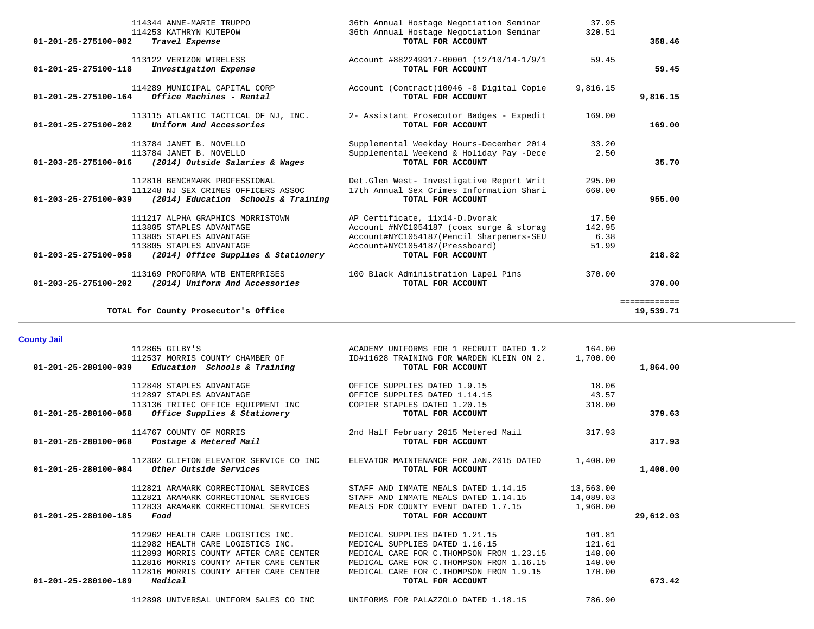| 113169 PROFORMA WTB ENTERPRISES<br>01-203-25-275100-202<br>(2014) Uniform And Accessories                                                                                                                                               | 100 Black Administration Lapel Pins<br>TOTAL FOR ACCOUNT                                                                                                                                                                    | 370.00                                         | 370.00                    |
|-----------------------------------------------------------------------------------------------------------------------------------------------------------------------------------------------------------------------------------------|-----------------------------------------------------------------------------------------------------------------------------------------------------------------------------------------------------------------------------|------------------------------------------------|---------------------------|
| TOTAL for County Prosecutor's Office                                                                                                                                                                                                    |                                                                                                                                                                                                                             |                                                | ============<br>19,539.71 |
| <b>County Jail</b>                                                                                                                                                                                                                      |                                                                                                                                                                                                                             |                                                |                           |
| 112865 GILBY'S<br>112537 MORRIS COUNTY CHAMBER OF<br>Education Schools & Training<br>01-201-25-280100-039                                                                                                                               | ACADEMY UNIFORMS FOR 1 RECRUIT DATED 1.2<br>ID#11628 TRAINING FOR WARDEN KLEIN ON 2.<br>TOTAL FOR ACCOUNT                                                                                                                   | 164.00<br>1,700.00                             | 1,864.00                  |
| 112848 STAPLES ADVANTAGE<br>112897 STAPLES ADVANTAGE                                                                                                                                                                                    | OFFICE SUPPLIES DATED 1.9.15<br>OFFICE SUPPLIES DATED 1.14.15                                                                                                                                                               | 18.06<br>43.57                                 |                           |
| 113136 TRITEC OFFICE EQUIPMENT INC<br>Office Supplies & Stationery<br>01-201-25-280100-058                                                                                                                                              | COPIER STAPLES DATED 1.20.15<br>TOTAL FOR ACCOUNT                                                                                                                                                                           | 318.00                                         | 379.63                    |
| 114767 COUNTY OF MORRIS<br>Postage & Metered Mail<br>01-201-25-280100-068                                                                                                                                                               | 2nd Half February 2015 Metered Mail<br>TOTAL FOR ACCOUNT                                                                                                                                                                    | 317.93                                         | 317.93                    |
| 112302 CLIFTON ELEVATOR SERVICE CO INC<br>Other Outside Services<br>01-201-25-280100-084                                                                                                                                                | ELEVATOR MAINTENANCE FOR JAN. 2015 DATED<br>TOTAL FOR ACCOUNT                                                                                                                                                               | 1,400.00                                       | 1,400.00                  |
| 112821 ARAMARK CORRECTIONAL SERVICES<br>112821 ARAMARK CORRECTIONAL SERVICES<br>112833 ARAMARK CORRECTIONAL SERVICES<br>01-201-25-280100-185<br>Food                                                                                    | STAFF AND INMATE MEALS DATED 1.14.15<br>STAFF AND INMATE MEALS DATED 1.14.15<br>MEALS FOR COUNTY EVENT DATED 1.7.15<br>TOTAL FOR ACCOUNT                                                                                    | 13,563.00<br>14,089.03<br>1,960.00             | 29,612.03                 |
| 112962 HEALTH CARE LOGISTICS INC.<br>112982 HEALTH CARE LOGISTICS INC.<br>112893 MORRIS COUNTY AFTER CARE CENTER<br>112816 MORRIS COUNTY AFTER CARE CENTER<br>112816 MORRIS COUNTY AFTER CARE CENTER<br>Medical<br>01-201-25-280100-189 | MEDICAL SUPPLIES DATED 1.21.15<br>MEDICAL SUPPLIES DATED 1.16.15<br>MEDICAL CARE FOR C. THOMPSON FROM 1.23.15<br>MEDICAL CARE FOR C. THOMPSON FROM 1.16.15<br>MEDICAL CARE FOR C. THOMPSON FROM 1.9.15<br>TOTAL FOR ACCOUNT | 101.81<br>121.61<br>140.00<br>140.00<br>170.00 | 673.42                    |
| 112898 UNIVERSAL UNIFORM SALES CO INC                                                                                                                                                                                                   | UNIFORMS FOR PALAZZOLO DATED 1.18.15                                                                                                                                                                                        | 786.90                                         |                           |

| 114344 ANNE-MARIE TRUPPO                                           | 36th Annual Hostage Negotiation Seminar   | 37.95    |              |
|--------------------------------------------------------------------|-------------------------------------------|----------|--------------|
| 114253 KATHRYN KUTEPOW                                             | 36th Annual Hostage Negotiation Seminar   | 320.51   |              |
| 01-201-25-275100-082<br>Travel Expense                             | TOTAL FOR ACCOUNT                         |          | 358.46       |
| 113122 VERIZON WIRELESS                                            | Account #882249917-00001 (12/10/14-1/9/1  | 59.45    |              |
| 01-201-25-275100-118<br>Investigation Expense                      | TOTAL FOR ACCOUNT                         |          | 59.45        |
| 114289 MUNICIPAL CAPITAL CORP                                      | Account (Contract)10046 -8 Digital Copie  | 9,816.15 |              |
| 01-201-25-275100-164<br>Office Machines - Rental                   | TOTAL FOR ACCOUNT                         |          | 9,816.15     |
| 113115 ATLANTIC TACTICAL OF NJ, INC.                               | 2- Assistant Prosecutor Badges - Expedit  | 169.00   |              |
| Uniform And Accessories<br>$01 - 201 - 25 - 275100 - 202$          | TOTAL FOR ACCOUNT                         |          | 169.00       |
| 113784 JANET B. NOVELLO                                            | Supplemental Weekday Hours-December 2014  | 33.20    |              |
| 113784 JANET B. NOVELLO                                            | Supplemental Weekend & Holiday Pay -Dece  | 2.50     |              |
| 01-203-25-275100-016 (2014) Outside Salaries & Wages               | TOTAL FOR ACCOUNT                         |          | 35.70        |
| 112810 BENCHMARK PROFESSIONAL                                      | Det. Glen West- Investigative Report Writ | 295.00   |              |
| 111248 NJ SEX CRIMES OFFICERS ASSOC                                | 17th Annual Sex Crimes Information Shari  | 660.00   |              |
| (2014) Education Schools & Training<br>01-203-25-275100-039        | TOTAL FOR ACCOUNT                         |          | 955.00       |
| 111217 ALPHA GRAPHICS MORRISTOWN                                   | AP Certificate, 11x14-D.Dvorak            | 17.50    |              |
| 113805 STAPLES ADVANTAGE                                           | Account #NYC1054187 (coax surge & storag  | 142.95   |              |
| 113805 STAPLES ADVANTAGE                                           | Account#NYC1054187(Pencil Sharpeners-SEU  | 6.38     |              |
| 113805 STAPLES ADVANTAGE                                           | Account#NYC1054187(Pressboard)            | 51.99    |              |
| $01 - 203 - 25 - 275100 - 058$ (2014) Office Supplies & Stationery | TOTAL FOR ACCOUNT                         |          | 218.82       |
| 113169 PROFORMA WTB ENTERPRISES                                    | 100 Black Administration Lapel Pins       | 370.00   |              |
| 01-203-25-275100-202<br>(2014) Uniform And Accessories             | TOTAL FOR ACCOUNT                         |          | 370.00       |
|                                                                    |                                           |          | ============ |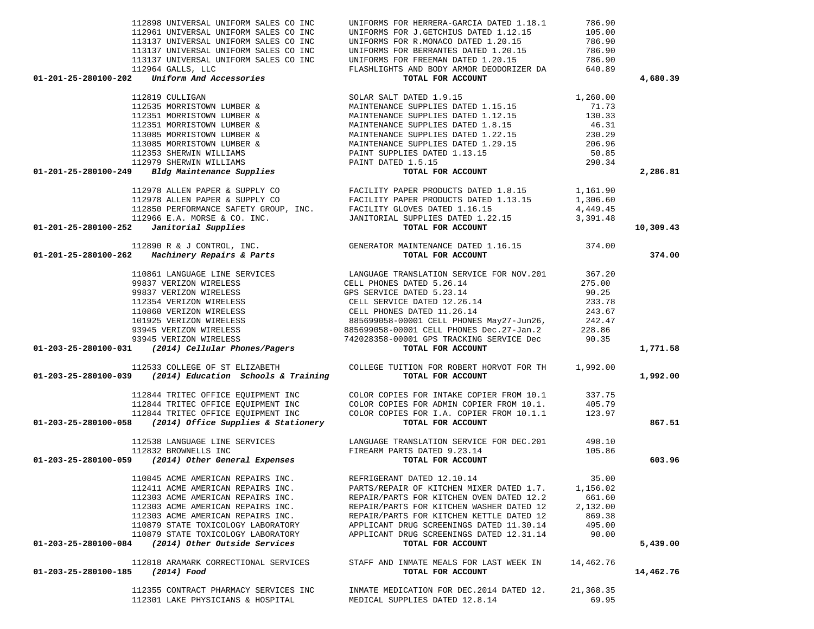| 112898 UNIVERSAL UNIFORM SALES CO INC                                                                                                                                                                                                                                                                                                                                                                                                               | UNIFORMS FOR HERRERA-GARCIA DATED 1.18.1                                                                                                                                                                                                    | 786.90    |           |
|-----------------------------------------------------------------------------------------------------------------------------------------------------------------------------------------------------------------------------------------------------------------------------------------------------------------------------------------------------------------------------------------------------------------------------------------------------|---------------------------------------------------------------------------------------------------------------------------------------------------------------------------------------------------------------------------------------------|-----------|-----------|
|                                                                                                                                                                                                                                                                                                                                                                                                                                                     |                                                                                                                                                                                                                                             |           |           |
|                                                                                                                                                                                                                                                                                                                                                                                                                                                     |                                                                                                                                                                                                                                             |           |           |
|                                                                                                                                                                                                                                                                                                                                                                                                                                                     |                                                                                                                                                                                                                                             |           |           |
|                                                                                                                                                                                                                                                                                                                                                                                                                                                     |                                                                                                                                                                                                                                             |           |           |
|                                                                                                                                                                                                                                                                                                                                                                                                                                                     |                                                                                                                                                                                                                                             |           |           |
|                                                                                                                                                                                                                                                                                                                                                                                                                                                     |                                                                                                                                                                                                                                             |           | 4,680.39  |
|                                                                                                                                                                                                                                                                                                                                                                                                                                                     |                                                                                                                                                                                                                                             |           |           |
|                                                                                                                                                                                                                                                                                                                                                                                                                                                     |                                                                                                                                                                                                                                             |           |           |
|                                                                                                                                                                                                                                                                                                                                                                                                                                                     |                                                                                                                                                                                                                                             |           |           |
|                                                                                                                                                                                                                                                                                                                                                                                                                                                     |                                                                                                                                                                                                                                             |           |           |
|                                                                                                                                                                                                                                                                                                                                                                                                                                                     |                                                                                                                                                                                                                                             |           |           |
|                                                                                                                                                                                                                                                                                                                                                                                                                                                     |                                                                                                                                                                                                                                             |           |           |
|                                                                                                                                                                                                                                                                                                                                                                                                                                                     |                                                                                                                                                                                                                                             |           |           |
|                                                                                                                                                                                                                                                                                                                                                                                                                                                     |                                                                                                                                                                                                                                             |           |           |
|                                                                                                                                                                                                                                                                                                                                                                                                                                                     |                                                                                                                                                                                                                                             |           |           |
| 112898 UNIVERSAL UNIFORM SALES CO INC UNIFORMS FOR J.GENCHAT DATED 118.1 786.90<br>112961 UNIVERSAL UNIFORM SALES CO INC UNIFORMS FOR J.GENCHIUS DATED 1.2.15 786.90<br>113137 UNIVERSAL UNIFORM SALES CO INC UNIFORMS FOR RENAMI                                                                                                                                                                                                                   |                                                                                                                                                                                                                                             |           | 2,286.81  |
|                                                                                                                                                                                                                                                                                                                                                                                                                                                     |                                                                                                                                                                                                                                             |           |           |
|                                                                                                                                                                                                                                                                                                                                                                                                                                                     |                                                                                                                                                                                                                                             |           |           |
|                                                                                                                                                                                                                                                                                                                                                                                                                                                     |                                                                                                                                                                                                                                             |           |           |
|                                                                                                                                                                                                                                                                                                                                                                                                                                                     |                                                                                                                                                                                                                                             |           |           |
|                                                                                                                                                                                                                                                                                                                                                                                                                                                     |                                                                                                                                                                                                                                             |           |           |
| $01-201-25-280100-252$ Janitorial Supplies                                                                                                                                                                                                                                                                                                                                                                                                          | 112978 ALLEN PAPER & SUPPLY CO<br>112978 ALLEN PAPER & SUPPLY CO<br>112978 ALLEN PAPER & SUPPLY CO<br>112850 PERFORMANCE SAFETY GROUP, INC.<br>112966 E.A. MORSE & CO. INC.<br>2 Janitorial Supplies<br>112966 E.A. MORSE & CO. INC.<br>2 J |           | 10,309.43 |
| 112890 R & J CONTROL, INC.<br>01-201-25-280100-262 Machinery Repairs & Parts<br>TOTAL FOR ACCOUNT                                                                                                                                                                                                                                                                                                                                                   |                                                                                                                                                                                                                                             |           |           |
|                                                                                                                                                                                                                                                                                                                                                                                                                                                     |                                                                                                                                                                                                                                             |           | 374.00    |
|                                                                                                                                                                                                                                                                                                                                                                                                                                                     |                                                                                                                                                                                                                                             |           |           |
|                                                                                                                                                                                                                                                                                                                                                                                                                                                     |                                                                                                                                                                                                                                             |           |           |
|                                                                                                                                                                                                                                                                                                                                                                                                                                                     |                                                                                                                                                                                                                                             |           |           |
|                                                                                                                                                                                                                                                                                                                                                                                                                                                     |                                                                                                                                                                                                                                             |           |           |
|                                                                                                                                                                                                                                                                                                                                                                                                                                                     |                                                                                                                                                                                                                                             |           |           |
|                                                                                                                                                                                                                                                                                                                                                                                                                                                     |                                                                                                                                                                                                                                             |           |           |
|                                                                                                                                                                                                                                                                                                                                                                                                                                                     |                                                                                                                                                                                                                                             |           |           |
|                                                                                                                                                                                                                                                                                                                                                                                                                                                     |                                                                                                                                                                                                                                             |           |           |
|                                                                                                                                                                                                                                                                                                                                                                                                                                                     |                                                                                                                                                                                                                                             |           |           |
|                                                                                                                                                                                                                                                                                                                                                                                                                                                     |                                                                                                                                                                                                                                             |           | 1,771.58  |
| 112533 COLLEGE OF ST ELIZABETH COLLEGE TUITION FOR ROBERT HORVOT FOR TH 1,992.00<br><b>01-203-25-280100-039</b> (2014) Education Schools & Training <b>TOTAL FOR ACCOUNT</b>                                                                                                                                                                                                                                                                        |                                                                                                                                                                                                                                             |           |           |
|                                                                                                                                                                                                                                                                                                                                                                                                                                                     |                                                                                                                                                                                                                                             |           | 1,992.00  |
|                                                                                                                                                                                                                                                                                                                                                                                                                                                     |                                                                                                                                                                                                                                             |           |           |
|                                                                                                                                                                                                                                                                                                                                                                                                                                                     |                                                                                                                                                                                                                                             |           |           |
|                                                                                                                                                                                                                                                                                                                                                                                                                                                     |                                                                                                                                                                                                                                             |           |           |
| $\begin{tabular}{c c c c c} \multicolumn{1}{c}{112844}\quad\text{TRITEC OFFICE EQUIPMENT INC} &\text{COLOR COPIES FOR INTAKE COPIER FROM 10.1} & 337.75\\ \multicolumn{1}{c}{112844}\quad\text{TRITEC OFFICE EQUIPMENT INC} & \text{COLOR COPIES FOR ADMIN COPIER FROM 10.1.} & 405.79\\ \multicolumn{1}{c}{112844}\quad\text{TRITEC OFFICE EQUIPMENT INC} & \text{COLOR COPIES FOR I.A. COPIER FROM 10.1.} & 405.79\\ \multicolumn{1}{c}{112844}\$ |                                                                                                                                                                                                                                             |           | 867.51    |
|                                                                                                                                                                                                                                                                                                                                                                                                                                                     |                                                                                                                                                                                                                                             |           |           |
|                                                                                                                                                                                                                                                                                                                                                                                                                                                     |                                                                                                                                                                                                                                             |           |           |
|                                                                                                                                                                                                                                                                                                                                                                                                                                                     |                                                                                                                                                                                                                                             |           |           |
| 112538 LANGUAGE LINE SERVICES<br>112832 BROWNELLS INC<br>01-203-25-280100-059 (2014) Other General Expenses<br>TOTAL FOR ACCOUNT<br>TOTAL FOR ACCOUNT                                                                                                                                                                                                                                                                                               |                                                                                                                                                                                                                                             |           | 603.96    |
| 110845 ACME AMERICAN REPAIRS INC.                                                                                                                                                                                                                                                                                                                                                                                                                   | REFRIGERANT DATED 12.10.14                                                                                                                                                                                                                  | 35.00     |           |
| 112411 ACME AMERICAN REPAIRS INC.                                                                                                                                                                                                                                                                                                                                                                                                                   | PARTS/REPAIR OF KITCHEN MIXER DATED 1.7.                                                                                                                                                                                                    | 1,156.02  |           |
| 112303 ACME AMERICAN REPAIRS INC.                                                                                                                                                                                                                                                                                                                                                                                                                   | REPAIR/PARTS FOR KITCHEN OVEN DATED 12.2                                                                                                                                                                                                    | 661.60    |           |
| 112303 ACME AMERICAN REPAIRS INC.                                                                                                                                                                                                                                                                                                                                                                                                                   | REPAIR/PARTS FOR KITCHEN WASHER DATED 12                                                                                                                                                                                                    | 2,132.00  |           |
| 112303 ACME AMERICAN REPAIRS INC.                                                                                                                                                                                                                                                                                                                                                                                                                   | REPAIR/PARTS FOR KITCHEN KETTLE DATED 12                                                                                                                                                                                                    | 869.38    |           |
| 110879 STATE TOXICOLOGY LABORATORY                                                                                                                                                                                                                                                                                                                                                                                                                  | APPLICANT DRUG SCREENINGS DATED 11.30.14                                                                                                                                                                                                    | 495.00    |           |
| 110879 STATE TOXICOLOGY LABORATORY                                                                                                                                                                                                                                                                                                                                                                                                                  | APPLICANT DRUG SCREENINGS DATED 12.31.14                                                                                                                                                                                                    | 90.00     |           |
| 01-203-25-280100-084 (2014) Other Outside Services                                                                                                                                                                                                                                                                                                                                                                                                  | TOTAL FOR ACCOUNT                                                                                                                                                                                                                           |           | 5,439.00  |
|                                                                                                                                                                                                                                                                                                                                                                                                                                                     |                                                                                                                                                                                                                                             |           |           |
| 112818 ARAMARK CORRECTIONAL SERVICES                                                                                                                                                                                                                                                                                                                                                                                                                | STAFF AND INMATE MEALS FOR LAST WEEK IN                                                                                                                                                                                                     | 14,462.76 |           |
| 01-203-25-280100-185 (2014) Food                                                                                                                                                                                                                                                                                                                                                                                                                    | TOTAL FOR ACCOUNT                                                                                                                                                                                                                           |           | 14,462.76 |
| 112355 CONTRACT PHARMACY SERVICES INC                                                                                                                                                                                                                                                                                                                                                                                                               | INMATE MEDICATION FOR DEC.2014 DATED 12.                                                                                                                                                                                                    | 21,368.35 |           |
| 112301 LAKE PHYSICIANS & HOSPITAL                                                                                                                                                                                                                                                                                                                                                                                                                   | MEDICAL SUPPLIES DATED 12.8.14                                                                                                                                                                                                              | 69.95     |           |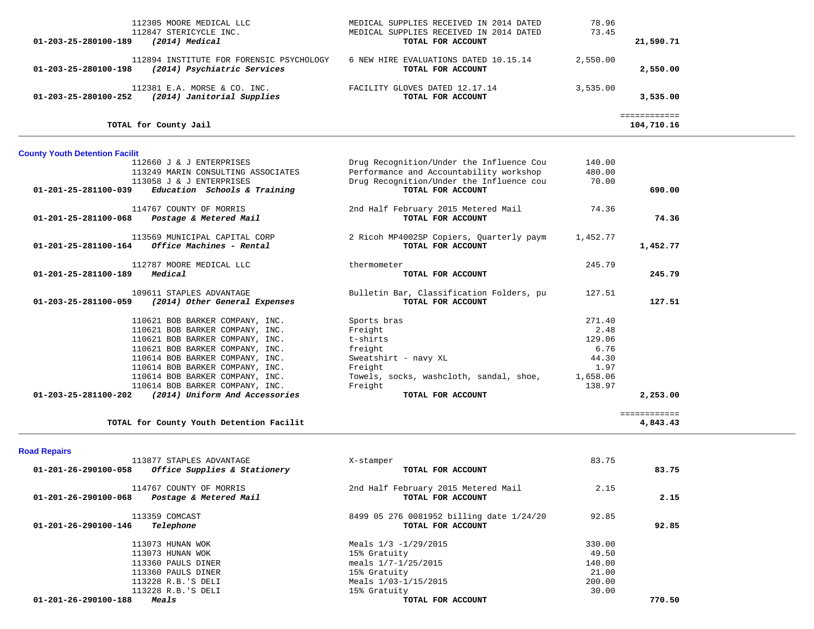| 112305 MOORE MEDICAL LLC<br>112847 STERICYCLE INC.<br>01-203-25-280100-189<br>(2014) Medical    | MEDICAL SUPPLIES RECEIVED IN 2014 DATED<br>MEDICAL SUPPLIES RECEIVED IN 2014 DATED<br>TOTAL FOR ACCOUNT | 78.96<br>73.45  | 21,590.71                  |  |
|-------------------------------------------------------------------------------------------------|---------------------------------------------------------------------------------------------------------|-----------------|----------------------------|--|
| 112894 INSTITUTE FOR FORENSIC PSYCHOLOGY<br>01-203-25-280100-198<br>(2014) Psychiatric Services | 6 NEW HIRE EVALUATIONS DATED 10.15.14<br>TOTAL FOR ACCOUNT                                              | 2,550.00        | 2,550.00                   |  |
| 112381 E.A. MORSE & CO. INC.<br>01-203-25-280100-252 (2014) Janitorial Supplies                 | FACILITY GLOVES DATED 12.17.14<br>TOTAL FOR ACCOUNT                                                     | 3, 535, 00      | 3,535.00                   |  |
| TOTAL for County Jail                                                                           |                                                                                                         |                 | ============<br>104,710.16 |  |
| <b>County Youth Detention Facilit</b>                                                           |                                                                                                         |                 |                            |  |
| 112660 J & J ENTERPRISES                                                                        | Drug Recognition/Under the Influence Cou                                                                | 140.00          |                            |  |
| 113249 MARIN CONSULTING ASSOCIATES<br>113058 J & J ENTERPRISES                                  | Performance and Accountability workshop<br>Drug Recognition/Under the Influence cou                     | 480.00<br>70.00 |                            |  |
| Education Schools & Training<br>01-201-25-281100-039                                            | TOTAL FOR ACCOUNT                                                                                       |                 | 690.00                     |  |
| 114767 COUNTY OF MORRIS<br>$01 - 201 - 25 - 281100 - 068$ Postage & Metered Mail                | 2nd Half February 2015 Metered Mail<br>TOTAL FOR ACCOUNT                                                | 74.36           | 74.36                      |  |
|                                                                                                 |                                                                                                         |                 |                            |  |
| 113569 MUNICIPAL CAPITAL CORP<br>$01-201-25-281100-164$ Office Machines - Rental                | 2 Ricoh MP4002SP Copiers, Quarterly paym<br>TOTAL FOR ACCOUNT                                           | 1,452.77        | 1,452.77                   |  |
| 112787 MOORE MEDICAL LLC                                                                        | thermometer                                                                                             | 245.79          |                            |  |
| $01 - 201 - 25 - 281100 - 189$ Medical                                                          | TOTAL FOR ACCOUNT                                                                                       |                 | 245.79                     |  |
| 109611 STAPLES ADVANTAGE<br>(2014) Other General Expenses<br>01-203-25-281100-059               | Bulletin Bar, Classification Folders, pu<br>TOTAL FOR ACCOUNT                                           | 127.51          | 127.51                     |  |
| 110621 BOB BARKER COMPANY, INC.                                                                 | Sports bras                                                                                             | 271.40          |                            |  |
| 110621 BOB BARKER COMPANY, INC.                                                                 | Freight                                                                                                 | 2.48            |                            |  |
| 110621 BOB BARKER COMPANY, INC.                                                                 | t-shirts                                                                                                | 129.06          |                            |  |
| 110621 BOB BARKER COMPANY, INC.                                                                 | freight                                                                                                 | 6.76            |                            |  |
| 110614 BOB BARKER COMPANY, INC.<br>110614 BOB BARKER COMPANY, INC.                              | Sweatshirt - navy XL<br>Freight                                                                         | 44.30<br>1.97   |                            |  |
| 110614 BOB BARKER COMPANY, INC.                                                                 | Towels, socks, washcloth, sandal, shoe,                                                                 | 1,658.06        |                            |  |
| 110614 BOB BARKER COMPANY, INC.                                                                 | Freight                                                                                                 | 138.97          |                            |  |
| 01-203-25-281100-202 (2014) Uniform And Accessories                                             | TOTAL FOR ACCOUNT                                                                                       |                 | 2,253.00                   |  |
| TOTAL for County Youth Detention Facilit                                                        |                                                                                                         |                 | ============<br>4,843.43   |  |
| <b>Road Repairs</b>                                                                             |                                                                                                         |                 |                            |  |
| 113877 STAPLES ADVANTAGE                                                                        | X-stamper                                                                                               | 83.75           |                            |  |
| $01-201-26-290100-058$ Office Supplies & Stationery                                             | TOTAL FOR ACCOUNT                                                                                       |                 | 83.75                      |  |
| 114767 COUNTY OF MORRIS<br>01-201-26-290100-068 Postage & Metered Mail                          | 2nd Half February 2015 Metered Mail<br>TOTAL FOR ACCOUNT                                                | 2.15            | 2.15                       |  |
|                                                                                                 |                                                                                                         |                 |                            |  |

113359 COMCAST 01-201-26-290100-146 *Telephone* 

01-201-26-290100-188 Meals

113073 HUNAN WOK 113073 HUNAN WOK 113360 PAULS DINER 113360 PAULS DINER 113228 R.B.'S DELI 113228 R.B.'S DELI

| <u>.</u> |        | TOIAD FOR ACCOUNT                                             |
|----------|--------|---------------------------------------------------------------|
| 92.85    | 92.85  | 8499 05 276 0081952 billing date 1/24/20<br>TOTAL FOR ACCOUNT |
|          | 330.00 | Meals $1/3 - 1/29/2015$                                       |
|          | 49.50  | 15% Gratuity                                                  |
|          | 140.00 | meals $1/7 - 1/25/2015$                                       |
|          | 21.00  | 15% Gratuity                                                  |
|          | 200.00 | Meals 1/03-1/15/2015                                          |
|          | 30.00  | 15% Gratuity                                                  |
| 770.50   |        | TOTAL FOR ACCOUNT                                             |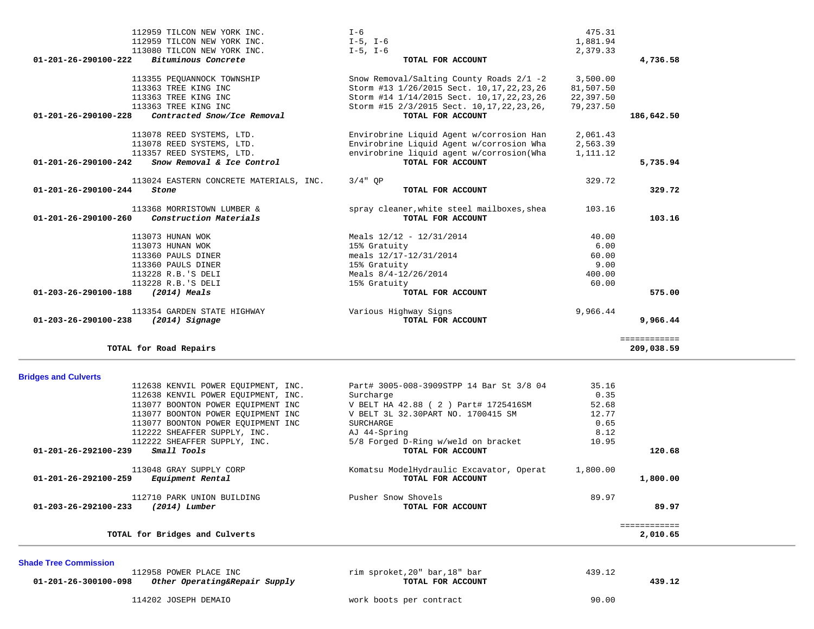| 112959 TILCON NEW YORK INC.<br>112959 TILCON NEW YORK INC.<br>113080 TILCON NEW YORK INC.                    | I-6<br>$I-5$ , $I-6$<br>$I-5$ , $I-6$                                                                                                    | 475.31<br>1,881.94<br>2,379.33     |                          |  |
|--------------------------------------------------------------------------------------------------------------|------------------------------------------------------------------------------------------------------------------------------------------|------------------------------------|--------------------------|--|
| 01-201-26-290100-222<br>Bituminous Concrete                                                                  | TOTAL FOR ACCOUNT                                                                                                                        |                                    | 4,736.58                 |  |
| 113355 PEOUANNOCK TOWNSHIP<br>113363 TREE KING INC<br>113363 TREE KING INC                                   | Snow Removal/Salting County Roads 2/1 -2<br>Storm #13 1/26/2015 Sect. 10, 17, 22, 23, 26<br>Storm #14 1/14/2015 Sect. 10, 17, 22, 23, 26 | 3,500.00<br>81,507.50<br>22,397.50 |                          |  |
| 113363 TREE KING INC<br>Contracted Snow/Ice Removal<br>01-201-26-290100-228                                  | Storm #15 2/3/2015 Sect. 10, 17, 22, 23, 26,<br>TOTAL FOR ACCOUNT                                                                        | 79,237.50                          | 186,642.50               |  |
| 113078 REED SYSTEMS, LTD.                                                                                    | Envirobrine Liquid Agent w/corrosion Han                                                                                                 | 2,061.43                           |                          |  |
| 113078 REED SYSTEMS, LTD.<br>113357 REED SYSTEMS, LTD.<br>01-201-26-290100-242<br>Snow Removal & Ice Control | Envirobrine Liquid Agent w/corrosion Wha<br>envirobrine liquid agent w/corrosion(Wha<br>TOTAL FOR ACCOUNT                                | 2,563.39<br>1,111.12               | 5,735.94                 |  |
|                                                                                                              |                                                                                                                                          |                                    |                          |  |
| 113024 EASTERN CONCRETE MATERIALS, INC.<br>01-201-26-290100-244<br>Stone                                     | $3/4"$ OP<br>TOTAL FOR ACCOUNT                                                                                                           | 329.72                             | 329.72                   |  |
| 113368 MORRISTOWN LUMBER &<br>01-201-26-290100-260<br>Construction Materials                                 | spray cleaner, white steel mailboxes, shea<br>TOTAL FOR ACCOUNT                                                                          | 103.16                             | 103.16                   |  |
| 113073 HUNAN WOK                                                                                             | Meals $12/12 - 12/31/2014$                                                                                                               | 40.00                              |                          |  |
| 113073 HUNAN WOK                                                                                             | 15% Gratuity                                                                                                                             | 6.00                               |                          |  |
| 113360 PAULS DINER                                                                                           | meals 12/17-12/31/2014<br>15% Gratuity                                                                                                   | 60.00<br>9.00                      |                          |  |
| 113360 PAULS DINER<br>113228 R.B.'S DELI                                                                     | Meals $8/4-12/26/2014$                                                                                                                   | 400.00                             |                          |  |
| 113228 R.B.'S DELI                                                                                           | 15% Gratuity                                                                                                                             | 60.00                              |                          |  |
| 01-203-26-290100-188<br>(2014) Meals                                                                         | TOTAL FOR ACCOUNT                                                                                                                        |                                    | 575.00                   |  |
| 113354 GARDEN STATE HIGHWAY<br>$(2014)$ Signage<br>01-203-26-290100-238                                      | Various Highway Signs<br>TOTAL FOR ACCOUNT                                                                                               | 9,966.44                           | 9,966.44                 |  |
|                                                                                                              |                                                                                                                                          |                                    | ============             |  |
| TOTAL for Road Repairs                                                                                       |                                                                                                                                          |                                    | 209,038.59               |  |
|                                                                                                              |                                                                                                                                          |                                    |                          |  |
| <b>Bridges and Culverts</b><br>112638 KENVIL POWER EQUIPMENT, INC.<br>112638 KENVIL POWER EQUIPMENT, INC.    | Part# 3005-008-3909STPP 14 Bar St 3/8 04<br>Surcharge                                                                                    | 35.16<br>0.35                      |                          |  |
| 113077 BOONTON POWER EQUIPMENT INC                                                                           | V BELT HA 42.88 ( 2 ) Part# 1725416SM                                                                                                    | 52.68                              |                          |  |
| 113077 BOONTON POWER EQUIPMENT INC                                                                           | V BELT 3L 32.30PART NO. 1700415 SM                                                                                                       | 12.77                              |                          |  |
| 113077 BOONTON POWER EQUIPMENT INC                                                                           | SURCHARGE                                                                                                                                | 0.65                               |                          |  |
| 112222 SHEAFFER SUPPLY, INC.                                                                                 | AJ 44-Spring                                                                                                                             | 8.12                               |                          |  |
| 112222 SHEAFFER SUPPLY, INC.<br>Small Tools<br>01-201-26-292100-239                                          | 5/8 Forged D-Ring w/weld on bracket<br>TOTAL FOR ACCOUNT                                                                                 | 10.95                              | 120.68                   |  |
| 113048 GRAY SUPPLY CORP<br>01-201-26-292100-259<br>Equipment Rental                                          | Komatsu ModelHydraulic Excavator, Operat<br>TOTAL FOR ACCOUNT                                                                            | 1,800.00                           | 1,800.00                 |  |
| 112710 PARK UNION BUILDING<br>$(2014)$ Lumber<br>01-203-26-292100-233                                        | Pusher Snow Shovels<br>TOTAL FOR ACCOUNT                                                                                                 | 89.97                              | 89.97                    |  |
| TOTAL for Bridges and Culverts                                                                               |                                                                                                                                          |                                    | ============<br>2,010.65 |  |
| <b>Shade Tree Commission</b>                                                                                 |                                                                                                                                          |                                    |                          |  |

114202 JOSEPH DEMAIO work boots per contract 90.00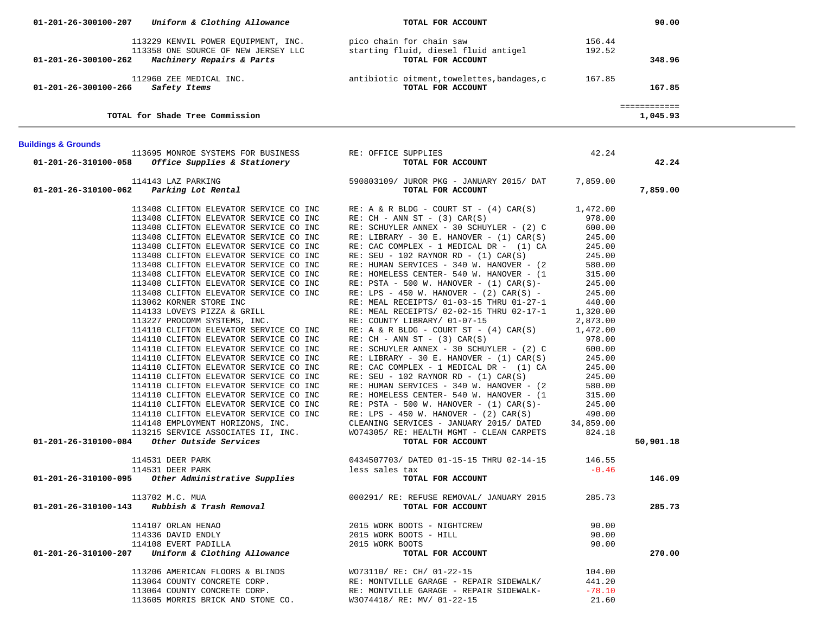|                                         | 01-201-26-300100-207 Uniform & Clothing Allowance                                                                                                                                                                                                                                                                                                                                                                                                                                                                                                                                                                                                                                                                                                                                                                                       | TOTAL FOR ACCOUNT                                                                                                                                                                                                                                                                                                                                                                                                                                                                                                                                                                                                                                                                                                                                                                                                                                                                                                                                                                                                                                                                                                                                                                                                                                                                                                                                                                                                                                                                            |                                                                                                                                                                                                                   | 90.00                    |  |
|-----------------------------------------|-----------------------------------------------------------------------------------------------------------------------------------------------------------------------------------------------------------------------------------------------------------------------------------------------------------------------------------------------------------------------------------------------------------------------------------------------------------------------------------------------------------------------------------------------------------------------------------------------------------------------------------------------------------------------------------------------------------------------------------------------------------------------------------------------------------------------------------------|----------------------------------------------------------------------------------------------------------------------------------------------------------------------------------------------------------------------------------------------------------------------------------------------------------------------------------------------------------------------------------------------------------------------------------------------------------------------------------------------------------------------------------------------------------------------------------------------------------------------------------------------------------------------------------------------------------------------------------------------------------------------------------------------------------------------------------------------------------------------------------------------------------------------------------------------------------------------------------------------------------------------------------------------------------------------------------------------------------------------------------------------------------------------------------------------------------------------------------------------------------------------------------------------------------------------------------------------------------------------------------------------------------------------------------------------------------------------------------------------|-------------------------------------------------------------------------------------------------------------------------------------------------------------------------------------------------------------------|--------------------------|--|
|                                         |                                                                                                                                                                                                                                                                                                                                                                                                                                                                                                                                                                                                                                                                                                                                                                                                                                         | 113229 KENVIL POWER EQUIPMENT, INC. pico chain for chain saw 113229 KENVIL POWER EQUIPMENT, INC. pico chain for chain saw 113358 ONE SOURCE OF NEW JERSEY LLC starting fluid, diesel fluid antigel 192.52<br>01-201-26-300100-262                                                                                                                                                                                                                                                                                                                                                                                                                                                                                                                                                                                                                                                                                                                                                                                                                                                                                                                                                                                                                                                                                                                                                                                                                                                            |                                                                                                                                                                                                                   |                          |  |
|                                         |                                                                                                                                                                                                                                                                                                                                                                                                                                                                                                                                                                                                                                                                                                                                                                                                                                         |                                                                                                                                                                                                                                                                                                                                                                                                                                                                                                                                                                                                                                                                                                                                                                                                                                                                                                                                                                                                                                                                                                                                                                                                                                                                                                                                                                                                                                                                                              |                                                                                                                                                                                                                   | 348.96                   |  |
| 01-201-26-300100-266 Safety Items       |                                                                                                                                                                                                                                                                                                                                                                                                                                                                                                                                                                                                                                                                                                                                                                                                                                         | TOTAL FOR ACCOUNT                                                                                                                                                                                                                                                                                                                                                                                                                                                                                                                                                                                                                                                                                                                                                                                                                                                                                                                                                                                                                                                                                                                                                                                                                                                                                                                                                                                                                                                                            |                                                                                                                                                                                                                   | 167.85                   |  |
|                                         | TOTAL for Shade Tree Commission                                                                                                                                                                                                                                                                                                                                                                                                                                                                                                                                                                                                                                                                                                                                                                                                         |                                                                                                                                                                                                                                                                                                                                                                                                                                                                                                                                                                                                                                                                                                                                                                                                                                                                                                                                                                                                                                                                                                                                                                                                                                                                                                                                                                                                                                                                                              |                                                                                                                                                                                                                   | ============<br>1,045.93 |  |
| <b>Buildings &amp; Grounds</b>          |                                                                                                                                                                                                                                                                                                                                                                                                                                                                                                                                                                                                                                                                                                                                                                                                                                         |                                                                                                                                                                                                                                                                                                                                                                                                                                                                                                                                                                                                                                                                                                                                                                                                                                                                                                                                                                                                                                                                                                                                                                                                                                                                                                                                                                                                                                                                                              |                                                                                                                                                                                                                   |                          |  |
|                                         | 113695 MONROE SYSTEMS FOR BUSINESS RE: OFFICE SUPPLIES<br>01-201-26-310100-058 Office Supplies & Stationery                                                                                                                                                                                                                                                                                                                                                                                                                                                                                                                                                                                                                                                                                                                             | TOTAL FOR ACCOUNT                                                                                                                                                                                                                                                                                                                                                                                                                                                                                                                                                                                                                                                                                                                                                                                                                                                                                                                                                                                                                                                                                                                                                                                                                                                                                                                                                                                                                                                                            | 42.24                                                                                                                                                                                                             | 42.24                    |  |
| 01-201-26-310100-062 Parking Lot Rental | 114143 LAZ PARKING                                                                                                                                                                                                                                                                                                                                                                                                                                                                                                                                                                                                                                                                                                                                                                                                                      | 590803109/ JUROR PKG - JANUARY 2015/ DAT 7,859.00<br>TOTAL FOR ACCOUNT                                                                                                                                                                                                                                                                                                                                                                                                                                                                                                                                                                                                                                                                                                                                                                                                                                                                                                                                                                                                                                                                                                                                                                                                                                                                                                                                                                                                                       |                                                                                                                                                                                                                   | 7,859.00                 |  |
|                                         | 113408 CLIFTON ELEVATOR SERVICE CO INC<br>113408 CLIFTON ELEVATOR SERVICE CO INC<br>113408 CLIFTON ELEVATOR SERVICE CO INC<br>113408 CLIFTON ELEVATOR SERVICE CO INC<br>113408 CLIFTON ELEVATOR SERVICE CO INC<br>113408 CLIFTON ELEVATOR SERVICE CO INC<br>113408 CLIFTON ELEVATOR SERVICE CO INC<br>113062 KORNER STORE INC<br>114133 LOVEYS PIZZA & GRILL<br>113227 PROCOMM SYSTEMS, INC.<br>114110 CLIFTON ELEVATOR SERVICE CO INC<br>114110 CLIFTON ELEVATOR SERVICE CO INC<br>114110 CLIFTON ELEVATOR SERVICE CO INC<br>114110 CLIFTON ELEVATOR SERVICE CO INC<br>114110 CLIFTON ELEVATOR SERVICE CO INC<br>114110 CLIFTON ELEVATOR SERVICE CO INC<br>114110 CLIFTON ELEVATOR SERVICE CO INC<br>114110 CLIFTON ELEVATOR SERVICE CO INC<br>114110 CLIFTON ELEVATOR SERVICE CO INC<br>$01-201-26-310100-084$ Other Outside Services | 113408 CLIFTON ELEVATOR SERVICE CO INC RE: A & R BLDG - COURT ST - (4) CAR(S) 1,472.00<br>113408 CLIFTON ELEVATOR SERVICE CO INC RE: CH - ANN ST - (3) CAR(S)<br>RE: SCHUYLER ANNEX - 30 SCHUYLER - (2) C<br>RE: LIBRARY - 30 E. HANOVER - (1) CAR(S)<br>RE: LIBRARY - 30 E. HANOVER - $(1)$ CAR $(S)$<br>RE: CAC COMPLEX - 1 MEDICAL DR - (1) CA<br>$RE: SEU - 102 RAYNOR RD - (1) CAR(S)$<br>RE: HUMAN SERVICES - 340 W. HANOVER - (2<br>RE: HOMELESS CENTER- 540 W. HANOVER - (1<br>RE: $\texttt{PSTA - 500 W. HANOVER - (1) CAR(S)-}$<br>113408 CLIFTON ELEVATOR SERVICE CO INC RE: LPS - 450 W. HANOVER - $(2)$ CAR $(5)$ -<br>RE: MEAL RECEIPTS/ 01-03-15 THRU 01-27-1<br>RE: MEAL RECEIPTS/ 02-02-15 THRU 02-17-1 1,320.00<br>RE: COUNTY LIBRARY/ 01-07-15 2,873.00<br>RE: A & R BLDG - COURT ST - (4) CAR(S) 1,472.00<br>RE: $CH - ANN ST - (3) CAR(S)$<br>RE: SCHUYLER ANNEX - 30 SCHUYLER - $(2)$ C 600.00<br>RE: LIBRARY - 30 E. HANOVER - $(1)$ CAR $(S)$<br>RE: CAC COMPLEX - 1 MEDICAL DR - (1) CA<br>$RE: SEU - 102 RAYNOR RD - (1) CAR(S)$<br>RE: HUMAN SERVICES - 340 W. HANOVER - (2<br>RE: HOMELESS CENTER- 540 W. HANOVER - (1<br>RE: PSTA - 500 W. HANOVER - $(1)$ CAR $(S)$ -<br>114110 CLIFTON ELEVATOR SERVICE CO INC RE: LPS - 450 W. HANOVER - (2) CAR(S)<br>114148 EMPLOYMENT HORIZONS, INC. CLEANING SERVICES - JANUARY 2015/ DATED<br>113215 SERVICE ASSOCIATES II, INC. WO74305/ RE: HEALTH MGMT - CLEAN CARPETS<br>4 Other Outside Services TOTAL FOR ACCOUNT | 978.00<br>600.00<br>245.00<br>245.00<br>245.00<br>580.00<br>315.00<br>315.00<br>245.00<br>245.00<br>440.00<br>978.00<br>245.00<br>245.00<br>245.00<br>580.00<br>315.00<br>245.00<br>490.00<br>34,859.00<br>824.18 | 50,901.18                |  |
|                                         | 114531 DEER PARK                                                                                                                                                                                                                                                                                                                                                                                                                                                                                                                                                                                                                                                                                                                                                                                                                        | 0434507703/ DATED 01-15-15 THRU 02-14-15                                                                                                                                                                                                                                                                                                                                                                                                                                                                                                                                                                                                                                                                                                                                                                                                                                                                                                                                                                                                                                                                                                                                                                                                                                                                                                                                                                                                                                                     | 146.55                                                                                                                                                                                                            |                          |  |
|                                         | 114531 DEER PARK<br>01-201-26-310100-095 Other Administrative Supplies                                                                                                                                                                                                                                                                                                                                                                                                                                                                                                                                                                                                                                                                                                                                                                  | less sales tax<br>TOTAL FOR ACCOUNT                                                                                                                                                                                                                                                                                                                                                                                                                                                                                                                                                                                                                                                                                                                                                                                                                                                                                                                                                                                                                                                                                                                                                                                                                                                                                                                                                                                                                                                          | $-0.46$                                                                                                                                                                                                           | 146.09                   |  |
|                                         | 113702 M.C. MUA<br>$01-201-26-310100-143$ Rubbish & Trash Removal                                                                                                                                                                                                                                                                                                                                                                                                                                                                                                                                                                                                                                                                                                                                                                       | 000291/ RE: REFUSE REMOVAL/ JANUARY 2015<br>TOTAL FOR ACCOUNT                                                                                                                                                                                                                                                                                                                                                                                                                                                                                                                                                                                                                                                                                                                                                                                                                                                                                                                                                                                                                                                                                                                                                                                                                                                                                                                                                                                                                                | 285.73                                                                                                                                                                                                            | 285.73                   |  |
|                                         | 114107 ORLAN HENAO<br>114336 DAVID ENDLY<br>114108 EVERT PADILLA<br>$01-201-26-310100-207$ Uniform & Clothing Allowance                                                                                                                                                                                                                                                                                                                                                                                                                                                                                                                                                                                                                                                                                                                 | 2015 WORK BOOTS - NIGHTCREW<br>2015 WORK BOOTS - HILL<br>2015 WORK BOOTS<br>TOTAL FOR ACCOUNT                                                                                                                                                                                                                                                                                                                                                                                                                                                                                                                                                                                                                                                                                                                                                                                                                                                                                                                                                                                                                                                                                                                                                                                                                                                                                                                                                                                                | 90.00<br>90.00<br>90.00                                                                                                                                                                                           | 270.00                   |  |
|                                         | 113206 AMERICAN FLOORS & BLINDS<br>113064 COUNTY CONCRETE CORP.<br>113064 COUNTY CONCRETE CORP.<br>113605 MORRIS BRICK AND STONE CO.                                                                                                                                                                                                                                                                                                                                                                                                                                                                                                                                                                                                                                                                                                    | WO73110/ RE: CH/ 01-22-15<br>RE: MONTVILLE GARAGE - REPAIR SIDEWALK/<br>RE: MONTVILLE GARAGE - REPAIR SIDEWALK-<br>W3074418/ RE: MV/ 01-22-15                                                                                                                                                                                                                                                                                                                                                                                                                                                                                                                                                                                                                                                                                                                                                                                                                                                                                                                                                                                                                                                                                                                                                                                                                                                                                                                                                | 104.00<br>441.20<br>$-78.10$<br>21.60                                                                                                                                                                             |                          |  |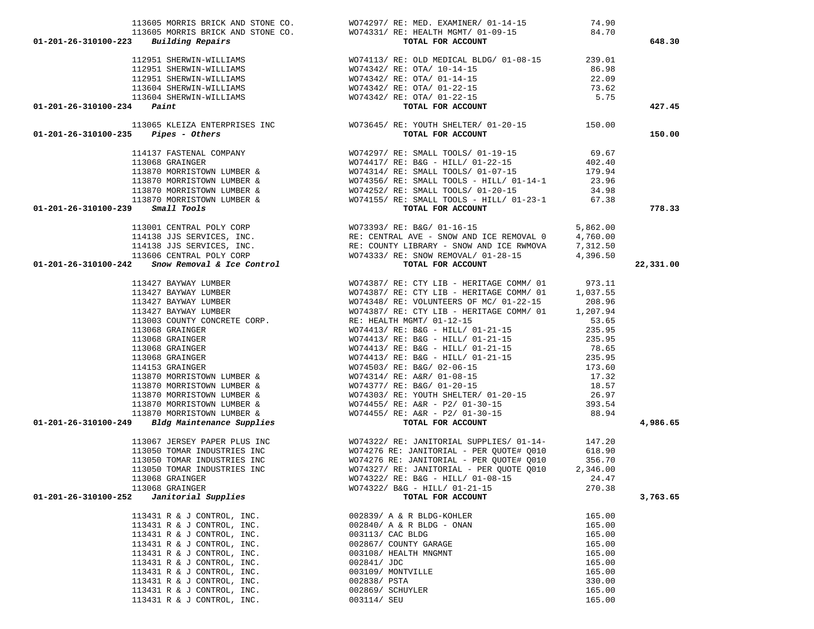|                                                                                                                                                                                                                                              | 113605 MORRIS BRICK AND STONE CO. WO74297/RE: MED. EXAMINER/01-14-15                                                                                                                                                                             | 74.90  |           |
|----------------------------------------------------------------------------------------------------------------------------------------------------------------------------------------------------------------------------------------------|--------------------------------------------------------------------------------------------------------------------------------------------------------------------------------------------------------------------------------------------------|--------|-----------|
|                                                                                                                                                                                                                                              | 113605 MORRIS BRICK AND STONE CO. WO74331/RE: HEALTH MGMT/01-09-15<br>3 Building Repairs Torm Torm Torm Por ACCOUNT                                                                                                                              | 84.70  |           |
| $01 - 201 - 26 - 310100 - 223$ Building Repairs                                                                                                                                                                                              |                                                                                                                                                                                                                                                  |        | 648.30    |
|                                                                                                                                                                                                                                              |                                                                                                                                                                                                                                                  |        |           |
|                                                                                                                                                                                                                                              |                                                                                                                                                                                                                                                  |        |           |
|                                                                                                                                                                                                                                              |                                                                                                                                                                                                                                                  |        |           |
|                                                                                                                                                                                                                                              |                                                                                                                                                                                                                                                  |        |           |
|                                                                                                                                                                                                                                              |                                                                                                                                                                                                                                                  |        |           |
| $01 - 201 - 26 - 310100 - 234$ Paint                                                                                                                                                                                                         |                                                                                                                                                                                                                                                  |        | 427.45    |
|                                                                                                                                                                                                                                              |                                                                                                                                                                                                                                                  |        |           |
| $01 - 201 - 26 - 310100 - 235$ Pipes - Others                                                                                                                                                                                                | 112951 SHERWIN-WILLIAMS<br>112951 SHERWIN-WILLIAMS<br>112951 SHERWIN-WILLIAMS<br>12951 SHERWIN-WILLIAMS<br>12951 SHERWIN-WILLIAMS<br>12951 SHERWIN-WILLIAMS<br>12951 SHERWIN-WILLIAMS<br>12951 SHERWIN-WILLIAMS<br>12951 SHERWIN-WILLIAMS<br>139 |        | 150.00    |
|                                                                                                                                                                                                                                              |                                                                                                                                                                                                                                                  |        |           |
|                                                                                                                                                                                                                                              |                                                                                                                                                                                                                                                  |        |           |
|                                                                                                                                                                                                                                              |                                                                                                                                                                                                                                                  |        |           |
|                                                                                                                                                                                                                                              |                                                                                                                                                                                                                                                  |        |           |
|                                                                                                                                                                                                                                              |                                                                                                                                                                                                                                                  |        |           |
|                                                                                                                                                                                                                                              |                                                                                                                                                                                                                                                  |        |           |
| $01 - 201 - 26 - 310100 - 239$ Small Tools                                                                                                                                                                                                   |                                                                                                                                                                                                                                                  |        | 778.33    |
|                                                                                                                                                                                                                                              |                                                                                                                                                                                                                                                  |        |           |
|                                                                                                                                                                                                                                              |                                                                                                                                                                                                                                                  |        |           |
|                                                                                                                                                                                                                                              |                                                                                                                                                                                                                                                  |        |           |
|                                                                                                                                                                                                                                              |                                                                                                                                                                                                                                                  |        |           |
|                                                                                                                                                                                                                                              |                                                                                                                                                                                                                                                  |        | 22,331.00 |
|                                                                                                                                                                                                                                              |                                                                                                                                                                                                                                                  |        |           |
|                                                                                                                                                                                                                                              |                                                                                                                                                                                                                                                  |        |           |
|                                                                                                                                                                                                                                              |                                                                                                                                                                                                                                                  |        |           |
|                                                                                                                                                                                                                                              |                                                                                                                                                                                                                                                  |        |           |
|                                                                                                                                                                                                                                              |                                                                                                                                                                                                                                                  |        |           |
|                                                                                                                                                                                                                                              |                                                                                                                                                                                                                                                  |        |           |
|                                                                                                                                                                                                                                              |                                                                                                                                                                                                                                                  |        |           |
|                                                                                                                                                                                                                                              |                                                                                                                                                                                                                                                  |        |           |
|                                                                                                                                                                                                                                              |                                                                                                                                                                                                                                                  |        |           |
|                                                                                                                                                                                                                                              |                                                                                                                                                                                                                                                  |        |           |
|                                                                                                                                                                                                                                              |                                                                                                                                                                                                                                                  |        |           |
|                                                                                                                                                                                                                                              |                                                                                                                                                                                                                                                  |        |           |
|                                                                                                                                                                                                                                              |                                                                                                                                                                                                                                                  |        |           |
|                                                                                                                                                                                                                                              |                                                                                                                                                                                                                                                  |        |           |
|                                                                                                                                                                                                                                              |                                                                                                                                                                                                                                                  |        |           |
| 01–201–26-310100–239 Small Tools<br>11300 CENTRAL FOLY CORP<br>113190 ISBN VICES, INC.<br>114138 JUS SERVICES, INC.<br>114138 JUS SERVICES, INC.<br>114138 JUS SERVICES, INC.<br>114138 JUS SERVICES, INC.<br>114147 RAYNAN LUMBER<br>113460 |                                                                                                                                                                                                                                                  |        | 4,986.65  |
|                                                                                                                                                                                                                                              |                                                                                                                                                                                                                                                  |        |           |
|                                                                                                                                                                                                                                              |                                                                                                                                                                                                                                                  |        |           |
|                                                                                                                                                                                                                                              |                                                                                                                                                                                                                                                  |        |           |
|                                                                                                                                                                                                                                              |                                                                                                                                                                                                                                                  |        |           |
| 113068 GRAINGER                                                                                                                                                                                                                              | WO74322/ RE: B&G - HILL/ 01-08-15                                                                                                                                                                                                                | 24.47  |           |
| 113068 GRAINGER                                                                                                                                                                                                                              | WO74322/ B&G - HILL/ 01-21-15                                                                                                                                                                                                                    | 270.38 |           |
| Janitorial Supplies<br>01-201-26-310100-252                                                                                                                                                                                                  | TOTAL FOR ACCOUNT                                                                                                                                                                                                                                |        | 3,763.65  |
| 113431 R & J CONTROL, INC.                                                                                                                                                                                                                   | 002839/ A & R BLDG-KOHLER                                                                                                                                                                                                                        | 165.00 |           |
| 113431 R & J CONTROL, INC.                                                                                                                                                                                                                   | 002840/ A & R BLDG - ONAN                                                                                                                                                                                                                        | 165.00 |           |
| 113431 R & J CONTROL, INC.                                                                                                                                                                                                                   | 003113/ CAC BLDG                                                                                                                                                                                                                                 | 165.00 |           |
| 113431 R & J CONTROL, INC.                                                                                                                                                                                                                   | 002867/ COUNTY GARAGE                                                                                                                                                                                                                            | 165.00 |           |
| 113431 R & J CONTROL, INC.                                                                                                                                                                                                                   | 003108/ HEALTH MNGMNT                                                                                                                                                                                                                            | 165.00 |           |
| 113431 R & J CONTROL, INC.                                                                                                                                                                                                                   | 002841/ JDC                                                                                                                                                                                                                                      | 165.00 |           |
| 113431 R & J CONTROL, INC.                                                                                                                                                                                                                   | 003109/ MONTVILLE                                                                                                                                                                                                                                | 165.00 |           |
| 113431 R & J CONTROL, INC.                                                                                                                                                                                                                   | 002838/ PSTA                                                                                                                                                                                                                                     | 330.00 |           |
| 113431 R & J CONTROL, INC.                                                                                                                                                                                                                   | 002869/ SCHUYLER                                                                                                                                                                                                                                 | 165.00 |           |
| 113431 R & J CONTROL, INC.                                                                                                                                                                                                                   | 003114/ SEU                                                                                                                                                                                                                                      | 165.00 |           |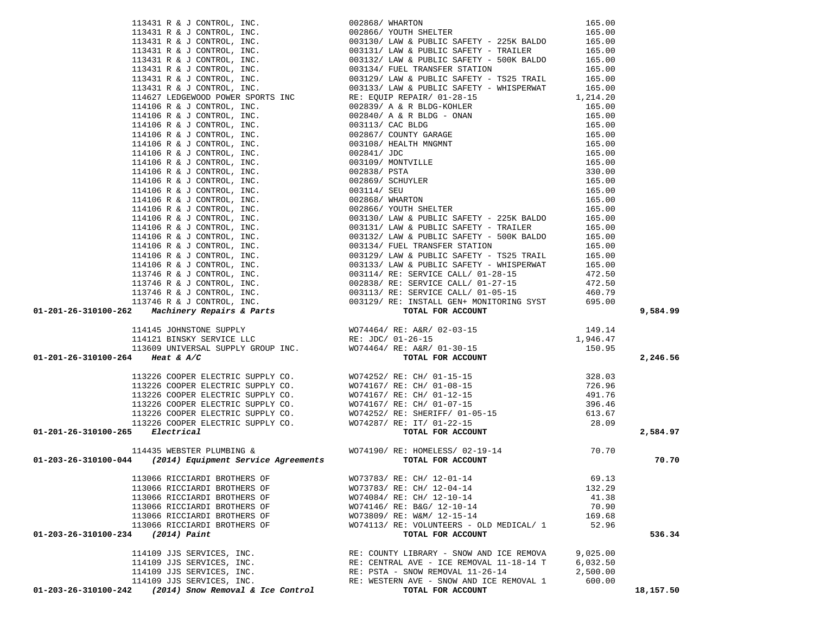|                                                                                                                                                                                                                                                                                               |                                                               |          | 9,584.99  |
|-----------------------------------------------------------------------------------------------------------------------------------------------------------------------------------------------------------------------------------------------------------------------------------------------|---------------------------------------------------------------|----------|-----------|
|                                                                                                                                                                                                                                                                                               |                                                               |          |           |
|                                                                                                                                                                                                                                                                                               |                                                               |          |           |
|                                                                                                                                                                                                                                                                                               |                                                               |          |           |
|                                                                                                                                                                                                                                                                                               |                                                               |          |           |
|                                                                                                                                                                                                                                                                                               |                                                               |          |           |
|                                                                                                                                                                                                                                                                                               |                                                               |          | 2,246.56  |
|                                                                                                                                                                                                                                                                                               |                                                               |          |           |
|                                                                                                                                                                                                                                                                                               |                                                               |          |           |
|                                                                                                                                                                                                                                                                                               |                                                               |          |           |
|                                                                                                                                                                                                                                                                                               |                                                               |          |           |
|                                                                                                                                                                                                                                                                                               |                                                               |          |           |
|                                                                                                                                                                                                                                                                                               |                                                               |          |           |
|                                                                                                                                                                                                                                                                                               |                                                               |          |           |
|                                                                                                                                                                                                                                                                                               |                                                               |          | 2,584.97  |
|                                                                                                                                                                                                                                                                                               |                                                               |          |           |
|                                                                                                                                                                                                                                                                                               |                                                               |          |           |
|                                                                                                                                                                                                                                                                                               |                                                               |          | 70.70     |
|                                                                                                                                                                                                                                                                                               |                                                               |          |           |
|                                                                                                                                                                                                                                                                                               |                                                               |          |           |
| 113066 RICCIARDI BROTHERS OF                                                                                                                                                                                                                                                                  | WO73783/ RE: CH/ 12-01-14                                     | 69.13    |           |
| 113066 RICCIARDI BROTHERS OF                                                                                                                                                                                                                                                                  | WO73783/ RE: CH/ 12-04-14                                     | 132.29   |           |
| 113066 RICCIARDI BROTHERS OF                                                                                                                                                                                                                                                                  | WO74084/ RE: CH/ 12-10-14                                     | 41.38    |           |
| 113066 RICCIARDI BROTHERS OF                                                                                                                                                                                                                                                                  | WO74146/ RE: B&G/ 12-10-14                                    | 70.90    |           |
| 113066 RICCIARDI BROTHERS OF                                                                                                                                                                                                                                                                  | WO73809/ RE: W&M/ 12-15-14                                    | 169.68   |           |
| 11 (141) $4 \pm 1$ , choren, ret.<br>11 (141) $4 \pm 1$ , choren, ret.<br>11 (141) $4 \pm 1$ , choren, ret.<br>11 (142) $4 \pm 2$ , choren, ret.<br>11 (142) $4 \pm 2$ , company, ret.<br>11 (142) $4 \pm 2$ , company, ret.<br>11 (142) $4 \pm 2$ , company,<br>113066 RICCIARDI BROTHERS OF | WO74113/ RE: VOLUNTEERS - OLD MEDICAL/ 1                      | 52.96    |           |
| 01-203-26-310100-234<br>(2014) Paint                                                                                                                                                                                                                                                          | TOTAL FOR ACCOUNT                                             |          | 536.34    |
|                                                                                                                                                                                                                                                                                               |                                                               |          |           |
| 114109 JJS SERVICES, INC.                                                                                                                                                                                                                                                                     | RE: COUNTY LIBRARY - SNOW AND ICE REMOVA                      | 9,025.00 |           |
| 114109 JJS SERVICES, INC.                                                                                                                                                                                                                                                                     | RE: CENTRAL AVE - ICE REMOVAL 11-18-14 T                      | 6,032.50 |           |
| 114109 JJS SERVICES, INC.                                                                                                                                                                                                                                                                     | RE: PSTA - SNOW REMOVAL 11-26-14                              | 2,500.00 |           |
| 114109 JJS SERVICES, INC.<br>$01 - 203 - 26 - 310100 - 242$ (2014) Snow Removal & Ice Control                                                                                                                                                                                                 | RE: WESTERN AVE - SNOW AND ICE REMOVAL 1<br>TOTAL FOR ACCOUNT | 600.00   | 18,157.50 |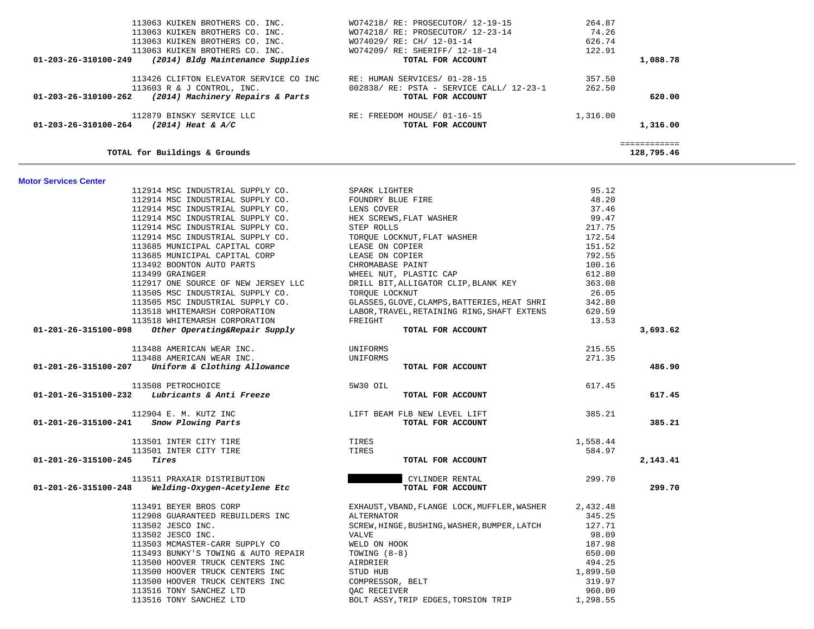| 113063 KUIKEN BROTHERS CO. INC.<br>113063 KUIKEN BROTHERS CO. INC.<br>113063 KUIKEN BROTHERS CO. INC.<br>113063 KUIKEN BROTHERS CO. INC.<br>(2014) Bldg Maintenance Supplies<br>01-203-26-310100-249 | WO74218/ RE: PROSECUTOR/ 12-19-15<br>WO74218/ RE: PROSECUTOR/ 12-23-14<br>WO74029/ RE: CH/ 12-01-14<br>WO74209/ RE: SHERIFF/ 12-18-14<br>TOTAL FOR ACCOUNT | 264.87<br>74.26<br>626.74<br>122.91<br>1,088.78 |  |
|------------------------------------------------------------------------------------------------------------------------------------------------------------------------------------------------------|------------------------------------------------------------------------------------------------------------------------------------------------------------|-------------------------------------------------|--|
| 113426 CLIFTON ELEVATOR SERVICE CO INC<br>113603 R & J CONTROL, INC.<br>(2014) Machinery Repairs & Parts<br>01-203-26-310100-262                                                                     | RE: HUMAN SERVICES/ 01-28-15<br>002838/ RE: PSTA - SERVICE CALL/ 12-23-1<br>TOTAL FOR ACCOUNT                                                              | 357.50<br>262.50<br>620.00                      |  |
| 112879 BINSKY SERVICE LLC<br>01-203-26-310100-264<br>$(2014)$ Heat & A/C                                                                                                                             | RE: FREEDOM HOUSE/ 01-16-15<br>TOTAL FOR ACCOUNT                                                                                                           | 1,316.00<br>1,316.00                            |  |
| TOTAL for Buildings & Grounds                                                                                                                                                                        |                                                                                                                                                            | ============<br>128,795.46                      |  |

#### **Motor Services Center**

|                      | 112914 MSC INDUSTRIAL SUPPLY CO.                                                                                                                | SPARK LIGHTER                                | 95.12    |          |
|----------------------|-------------------------------------------------------------------------------------------------------------------------------------------------|----------------------------------------------|----------|----------|
|                      | 112914 MSC INDUSTRIAL SUPPLY CO.                                                                                                                | FOUNDRY BLUE FIRE<br>LENS COVER              | 48.20    |          |
|                      | 112914 MSC INDUSTRIAL SUPPLY CO. LENS COVER                                                                                                     |                                              | 37.46    |          |
|                      | 112914 MSC INDUSTRIAL SUPPLY CO.<br>112914 MSC INDUSTRIAL SUPPLY CO. STEP ROLLS<br>112914 MSC INDUSTRIAL SUPPLY CO. TORQUE LOCKNUT, FLAT WASHER |                                              | 99.47    |          |
|                      |                                                                                                                                                 |                                              | 217.75   |          |
|                      |                                                                                                                                                 |                                              | 172.54   |          |
|                      | 113685 MUNICIPAL CAPITAL CORP                                                                                                                   |                                              | 151.52   |          |
|                      | 113685 MUNICIPAL CAPITAL CORP                                                                                                                   | LEASE ON COPIER<br>LEASE ON COPIER           | 792.55   |          |
|                      | 113492 BOONTON AUTO PARTS                                                                                                                       | CHROMABASE PAINT                             | 100.16   |          |
|                      | 113499 GRAINGER                                                                                                                                 | WHEEL NUT, PLASTIC CAP                       | 612.80   |          |
|                      | 112917 ONE SOURCE OF NEW JERSEY LLC                                                                                                             | DRILL BIT, ALLIGATOR CLIP, BLANK KEY         | 363.08   |          |
|                      | 113505 MSC INDUSTRIAL SUPPLY CO.                                                                                                                | TOROUE LOCKNUT                               | 26.05    |          |
|                      | 113505 MSC INDUSTRIAL SUPPLY CO.                                                                                                                |                                              |          |          |
|                      | 113518 WHITEMARSH CORPORATION                                                                                                                   |                                              |          |          |
|                      | 113518 WHITEMARSH CORPORATION                                                                                                                   | FREIGHT                                      | 13.53    |          |
| 01-201-26-315100-098 | Other Operating&Repair Supply                                                                                                                   | TOTAL FOR ACCOUNT                            |          | 3,693.62 |
|                      | 113488 AMERICAN WEAR INC.                                                                                                                       | UNIFORMS                                     | 215.55   |          |
|                      | 113488 AMERICAN WEAR INC.                                                                                                                       | UNIFORMS                                     | 271.35   |          |
|                      | $01-201-26-315100-207$ Uniform & Clothing Allowance                                                                                             | TOTAL FOR ACCOUNT                            |          | 486.90   |
|                      | 113508 PETROCHOICE                                                                                                                              | 5W30 OIL                                     | 617.45   |          |
|                      | $01-201-26-315100-232$ Lubricants & Anti Freeze                                                                                                 | TOTAL FOR ACCOUNT                            |          | 617.45   |
|                      | 112904 E. M. KUTZ INC                                                                                                                           | LIFT BEAM FLB NEW LEVEL LIFT                 | 385.21   |          |
|                      | 01-201-26-315100-241 Snow Plowing Parts                                                                                                         | TOTAL FOR ACCOUNT                            |          | 385.21   |
|                      | 113501 INTER CITY TIRE                                                                                                                          | TIRES                                        | 1,558.44 |          |
|                      | 113501 INTER CITY TIRE                                                                                                                          | TIRES                                        | 584.97   |          |
| 01-201-26-315100-245 | Tires                                                                                                                                           | TOTAL FOR ACCOUNT                            |          | 2,143.41 |
|                      | 113511 PRAXAIR DISTRIBUTION                                                                                                                     | CYLINDER RENTAL                              | 299.70   |          |
|                      | $01-201-26-315100-248$ Welding-Oxygen-Acetylene Etc                                                                                             | TOTAL FOR ACCOUNT                            |          | 299.70   |
|                      | 113491 BEYER BROS CORP                                                                                                                          | EXHAUST, VBAND, FLANGE LOCK, MUFFLER, WASHER | 2,432.48 |          |
|                      | 112908 GUARANTEED REBUILDERS INC                                                                                                                | ALTERNATOR                                   | 345.25   |          |
|                      | 113502 JESCO INC.                                                                                                                               | SCREW, HINGE, BUSHING, WASHER, BUMPER, LATCH | 127.71   |          |
|                      | 113502 JESCO INC.                                                                                                                               | <b>VALVE</b>                                 | 98.09    |          |
|                      | 113503 MCMASTER-CARR SUPPLY CO                                                                                                                  | WELD ON HOOK                                 | 187.98   |          |
|                      | 113493 BUNKY'S TOWING & AUTO REPAIR                                                                                                             | TOWING $(8-8)$                               | 650.00   |          |
|                      | 113500 HOOVER TRUCK CENTERS INC                                                                                                                 | AIRDRIER                                     | 494.25   |          |
|                      | 113500 HOOVER TRUCK CENTERS INC                                                                                                                 | STUD HUB                                     | 1,899.50 |          |
|                      | 113500 HOOVER TRUCK CENTERS INC                                                                                                                 | COMPRESSOR, BELT                             | 319.97   |          |
|                      | 113516 TONY SANCHEZ LTD                                                                                                                         | OAC RECEIVER                                 | 960.00   |          |
|                      | 113516 TONY SANCHEZ LTD                                                                                                                         | BOLT ASSY, TRIP EDGES, TORSION TRIP          | 1,298.55 |          |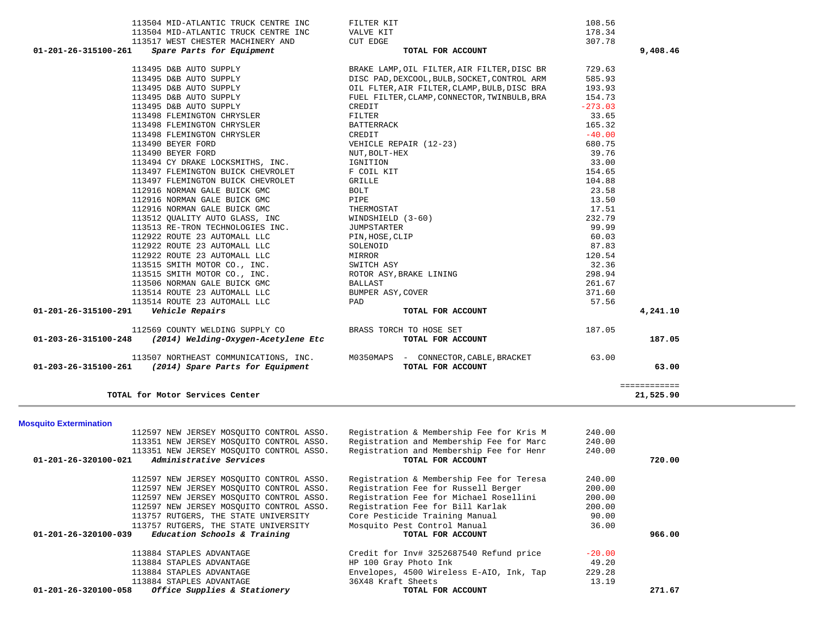| 108.56<br>FILTER KIT                                                                                                                                                                                                                                     | 113504 MID-ATLANTIC TRUCK CENTRE INC                                       |                      |
|----------------------------------------------------------------------------------------------------------------------------------------------------------------------------------------------------------------------------------------------------------|----------------------------------------------------------------------------|----------------------|
| 178.34<br>VALVE KIT                                                                                                                                                                                                                                      | 113504 MID-ATLANTIC TRUCK CENTRE INC                                       |                      |
| <b>CUT EDGE</b><br>307.78                                                                                                                                                                                                                                | 113517 WEST CHESTER MACHINERY AND                                          |                      |
| 9,408.46<br>TOTAL FOR ACCOUNT                                                                                                                                                                                                                            | Spare Parts for Equipment                                                  | 01-201-26-315100-261 |
| BRAKE LAMP, OIL FILTER, AIR FILTER, DISC BR<br>729.63                                                                                                                                                                                                    | 113495 D&B AUTO SUPPLY                                                     |                      |
| DISC PAD, DEXCOOL, BULB, SOCKET, CONTROL ARM<br>585.93                                                                                                                                                                                                   |                                                                            |                      |
| OIL FLTER, AIR FILTER, CLAMP, BULB, DISC BRA<br>193.93                                                                                                                                                                                                   | 113495 D&B AUTO SUPPLY<br>113495 D&B AUTO SUPPLY<br>113495 D&B AUTO SUPPLY |                      |
| FUEL FILTER, CLAMP, CONNECTOR, TWINBULB, BRA<br>154.73                                                                                                                                                                                                   | 113495 D&B AUTO SUPPLY                                                     |                      |
| $-273.03$<br>CREDIT                                                                                                                                                                                                                                      | 113495 D&B AUTO SUPPLY                                                     |                      |
| 33.65<br>FILTER                                                                                                                                                                                                                                          | 113498 FLEMINGTON CHRYSLER                                                 |                      |
| BATTERRACK<br>165.32                                                                                                                                                                                                                                     | 113498 FLEMINGTON CHRYSLER                                                 |                      |
| CREDIT<br>$-40.00$                                                                                                                                                                                                                                       | 113498 FLEMINGTON CHRYSLER                                                 |                      |
| 680.75                                                                                                                                                                                                                                                   | 113490 BEYER FORD                                                          |                      |
| CREDIT<br>VEHICLE REPAIR (12-23)<br>NUT, BOLT-HEX<br>IGNITION<br>F COIL KIT<br>GRILLE<br>BOLT<br>PIPE<br>THERMOSTAT<br>WINDSHIELD (3-60)<br>JUMPSTARTER<br>PIN, HOSE, CLIP<br>SOLENOID<br>SULENOID<br>WIRSTARTER<br>PIN, HOSE, CLIP<br>SOLENOID<br>39.76 | 113490 BEYER FORD                                                          |                      |
| 33.00                                                                                                                                                                                                                                                    | 113494 CY DRAKE LOCKSMITHS, INC.                                           |                      |
| 154.65                                                                                                                                                                                                                                                   | 113497 FLEMINGTON BUICK CHEVROLET                                          |                      |
| 104.88                                                                                                                                                                                                                                                   | 113497 FLEMINGTON BUICK CHEVROLET                                          |                      |
| 23.58                                                                                                                                                                                                                                                    | 112916 NORMAN GALE BUICK GMC                                               |                      |
| 13.50                                                                                                                                                                                                                                                    | 112916 NORMAN GALE BUICK GMC                                               |                      |
| 17.51                                                                                                                                                                                                                                                    | 112916 NORMAN GALE BUICK GMC                                               |                      |
| 232.79                                                                                                                                                                                                                                                   | 113512 QUALITY AUTO GLASS, INC                                             |                      |
| 99.99                                                                                                                                                                                                                                                    | 113513 RE-TRON TECHNOLOGIES INC.                                           |                      |
| 60.03                                                                                                                                                                                                                                                    | 112922 ROUTE 23 AUTOMALL LLC                                               |                      |
| 87.83                                                                                                                                                                                                                                                    | 112922 ROUTE 23 AUTOMALL LLC                                               |                      |
| 120.54<br>MIRROR                                                                                                                                                                                                                                         | 112922 ROUTE 23 AUTOMALL LLC                                               |                      |
| 32.36<br>SWITCH ASY                                                                                                                                                                                                                                      | 113515 SMITH MOTOR CO., INC.                                               |                      |
| ROTOR ASY, BRAKE LINING<br>298.94                                                                                                                                                                                                                        | 113515 SMITH MOTOR CO., INC.                                               |                      |
| 261.67<br>BALLAST                                                                                                                                                                                                                                        | 113506 NORMAN GALE BUICK GMC                                               |                      |
| 371.60<br>BUMPER ASY, COVER                                                                                                                                                                                                                              | 113514 ROUTE 23 AUTOMALL LLC                                               |                      |
| 57.56<br>PAD                                                                                                                                                                                                                                             | 113514 ROUTE 23 AUTOMALL LLC                                               |                      |
| 4,241.10<br>TOTAL FOR ACCOUNT                                                                                                                                                                                                                            | Vehicle Repairs                                                            | 01-201-26-315100-291 |
| 187.05                                                                                                                                                                                                                                                   | 112569 COUNTY WELDING SUPPLY CO BRASS TORCH TO HOSE SET                    |                      |
| TOTAL FOR ACCOUNT<br>187.05                                                                                                                                                                                                                              | $01-203-26-315100-248$ (2014) Welding-Oxygen-Acetylene Etc                 |                      |
| 113507 NORTHEAST COMMUNICATIONS, INC. M0350MAPS - CONNECTOR, CABLE, BRACKET 63.00                                                                                                                                                                        |                                                                            |                      |
| TOTAL FOR ACCOUNT<br>63.00                                                                                                                                                                                                                               | 01-203-26-315100-261 (2014) Spare Parts for Equipment                      |                      |
| ============<br>21,525.90                                                                                                                                                                                                                                | TOTAL for Motor Services Center                                            |                      |

**Mosquito Extermination** 

| 112597 NEW JERSEY MOSOUITO CONTROL ASSO.                       | Registration & Membership Fee for Kris M | 240.00   |        |
|----------------------------------------------------------------|------------------------------------------|----------|--------|
| 113351 NEW JERSEY MOSOUITO CONTROL ASSO.                       | Registration and Membership Fee for Marc | 240.00   |        |
| 113351 NEW JERSEY MOSOUITO CONTROL ASSO.                       | Registration and Membership Fee for Henr | 240.00   |        |
| Administrative Services<br>$01 - 201 - 26 - 320100 - 021$      | TOTAL FOR ACCOUNT                        |          | 720.00 |
| 112597 NEW JERSEY MOSOUITO CONTROL ASSO.                       | Registration & Membership Fee for Teresa | 240.00   |        |
| 112597 NEW JERSEY MOSOUITO CONTROL ASSO.                       | Registration Fee for Russell Berger      | 200.00   |        |
| 112597 NEW JERSEY MOSOUITO CONTROL ASSO.                       | Registration Fee for Michael Rosellini   | 200.00   |        |
| 112597 NEW JERSEY MOSOUITO CONTROL ASSO.                       | Registration Fee for Bill Karlak         | 200.00   |        |
| 113757 RUTGERS, THE STATE UNIVERSITY                           | Core Pesticide Training Manual           | 90.00    |        |
| 113757 RUTGERS, THE STATE UNIVERSITY                           | Mosquito Pest Control Manual             | 36.00    |        |
| Education Schools & Training<br>$01 - 201 - 26 - 320100 - 039$ | TOTAL FOR ACCOUNT                        |          | 966.00 |
| 113884 STAPLES ADVANTAGE                                       | Credit for Inv# 3252687540 Refund price  | $-20.00$ |        |
| 113884 STAPLES ADVANTAGE                                       | HP 100 Gray Photo Ink                    | 49.20    |        |
| 113884 STAPLES ADVANTAGE                                       | Envelopes, 4500 Wireless E-AIO, Ink, Tap | 229.28   |        |
| 113884 STAPLES ADVANTAGE                                       | 36X48 Kraft Sheets                       | 13.19    |        |
| Office Supplies & Stationery<br>01-201-26-320100-058           | TOTAL FOR ACCOUNT                        |          | 271.67 |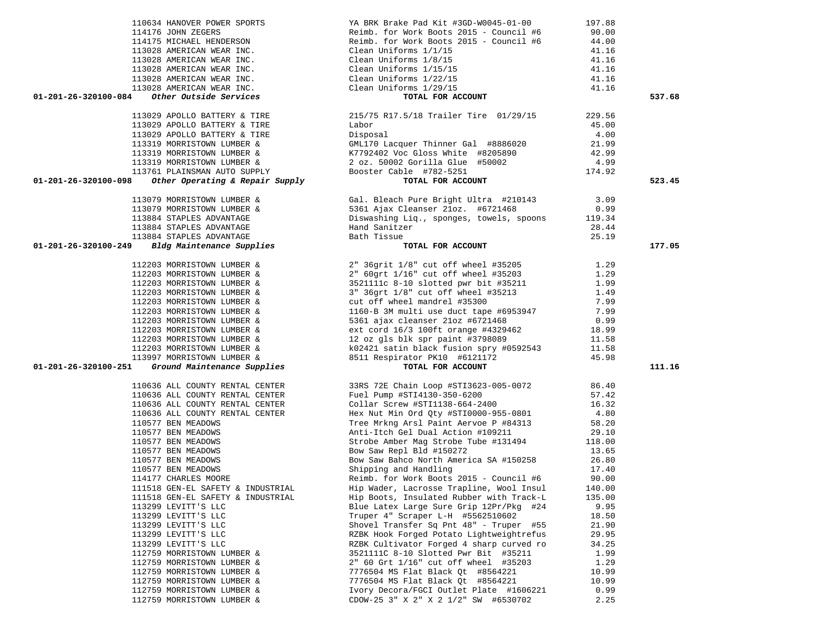|                                   | $110634 HANOVER POWER SPORTS\n114176 JOHN ZEGERS\n114175 MICHAEL HENDERSON\n114175 MICHAEL HENDERSON\n113028 AMERTCAN WEAR INC.\n113028 AMERTCAN WEAR INC.\n113028 AMERTCAN WEAR INC.\n113028 AMERTCAN WEAR INC.\n113028 AMERTCAN WEAR INC.\n113028 AMERTCAN WEAR INC.\n113028 AMERTCAN WEAR INC.\n113028 AMERTCON WEAR INC.\n113028 AMERTCON WEAR INC.\n1$ |        |        |
|-----------------------------------|-------------------------------------------------------------------------------------------------------------------------------------------------------------------------------------------------------------------------------------------------------------------------------------------------------------------------------------------------------------|--------|--------|
|                                   |                                                                                                                                                                                                                                                                                                                                                             |        | 537.68 |
|                                   |                                                                                                                                                                                                                                                                                                                                                             |        |        |
|                                   |                                                                                                                                                                                                                                                                                                                                                             |        |        |
|                                   |                                                                                                                                                                                                                                                                                                                                                             |        |        |
|                                   |                                                                                                                                                                                                                                                                                                                                                             |        |        |
|                                   |                                                                                                                                                                                                                                                                                                                                                             |        |        |
|                                   |                                                                                                                                                                                                                                                                                                                                                             |        |        |
|                                   |                                                                                                                                                                                                                                                                                                                                                             |        |        |
|                                   |                                                                                                                                                                                                                                                                                                                                                             |        |        |
|                                   |                                                                                                                                                                                                                                                                                                                                                             |        |        |
| 01-201-26-320100-098              |                                                                                                                                                                                                                                                                                                                                                             |        | 523.45 |
|                                   |                                                                                                                                                                                                                                                                                                                                                             |        |        |
|                                   |                                                                                                                                                                                                                                                                                                                                                             |        |        |
|                                   |                                                                                                                                                                                                                                                                                                                                                             |        |        |
|                                   |                                                                                                                                                                                                                                                                                                                                                             |        |        |
|                                   |                                                                                                                                                                                                                                                                                                                                                             |        |        |
|                                   |                                                                                                                                                                                                                                                                                                                                                             |        |        |
|                                   |                                                                                                                                                                                                                                                                                                                                                             |        |        |
|                                   |                                                                                                                                                                                                                                                                                                                                                             |        |        |
| 01-201-26-320100-249              | 113079 MORRISTOWN LUMBER & Gal. Bleach Pure Bright Ultra #210143 3.09<br>113079 MORRISTOWN LUMBER & 5361 Ajax Cleanser 21oz. #6721468 0.99<br>113884 STAPLES ADVANTAGE Diswashing Liq., sponges, towels, spoons 119.34<br>113884 STAPLE<br>zer 28.44<br>P<br>TOTAL FOR ACCOUNT                                                                              |        | 177.05 |
|                                   |                                                                                                                                                                                                                                                                                                                                                             |        |        |
|                                   |                                                                                                                                                                                                                                                                                                                                                             |        |        |
|                                   |                                                                                                                                                                                                                                                                                                                                                             |        |        |
|                                   | 112203 MORRISTOWN LUMBER &<br>112203 MORRISTOWN LUMBER &<br>112203 MORRISTOWN LUMBER &<br>112203 MORRISTOWN LUMBER &<br>112203 MORRISTOWN LUMBER &<br>3521111c 8-10 slotted pwr bit #35211<br>352111c 8-10 slotted pwr bit #35211<br>352111                                                                                                                 |        |        |
|                                   |                                                                                                                                                                                                                                                                                                                                                             |        |        |
|                                   |                                                                                                                                                                                                                                                                                                                                                             |        |        |
|                                   |                                                                                                                                                                                                                                                                                                                                                             |        |        |
|                                   |                                                                                                                                                                                                                                                                                                                                                             |        |        |
|                                   |                                                                                                                                                                                                                                                                                                                                                             |        |        |
|                                   |                                                                                                                                                                                                                                                                                                                                                             |        |        |
|                                   |                                                                                                                                                                                                                                                                                                                                                             |        |        |
|                                   |                                                                                                                                                                                                                                                                                                                                                             |        |        |
|                                   |                                                                                                                                                                                                                                                                                                                                                             |        |        |
|                                   |                                                                                                                                                                                                                                                                                                                                                             |        |        |
| 01-201-26-320100-251              | 112203 MORRISTOWN LOMBER &<br>112203 MORRISTOWN LUMBER &<br>112203 MORRISTOWN LUMBER &<br>12303 MORRISTOWN LUMBER &<br>12303 MORRISTOWN LUMBER &<br>12303 MORRISTOWN LUMBER &<br>12397 MORRISTOWN LUMBER &<br>11.58<br>113997 MORRISTOWN LUMBE                                                                                                              |        | 111.16 |
|                                   |                                                                                                                                                                                                                                                                                                                                                             |        |        |
|                                   |                                                                                                                                                                                                                                                                                                                                                             |        |        |
|                                   |                                                                                                                                                                                                                                                                                                                                                             |        |        |
|                                   |                                                                                                                                                                                                                                                                                                                                                             |        |        |
|                                   |                                                                                                                                                                                                                                                                                                                                                             |        |        |
|                                   |                                                                                                                                                                                                                                                                                                                                                             |        |        |
| 110577 BEN MEADOWS                |                                                                                                                                                                                                                                                                                                                                                             |        |        |
|                                   | Tree Mrkng Arsl Paint Aervoe P #84313 58.20<br>Anti-Itch Gel Dual Action #109211 29.10                                                                                                                                                                                                                                                                      |        |        |
| 110577 BEN MEADOWS                |                                                                                                                                                                                                                                                                                                                                                             |        |        |
| 110577 BEN MEADOWS                | Strobe Amber Mag Strobe Tube #131494 118.00<br>Bow Saw Repl Bld #150272 13.65                                                                                                                                                                                                                                                                               |        |        |
| 110577 BEN MEADOWS                | Bow Saw Repl Bld #150272                                                                                                                                                                                                                                                                                                                                    |        |        |
| 110577 BEN MEADOWS                | Bow Saw Repl bid #150272<br>Bow Saw Bahco North America SA #150258 26.80                                                                                                                                                                                                                                                                                    |        |        |
| 110577 BEN MEADOWS                | Shipping and Handling                                                                                                                                                                                                                                                                                                                                       | 17.40  |        |
|                                   | Reimb. for Work Boots 2015 - Council #6                                                                                                                                                                                                                                                                                                                     | 90.00  |        |
| 114177 CHARLES MOORE              |                                                                                                                                                                                                                                                                                                                                                             |        |        |
| 111518 GEN-EL SAFETY & INDUSTRIAL | Hip Wader, Lacrosse Trapline, Wool Insul                                                                                                                                                                                                                                                                                                                    | 140.00 |        |
| 111518 GEN-EL SAFETY & INDUSTRIAL | Hip Boots, Insulated Rubber with Track-L                                                                                                                                                                                                                                                                                                                    | 135.00 |        |
| 113299 LEVITT'S LLC               | Blue Latex Large Sure Grip 12Pr/Pkg #24                                                                                                                                                                                                                                                                                                                     | 9.95   |        |
| 113299 LEVITT'S LLC               | Truper 4" Scraper L-H #5562510602                                                                                                                                                                                                                                                                                                                           | 18.50  |        |
|                                   |                                                                                                                                                                                                                                                                                                                                                             |        |        |
| 113299 LEVITT'S LLC               | Shovel Transfer Sq Pnt 48" - Truper #55                                                                                                                                                                                                                                                                                                                     | 21.90  |        |
| 113299 LEVITT'S LLC               | RZBK Hook Forged Potato Lightweightrefus                                                                                                                                                                                                                                                                                                                    | 29.95  |        |
| 113299 LEVITT'S LLC               | RZBK Cultivator Forged 4 sharp curved ro                                                                                                                                                                                                                                                                                                                    | 34.25  |        |
| 112759 MORRISTOWN LUMBER &        | 3521111C 8-10 Slotted Pwr Bit #35211                                                                                                                                                                                                                                                                                                                        | 1.99   |        |
| 112759 MORRISTOWN LUMBER &        | 2" 60 Grt 1/16" cut off wheel #35203                                                                                                                                                                                                                                                                                                                        | 1.29   |        |
| 112759 MORRISTOWN LUMBER &        | 7776504 MS Flat Black Qt #8564221                                                                                                                                                                                                                                                                                                                           | 10.99  |        |
|                                   |                                                                                                                                                                                                                                                                                                                                                             |        |        |
| 112759 MORRISTOWN LUMBER &        | 7776504 MS Flat Black Qt #8564221                                                                                                                                                                                                                                                                                                                           | 10.99  |        |
| 112759 MORRISTOWN LUMBER &        | Ivory Decora/FGCI Outlet Plate #1606221                                                                                                                                                                                                                                                                                                                     | 0.99   |        |
| 112759 MORRISTOWN LUMBER &        | CDOW-25 3" X 2" X 2 1/2" SW #6530702                                                                                                                                                                                                                                                                                                                        | 2.25   |        |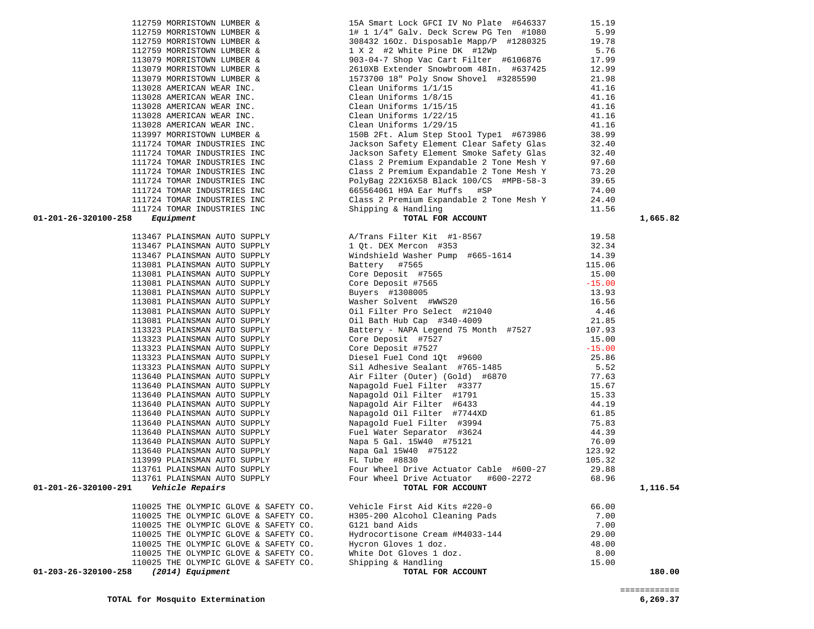| 112759 MORRISTOWN LUMBER &               | 1# 1 1/4" Galv. Deck Screw PG Ten #1080 5.99                                                                                                                                                                                                 |       |          |
|------------------------------------------|----------------------------------------------------------------------------------------------------------------------------------------------------------------------------------------------------------------------------------------------|-------|----------|
|                                          |                                                                                                                                                                                                                                              |       |          |
|                                          |                                                                                                                                                                                                                                              |       |          |
|                                          |                                                                                                                                                                                                                                              |       |          |
|                                          |                                                                                                                                                                                                                                              |       |          |
|                                          |                                                                                                                                                                                                                                              |       |          |
|                                          |                                                                                                                                                                                                                                              |       |          |
|                                          |                                                                                                                                                                                                                                              |       |          |
|                                          |                                                                                                                                                                                                                                              |       |          |
|                                          |                                                                                                                                                                                                                                              |       |          |
|                                          |                                                                                                                                                                                                                                              |       |          |
|                                          |                                                                                                                                                                                                                                              |       |          |
|                                          |                                                                                                                                                                                                                                              |       |          |
|                                          |                                                                                                                                                                                                                                              |       |          |
|                                          |                                                                                                                                                                                                                                              |       |          |
|                                          |                                                                                                                                                                                                                                              |       |          |
|                                          |                                                                                                                                                                                                                                              |       |          |
|                                          |                                                                                                                                                                                                                                              |       |          |
|                                          |                                                                                                                                                                                                                                              |       |          |
|                                          |                                                                                                                                                                                                                                              |       |          |
|                                          |                                                                                                                                                                                                                                              |       |          |
| 01-201-26-320100-258                     | 111724 TOMAR INDUSTRIES INC<br>111724 TOMAR INDUSTRIES INC<br>111724 TOMAR INDUSTRIES INC<br>111724 TOMAR INDUSTRIES INC<br>111724 TOMAR INDUSTRIES INC<br>111724 TOMAR INDUSTRIES INC<br>111724 TOMAR INDUSTRIES INC<br>111724 TOMAR INDUST |       | 1,665.82 |
|                                          |                                                                                                                                                                                                                                              |       |          |
|                                          |                                                                                                                                                                                                                                              |       |          |
|                                          |                                                                                                                                                                                                                                              |       |          |
|                                          |                                                                                                                                                                                                                                              |       |          |
|                                          |                                                                                                                                                                                                                                              |       |          |
|                                          |                                                                                                                                                                                                                                              |       |          |
|                                          |                                                                                                                                                                                                                                              |       |          |
|                                          |                                                                                                                                                                                                                                              |       |          |
|                                          |                                                                                                                                                                                                                                              |       |          |
|                                          |                                                                                                                                                                                                                                              |       |          |
|                                          |                                                                                                                                                                                                                                              |       |          |
|                                          |                                                                                                                                                                                                                                              |       |          |
|                                          |                                                                                                                                                                                                                                              |       |          |
|                                          |                                                                                                                                                                                                                                              |       |          |
|                                          |                                                                                                                                                                                                                                              |       |          |
|                                          |                                                                                                                                                                                                                                              |       |          |
|                                          |                                                                                                                                                                                                                                              |       |          |
|                                          |                                                                                                                                                                                                                                              |       |          |
|                                          |                                                                                                                                                                                                                                              |       |          |
|                                          |                                                                                                                                                                                                                                              |       |          |
|                                          |                                                                                                                                                                                                                                              |       |          |
|                                          |                                                                                                                                                                                                                                              |       |          |
|                                          |                                                                                                                                                                                                                                              |       |          |
|                                          |                                                                                                                                                                                                                                              |       |          |
|                                          |                                                                                                                                                                                                                                              |       |          |
|                                          |                                                                                                                                                                                                                                              |       |          |
|                                          |                                                                                                                                                                                                                                              |       |          |
|                                          |                                                                                                                                                                                                                                              |       |          |
|                                          |                                                                                                                                                                                                                                              |       | 1,116.54 |
|                                          | Vehicle First Aid Kits #220-0                                                                                                                                                                                                                | 66.00 |          |
| 110025 THE OLYMPIC GLOVE & SAFETY CO.    |                                                                                                                                                                                                                                              |       |          |
| 110025 THE OLYMPIC GLOVE & SAFETY CO.    | H305-200 Alcohol Cleaning Pads<br>G121 band Aids                                                                                                                                                                                             | 7.00  |          |
| 110025 THE OLYMPIC GLOVE & SAFETY CO.    |                                                                                                                                                                                                                                              | 7.00  |          |
| 110025 THE OLYMPIC GLOVE & SAFETY CO.    | Hydrocortisone Cream #M4033-144                                                                                                                                                                                                              | 29.00 |          |
| 110025 THE OLYMPIC GLOVE & SAFETY CO.    | Hycron Gloves 1 doz.                                                                                                                                                                                                                         | 48.00 |          |
| 110025 THE OLYMPIC GLOVE & SAFETY CO.    | White Dot Gloves 1 doz.                                                                                                                                                                                                                      | 8.00  |          |
| 110025 THE OLYMPIC GLOVE & SAFETY CO.    | Shipping & Handling                                                                                                                                                                                                                          | 15.00 |          |
| (2014) Equipment<br>01-203-26-320100-258 | TOTAL FOR ACCOUNT                                                                                                                                                                                                                            |       | 180.00   |
|                                          |                                                                                                                                                                                                                                              |       |          |

112759 MORRISTOWN LUMBER & 15A Smart Lock GFCI IV No Plate #646337 15.19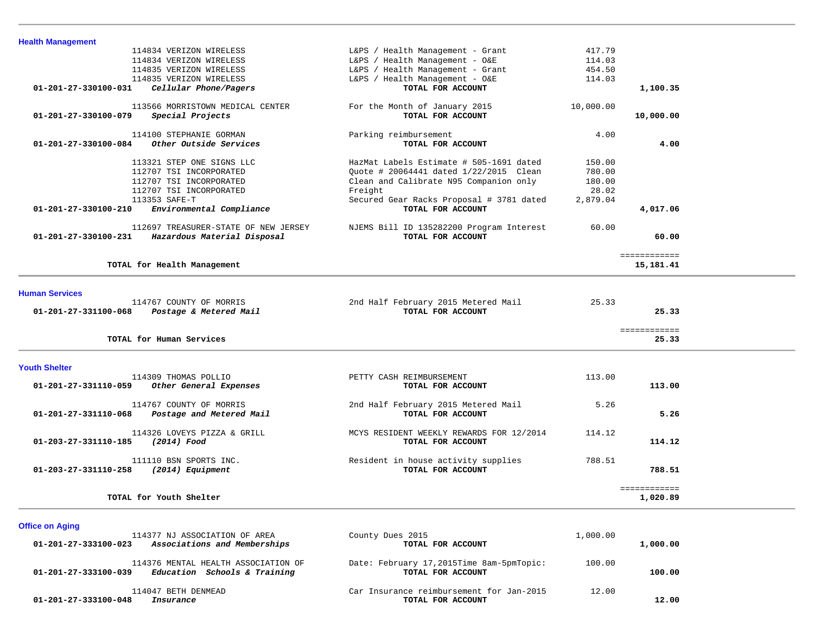| <b>Health Management</b>                                               |                                                               |           |              |  |
|------------------------------------------------------------------------|---------------------------------------------------------------|-----------|--------------|--|
| 114834 VERIZON WIRELESS                                                | L&PS / Health Management - Grant                              | 417.79    |              |  |
| 114834 VERIZON WIRELESS                                                | L&PS / Health Management - O&E                                | 114.03    |              |  |
| 114835 VERIZON WIRELESS                                                | L&PS / Health Management - Grant                              | 454.50    |              |  |
| 114835 VERIZON WIRELESS                                                | L&PS / Health Management - O&E                                | 114.03    |              |  |
| Cellular Phone/Pagers<br>01-201-27-330100-031                          | TOTAL FOR ACCOUNT                                             |           | 1,100.35     |  |
| 113566 MORRISTOWN MEDICAL CENTER                                       | For the Month of January 2015                                 | 10,000.00 |              |  |
| Special Projects<br>01-201-27-330100-079                               | TOTAL FOR ACCOUNT                                             |           | 10,000.00    |  |
| 114100 STEPHANIE GORMAN                                                | Parking reimbursement                                         | 4.00      |              |  |
| Other Outside Services<br>01-201-27-330100-084                         | TOTAL FOR ACCOUNT                                             |           | 4.00         |  |
| 113321 STEP ONE SIGNS LLC                                              | HazMat Labels Estimate # 505-1691 dated                       | 150.00    |              |  |
| 112707 TSI INCORPORATED                                                | Quote # 20064441 dated 1/22/2015 Clean                        | 780.00    |              |  |
| 112707 TSI INCORPORATED                                                | Clean and Calibrate N95 Companion only                        | 180.00    |              |  |
| 112707 TSI INCORPORATED                                                | Freight                                                       | 28.02     |              |  |
| 113353 SAFE-T                                                          | Secured Gear Racks Proposal # 3781 dated                      | 2,879.04  |              |  |
| 01-201-27-330100-210<br>Environmental Compliance                       | TOTAL FOR ACCOUNT                                             |           | 4,017.06     |  |
| 112697 TREASURER-STATE OF NEW JERSEY                                   | NJEMS Bill ID 135282200 Program Interest                      | 60.00     |              |  |
| 01-201-27-330100-231<br>Hazardous Material Disposal                    | TOTAL FOR ACCOUNT                                             |           | 60.00        |  |
|                                                                        |                                                               |           | ============ |  |
| TOTAL for Health Management                                            |                                                               |           | 15,181.41    |  |
|                                                                        |                                                               |           |              |  |
|                                                                        |                                                               |           |              |  |
| <b>Human Services</b>                                                  |                                                               |           |              |  |
| 114767 COUNTY OF MORRIS<br>01-201-27-331100-068                        | 2nd Half February 2015 Metered Mail<br>TOTAL FOR ACCOUNT      | 25.33     | 25.33        |  |
| Postage & Metered Mail                                                 |                                                               |           |              |  |
|                                                                        |                                                               |           | ============ |  |
| TOTAL for Human Services                                               |                                                               |           | 25.33        |  |
|                                                                        |                                                               |           |              |  |
| <b>Youth Shelter</b>                                                   |                                                               |           |              |  |
| 114309 THOMAS POLLIO<br>01-201-27-331110-059<br>Other General Expenses | PETTY CASH REIMBURSEMENT<br>TOTAL FOR ACCOUNT                 | 113.00    | 113.00       |  |
|                                                                        |                                                               |           |              |  |
| 114767 COUNTY OF MORRIS                                                | 2nd Half February 2015 Metered Mail                           | 5.26      |              |  |
| Postage and Metered Mail<br>01-201-27-331110-068                       | TOTAL FOR ACCOUNT                                             |           | 5.26         |  |
|                                                                        |                                                               |           |              |  |
| 114326 LOVEYS PIZZA & GRILL<br>01-203-27-331110-185<br>(2014) Food     | MCYS RESIDENT WEEKLY REWARDS FOR 12/2014<br>TOTAL FOR ACCOUNT | 114.12    | 114.12       |  |
|                                                                        |                                                               |           |              |  |
| 111110 BSN SPORTS INC.                                                 | Resident in house activity supplies                           | 788.51    |              |  |
| 01-203-27-331110-258<br>(2014) Equipment                               | TOTAL FOR ACCOUNT                                             |           | 788.51       |  |
|                                                                        |                                                               |           | ============ |  |
| TOTAL for Youth Shelter                                                |                                                               |           | 1,020.89     |  |

-

-

| 114377 NJ ASSOCIATION OF AREA                                                               | County Dues 2015                                              | 1,000.00 |          |
|---------------------------------------------------------------------------------------------|---------------------------------------------------------------|----------|----------|
| Associations and Memberships<br>01-201-27-333100-023                                        | TOTAL FOR ACCOUNT                                             |          | 1,000.00 |
| 114376 MENTAL HEALTH ASSOCIATION OF<br>Education Schools & Training<br>01-201-27-333100-039 | Date: February 17,2015Time 8am-5pmTopic:<br>TOTAL FOR ACCOUNT | 100.00   | 100.00   |
| 114047 BETH DENMEAD                                                                         | Car Insurance reimbursement for Jan-2015                      | 12.00    |          |
| 01-201-27-333100-048<br>Insurance                                                           | TOTAL FOR ACCOUNT                                             |          | 12.00    |

**Office on Aging**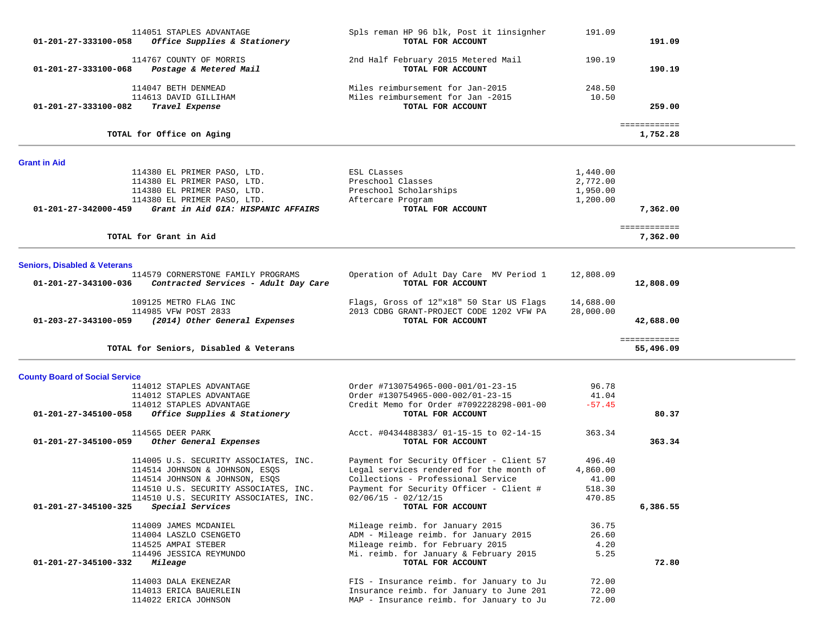| 01-201-27-333100-058                    | 114051 STAPLES ADVANTAGE<br>Office Supplies & Stationery   | Spls reman HP 96 blk, Post it linsignher<br>TOTAL FOR ACCOUNT | 191.09               | 191.09                    |  |
|-----------------------------------------|------------------------------------------------------------|---------------------------------------------------------------|----------------------|---------------------------|--|
| 01-201-27-333100-068                    | 114767 COUNTY OF MORRIS<br>Postage & Metered Mail          | 2nd Half February 2015 Metered Mail<br>TOTAL FOR ACCOUNT      | 190.19               | 190.19                    |  |
|                                         | 114047 BETH DENMEAD                                        | Miles reimbursement for Jan-2015                              | 248.50               |                           |  |
|                                         | 114613 DAVID GILLIHAM                                      | Miles reimbursement for Jan -2015                             | 10.50                |                           |  |
| 01-201-27-333100-082                    | Travel Expense                                             | TOTAL FOR ACCOUNT                                             |                      | 259.00                    |  |
|                                         | TOTAL for Office on Aging                                  |                                                               |                      | ============<br>1,752.28  |  |
| <b>Grant in Aid</b>                     |                                                            |                                                               |                      |                           |  |
|                                         | 114380 EL PRIMER PASO, LTD.                                | ESL CLasses                                                   | 1,440.00             |                           |  |
|                                         | 114380 EL PRIMER PASO, LTD.<br>114380 EL PRIMER PASO, LTD. | Preschool Classes<br>Preschool Scholarships                   | 2,772.00             |                           |  |
|                                         | 114380 EL PRIMER PASO, LTD.                                | Aftercare Program                                             | 1,950.00<br>1,200.00 |                           |  |
| 01-201-27-342000-459                    | Grant in Aid GIA: HISPANIC AFFAIRS                         | TOTAL FOR ACCOUNT                                             |                      | 7,362.00                  |  |
|                                         | TOTAL for Grant in Aid                                     |                                                               |                      | ============<br>7,362.00  |  |
|                                         |                                                            |                                                               |                      |                           |  |
| <b>Seniors, Disabled &amp; Veterans</b> | 114579 CORNERSTONE FAMILY PROGRAMS                         |                                                               | 12,808.09            |                           |  |
| 01-201-27-343100-036                    | Contracted Services - Adult Day Care                       | Operation of Adult Day Care MV Period 1<br>TOTAL FOR ACCOUNT  |                      | 12,808.09                 |  |
|                                         | 109125 METRO FLAG INC                                      | Flags, Gross of 12"x18" 50 Star US Flags                      | 14,688.00            |                           |  |
|                                         | 114985 VFW POST 2833                                       | 2013 CDBG GRANT-PROJECT CODE 1202 VFW PA                      | 28,000.00            |                           |  |
|                                         | 01-203-27-343100-059 (2014) Other General Expenses         | TOTAL FOR ACCOUNT                                             |                      | 42,688.00                 |  |
|                                         | TOTAL for Seniors, Disabled & Veterans                     |                                                               |                      | ============<br>55,496.09 |  |
| <b>County Board of Social Service</b>   |                                                            |                                                               |                      |                           |  |
|                                         | 114012 STAPLES ADVANTAGE                                   | Order #7130754965-000-001/01-23-15                            | 96.78                |                           |  |
|                                         | 114012 STAPLES ADVANTAGE                                   | Order #130754965-000-002/01-23-15                             | 41.04                |                           |  |
|                                         | 114012 STAPLES ADVANTAGE                                   | Credit Memo for Order #7092228298-001-00                      | $-57.45$             |                           |  |
| 01-201-27-345100-058                    | Office Supplies & Stationery                               | TOTAL FOR ACCOUNT                                             |                      | 80.37                     |  |
|                                         | 114565 DEER PARK                                           | Acct. #0434488383/ 01-15-15 to 02-14-15                       | 363.34               |                           |  |
| 01-201-27-345100-059                    | Other General Expenses                                     | TOTAL FOR ACCOUNT                                             |                      | 363.34                    |  |
|                                         | 114005 U.S. SECURITY ASSOCIATES, INC.                      | Payment for Security Officer - Client 57                      | 496.40               |                           |  |
|                                         | 114514 JOHNSON & JOHNSON, ESQS                             | Legal services rendered for the month of                      | 4,860.00             |                           |  |
|                                         | 114514 JOHNSON & JOHNSON, ESQS                             | Collections - Professional Service                            | 41.00                |                           |  |
|                                         | 114510 U.S. SECURITY ASSOCIATES, INC.                      | Payment for Security Officer - Client #                       | 518.30               |                           |  |
| 01-201-27-345100-325                    | 114510 U.S. SECURITY ASSOCIATES, INC.<br>Special Services  | $02/06/15 - 02/12/15$<br>TOTAL FOR ACCOUNT                    | 470.85               | 6,386.55                  |  |
|                                         | 114009 JAMES MCDANIEL                                      | Mileage reimb. for January 2015                               | 36.75                |                           |  |
|                                         | 114004 LASZLO CSENGETO                                     | ADM - Mileage reimb. for January 2015                         | 26.60                |                           |  |
|                                         | 114525 AMPAI STEBER                                        | Mileage reimb. for February 2015                              | 4.20                 |                           |  |
|                                         | 114496 JESSICA REYMUNDO                                    | Mi. reimb. for January & February 2015<br>TOTAL FOR ACCOUNT   | 5.25                 |                           |  |
| 01-201-27-345100-332                    | Mileage                                                    |                                                               |                      | 72.80                     |  |
|                                         | 114003 DALA EKENEZAR                                       | FIS - Insurance reimb. for January to Ju                      | 72.00                |                           |  |
|                                         | 114013 ERICA BAUERLEIN                                     | Insurance reimb. for January to June 201                      | 72.00                |                           |  |
|                                         | 114022 ERICA JOHNSON                                       | MAP - Insurance reimb. for January to Ju                      | 72.00                |                           |  |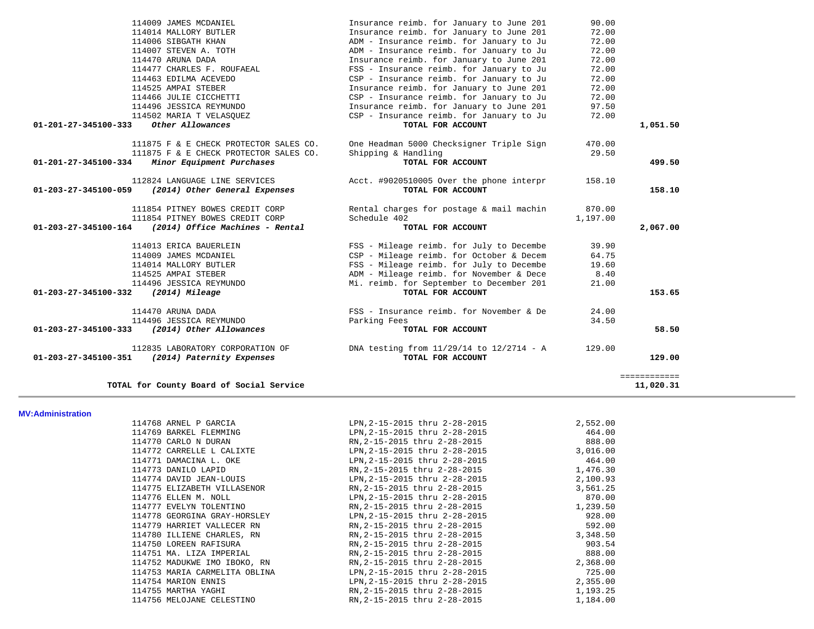| 114009 JAMES MCDANIEL                                   | Insurance reimb. for January to June 201     | 90.00    |                     |
|---------------------------------------------------------|----------------------------------------------|----------|---------------------|
| 114014 MALLORY BUTLER                                   | Insurance reimb. for January to June 201     | 72.00    |                     |
| 114006 SIBGATH KHAN                                     | ADM - Insurance reimb. for January to Ju     | 72.00    |                     |
| 114007 STEVEN A. TOTH                                   | ADM - Insurance reimb. for January to Ju     | 72.00    |                     |
| 114470 ARUNA DADA                                       | Insurance reimb. for January to June 201     | 72.00    |                     |
| 114477 CHARLES F. ROUFAEAL                              | FSS - Insurance reimb. for January to Ju     | 72.00    |                     |
| 114463 EDILMA ACEVEDO                                   | CSP - Insurance reimb. for January to Ju     | 72.00    |                     |
| 114525 AMPAI STEBER                                     | Insurance reimb. for January to June 201     | 72.00    |                     |
| 114466 JULIE CICCHETTI                                  | CSP - Insurance reimb. for January to Ju     | 72.00    |                     |
| 114496 JESSICA REYMUNDO                                 | Insurance reimb. for January to June 201     | 97.50    |                     |
| 114502 MARIA T VELASOUEZ                                | CSP - Insurance reimb. for January to Ju     | 72.00    |                     |
| Other Allowances<br>01-201-27-345100-333                | TOTAL FOR ACCOUNT                            |          | 1,051.50            |
| 111875 F & E CHECK PROTECTOR SALES CO.                  | One Headman 5000 Checksigner Triple Sign     | 470.00   |                     |
| 111875 F & E CHECK PROTECTOR SALES CO.                  | Shipping & Handling                          | 29.50    |                     |
| 01-201-27-345100-334<br>Minor Equipment Purchases       | TOTAL FOR ACCOUNT                            |          | 499.50              |
| 112824 LANGUAGE LINE SERVICES                           | Acct. #9020510005 Over the phone interpr     | 158.10   |                     |
| 01-203-27-345100-059<br>(2014) Other General Expenses   | TOTAL FOR ACCOUNT                            |          | 158.10              |
| 111854 PITNEY BOWES CREDIT CORP                         | Rental charges for postage & mail machin     | 870.00   |                     |
| 111854 PITNEY BOWES CREDIT CORP                         | Schedule 402                                 | 1,197.00 |                     |
| 01-203-27-345100-164<br>(2014) Office Machines - Rental | TOTAL FOR ACCOUNT                            |          | 2,067.00            |
| 114013 ERICA BAUERLEIN                                  | FSS - Mileage reimb. for July to Decembe     | 39.90    |                     |
| 114009 JAMES MCDANIEL                                   | CSP - Mileage reimb. for October & Decem     | 64.75    |                     |
| 114014 MALLORY BUTLER                                   | FSS - Mileage reimb. for July to Decembe     | 19.60    |                     |
| 114525 AMPAI STEBER                                     | ADM - Mileage reimb. for November & Dece     | 8.40     |                     |
| 114496 JESSICA REYMUNDO                                 | Mi. reimb. for September to December 201     | 21.00    |                     |
| 01-203-27-345100-332<br>(2014) Mileage                  | TOTAL FOR ACCOUNT                            |          | 153.65              |
| 114470 ARUNA DADA                                       | FSS - Insurance reimb. for November & De     | 24.00    |                     |
| 114496 JESSICA REYMUNDO                                 | Parking Fees                                 | 34.50    |                     |
| (2014) Other Allowances<br>01-203-27-345100-333         | TOTAL FOR ACCOUNT                            |          | 58.50               |
| 112835 LABORATORY CORPORATION OF                        | DNA testing from $11/29/14$ to $12/2714 - A$ | 129.00   |                     |
| 01-203-27-345100-351<br>(2014) Paternity Expenses       | TOTAL FOR ACCOUNT                            |          | 129.00              |
|                                                         |                                              |          | <b>BEBBEBBBBBBB</b> |
| TOTAL for County Board of Social Service                |                                              |          | 11,020.31           |

**MV:Administration** 

| 114768 ARNEL P GARCIA         | LPN,2-15-2015 thru 2-28-2015  | 2,552.00 |
|-------------------------------|-------------------------------|----------|
| 114769 BARKEL FLEMMING        | LPN,2-15-2015 thru 2-28-2015  | 464.00   |
| 114770 CARLO N DURAN          | RN, 2-15-2015 thru 2-28-2015  | 888.00   |
| 114772 CARRELLE L CALIXTE     | LPN, 2-15-2015 thru 2-28-2015 | 3,016.00 |
| 114771 DAMACINA L. OKE        | LPN, 2-15-2015 thru 2-28-2015 | 464.00   |
| 114773 DANILO LAPID           | RN,2-15-2015 thru 2-28-2015   | 1,476.30 |
| 114774 DAVID JEAN-LOUIS       | LPN,2-15-2015 thru 2-28-2015  | 2,100.93 |
| 114775 ELIZABETH VILLASENOR   | RN,2-15-2015 thru 2-28-2015   | 3,561.25 |
| 114776 ELLEN M. NOLL          | LPN, 2-15-2015 thru 2-28-2015 | 870.00   |
| 114777 EVELYN TOLENTINO       | RN,2-15-2015 thru 2-28-2015   | 1,239.50 |
| 114778 GEORGINA GRAY-HORSLEY  | LPN, 2-15-2015 thru 2-28-2015 | 928.00   |
| 114779 HARRIET VALLECER RN    | RN,2-15-2015 thru 2-28-2015   | 592.00   |
| 114780 ILLIENE CHARLES, RN    | RN,2-15-2015 thru 2-28-2015   | 3,348.50 |
| 114750 LOREEN RAFISURA        | RN,2-15-2015 thru 2-28-2015   | 903.54   |
| 114751 MA. LIZA IMPERIAL      | RN,2-15-2015 thru 2-28-2015   | 888.00   |
| 114752 MADUKWE IMO IBOKO, RN  | RN,2-15-2015 thru 2-28-2015   | 2,368.00 |
| 114753 MARIA CARMELITA OBLINA | LPN, 2-15-2015 thru 2-28-2015 | 725.00   |
| 114754 MARION ENNIS           | LPN, 2-15-2015 thru 2-28-2015 | 2,355.00 |
| 114755 MARTHA YAGHI           | RN,2-15-2015 thru 2-28-2015   | 1,193.25 |
| 114756 MELOJANE CELESTINO     | RN, 2-15-2015 thru 2-28-2015  | 1,184.00 |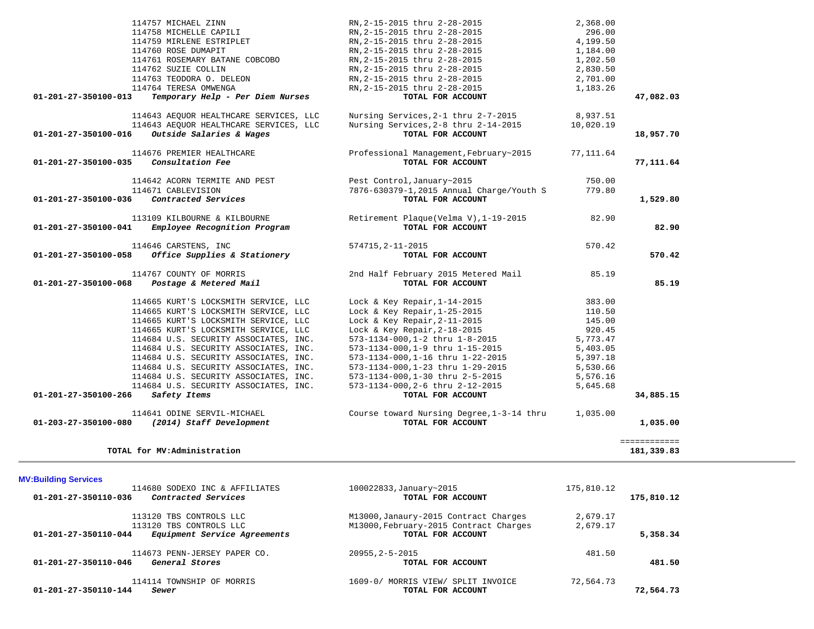| 01-201-27-350100-036           | 114671 CABLEVISION<br>Contracted Services                    | 7876-630379-1,2015 Annual Charge/Youth S<br>TOTAL FOR ACCOUNT | 779.80     | 1,529.80     |
|--------------------------------|--------------------------------------------------------------|---------------------------------------------------------------|------------|--------------|
| 01-201-27-350100-041           | 113109 KILBOURNE & KILBOURNE<br>Employee Recognition Program | Retirement Plaque(Velma V), 1-19-2015<br>TOTAL FOR ACCOUNT    | 82.90      | 82.90        |
| 01-201-27-350100-058           | 114646 CARSTENS, INC<br>Office Supplies & Stationery         | 574715, 2-11-2015<br>TOTAL FOR ACCOUNT                        | 570.42     | 570.42       |
|                                |                                                              |                                                               |            |              |
| 01-201-27-350100-068           | 114767 COUNTY OF MORRIS<br>Postage & Metered Mail            | 2nd Half February 2015 Metered Mail<br>TOTAL FOR ACCOUNT      | 85.19      | 85.19        |
|                                |                                                              |                                                               |            |              |
|                                | 114665 KURT'S LOCKSMITH SERVICE, LLC                         | Lock & Key Repair, $1-14-2015$                                | 383.00     |              |
|                                | 114665 KURT'S LOCKSMITH SERVICE, LLC                         | Lock & Key Repair, $1-25-2015$                                | 110.50     |              |
|                                | 114665 KURT'S LOCKSMITH SERVICE, LLC                         | Lock & Key Repair, $2-11-2015$                                | 145.00     |              |
|                                | 114665 KURT'S LOCKSMITH SERVICE, LLC                         | Lock & Key Repair, $2-18-2015$                                | 920.45     |              |
|                                | 114684 U.S. SECURITY ASSOCIATES, INC.                        | 573-1134-000,1-2 thru 1-8-2015                                | 5,773.47   |              |
|                                | 114684 U.S. SECURITY ASSOCIATES, INC.                        | 573-1134-000,1-9 thru 1-15-2015                               | 5,403.05   |              |
|                                | 114684 U.S. SECURITY ASSOCIATES, INC.                        | 573-1134-000,1-16 thru 1-22-2015                              | 5,397.18   |              |
|                                | 114684 U.S. SECURITY ASSOCIATES, INC.                        | 573-1134-000, 1-23 thru 1-29-2015                             | 5,530.66   |              |
|                                | 114684 U.S. SECURITY ASSOCIATES, INC.                        | 573-1134-000,1-30 thru 2-5-2015                               | 5,576.16   |              |
|                                | 114684 U.S. SECURITY ASSOCIATES, INC.                        | 573-1134-000, 2-6 thru 2-12-2015                              | 5,645.68   |              |
| 01-201-27-350100-266           | Safety Items                                                 | TOTAL FOR ACCOUNT                                             |            | 34,885.15    |
|                                | 114641 ODINE SERVIL-MICHAEL                                  | Course toward Nursing Degree, 1-3-14 thru                     | 1,035.00   |              |
| $01 - 203 - 27 - 350100 - 080$ | (2014) Staff Development                                     | TOTAL FOR ACCOUNT                                             |            | 1,035.00     |
|                                |                                                              |                                                               |            | ============ |
|                                | TOTAL for MV:Administration                                  |                                                               |            | 181,339.83   |
|                                |                                                              |                                                               |            |              |
| <b>MV:Building Services</b>    | 114680 SODEXO INC & AFFILIATES                               | 100022833, January~2015                                       | 175,810.12 |              |
| 01-201-27-350110-036           | Contracted Services                                          | TOTAL FOR ACCOUNT                                             |            | 175,810.12   |
|                                | 113120 TBS CONTROLS LLC                                      | M13000, Janaury-2015 Contract Charges                         | 2,679.17   |              |
|                                | 113120 TBS CONTROLS LLC                                      | M13000, February-2015 Contract Charges                        | 2,679.17   |              |
| 01-201-27-350110-044           | Equipment Service Agreements                                 | TOTAL FOR ACCOUNT                                             |            | 5,358.34     |
|                                |                                                              | $20955, 2 - 5 - 2015$                                         | 481.50     |              |
|                                | 114673 PENN-JERSEY PAPER CO.                                 |                                                               |            |              |
| 01-201-27-350110-046           | General Stores                                               | TOTAL FOR ACCOUNT                                             |            | 481.50       |
| 01-201-27-350110-144           | 114114 TOWNSHIP OF MORRIS<br>Sewer                           | 1609-0/ MORRIS VIEW/ SPLIT INVOICE<br>TOTAL FOR ACCOUNT       | 72,564.73  | 72,564.73    |

 114757 MICHAEL ZINN RN,2-15-2015 thru 2-28-2015 2,368.00 114758 MICHELLE CAPILI RN,2-15-2015 thru 2-28-2015 296.00 114759 MIRLENE ESTRIPLET RN,2-15-2015 thru 2-28-2015 4,199.50 114760 ROSE DUMAPIT RN,2-15-2015 thru 2-28-2015 1,184.00 114761 ROSEMARY BATANE COBCOBO RN,2-15-2015 thru 2-28-2015 1,202.50 114762 SUZIE COLLIN RN,2-15-2015 thru 2-28-2015 2,830.50

 114643 AEQUOR HEALTHCARE SERVICES, LLC Nursing Services,2-1 thru 2-7-2015 8,937.51 114643 AEQUOR HEALTHCARE SERVICES, LLC Nursing Services,2-8 thru 2-14-2015 10,020.19  **01-201-27-350100-016** *Outside Salaries & Wages* **TOTAL FOR ACCOUNT 18,957.70**

 114676 PREMIER HEALTHCARE Professional Management,February~2015 77,111.64  **01-201-27-350100-035** *Consultation Fee* **TOTAL FOR ACCOUNT 77,111.64**

114642 ACORN TERMITE AND PEST Pest Control,January~2015 750.00

 **01-201-27-350100-013** *Temporary Help - Per Diem Nurses* **TOTAL FOR ACCOUNT 47,082.03**

 114763 TEODORA O. DELEON RN,2-15-2015 thru 2-28-2015 2,701.00 114764 TERESA OMWENGA RN,2-15-2015 thru 2-28-2015 1,183.26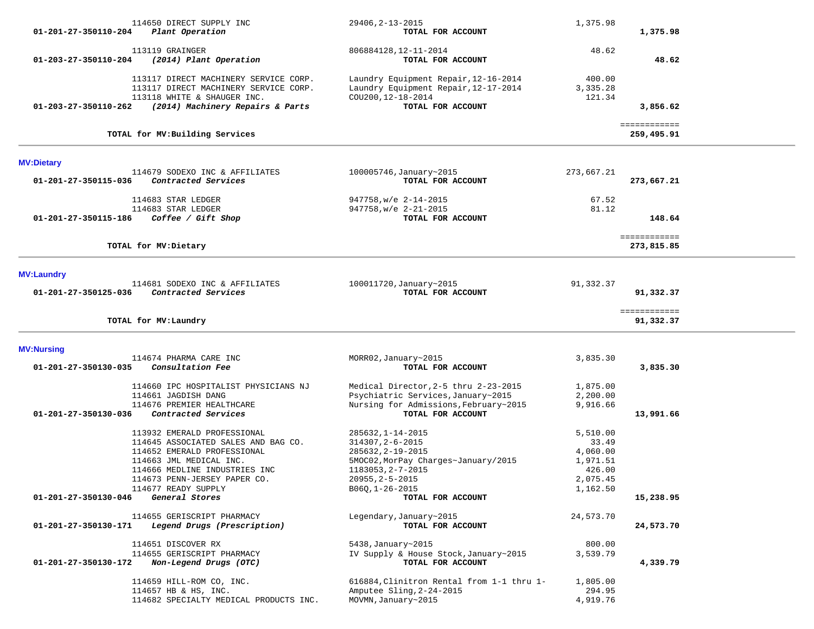| 01-201-27-350110-204 | 114650 DIRECT SUPPLY INC<br>Plant Operation                                                                                                                                                                          | 29406, 2-13-2015<br>TOTAL FOR ACCOUNT                                                                                                                                    | 1,375.98                                                                    | 1,375.98                   |  |
|----------------------|----------------------------------------------------------------------------------------------------------------------------------------------------------------------------------------------------------------------|--------------------------------------------------------------------------------------------------------------------------------------------------------------------------|-----------------------------------------------------------------------------|----------------------------|--|
| 01-203-27-350110-204 | 113119 GRAINGER<br>(2014) Plant Operation                                                                                                                                                                            | 806884128, 12-11-2014<br>TOTAL FOR ACCOUNT                                                                                                                               | 48.62                                                                       | 48.62                      |  |
| 01-203-27-350110-262 | 113117 DIRECT MACHINERY SERVICE CORP.<br>113117 DIRECT MACHINERY SERVICE CORP.<br>113118 WHITE & SHAUGER INC.                                                                                                        | Laundry Equipment Repair, 12-16-2014<br>Laundry Equipment Repair, 12-17-2014<br>COU200, 12-18-2014<br>TOTAL FOR ACCOUNT                                                  | 400.00<br>3,335.28<br>121.34                                                | 3,856.62                   |  |
|                      | (2014) Machinery Repairs & Parts                                                                                                                                                                                     |                                                                                                                                                                          |                                                                             |                            |  |
|                      | TOTAL for MV: Building Services                                                                                                                                                                                      |                                                                                                                                                                          |                                                                             | ============<br>259,495.91 |  |
| <b>MV:Dietary</b>    |                                                                                                                                                                                                                      |                                                                                                                                                                          |                                                                             |                            |  |
| 01-201-27-350115-036 | 114679 SODEXO INC & AFFILIATES<br>Contracted Services                                                                                                                                                                | 100005746, January~2015<br>TOTAL FOR ACCOUNT                                                                                                                             | 273,667.21                                                                  | 273,667.21                 |  |
| 01-201-27-350115-186 | 114683 STAR LEDGER<br>114683 STAR LEDGER                                                                                                                                                                             | 947758, w/e 2-14-2015<br>947758, w/e 2-21-2015                                                                                                                           | 67.52<br>81.12                                                              | 148.64                     |  |
|                      | Coffee / Gift Shop                                                                                                                                                                                                   | TOTAL FOR ACCOUNT                                                                                                                                                        |                                                                             |                            |  |
|                      | TOTAL for MV: Dietary                                                                                                                                                                                                |                                                                                                                                                                          |                                                                             | ============<br>273,815.85 |  |
| <b>MV:Laundry</b>    |                                                                                                                                                                                                                      |                                                                                                                                                                          |                                                                             |                            |  |
| 01-201-27-350125-036 | 114681 SODEXO INC & AFFILIATES<br>Contracted Services                                                                                                                                                                | 100011720, January~2015<br>TOTAL FOR ACCOUNT                                                                                                                             | 91,332.37                                                                   | 91,332.37                  |  |
|                      | TOTAL for MV: Laundry                                                                                                                                                                                                |                                                                                                                                                                          |                                                                             | ============<br>91,332.37  |  |
| <b>MV:Nursing</b>    |                                                                                                                                                                                                                      |                                                                                                                                                                          |                                                                             |                            |  |
| 01-201-27-350130-035 | 114674 PHARMA CARE INC<br>Consultation Fee                                                                                                                                                                           | MORR02, January~2015<br>TOTAL FOR ACCOUNT                                                                                                                                | 3,835.30                                                                    | 3,835.30                   |  |
|                      | 114660 IPC HOSPITALIST PHYSICIANS NJ<br>114661 JAGDISH DANG<br>114676 PREMIER HEALTHCARE                                                                                                                             | Medical Director, 2-5 thru 2-23-2015<br>Psychiatric Services, January~2015<br>Nursing for Admissions, February~2015                                                      | 1,875.00<br>2,200.00<br>9,916.66                                            |                            |  |
| 01-201-27-350130-036 | Contracted Services                                                                                                                                                                                                  | TOTAL FOR ACCOUNT                                                                                                                                                        |                                                                             | 13,991.66                  |  |
|                      | 113932 EMERALD PROFESSIONAL<br>114645 ASSOCIATED SALES AND BAG CO.<br>114652 EMERALD PROFESSIONAL<br>114663 JML MEDICAL INC.<br>114666 MEDLINE INDUSTRIES INC<br>114673 PENN-JERSEY PAPER CO.<br>114677 READY SUPPLY | 285632, 1-14-2015<br>314307, 2-6-2015<br>285632, 2-19-2015<br>5MOC02, MorPay Charges~January/2015<br>1183053, 2-7-2015<br>$20955, 2 - 5 - 2015$<br>$B06Q, 1 - 26 - 2015$ | 5,510.00<br>33.49<br>4,060.00<br>1,971.51<br>426.00<br>2,075.45<br>1,162.50 |                            |  |
| 01-201-27-350130-046 | General Stores                                                                                                                                                                                                       | TOTAL FOR ACCOUNT                                                                                                                                                        |                                                                             | 15,238.95                  |  |
| 01-201-27-350130-171 | 114655 GERISCRIPT PHARMACY<br>Legend Drugs (Prescription)                                                                                                                                                            | Legendary, January~2015<br>TOTAL FOR ACCOUNT                                                                                                                             | 24,573.70                                                                   | 24,573.70                  |  |
| 01-201-27-350130-172 | 114651 DISCOVER RX<br>114655 GERISCRIPT PHARMACY<br>Non-Legend Drugs (OTC)                                                                                                                                           | 5438, January~2015<br>IV Supply & House Stock, January~2015<br>TOTAL FOR ACCOUNT                                                                                         | 800.00<br>3,539.79                                                          | 4,339.79                   |  |
|                      | 114659 HILL-ROM CO, INC.<br>114657 HB & HS, INC.<br>114682 SPECIALTY MEDICAL PRODUCTS INC.                                                                                                                           | 616884, Clinitron Rental from 1-1 thru 1-<br>Amputee Sling, 2-24-2015<br>MOVMN, January~2015                                                                             | 1,805.00<br>294.95<br>4,919.76                                              |                            |  |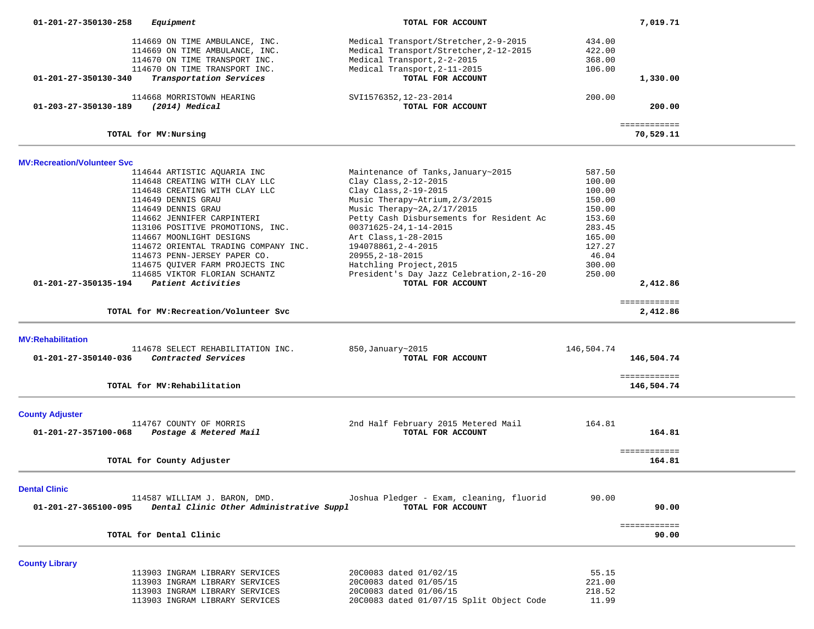| 01-201-27-350130-258               | Equipment                                                                                                                          | TOTAL FOR ACCOUNT                                                                                                                              |                                      | 7,019.71                  |  |
|------------------------------------|------------------------------------------------------------------------------------------------------------------------------------|------------------------------------------------------------------------------------------------------------------------------------------------|--------------------------------------|---------------------------|--|
|                                    | 114669 ON TIME AMBULANCE, INC.<br>114669 ON TIME AMBULANCE, INC.<br>114670 ON TIME TRANSPORT INC.<br>114670 ON TIME TRANSPORT INC. | Medical Transport/Stretcher, 2-9-2015<br>Medical Transport/Stretcher, 2-12-2015<br>Medical Transport, 2-2-2015<br>Medical Transport, 2-11-2015 | 434.00<br>422.00<br>368.00<br>106.00 |                           |  |
| 01-201-27-350130-340               | Transportation Services                                                                                                            | TOTAL FOR ACCOUNT                                                                                                                              |                                      | 1,330.00                  |  |
| 01-203-27-350130-189               | 114668 MORRISTOWN HEARING<br>(2014) Medical                                                                                        | SVI1576352, 12-23-2014<br>TOTAL FOR ACCOUNT                                                                                                    | 200.00                               | 200.00                    |  |
|                                    | TOTAL for MV: Nursing                                                                                                              |                                                                                                                                                |                                      | ============<br>70,529.11 |  |
| <b>MV:Recreation/Volunteer Svc</b> |                                                                                                                                    |                                                                                                                                                |                                      |                           |  |
|                                    | 114644 ARTISTIC AQUARIA INC                                                                                                        | Maintenance of Tanks, January~2015                                                                                                             | 587.50                               |                           |  |
|                                    | 114648 CREATING WITH CLAY LLC                                                                                                      | Clay Class, 2-12-2015                                                                                                                          | 100.00                               |                           |  |
|                                    | 114648 CREATING WITH CLAY LLC                                                                                                      | Clay Class, 2-19-2015                                                                                                                          | 100.00                               |                           |  |
|                                    | 114649 DENNIS GRAU                                                                                                                 | Music Therapy~Atrium, 2/3/2015                                                                                                                 | 150.00                               |                           |  |
|                                    | 114649 DENNIS GRAU                                                                                                                 | Music Therapy~2A, 2/17/2015                                                                                                                    | 150.00                               |                           |  |
|                                    | 114662 JENNIFER CARPINTERI                                                                                                         | Petty Cash Disbursements for Resident Ac                                                                                                       | 153.60                               |                           |  |
|                                    | 113106 POSITIVE PROMOTIONS, INC.                                                                                                   | $00371625 - 24, 1 - 14 - 2015$                                                                                                                 | 283.45                               |                           |  |
|                                    | 114667 MOONLIGHT DESIGNS                                                                                                           | Art Class, 1-28-2015                                                                                                                           | 165.00                               |                           |  |
|                                    | 114672 ORIENTAL TRADING COMPANY INC.                                                                                               | 194078861, 2-4-2015                                                                                                                            | 127.27                               |                           |  |
|                                    | 114673 PENN-JERSEY PAPER CO.                                                                                                       | 20955, 2-18-2015                                                                                                                               | 46.04                                |                           |  |
|                                    | 114675 QUIVER FARM PROJECTS INC                                                                                                    | Hatchling Project, 2015                                                                                                                        | 300.00                               |                           |  |
|                                    | 114685 VIKTOR FLORIAN SCHANTZ                                                                                                      | President's Day Jazz Celebration, 2-16-20                                                                                                      | 250.00                               |                           |  |
| 01-201-27-350135-194               | Patient Activities                                                                                                                 | TOTAL FOR ACCOUNT                                                                                                                              |                                      | 2,412.86                  |  |
|                                    |                                                                                                                                    |                                                                                                                                                |                                      | ============              |  |
|                                    | TOTAL for MV: Recreation/Volunteer Svc                                                                                             |                                                                                                                                                |                                      | 2,412.86                  |  |
| <b>MV:Rehabilitation</b>           |                                                                                                                                    |                                                                                                                                                |                                      |                           |  |
|                                    | 114678 SELECT REHABILITATION INC.                                                                                                  | 850, January~2015                                                                                                                              | 146,504.74                           |                           |  |
| 01-201-27-350140-036               | Contracted Services                                                                                                                | TOTAL FOR ACCOUNT                                                                                                                              |                                      | 146,504.74                |  |
|                                    |                                                                                                                                    |                                                                                                                                                |                                      | ============              |  |
|                                    | TOTAL for MV: Rehabilitation                                                                                                       |                                                                                                                                                |                                      | 146,504.74                |  |
| <b>County Adjuster</b>             |                                                                                                                                    |                                                                                                                                                |                                      |                           |  |
|                                    | 114767 COUNTY OF MORRIS                                                                                                            | 2nd Half February 2015 Metered Mail                                                                                                            | 164.81                               |                           |  |
| 01-201-27-357100-068               | Postage & Metered Mail                                                                                                             | TOTAL FOR ACCOUNT                                                                                                                              |                                      | 164.81                    |  |
|                                    |                                                                                                                                    |                                                                                                                                                |                                      | ============              |  |
|                                    | TOTAL for County Adjuster                                                                                                          |                                                                                                                                                |                                      | 164.81                    |  |
| <b>Dental Clinic</b>               |                                                                                                                                    |                                                                                                                                                |                                      |                           |  |
|                                    | 114587 WILLIAM J. BARON, DMD.                                                                                                      | Joshua Pledger - Exam, cleaning, fluorid                                                                                                       | 90.00                                |                           |  |
| 01-201-27-365100-095               | Dental Clinic Other Administrative Suppl                                                                                           | TOTAL FOR ACCOUNT                                                                                                                              |                                      | 90.00                     |  |
|                                    | TOTAL for Dental Clinic                                                                                                            |                                                                                                                                                |                                      | ============<br>90.00     |  |
|                                    |                                                                                                                                    |                                                                                                                                                |                                      |                           |  |
| <b>County Library</b>              |                                                                                                                                    |                                                                                                                                                |                                      |                           |  |
|                                    | 113903 INGRAM LIBRARY SERVICES                                                                                                     | 20C0083 dated 01/02/15                                                                                                                         | 55.15                                |                           |  |
|                                    | 113903 INGRAM LIBRARY SERVICES                                                                                                     | 20C0083 dated 01/05/15                                                                                                                         | 221.00                               |                           |  |
|                                    | 113903 INGRAM LIBRARY SERVICES                                                                                                     | 20C0083 dated 01/06/15                                                                                                                         | 218.52                               |                           |  |
|                                    | 113903 INGRAM LIBRARY SERVICES                                                                                                     | 20C0083 dated 01/07/15 Split Object Code                                                                                                       | 11.99                                |                           |  |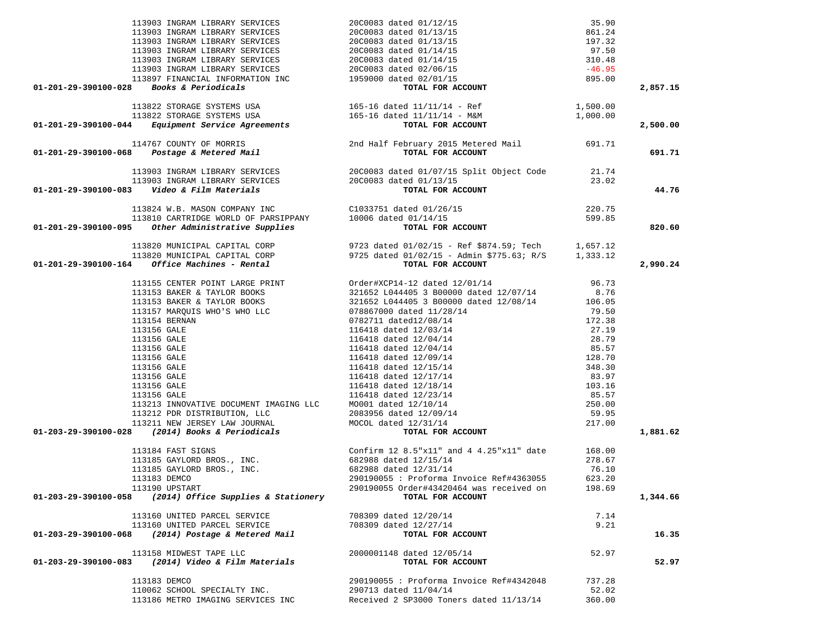| 01-201-29-390100-028 Books & Periodicals                                                                                                                                                                                                          |                                                                                                                                                                                                                                                                                                                            |        | 2,857.15 |
|---------------------------------------------------------------------------------------------------------------------------------------------------------------------------------------------------------------------------------------------------|----------------------------------------------------------------------------------------------------------------------------------------------------------------------------------------------------------------------------------------------------------------------------------------------------------------------------|--------|----------|
|                                                                                                                                                                                                                                                   |                                                                                                                                                                                                                                                                                                                            |        |          |
|                                                                                                                                                                                                                                                   |                                                                                                                                                                                                                                                                                                                            |        |          |
| 113822 STORAGE SYSTEMS USA 165-16 dated 11/11/14 - Ref 1500.00<br>113822 STORAGE SYSTEMS USA 165-16 dated 11/11/14 - M&M 1,000.00<br>1,000.00 165-16 dated 11/11/14 - M&M 1,000.00                                                                |                                                                                                                                                                                                                                                                                                                            |        | 2,500.00 |
| 114767 COUNTY OF MORRIS 2nd Half February 2015 Metered Mail 691.71<br>114767 COUNTY OF MORRIS 2nd Half February 2015 Metered Mail 691.71                                                                                                          |                                                                                                                                                                                                                                                                                                                            |        |          |
|                                                                                                                                                                                                                                                   |                                                                                                                                                                                                                                                                                                                            |        | 691.71   |
| 113903 INGRAM LIBRARY SERVICES<br>113903 INGRAM LIBRARY SERVICES<br>113903 INGRAM LIBRARY SERVICES<br>2000083 dated 01/13/15<br><b>12901-201-29-390100-083</b> <i>Video &amp; Film Materials</i>                                                  |                                                                                                                                                                                                                                                                                                                            |        |          |
|                                                                                                                                                                                                                                                   |                                                                                                                                                                                                                                                                                                                            |        |          |
|                                                                                                                                                                                                                                                   |                                                                                                                                                                                                                                                                                                                            |        | 44.76    |
| 113824 W.B. MASON COMPANY INC COMBINER COMPASS CONSUMING CONSUMING CONSUMING CONSUMING TOTAL PORT OF PARSIPPANY CONSUMING TOTAL FOR ACCOUNT                                                                                                       |                                                                                                                                                                                                                                                                                                                            | 220.75 |          |
|                                                                                                                                                                                                                                                   |                                                                                                                                                                                                                                                                                                                            | 599.85 |          |
|                                                                                                                                                                                                                                                   | TOTAL FOR ACCOUNT                                                                                                                                                                                                                                                                                                          |        | 820.60   |
| 113820 MUNICIPAL CAPITAL CORP 9723 dated 01/02/15 - Ref \$874.59; Tech 1,657.12<br>113820 MUNICIPAL CAPITAL CORP 9725 dated 01/02/15 - Admin \$775.63; R/S 1,333.12<br><b>01-201-29-390100-164</b> Office Machines - Rental <b>101-201-800 TO</b> |                                                                                                                                                                                                                                                                                                                            |        |          |
|                                                                                                                                                                                                                                                   |                                                                                                                                                                                                                                                                                                                            |        |          |
|                                                                                                                                                                                                                                                   |                                                                                                                                                                                                                                                                                                                            |        | 2,990.24 |
|                                                                                                                                                                                                                                                   | 113155 CENTER POINT LARGE PRINT (113155 CENTER POINT LARGE PRINT (113153 BAKER & TAYLOR BOOKS 113153 BAKER & TAYLOR BOOKS 113153 BAKER & TAYLOR BOOKS 113153 BAKER & TAYLOR BOOKS 121652 L044405 3 B00000 dated 12/08/14 106.0                                                                                             |        |          |
|                                                                                                                                                                                                                                                   |                                                                                                                                                                                                                                                                                                                            |        |          |
|                                                                                                                                                                                                                                                   |                                                                                                                                                                                                                                                                                                                            |        |          |
|                                                                                                                                                                                                                                                   |                                                                                                                                                                                                                                                                                                                            |        |          |
|                                                                                                                                                                                                                                                   |                                                                                                                                                                                                                                                                                                                            |        |          |
|                                                                                                                                                                                                                                                   |                                                                                                                                                                                                                                                                                                                            |        |          |
|                                                                                                                                                                                                                                                   |                                                                                                                                                                                                                                                                                                                            |        |          |
|                                                                                                                                                                                                                                                   |                                                                                                                                                                                                                                                                                                                            |        |          |
|                                                                                                                                                                                                                                                   |                                                                                                                                                                                                                                                                                                                            |        |          |
|                                                                                                                                                                                                                                                   |                                                                                                                                                                                                                                                                                                                            |        |          |
|                                                                                                                                                                                                                                                   |                                                                                                                                                                                                                                                                                                                            |        |          |
|                                                                                                                                                                                                                                                   |                                                                                                                                                                                                                                                                                                                            |        |          |
|                                                                                                                                                                                                                                                   |                                                                                                                                                                                                                                                                                                                            |        |          |
|                                                                                                                                                                                                                                                   |                                                                                                                                                                                                                                                                                                                            |        |          |
|                                                                                                                                                                                                                                                   |                                                                                                                                                                                                                                                                                                                            |        |          |
|                                                                                                                                                                                                                                                   |                                                                                                                                                                                                                                                                                                                            |        | 1,881.62 |
| 113213 INNOVATIVE DOCUMENT IMAGING LLC<br>113212 PDR DISTRIBUTION, LLC<br>113211 NEW JERSEY LAW JOURNAL<br>113211 NEW JERSEY LAW JOURNAL<br>113211 NEW JERSEY LAW JOURNAL<br>113211 NEW JERSEY LAW JOURNAL<br>113211 NEW JERSEY LAW JOURNA        | $\begin{tabular}{l c c c c c} \hline 113153 BAKER & $TAYLOR BOKS & 321652 L044405 & 3 B00000 dated 12/08/14 & 106.05 \\ 113157 MAPQUIS WHO'S WHO LLC & 078867000 dated 11/28/14 & 79.50 \\ 113154 BERNAN & 0783711 dated 12/08/14 & 172.38 \\ 113156 GALE & 116418 dated 12/03/14 & 27.19 \\ 113156 GALE & 116418 dated 1$ |        |          |
|                                                                                                                                                                                                                                                   | 113184 FAST SIGNS<br>113185 GAYLORD BROS., INC. 682988 dated 12/15/14 278.67<br>113185 GAYLORD BROS., INC. 682988 dated 12/31/14 76.10                                                                                                                                                                                     |        |          |
|                                                                                                                                                                                                                                                   |                                                                                                                                                                                                                                                                                                                            |        |          |
|                                                                                                                                                                                                                                                   |                                                                                                                                                                                                                                                                                                                            |        |          |
| 113183 DEMCO                                                                                                                                                                                                                                      | 290190055 : Proforma Invoice Ref#4363055                                                                                                                                                                                                                                                                                   | 623.20 |          |
| 113190 UPSTART                                                                                                                                                                                                                                    | 290190055 Order#43420464 was received on                                                                                                                                                                                                                                                                                   | 198.69 |          |
| (2014) Office Supplies & Stationery<br>01-203-29-390100-058                                                                                                                                                                                       | TOTAL FOR ACCOUNT                                                                                                                                                                                                                                                                                                          |        | 1,344.66 |
| 113160 UNITED PARCEL SERVICE                                                                                                                                                                                                                      | 708309 dated 12/20/14                                                                                                                                                                                                                                                                                                      | 7.14   |          |
| 113160 UNITED PARCEL SERVICE                                                                                                                                                                                                                      | 708309 dated 12/27/14                                                                                                                                                                                                                                                                                                      | 9.21   |          |
| (2014) Postage & Metered Mail<br>01-203-29-390100-068                                                                                                                                                                                             | TOTAL FOR ACCOUNT                                                                                                                                                                                                                                                                                                          |        | 16.35    |
| 113158 MIDWEST TAPE LLC                                                                                                                                                                                                                           | 2000001148 dated 12/05/14                                                                                                                                                                                                                                                                                                  | 52.97  |          |
| (2014) Video & Film Materials<br>01-203-29-390100-083                                                                                                                                                                                             | TOTAL FOR ACCOUNT                                                                                                                                                                                                                                                                                                          |        | 52.97    |
| 113183 DEMCO                                                                                                                                                                                                                                      | 290190055 : Proforma Invoice Ref#4342048                                                                                                                                                                                                                                                                                   | 737.28 |          |
| 110062 SCHOOL SPECIALTY INC.                                                                                                                                                                                                                      | 290713 dated 11/04/14                                                                                                                                                                                                                                                                                                      | 52.02  |          |
| 113186 METRO IMAGING SERVICES INC                                                                                                                                                                                                                 | Received 2 SP3000 Toners dated 11/13/14                                                                                                                                                                                                                                                                                    | 360.00 |          |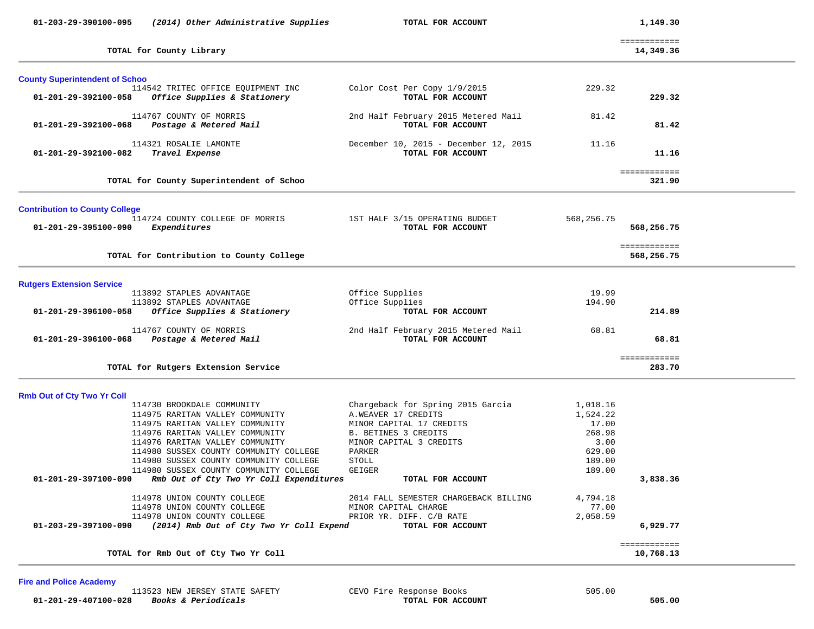| 01-203-29-390100-095                  | (2014) Other Administrative Supplies                                              | TOTAL FOR ACCOUNT                                          |            | 1,149.30                   |  |
|---------------------------------------|-----------------------------------------------------------------------------------|------------------------------------------------------------|------------|----------------------------|--|
|                                       | TOTAL for County Library                                                          |                                                            |            | ============<br>14,349.36  |  |
| <b>County Superintendent of Schoo</b> |                                                                                   |                                                            |            |                            |  |
| 01-201-29-392100-058                  | 114542 TRITEC OFFICE EOUIPMENT INC<br>Office Supplies & Stationery                | Color Cost Per Copy 1/9/2015<br>TOTAL FOR ACCOUNT          | 229.32     | 229.32                     |  |
| 01-201-29-392100-068                  | 114767 COUNTY OF MORRIS<br>Postage & Metered Mail                                 | 2nd Half February 2015 Metered Mail<br>TOTAL FOR ACCOUNT   | 81.42      | 81.42                      |  |
| 01-201-29-392100-082                  | 114321 ROSALIE LAMONTE<br>Travel Expense                                          | December 10, 2015 - December 12, 2015<br>TOTAL FOR ACCOUNT | 11.16      | 11.16                      |  |
|                                       | TOTAL for County Superintendent of Schoo                                          |                                                            |            | ============<br>321.90     |  |
| <b>Contribution to County College</b> |                                                                                   |                                                            |            |                            |  |
| 01-201-29-395100-090                  | 114724 COUNTY COLLEGE OF MORRIS<br>Expenditures                                   | 1ST HALF 3/15 OPERATING BUDGET<br>TOTAL FOR ACCOUNT        | 568,256.75 | 568,256.75                 |  |
|                                       | TOTAL for Contribution to County College                                          |                                                            |            | ============<br>568,256.75 |  |
| <b>Rutgers Extension Service</b>      |                                                                                   |                                                            |            |                            |  |
|                                       | 113892 STAPLES ADVANTAGE                                                          | Office Supplies                                            | 19.99      |                            |  |
|                                       | 113892 STAPLES ADVANTAGE                                                          | Office Supplies                                            | 194.90     |                            |  |
| 01-201-29-396100-058                  | Office Supplies & Stationery                                                      | TOTAL FOR ACCOUNT                                          |            | 214.89                     |  |
|                                       | 114767 COUNTY OF MORRIS                                                           |                                                            | 68.81      |                            |  |
| 01-201-29-396100-068                  | Postage & Metered Mail                                                            | 2nd Half February 2015 Metered Mail<br>TOTAL FOR ACCOUNT   |            | 68.81                      |  |
|                                       | TOTAL for Rutgers Extension Service                                               |                                                            |            | ============<br>283.70     |  |
| <b>Rmb Out of Cty Two Yr Coll</b>     |                                                                                   |                                                            |            |                            |  |
|                                       | 114730 BROOKDALE COMMUNITY                                                        | Chargeback for Spring 2015 Garcia                          | 1,018.16   |                            |  |
|                                       | 114975 RARITAN VALLEY COMMUNITY                                                   | A.WEAVER 17 CREDITS                                        | 1,524.22   |                            |  |
|                                       | 114975 RARITAN VALLEY COMMUNITY                                                   | MINOR CAPITAL 17 CREDITS                                   | 17.00      |                            |  |
|                                       | 114976 RARITAN VALLEY COMMUNITY                                                   | B. BETINES 3 CREDITS                                       | 268.98     |                            |  |
|                                       | 114976 RARITAN VALLEY COMMUNITY                                                   | MINOR CAPITAL 3 CREDITS                                    | 3.00       |                            |  |
|                                       | 114980 SUSSEX COUNTY COMMUNITY COLLEGE                                            | PARKER                                                     | 629.00     |                            |  |
|                                       | 114980 SUSSEX COUNTY COMMUNITY COLLEGE                                            | STOLL                                                      | 189.00     |                            |  |
| 01-201-29-397100-090                  | 114980 SUSSEX COUNTY COMMUNITY COLLEGE<br>Rmb Out of Cty Two Yr Coll Expenditures | GEIGER<br>TOTAL FOR ACCOUNT                                | 189.00     | 3,838.36                   |  |
|                                       |                                                                                   |                                                            |            |                            |  |
|                                       | 114978 UNION COUNTY COLLEGE                                                       | 2014 FALL SEMESTER CHARGEBACK BILLING                      | 4,794.18   |                            |  |
|                                       | 114978 UNION COUNTY COLLEGE                                                       | MINOR CAPITAL CHARGE                                       | 77.00      |                            |  |
|                                       | 114978 UNION COUNTY COLLEGE                                                       | PRIOR YR. DIFF. C/B RATE                                   | 2,058.59   |                            |  |
| 01-203-29-397100-090                  | (2014) Rmb Out of Cty Two Yr Coll Expend                                          | TOTAL FOR ACCOUNT                                          |            | 6,929.77                   |  |
|                                       |                                                                                   |                                                            |            | ============               |  |
|                                       | TOTAL for Rmb Out of Cty Two Yr Coll                                              |                                                            |            | 10,768.13                  |  |

# **Fire and Police Academy**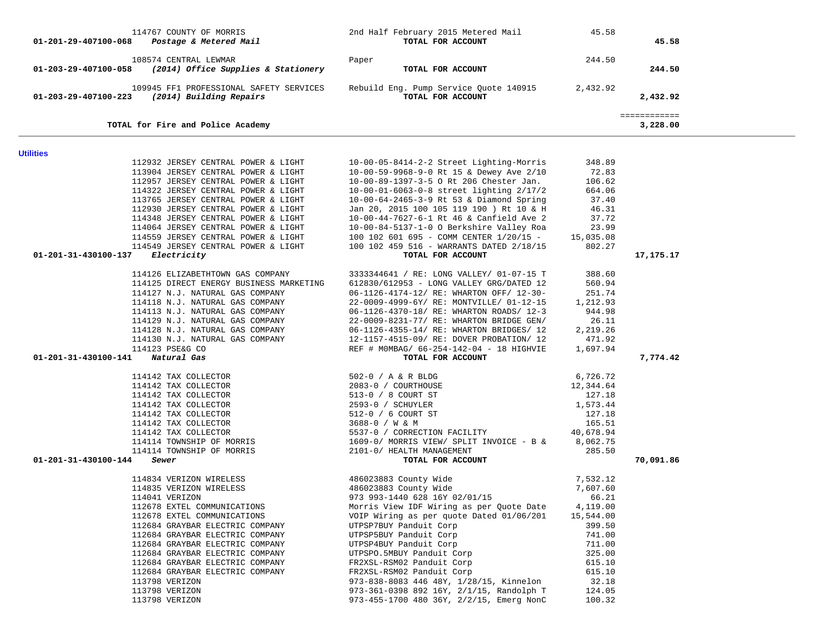| 01-201-29-407100-068             | Postage & Metered Mail                                                     | TOTAL FOR ACCOUNT                                                                    |                   | 45.58                    |  |
|----------------------------------|----------------------------------------------------------------------------|--------------------------------------------------------------------------------------|-------------------|--------------------------|--|
|                                  | 108574 CENTRAL LEWMAR                                                      |                                                                                      | 244.50            |                          |  |
| 01-203-29-407100-058             | (2014) Office Supplies & Stationery                                        | Paper<br>TOTAL FOR ACCOUNT                                                           |                   | 244.50                   |  |
|                                  | 109945 FF1 PROFESSIONAL SAFETY SERVICES                                    | Rebuild Eng. Pump Service Quote 140915                                               | 2,432.92          |                          |  |
| 01-203-29-407100-223             | (2014) Building Repairs                                                    | TOTAL FOR ACCOUNT                                                                    |                   | 2,432.92                 |  |
|                                  | TOTAL for Fire and Police Academy                                          |                                                                                      |                   | ============<br>3,228.00 |  |
|                                  |                                                                            |                                                                                      |                   |                          |  |
| <b>Utilities</b>                 |                                                                            |                                                                                      |                   |                          |  |
|                                  | 112932 JERSEY CENTRAL POWER & LIGHT<br>113904 JERSEY CENTRAL POWER & LIGHT | 10-00-05-8414-2-2 Street Lighting-Morris<br>10-00-59-9968-9-0 Rt 15 & Dewey Ave 2/10 | 348.89<br>72.83   |                          |  |
|                                  | 112957 JERSEY CENTRAL POWER & LIGHT                                        | 10-00-89-1397-3-5 0 Rt 206 Chester Jan.                                              | 106.62            |                          |  |
|                                  | 114322 JERSEY CENTRAL POWER & LIGHT                                        |                                                                                      |                   |                          |  |
|                                  |                                                                            | $10-00-01-6063-0-8$ street lighting $2/17/2$                                         | 664.06            |                          |  |
|                                  | 113765 JERSEY CENTRAL POWER & LIGHT                                        | 10-00-64-2465-3-9 Rt 53 & Diamond Spring                                             | 37.40             |                          |  |
|                                  | 112930 JERSEY CENTRAL POWER & LIGHT                                        | Jan 20, 2015 100 105 119 190 ) Rt 10 & H                                             | 46.31             |                          |  |
|                                  | 114348 JERSEY CENTRAL POWER & LIGHT                                        | 10-00-44-7627-6-1 Rt 46 & Canfield Ave 2                                             | 37.72             |                          |  |
|                                  | 114064 JERSEY CENTRAL POWER & LIGHT                                        | 10-00-84-5137-1-0 O Berkshire Valley Roa                                             | 23.99             |                          |  |
|                                  | 114559 JERSEY CENTRAL POWER & LIGHT                                        | 100 102 601 695 - COMM CENTER 1/20/15 -                                              | 15,035.08         |                          |  |
| 01-201-31-430100-137             | 114549 JERSEY CENTRAL POWER & LIGHT<br>Electricity                         | 100 102 459 516 - WARRANTS DATED 2/18/15<br>TOTAL FOR ACCOUNT                        | 802.27            | 17,175.17                |  |
|                                  |                                                                            |                                                                                      |                   |                          |  |
|                                  | 114126 ELIZABETHTOWN GAS COMPANY                                           | 3333344641 / RE: LONG VALLEY/ 01-07-15 T                                             | 388.60            |                          |  |
|                                  | 114125 DIRECT ENERGY BUSINESS MARKETING                                    | 612830/612953 - LONG VALLEY GRG/DATED 12                                             | 560.94            |                          |  |
|                                  | 114127 N.J. NATURAL GAS COMPANY                                            | 06-1126-4174-12/ RE: WHARTON OFF/ 12-30-                                             | 251.74            |                          |  |
|                                  | 114118 N.J. NATURAL GAS COMPANY                                            | 22-0009-4999-6Y/ RE: MONTVILLE/ 01-12-15                                             | 1,212.93          |                          |  |
|                                  | 114113 N.J. NATURAL GAS COMPANY                                            | 06-1126-4370-18/ RE: WHARTON ROADS/ 12-3                                             | 944.98            |                          |  |
|                                  | 114129 N.J. NATURAL GAS COMPANY                                            | 22-0009-8231-77/ RE: WHARTON BRIDGE GEN/                                             | 26.11             |                          |  |
|                                  | 114128 N.J. NATURAL GAS COMPANY                                            | 06-1126-4355-14/ RE: WHARTON BRIDGES/ 12                                             | 2,219.26          |                          |  |
|                                  | 114130 N.J. NATURAL GAS COMPANY                                            | 12-1157-4515-09/ RE: DOVER PROBATION/ 12                                             | 471.92            |                          |  |
|                                  | 114123 PSE&G CO                                                            | REF # MOMBAG/ 66-254-142-04 - 18 HIGHVIE                                             | 1,697.94          |                          |  |
| 01-201-31-430100-141 Natural Gas |                                                                            | TOTAL FOR ACCOUNT                                                                    |                   | 7,774.42                 |  |
|                                  | 114142 TAX COLLECTOR                                                       | 502-0 / A & R BLDG                                                                   | 6,726.72          |                          |  |
|                                  | 114142 TAX COLLECTOR                                                       | 2083-0 / COURTHOUSE                                                                  | 12,344.64         |                          |  |
|                                  | 114142 TAX COLLECTOR                                                       | 513-0 / 8 COURT ST                                                                   | 127.18            |                          |  |
|                                  | 114142 TAX COLLECTOR                                                       | 2593-0 / SCHUYLER                                                                    | 1,573.44          |                          |  |
|                                  | 114142 TAX COLLECTOR                                                       | 512-0 / 6 COURT ST                                                                   | 127.18            |                          |  |
|                                  | 114142 TAX COLLECTOR                                                       | 3688-0 / W & M                                                                       | 165.51            |                          |  |
|                                  | 114142 TAX COLLECTOR                                                       | 5537-0 / CORRECTION FACILITY                                                         | 40,678.94         |                          |  |
|                                  | 114114 TOWNSHIP OF MORRIS                                                  | 1609-0/ MORRIS VIEW/ SPLIT INVOICE - B &                                             | 8,062.75          |                          |  |
|                                  | 114114 TOWNSHIP OF MORRIS                                                  | 2101-0/ HEALTH MANAGEMENT                                                            | 285.50            |                          |  |
| 01-201-31-430100-144             | Sewer                                                                      | TOTAL FOR ACCOUNT                                                                    |                   | 70,091.86                |  |
|                                  |                                                                            |                                                                                      |                   |                          |  |
|                                  | 114834 VERIZON WIRELESS                                                    | 486023883 County Wide                                                                | 7,532.12          |                          |  |
|                                  | 114835 VERIZON WIRELESS                                                    | 486023883 County Wide                                                                | 7,607.60<br>66.21 |                          |  |
|                                  | 114041 VERIZON<br>112678 EXTEL COMMUNICATIONS                              | 973 993-1440 628 16Y 02/01/15<br>Morris View IDF Wiring as per Quote Date            | 4,119.00          |                          |  |
|                                  |                                                                            |                                                                                      | 15,544.00         |                          |  |
|                                  | 112678 EXTEL COMMUNICATIONS                                                | VOIP Wiring as per quote Dated 01/06/201<br>UTPSP7BUY Panduit Corp                   |                   |                          |  |
|                                  | 112684 GRAYBAR ELECTRIC COMPANY                                            |                                                                                      | 399.50            |                          |  |
|                                  | 112684 GRAYBAR ELECTRIC COMPANY                                            | UTPSP5BUY Panduit Corp                                                               | 741.00            |                          |  |
|                                  | 112684 GRAYBAR ELECTRIC COMPANY<br>112684 GRAYBAR ELECTRIC COMPANY         | UTPSP4BUY Panduit Corp                                                               | 711.00            |                          |  |
|                                  |                                                                            | UTPSPO.5MBUY Panduit Corp                                                            | 325.00            |                          |  |
|                                  | 112684 GRAYBAR ELECTRIC COMPANY                                            | FR2XSL-RSM02 Panduit Corp                                                            | 615.10            |                          |  |
|                                  | 112684 GRAYBAR ELECTRIC COMPANY                                            | FR2XSL-RSM02 Panduit Corp                                                            | 615.10            |                          |  |
|                                  | 113798 VERIZON                                                             | 973-838-8083 446 48Y, 1/28/15, Kinnelon                                              | 32.18             |                          |  |
|                                  | 113798 VERIZON                                                             | 973-361-0398 892 16Y, 2/1/15, Randolph T                                             | 124.05            |                          |  |
|                                  | 113798 VERIZON                                                             | 973-455-1700 480 36Y, 2/2/15, Emerg NonC                                             | 100.32            |                          |  |

114767 COUNTY OF MORRIS 2nd Half February 2015 Metered Mail 45.58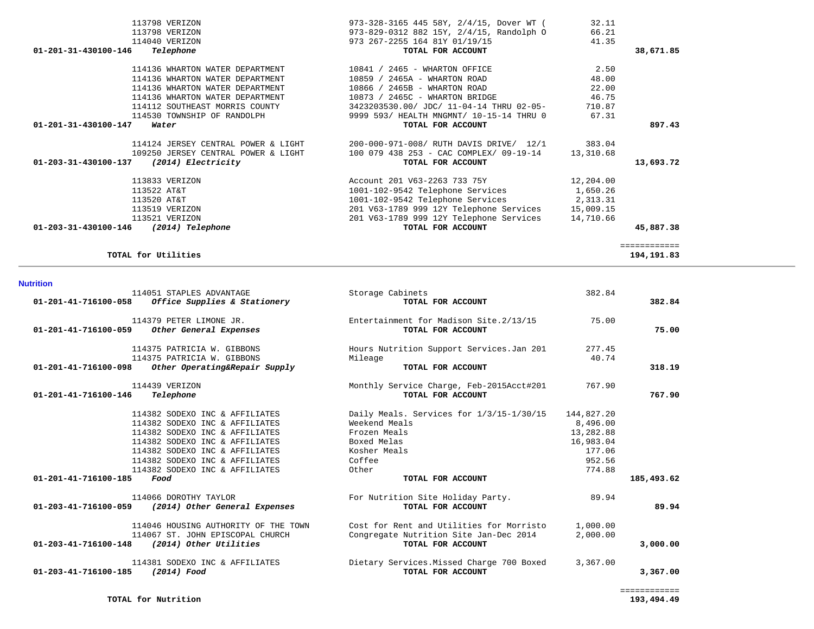| 114375 PATRICIA W. GIBBONS<br>114375 PATRICIA W. GIBBONS<br>01-201-41-716100-098<br>Other Operating&Repair Supply                                                                                                                          | Mileage                                                                         | Hours Nutrition Support Services. Jan 201<br>TOTAL FOR ACCOUNT                                          | 277.45<br>40.74                                                                | 318.19       |
|--------------------------------------------------------------------------------------------------------------------------------------------------------------------------------------------------------------------------------------------|---------------------------------------------------------------------------------|---------------------------------------------------------------------------------------------------------|--------------------------------------------------------------------------------|--------------|
| 114439 VERIZON<br>$01 - 201 - 41 - 716100 - 146$<br>Telephone                                                                                                                                                                              |                                                                                 | Monthly Service Charge, Feb-2015Acct#201<br>TOTAL FOR ACCOUNT                                           | 767.90                                                                         | 767.90       |
| 114382 SODEXO INC & AFFILIATES<br>114382 SODEXO INC & AFFILIATES<br>114382 SODEXO INC & AFFILIATES<br>114382 SODEXO INC & AFFILIATES<br>114382 SODEXO INC & AFFILIATES<br>114382 SODEXO INC & AFFILIATES<br>114382 SODEXO INC & AFFILIATES | Weekend Meals<br>Frozen Meals<br>Boxed Melas<br>Kosher Meals<br>Coffee<br>Other | Daily Meals. Services for 1/3/15-1/30/15                                                                | 144,827.20<br>8,496.00<br>13,282.88<br>16,983.04<br>177.06<br>952.56<br>774.88 |              |
| 01-201-41-716100-185<br>Food                                                                                                                                                                                                               |                                                                                 | TOTAL FOR ACCOUNT                                                                                       |                                                                                | 185,493.62   |
| 114066 DOROTHY TAYLOR<br>01-203-41-716100-059<br>(2014) Other General Expenses                                                                                                                                                             |                                                                                 | For Nutrition Site Holiday Party.<br>TOTAL FOR ACCOUNT                                                  | 89.94                                                                          | 89.94        |
| 114046 HOUSING AUTHORITY OF THE TOWN<br>114067 ST. JOHN EPISCOPAL CHURCH<br>01-203-41-716100-148<br>(2014) Other Utilities                                                                                                                 |                                                                                 | Cost for Rent and Utilities for Morristo<br>Congregate Nutrition Site Jan-Dec 2014<br>TOTAL FOR ACCOUNT | 1,000.00<br>2,000.00                                                           | 3,000,00     |
| 114381 SODEXO INC & AFFILIATES<br>01-203-41-716100-185<br>(2014) Food                                                                                                                                                                      |                                                                                 | Dietary Services.Missed Charge 700 Boxed<br>TOTAL FOR ACCOUNT                                           | 3,367.00                                                                       | 3,367.00     |
|                                                                                                                                                                                                                                            |                                                                                 |                                                                                                         |                                                                                | ============ |

#### **Nutrition**

| 114136 WHARTON WATER DEPARTMENT            | 10859 / 2465A - WHARTON ROAD             | 48.00     |           |
|--------------------------------------------|------------------------------------------|-----------|-----------|
| 114136 WHARTON WATER DEPARTMENT            | 10866 / 2465B - WHARTON ROAD             | 22.00     |           |
| 114136 WHARTON WATER DEPARTMENT            | 10873 / 2465C - WHARTON BRIDGE           | 46.75     |           |
| 114112 SOUTHEAST MORRIS COUNTY             | 3423203530.00/ JDC/ 11-04-14 THRU 02-05- | 710.87    |           |
| 114530 TOWNSHIP OF RANDOLPH                | 9999 593/ HEALTH MNGMNT/ 10-15-14 THRU 0 | 67.31     |           |
| 01-201-31-430100-147<br>Water              | TOTAL FOR ACCOUNT                        |           | 897.43    |
| 114124 JERSEY CENTRAL POWER & LIGHT        | 200-000-971-008/ RUTH DAVIS DRIVE/ 12/1  | 383.04    |           |
| 109250 JERSEY CENTRAL POWER & LIGHT        | 100 079 438 253 - CAC COMPLEX/ 09-19-14  | 13,310.68 |           |
| 01-203-31-430100-137<br>(2014) Electricity | TOTAL FOR ACCOUNT                        |           | 13,693.72 |
| 113833 VERIZON                             | Account 201 V63-2263 733 75Y             | 12,204.00 |           |
| 113522 AT&T                                | 1001-102-9542 Telephone Services         | 1,650.26  |           |
| 113520 AT&T                                | 1001-102-9542 Telephone Services         | 2,313.31  |           |
| 113519 VERIZON                             | 201 V63-1789 999 12Y Telephone Services  | 15,009.15 |           |
| 113521 VERIZON                             | 201 V63-1789 999 12Y Telephone Services  | 14,710.66 |           |

 **01-203-31-430100-146** *(2014) Telephone* **TOTAL FOR ACCOUNT 45,887.38**

**TOTAL for Utilities 194,191.83**

 114051 STAPLES ADVANTAGE Storage Cabinets 382.84  **01-201-41-716100-058** *Office Supplies & Stationery* **TOTAL FOR ACCOUNT 382.84**

 114379 PETER LIMONE JR. Entertainment for Madison Site.2/13/15 75.00  **01-201-41-716100-059** *Other General Expenses* **TOTAL FOR ACCOUNT 75.00**

============

114136 WHARTON WATER DEPARTMENT 10841 / 2465 - WHARTON OFFICE 2.50

### 113798 VERIZON 973-328-3165 445 58Y, 2/4/15, Dover WT (32.11<br>113798 VERIZON 973-329-0312 882 15Y, 2/4/15, Randolph 0 66.21<br>973-829-0312 882 15Y, 2/4/15, Randolph 0 66.21 113798 VERIZON 973-829-0312 882 15Y, 2/4/15, Randolph O 66.21 114040 VERIZON 973 267-2255 164 81Y 01/19/15 41.35  **01-201-31-430100-146** *Telephone* **TOTAL FOR ACCOUNT 38,671.85**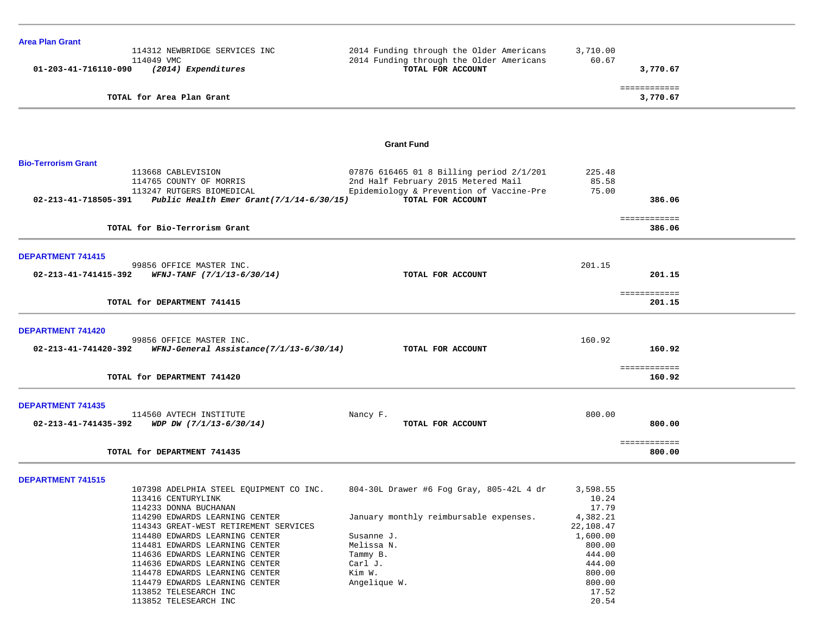| <b>Area Plan Grant</b>     |                                                                              |                                          |           |                          |  |
|----------------------------|------------------------------------------------------------------------------|------------------------------------------|-----------|--------------------------|--|
|                            | 114312 NEWBRIDGE SERVICES INC                                                | 2014 Funding through the Older Americans | 3,710.00  |                          |  |
|                            | 114049 VMC                                                                   | 2014 Funding through the Older Americans | 60.67     |                          |  |
| 01-203-41-716110-090       | (2014) Expenditures                                                          | TOTAL FOR ACCOUNT                        |           | 3,770.67                 |  |
|                            | TOTAL for Area Plan Grant                                                    |                                          |           | ============<br>3,770.67 |  |
|                            |                                                                              |                                          |           |                          |  |
|                            |                                                                              |                                          |           |                          |  |
|                            |                                                                              |                                          |           |                          |  |
|                            |                                                                              | <b>Grant Fund</b>                        |           |                          |  |
| <b>Bio-Terrorism Grant</b> |                                                                              |                                          |           |                          |  |
|                            | 113668 CABLEVISION                                                           | 07876 616465 01 8 Billing period 2/1/201 | 225.48    |                          |  |
|                            | 114765 COUNTY OF MORRIS                                                      | 2nd Half February 2015 Metered Mail      | 85.58     |                          |  |
|                            | 113247 RUTGERS BIOMEDICAL                                                    | Epidemiology & Prevention of Vaccine-Pre | 75.00     |                          |  |
|                            | 02-213-41-718505-391 Public Health Emer Grant(7/1/14-6/30/15)                | TOTAL FOR ACCOUNT                        |           | 386.06                   |  |
|                            |                                                                              |                                          |           |                          |  |
|                            | TOTAL for Bio-Terrorism Grant                                                |                                          |           | ============<br>386.06   |  |
|                            |                                                                              |                                          |           |                          |  |
| <b>DEPARTMENT 741415</b>   |                                                                              |                                          |           |                          |  |
|                            | 99856 OFFICE MASTER INC.                                                     |                                          | 201.15    |                          |  |
|                            | $02 - 213 - 41 - 741415 - 392$ WFNJ-TANF $(7/1/13 - 6/30/14)$                | TOTAL FOR ACCOUNT                        |           | 201.15                   |  |
|                            |                                                                              |                                          |           |                          |  |
|                            |                                                                              |                                          |           | ============             |  |
|                            | TOTAL for DEPARTMENT 741415                                                  |                                          |           | 201.15                   |  |
|                            |                                                                              |                                          |           |                          |  |
| <b>DEPARTMENT 741420</b>   |                                                                              |                                          |           |                          |  |
|                            | 99856 OFFICE MASTER INC.                                                     |                                          | 160.92    |                          |  |
|                            | $02 - 213 - 41 - 741420 - 392$ WFNJ-General Assistance( $7/1/13 - 6/30/14$ ) | TOTAL FOR ACCOUNT                        |           | 160.92                   |  |
|                            |                                                                              |                                          |           | ============             |  |
|                            | TOTAL for DEPARTMENT 741420                                                  |                                          |           | 160.92                   |  |
|                            |                                                                              |                                          |           |                          |  |
| <b>DEPARTMENT 741435</b>   |                                                                              |                                          |           |                          |  |
| 02-213-41-741435-392       | 114560 AVTECH INSTITUTE<br>WDP DW $(7/1/13-6/30/14)$                         | Nancy F.<br>TOTAL FOR ACCOUNT            | 800.00    | 800.00                   |  |
|                            |                                                                              |                                          |           |                          |  |
|                            |                                                                              |                                          |           | ============             |  |
|                            | TOTAL for DEPARTMENT 741435                                                  |                                          |           | 800.00                   |  |
|                            |                                                                              |                                          |           |                          |  |
| <b>DEPARTMENT 741515</b>   |                                                                              |                                          |           |                          |  |
|                            | 107398 ADELPHIA STEEL EQUIPMENT CO INC.                                      | 804-30L Drawer #6 Fog Gray, 805-42L 4 dr | 3,598.55  |                          |  |
|                            | 113416 CENTURYLINK                                                           |                                          | 10.24     |                          |  |
|                            | 114233 DONNA BUCHANAN                                                        |                                          | 17.79     |                          |  |
|                            | 114290 EDWARDS LEARNING CENTER                                               | January monthly reimbursable expenses.   | 4,382.21  |                          |  |
|                            | 114343 GREAT-WEST RETIREMENT SERVICES                                        |                                          | 22,108.47 |                          |  |
|                            | 114480 EDWARDS LEARNING CENTER                                               | Susanne J.                               | 1,600.00  |                          |  |
|                            | 114481 EDWARDS LEARNING CENTER                                               | Melissa N.                               | 800.00    |                          |  |
|                            | 114636 EDWARDS LEARNING CENTER                                               | Tammy B.                                 | 444.00    |                          |  |
|                            | 114636 EDWARDS LEARNING CENTER                                               | Carl J.                                  | 444.00    |                          |  |
|                            | 114478 EDWARDS LEARNING CENTER                                               | Kim W.                                   | 800.00    |                          |  |
|                            | 114479 EDWARDS LEARNING CENTER                                               | Angelique W.                             | 800.00    |                          |  |
|                            | 113852 TELESEARCH INC                                                        |                                          | 17.52     |                          |  |
|                            | 113852 TELESEARCH INC                                                        |                                          | 20.54     |                          |  |
|                            |                                                                              |                                          |           |                          |  |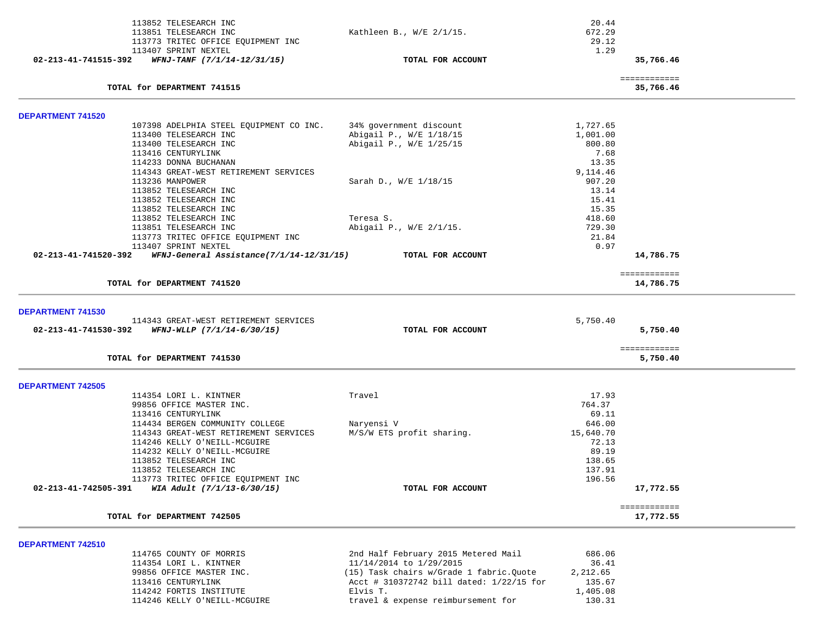| 113852 TELESEARCH INC<br>113851 TELESEARCH INC                                           | Kathleen B., W/E 2/1/15.                 | 20.44<br>672.29 |                           |
|------------------------------------------------------------------------------------------|------------------------------------------|-----------------|---------------------------|
| 113773 TRITEC OFFICE EQUIPMENT INC                                                       |                                          | 29.12           |                           |
| 113407 SPRINT NEXTEL                                                                     |                                          | 1.29            |                           |
| 02-213-41-741515-392<br>$WFNJ-TANF$ $(7/1/14-12/31/15)$                                  | TOTAL FOR ACCOUNT                        |                 | 35,766.46                 |
| TOTAL for DEPARTMENT 741515                                                              |                                          |                 | ============<br>35,766.46 |
|                                                                                          |                                          |                 |                           |
| <b>DEPARTMENT 741520</b><br>107398 ADELPHIA STEEL EQUIPMENT CO INC.                      | 34% government discount                  | 1,727.65        |                           |
| 113400 TELESEARCH INC                                                                    | Abigail P., W/E 1/18/15                  | 1,001.00        |                           |
| 113400 TELESEARCH INC                                                                    | Abigail P., W/E 1/25/15                  | 800.80          |                           |
| 113416 CENTURYLINK                                                                       |                                          | 7.68            |                           |
| 114233 DONNA BUCHANAN                                                                    |                                          | 13.35           |                           |
| 114343 GREAT-WEST RETIREMENT SERVICES                                                    |                                          | 9,114.46        |                           |
| 113236 MANPOWER                                                                          | Sarah D., W/E 1/18/15                    | 907.20          |                           |
| 113852 TELESEARCH INC                                                                    |                                          | 13.14           |                           |
| 113852 TELESEARCH INC                                                                    |                                          | 15.41           |                           |
| 113852 TELESEARCH INC                                                                    |                                          | 15.35           |                           |
| 113852 TELESEARCH INC                                                                    | Teresa S.                                | 418.60          |                           |
| 113851 TELESEARCH INC                                                                    | Abigail P., W/E 2/1/15.                  | 729.30          |                           |
| 113773 TRITEC OFFICE EQUIPMENT INC                                                       |                                          | 21.84           |                           |
| 113407 SPRINT NEXTEL<br>02-213-41-741520-392<br>WFNJ-General Assistance(7/1/14-12/31/15) | TOTAL FOR ACCOUNT                        | 0.97            | 14,786.75                 |
|                                                                                          |                                          |                 |                           |
| TOTAL for DEPARTMENT 741520                                                              |                                          |                 | ============<br>14,786.75 |
|                                                                                          |                                          |                 |                           |
| <b>DEPARTMENT 741530</b><br>114343 GREAT-WEST RETIREMENT SERVICES                        |                                          | 5,750.40        |                           |
| WFNJ-WLLP (7/1/14-6/30/15)<br>02-213-41-741530-392                                       | TOTAL FOR ACCOUNT                        |                 | 5,750.40                  |
|                                                                                          |                                          |                 | ============              |
| TOTAL for DEPARTMENT 741530                                                              |                                          |                 | 5,750.40                  |
| <b>DEPARTMENT 742505</b>                                                                 |                                          |                 |                           |
| 114354 LORI L. KINTNER                                                                   | Travel                                   | 17.93           |                           |
| 99856 OFFICE MASTER INC.                                                                 |                                          | 764.37          |                           |
| 113416 CENTURYLINK                                                                       |                                          | 69.11           |                           |
| 114434 BERGEN COMMUNITY COLLEGE                                                          | Naryensi V                               | 646.00          |                           |
| 114343 GREAT-WEST RETIREMENT SERVICES                                                    | M/S/W ETS profit sharing.                | 15,640.70       |                           |
| 114246 KELLY O'NEILL-MCGUIRE                                                             |                                          | 72.13           |                           |
| 114232 KELLY O'NEILL-MCGUIRE                                                             |                                          | 89.19           |                           |
| 113852 TELESEARCH INC                                                                    |                                          | 138.65          |                           |
| 113852 TELESEARCH INC                                                                    |                                          | 137.91          |                           |
| 113773 TRITEC OFFICE EQUIPMENT INC                                                       |                                          | 196.56          |                           |
| 02-213-41-742505-391<br>WIA Adult (7/1/13-6/30/15)                                       | TOTAL FOR ACCOUNT                        |                 | 17,772.55                 |
| TOTAL for DEPARTMENT 742505                                                              |                                          |                 | ============<br>17,772.55 |
|                                                                                          |                                          |                 |                           |
| DEPARTMENT 742510                                                                        |                                          |                 |                           |
| 114765 COUNTY OF MORRIS                                                                  | 2nd Half February 2015 Metered Mail      | 686.06          |                           |
| 114354 LORI L. KINTNER                                                                   | 11/14/2014 to 1/29/2015                  | 36.41           |                           |
| 99856 OFFICE MASTER INC.                                                                 | (15) Task chairs w/Grade 1 fabric. Quote | 2,212.65        |                           |

113416 CENTURYLINK 113416 CENTURYLINK 114242 FORTIS INSTITUTE 135.67<br>Elvis T. 114242 FORTIS INSTITUTE 1,405.08 114242 FORTIS INSTITUTE Elvis T. 1,405.08 travel & expense reimbursement for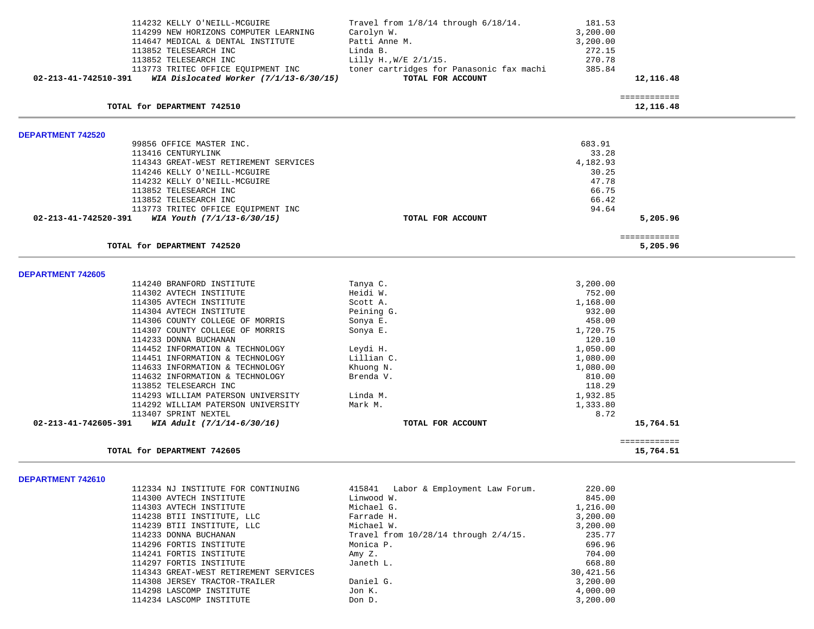| 114232 KELLY O'NEILL-MCGUIRE                                     | Travel from $1/8/14$ through $6/18/14$ .  | 181.53    |                           |  |
|------------------------------------------------------------------|-------------------------------------------|-----------|---------------------------|--|
| 114299 NEW HORIZONS COMPUTER LEARNING                            | Carolyn W.                                | 3,200.00  |                           |  |
| 114647 MEDICAL & DENTAL INSTITUTE                                | Patti Anne M.                             | 3,200.00  |                           |  |
| 113852 TELESEARCH INC                                            | Linda B.                                  | 272.15    |                           |  |
| 113852 TELESEARCH INC                                            | Lilly H., W/E 2/1/15.                     | 270.78    |                           |  |
| 113773 TRITEC OFFICE EQUIPMENT INC                               | toner cartridges for Panasonic fax machi  | 385.84    |                           |  |
| 02-213-41-742510-391<br>WIA Dislocated Worker $(7/1/13-6/30/15)$ | TOTAL FOR ACCOUNT                         |           | 12,116.48                 |  |
|                                                                  |                                           |           | ============              |  |
| TOTAL for DEPARTMENT 742510                                      |                                           |           | 12,116.48                 |  |
| <b>DEPARTMENT 742520</b>                                         |                                           |           |                           |  |
| 99856 OFFICE MASTER INC.                                         |                                           | 683.91    |                           |  |
| 113416 CENTURYLINK                                               |                                           | 33.28     |                           |  |
| 114343 GREAT-WEST RETIREMENT SERVICES                            |                                           | 4,182.93  |                           |  |
| 114246 KELLY O'NEILL-MCGUIRE                                     |                                           | 30.25     |                           |  |
| 114232 KELLY O'NEILL-MCGUIRE                                     |                                           | 47.78     |                           |  |
| 113852 TELESEARCH INC                                            |                                           | 66.75     |                           |  |
| 113852 TELESEARCH INC                                            |                                           | 66.42     |                           |  |
| 113773 TRITEC OFFICE EQUIPMENT INC                               |                                           | 94.64     |                           |  |
|                                                                  |                                           |           |                           |  |
| WIA Youth (7/1/13-6/30/15)<br>02-213-41-742520-391               | TOTAL FOR ACCOUNT                         |           | 5,205.96                  |  |
| TOTAL for DEPARTMENT 742520                                      |                                           |           | ============<br>5,205.96  |  |
|                                                                  |                                           |           |                           |  |
| <b>DEPARTMENT 742605</b>                                         |                                           |           |                           |  |
| 114240 BRANFORD INSTITUTE                                        | Tanya C.                                  | 3,200.00  |                           |  |
| 114302 AVTECH INSTITUTE                                          | Heidi W.                                  | 752.00    |                           |  |
| 114305 AVTECH INSTITUTE                                          | Scott A.                                  | 1,168.00  |                           |  |
| 114304 AVTECH INSTITUTE                                          | Peining G.                                | 932.00    |                           |  |
| 114306 COUNTY COLLEGE OF MORRIS                                  | Sonya E.                                  | 458.00    |                           |  |
| 114307 COUNTY COLLEGE OF MORRIS                                  | Sonya E.                                  | 1,720.75  |                           |  |
| 114233 DONNA BUCHANAN                                            |                                           | 120.10    |                           |  |
| 114452 INFORMATION & TECHNOLOGY                                  | Leydi H.                                  | 1,050.00  |                           |  |
| 114451 INFORMATION & TECHNOLOGY                                  | Lillian C.                                | 1,080.00  |                           |  |
| 114633 INFORMATION & TECHNOLOGY                                  | Khuong N.                                 | 1,080.00  |                           |  |
| 114632 INFORMATION & TECHNOLOGY                                  | Brenda V.                                 | 810.00    |                           |  |
| 113852 TELESEARCH INC                                            |                                           | 118.29    |                           |  |
| 114293 WILLIAM PATERSON UNIVERSITY                               | Linda M.                                  | 1,932.85  |                           |  |
| 114292 WILLIAM PATERSON UNIVERSITY                               | Mark M.                                   | 1,333.80  |                           |  |
| 113407 SPRINT NEXTEL                                             |                                           | 8.72      |                           |  |
| 02-213-41-742605-391<br>WIA Adult (7/1/14-6/30/16)               | TOTAL FOR ACCOUNT                         |           | 15,764.51                 |  |
|                                                                  |                                           |           |                           |  |
| TOTAL for DEPARTMENT 742605                                      |                                           |           | ============<br>15,764.51 |  |
|                                                                  |                                           |           |                           |  |
| DEPARTMENT 742610<br>112334 NJ INSTITUTE FOR CONTINUING          | 415841 Labor & Employment Law Forum.      | 220.00    |                           |  |
| 114300 AVTECH INSTITUTE                                          | Linwood W.                                | 845.00    |                           |  |
| 114303 AVTECH INSTITUTE                                          | Michael G.                                | 1,216.00  |                           |  |
| 114238 BTII INSTITUTE, LLC                                       | Farrade H.                                | 3,200.00  |                           |  |
| 114239 BTII INSTITUTE, LLC                                       | Michael W.                                | 3,200.00  |                           |  |
| 114233 DONNA BUCHANAN                                            | Travel from $10/28/14$ through $2/4/15$ . | 235.77    |                           |  |
| 114296 FORTIS INSTITUTE                                          | Monica P.                                 | 696.96    |                           |  |
| 114241 FORTIS INSTITUTE                                          | Amy Z.                                    | 704.00    |                           |  |
| 114297 FORTIS INSTITUTE                                          | Janeth L.                                 | 668.80    |                           |  |
|                                                                  |                                           | 30,421.56 |                           |  |
| 114343 GREAT-WEST RETIREMENT SERVICES                            | Daniel G.                                 | 3,200.00  |                           |  |
| 114308 JERSEY TRACTOR-TRAILER                                    |                                           |           |                           |  |
| 114298 LASCOMP INSTITUTE                                         | Jon K.                                    | 4,000.00  |                           |  |
| 114234 LASCOMP INSTITUTE                                         | Don D.                                    | 3,200.00  |                           |  |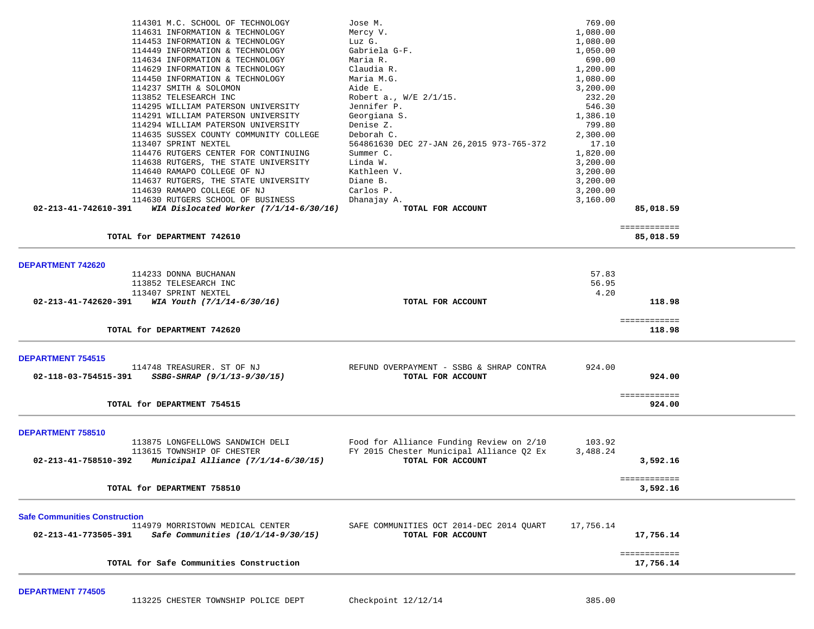|                                      | 114301 M.C. SCHOOL OF TECHNOLOGY         | Jose M.                                  | 769.00    |                           |  |
|--------------------------------------|------------------------------------------|------------------------------------------|-----------|---------------------------|--|
|                                      | 114631 INFORMATION & TECHNOLOGY          | Mercy V.                                 | 1,080.00  |                           |  |
|                                      | 114453 INFORMATION & TECHNOLOGY          | Luz G.                                   | 1,080.00  |                           |  |
|                                      | 114449 INFORMATION & TECHNOLOGY          | Gabriela G-F.                            | 1,050.00  |                           |  |
|                                      | 114634 INFORMATION & TECHNOLOGY          | Maria R.                                 | 690.00    |                           |  |
|                                      | 114629 INFORMATION & TECHNOLOGY          | Claudia R.                               | 1,200.00  |                           |  |
|                                      | 114450 INFORMATION & TECHNOLOGY          | Maria M.G.                               | 1,080.00  |                           |  |
|                                      | 114237 SMITH & SOLOMON                   | Aide E.                                  | 3,200.00  |                           |  |
|                                      | 113852 TELESEARCH INC                    | Robert a., W/E 2/1/15.                   | 232.20    |                           |  |
|                                      | 114295 WILLIAM PATERSON UNIVERSITY       | Jennifer P.                              | 546.30    |                           |  |
|                                      | 114291 WILLIAM PATERSON UNIVERSITY       | Georgiana S.                             | 1,386.10  |                           |  |
|                                      | 114294 WILLIAM PATERSON UNIVERSITY       | Denise Z.                                | 799.80    |                           |  |
|                                      | 114635 SUSSEX COUNTY COMMUNITY COLLEGE   | Deborah C.                               | 2,300.00  |                           |  |
|                                      | 113407 SPRINT NEXTEL                     | 564861630 DEC 27-JAN 26,2015 973-765-372 | 17.10     |                           |  |
|                                      | 114476 RUTGERS CENTER FOR CONTINUING     | Summer C.                                | 1,820.00  |                           |  |
|                                      | 114638 RUTGERS, THE STATE UNIVERSITY     | Linda W.                                 | 3,200.00  |                           |  |
|                                      | 114640 RAMAPO COLLEGE OF NJ              | Kathleen V.                              | 3,200.00  |                           |  |
|                                      | 114637 RUTGERS, THE STATE UNIVERSITY     | Diane B.                                 | 3,200.00  |                           |  |
|                                      | 114639 RAMAPO COLLEGE OF NJ              | Carlos P.                                | 3,200.00  |                           |  |
|                                      | 114630 RUTGERS SCHOOL OF BUSINESS        | Dhanajay A.                              | 3,160.00  |                           |  |
| 02-213-41-742610-391                 | WIA Dislocated Worker $(7/1/14-6/30/16)$ | TOTAL FOR ACCOUNT                        |           | 85,018.59                 |  |
|                                      |                                          |                                          |           | ============              |  |
|                                      | TOTAL for DEPARTMENT 742610              |                                          |           | 85,018.59                 |  |
|                                      |                                          |                                          |           |                           |  |
|                                      |                                          |                                          |           |                           |  |
| <b>DEPARTMENT 742620</b>             | 114233 DONNA BUCHANAN                    |                                          | 57.83     |                           |  |
|                                      | 113852 TELESEARCH INC                    |                                          | 56.95     |                           |  |
|                                      | 113407 SPRINT NEXTEL                     |                                          | 4.20      |                           |  |
| 02-213-41-742620-391                 | WIA Youth (7/1/14-6/30/16)               | TOTAL FOR ACCOUNT                        |           | 118.98                    |  |
|                                      |                                          |                                          |           |                           |  |
|                                      |                                          |                                          |           | ============              |  |
|                                      | TOTAL for DEPARTMENT 742620              |                                          |           | 118.98                    |  |
|                                      |                                          |                                          |           |                           |  |
| <b>DEPARTMENT 754515</b>             |                                          |                                          |           |                           |  |
|                                      | 114748 TREASURER. ST OF NJ               | REFUND OVERPAYMENT - SSBG & SHRAP CONTRA | 924.00    |                           |  |
| 02-118-03-754515-391                 | SSBG-SHRAP (9/1/13-9/30/15)              | TOTAL FOR ACCOUNT                        |           | 924.00                    |  |
|                                      |                                          |                                          |           | ============              |  |
|                                      | TOTAL for DEPARTMENT 754515              |                                          |           | 924.00                    |  |
|                                      |                                          |                                          |           |                           |  |
|                                      |                                          |                                          |           |                           |  |
| DEPARTMENT 758510                    |                                          |                                          |           |                           |  |
|                                      | 113875 LONGFELLOWS SANDWICH DELI         | Food for Alliance Funding Review on 2/10 | 103.92    |                           |  |
|                                      | 113615 TOWNSHIP OF CHESTER               | FY 2015 Chester Municipal Alliance Q2 Ex | 3,488.24  |                           |  |
| 02-213-41-758510-392                 | Municipal Alliance $(7/1/14-6/30/15)$    | TOTAL FOR ACCOUNT                        |           | 3,592.16                  |  |
|                                      |                                          |                                          |           | ============              |  |
|                                      | TOTAL for DEPARTMENT 758510              |                                          |           | 3,592.16                  |  |
|                                      |                                          |                                          |           |                           |  |
| <b>Safe Communities Construction</b> |                                          |                                          |           |                           |  |
|                                      | 114979 MORRISTOWN MEDICAL CENTER         | SAFE COMMUNITIES OCT 2014-DEC 2014 QUART | 17,756.14 |                           |  |
| 02-213-41-773505-391                 | Safe Communities (10/1/14-9/30/15)       | TOTAL FOR ACCOUNT                        |           | 17,756.14                 |  |
|                                      |                                          |                                          |           |                           |  |
|                                      | TOTAL for Safe Communities Construction  |                                          |           | ============<br>17,756.14 |  |
|                                      |                                          |                                          |           |                           |  |
|                                      |                                          |                                          |           |                           |  |

**DEPARTMENT 774505**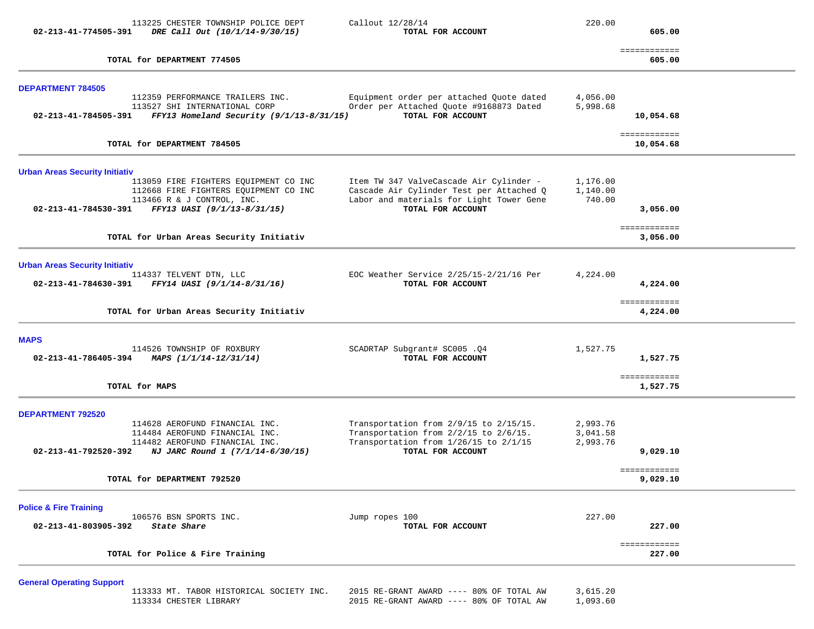| 113225 CHESTER TOWNSHIP POLICE DEPT<br>02-213-41-774505-391<br>DRE Call Out (10/1/14-9/30/15)                                                                    | Callout 12/28/14<br>TOTAL FOR ACCOUNT                                                                                                                | 220.00                           | 605.00                    |
|------------------------------------------------------------------------------------------------------------------------------------------------------------------|------------------------------------------------------------------------------------------------------------------------------------------------------|----------------------------------|---------------------------|
| TOTAL for DEPARTMENT 774505                                                                                                                                      |                                                                                                                                                      |                                  | ============<br>605.00    |
| <b>DEPARTMENT 784505</b>                                                                                                                                         |                                                                                                                                                      |                                  |                           |
| 112359 PERFORMANCE TRAILERS INC.<br>113527 SHI INTERNATIONAL CORP<br>02-213-41-784505-391 FFY13 Homeland Security (9/1/13-8/31/15)                               | Equipment order per attached Quote dated<br>Order per Attached Quote #9168873 Dated<br>TOTAL FOR ACCOUNT                                             | 4,056.00<br>5,998.68             | 10,054.68                 |
| TOTAL for DEPARTMENT 784505                                                                                                                                      |                                                                                                                                                      |                                  | ============<br>10,054.68 |
| <b>Urban Areas Security Initiativ</b>                                                                                                                            |                                                                                                                                                      |                                  |                           |
| 113059 FIRE FIGHTERS EQUIPMENT CO INC<br>112668 FIRE FIGHTERS EQUIPMENT CO INC<br>113466 R & J CONTROL, INC.<br>02-213-41-784530-391 FFY13 UASI (9/1/13-8/31/15) | Item TW 347 ValveCascade Air Cylinder -<br>Cascade Air Cylinder Test per Attached Q<br>Labor and materials for Light Tower Gene<br>TOTAL FOR ACCOUNT | 1,176.00<br>1,140.00<br>740.00   | 3,056.00                  |
| TOTAL for Urban Areas Security Initiativ                                                                                                                         |                                                                                                                                                      |                                  | ============<br>3,056.00  |
|                                                                                                                                                                  |                                                                                                                                                      |                                  |                           |
| <b>Urban Areas Security Initiativ</b><br>114337 TELVENT DTN, LLC<br>FFY14 UASI (9/1/14-8/31/16)<br>02-213-41-784630-391                                          | EOC Weather Service $2/25/15-2/21/16$ Per<br>TOTAL FOR ACCOUNT                                                                                       | 4,224.00                         | 4,224.00                  |
| TOTAL for Urban Areas Security Initiativ                                                                                                                         |                                                                                                                                                      |                                  | ============<br>4,224.00  |
| <b>MAPS</b>                                                                                                                                                      |                                                                                                                                                      |                                  |                           |
| 114526 TOWNSHIP OF ROXBURY<br>02-213-41-786405-394 MAPS $(1/1/14-12/31/14)$                                                                                      | SCADRTAP Subgrant# SC005.04<br>TOTAL FOR ACCOUNT                                                                                                     | 1,527.75                         | 1,527.75                  |
| TOTAL for MAPS                                                                                                                                                   |                                                                                                                                                      |                                  | ============<br>1,527.75  |
| <b>DEPARTMENT 792520</b>                                                                                                                                         |                                                                                                                                                      |                                  |                           |
| 114628 AEROFUND FINANCIAL INC.<br>114484 AEROFUND FINANCIAL INC.<br>114482 AEROFUND FINANCIAL INC.<br>02-213-41-792520-392 NJ JARC Round 1 $(7/1/14-6/30/15)$    | Transportation from 2/9/15 to 2/15/15.<br>Transportation from 2/2/15 to 2/6/15.<br>Transportation from 1/26/15 to 2/1/15<br>TOTAL FOR ACCOUNT        | 2,993.76<br>3,041.58<br>2,993.76 | 9,029.10                  |
| TOTAL for DEPARTMENT 792520                                                                                                                                      |                                                                                                                                                      |                                  | ============<br>9,029.10  |
| <b>Police &amp; Fire Training</b>                                                                                                                                |                                                                                                                                                      |                                  |                           |
| 106576 BSN SPORTS INC.<br>02-213-41-803905-392<br>State Share                                                                                                    | Jump ropes 100<br>TOTAL FOR ACCOUNT                                                                                                                  | 227.00                           | 227.00                    |
| TOTAL for Police & Fire Training                                                                                                                                 |                                                                                                                                                      |                                  | ============<br>227.00    |
| <b>General Operating Support</b>                                                                                                                                 |                                                                                                                                                      |                                  |                           |
| 113333 MT. TABOR HISTORICAL SOCIETY INC.                                                                                                                         | 2015 RE-GRANT AWARD ---- 80% OF TOTAL AW                                                                                                             | 3,615.20                         |                           |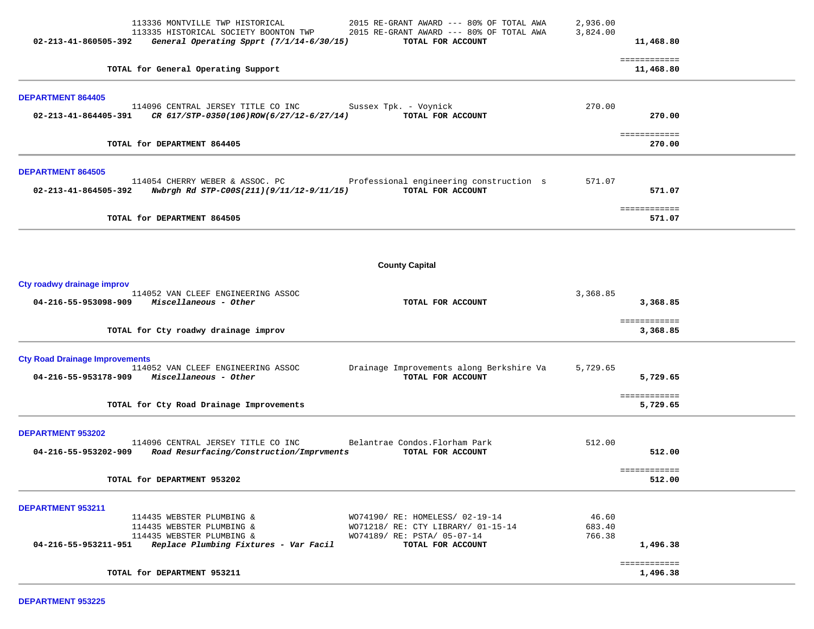| 113336 MONTVILLE TWP HISTORICAL<br>113335 HISTORICAL SOCIETY BOONTON TWP<br>General Operating Spprt (7/1/14-6/30/15)<br>02-213-41-860505-392                                    | 2015 RE-GRANT AWARD --- 80% OF TOTAL AWA<br>2015 RE-GRANT AWARD --- 80% OF TOTAL AWA<br>TOTAL FOR ACCOUNT                 | 2,936.00<br>3,824.00      | 11,468.80                 |
|---------------------------------------------------------------------------------------------------------------------------------------------------------------------------------|---------------------------------------------------------------------------------------------------------------------------|---------------------------|---------------------------|
| TOTAL for General Operating Support                                                                                                                                             |                                                                                                                           |                           | ============<br>11,468.80 |
| <b>DEPARTMENT 864405</b><br>114096 CENTRAL JERSEY TITLE CO INC<br>CR 617/STP-0350(106)ROW(6/27/12-6/27/14)<br>02-213-41-864405-391                                              | Sussex Tpk. - Voynick<br>TOTAL FOR ACCOUNT                                                                                | 270.00                    | 270.00                    |
| TOTAL for DEPARTMENT 864405                                                                                                                                                     |                                                                                                                           |                           | ============<br>270.00    |
| <b>DEPARTMENT 864505</b><br>114054 CHERRY WEBER & ASSOC. PC<br>02-213-41-864505-392<br>Nwbrgh Rd STP-C00S(211)(9/11/12-9/11/15)                                                 | Professional engineering construction s<br>TOTAL FOR ACCOUNT                                                              | 571.07                    | 571.07<br>============    |
| TOTAL for DEPARTMENT 864505                                                                                                                                                     |                                                                                                                           |                           | 571.07                    |
|                                                                                                                                                                                 | <b>County Capital</b>                                                                                                     |                           |                           |
| Cty roadwy drainage improv<br>114052 VAN CLEEF ENGINEERING ASSOC<br>04-216-55-953098-909 Miscellaneous - Other                                                                  | TOTAL FOR ACCOUNT                                                                                                         | 3,368.85                  | 3,368.85                  |
| TOTAL for Cty roadwy drainage improv                                                                                                                                            |                                                                                                                           |                           | ============<br>3,368.85  |
| <b>Cty Road Drainage Improvements</b><br>114052 VAN CLEEF ENGINEERING ASSOC<br>$04 - 216 - 55 - 953178 - 909$ Miscellaneous - Other                                             | Drainage Improvements along Berkshire Va<br>TOTAL FOR ACCOUNT                                                             | 5,729.65                  | 5,729.65<br>============  |
| TOTAL for Cty Road Drainage Improvements                                                                                                                                        |                                                                                                                           |                           | 5,729.65                  |
| DEPARTMENT 953202<br>114096 CENTRAL JERSEY TITLE CO INC<br>04-216-55-953202-909<br>Road Resurfacing/Construction/Imprvments                                                     | Belantrae Condos. Florham Park<br>TOTAL FOR ACCOUNT                                                                       | 512.00                    | 512.00                    |
| TOTAL for DEPARTMENT 953202                                                                                                                                                     |                                                                                                                           |                           | ============<br>512.00    |
| <b>DEPARTMENT 953211</b><br>114435 WEBSTER PLUMBING &<br>114435 WEBSTER PLUMBING &<br>114435 WEBSTER PLUMBING &<br>$04-216-55-953211-951$ Replace Plumbing Fixtures - Var Facil | WO74190/ RE: HOMELESS/ 02-19-14<br>WO71218/ RE: CTY LIBRARY/ 01-15-14<br>WO74189/ RE: PSTA/ 05-07-14<br>TOTAL FOR ACCOUNT | 46.60<br>683.40<br>766.38 | 1,496.38<br>============  |
| TOTAL for DEPARTMENT 953211                                                                                                                                                     |                                                                                                                           |                           | 1,496.38                  |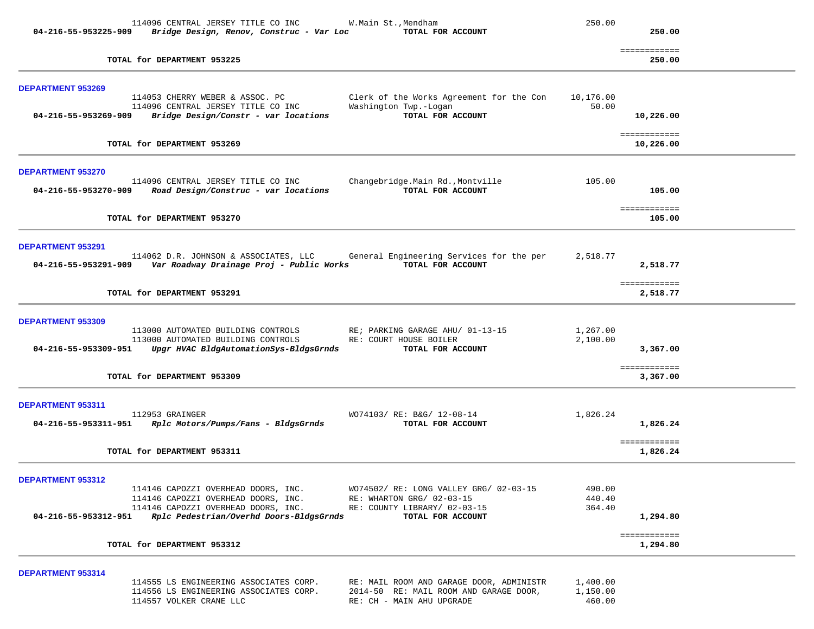|                          | 114096 CENTRAL JERSEY TITLE CO INC       | W.Main St., Mendham                      | 250.00    |                           |  |
|--------------------------|------------------------------------------|------------------------------------------|-----------|---------------------------|--|
| 04-216-55-953225-909     | Bridge Design, Renov, Construc - Var Loc | TOTAL FOR ACCOUNT                        |           | 250.00                    |  |
|                          | TOTAL for DEPARTMENT 953225              |                                          |           | ============<br>250.00    |  |
| <b>DEPARTMENT 953269</b> |                                          |                                          |           |                           |  |
|                          | 114053 CHERRY WEBER & ASSOC. PC          | Clerk of the Works Agreement for the Con | 10,176.00 |                           |  |
|                          | 114096 CENTRAL JERSEY TITLE CO INC       | Washington Twp.-Logan                    | 50.00     |                           |  |
| 04-216-55-953269-909     | Bridge Design/Constr - var locations     | TOTAL FOR ACCOUNT                        |           | 10,226.00                 |  |
|                          | TOTAL for DEPARTMENT 953269              |                                          |           | ============<br>10,226.00 |  |
|                          |                                          |                                          |           |                           |  |
| <b>DEPARTMENT 953270</b> |                                          |                                          |           |                           |  |
|                          | 114096 CENTRAL JERSEY TITLE CO INC       | Changebridge.Main Rd., Montville         | 105.00    |                           |  |
| 04-216-55-953270-909     | Road Design/Construc - var locations     | TOTAL FOR ACCOUNT                        |           | 105.00                    |  |
|                          |                                          |                                          |           | ============              |  |
|                          | TOTAL for DEPARTMENT 953270              |                                          |           | 105.00                    |  |
| <b>DEPARTMENT 953291</b> |                                          |                                          |           |                           |  |
|                          | 114062 D.R. JOHNSON & ASSOCIATES, LLC    | General Engineering Services for the per | 2,518.77  |                           |  |
| 04-216-55-953291-909     | Var Roadway Drainage Proj - Public Works | TOTAL FOR ACCOUNT                        |           | 2,518.77                  |  |
|                          |                                          |                                          |           |                           |  |
|                          | TOTAL for DEPARTMENT 953291              |                                          |           | ============<br>2,518.77  |  |
|                          |                                          |                                          |           |                           |  |
| DEPARTMENT 953309        | 113000 AUTOMATED BUILDING CONTROLS       | RE; PARKING GARAGE AHU/ 01-13-15         | 1,267.00  |                           |  |
|                          | 113000 AUTOMATED BUILDING CONTROLS       | RE: COURT HOUSE BOILER                   | 2,100.00  |                           |  |
| 04-216-55-953309-951     | Upgr HVAC BldgAutomationSys-BldgsGrnds   | TOTAL FOR ACCOUNT                        |           | 3,367.00                  |  |
|                          |                                          |                                          |           | ============              |  |
|                          | TOTAL for DEPARTMENT 953309              |                                          |           | 3,367.00                  |  |
|                          |                                          |                                          |           |                           |  |
| DEPARTMENT 953311        | 112953 GRAINGER                          | WO74103/ RE: B&G/ 12-08-14               | 1,826.24  |                           |  |
| 04-216-55-953311-951     | Rplc Motors/Pumps/Fans - BldgsGrnds      | TOTAL FOR ACCOUNT                        |           | 1,826.24                  |  |
|                          |                                          |                                          |           | ============              |  |
|                          | TOTAL for DEPARTMENT 953311              |                                          |           | 1,826.24                  |  |
|                          |                                          |                                          |           |                           |  |
| DEPARTMENT 953312        | 114146 CAPOZZI OVERHEAD DOORS, INC.      | WO74502/ RE: LONG VALLEY GRG/ 02-03-15   | 490.00    |                           |  |
|                          | 114146 CAPOZZI OVERHEAD DOORS, INC.      | RE: WHARTON GRG/ 02-03-15                | 440.40    |                           |  |
|                          | 114146 CAPOZZI OVERHEAD DOORS, INC.      | RE: COUNTY LIBRARY/ 02-03-15             | 364.40    |                           |  |
| 04-216-55-953312-951     | Rplc Pedestrian/Overhd Doors-BldgsGrnds  | TOTAL FOR ACCOUNT                        |           | 1,294.80                  |  |
|                          | TOTAL for DEPARTMENT 953312              |                                          |           | ============<br>1,294.80  |  |
|                          |                                          |                                          |           |                           |  |
| DEPARTMENT 953314        |                                          |                                          |           |                           |  |
|                          | 114555 LS ENGINEERING ASSOCIATES CORP.   | RE: MAIL ROOM AND GARAGE DOOR, ADMINISTR | 1,400.00  |                           |  |
|                          | 114556 LS ENGINEERING ASSOCIATES CORP.   | 2014-50 RE: MAIL ROOM AND GARAGE DOOR,   | 1,150.00  |                           |  |
|                          | 114557 VOLKER CRANE LLC                  | RE: CH - MAIN AHU UPGRADE                | 460.00    |                           |  |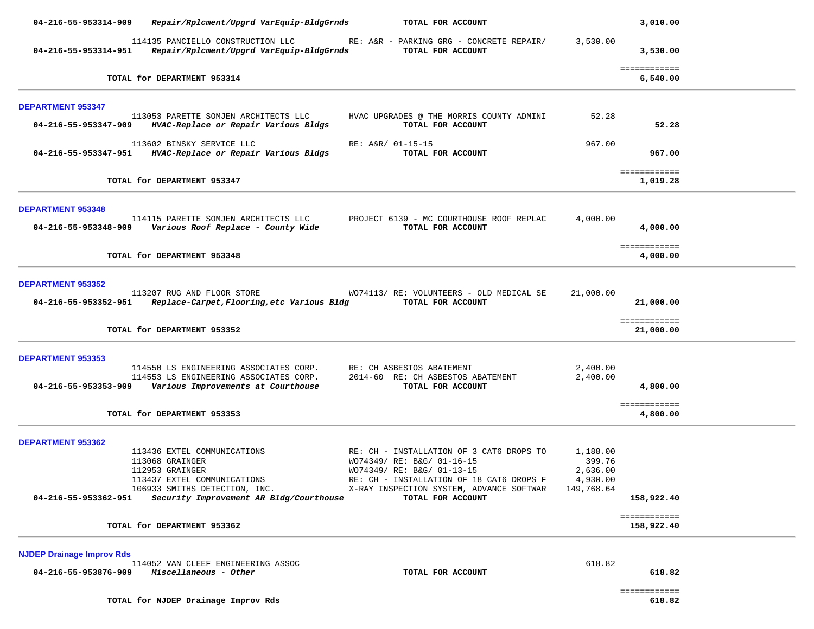| 04-216-55-953314-909                                     | Repair/Rplcment/Upgrd VarEquip-BldgGrnds                                                                                                                                     | TOTAL FOR ACCOUNT                                                                                                                                                                                                 |                                                          | 3,010.00                   |  |
|----------------------------------------------------------|------------------------------------------------------------------------------------------------------------------------------------------------------------------------------|-------------------------------------------------------------------------------------------------------------------------------------------------------------------------------------------------------------------|----------------------------------------------------------|----------------------------|--|
| 04-216-55-953314-951                                     | 114135 PANCIELLO CONSTRUCTION LLC<br>Repair/Rplcment/Upgrd VarEquip-BldgGrnds                                                                                                | RE: A&R - PARKING GRG - CONCRETE REPAIR/<br>TOTAL FOR ACCOUNT                                                                                                                                                     | 3,530.00                                                 | 3,530.00                   |  |
|                                                          | TOTAL for DEPARTMENT 953314                                                                                                                                                  |                                                                                                                                                                                                                   |                                                          | ============<br>6,540.00   |  |
| <b>DEPARTMENT 953347</b>                                 |                                                                                                                                                                              |                                                                                                                                                                                                                   |                                                          |                            |  |
|                                                          | 113053 PARETTE SOMJEN ARCHITECTS LLC<br>04-216-55-953347-909 HVAC-Replace or Repair Various Bldgs                                                                            | HVAC UPGRADES @ THE MORRIS COUNTY ADMINI<br>TOTAL FOR ACCOUNT                                                                                                                                                     | 52.28                                                    | 52.28                      |  |
|                                                          | 113602 BINSKY SERVICE LLC<br>04-216-55-953347-951 HVAC-Replace or Repair Various Bldgs                                                                                       | RE: A&R/ 01-15-15<br>TOTAL FOR ACCOUNT                                                                                                                                                                            | 967.00                                                   | 967.00                     |  |
|                                                          | TOTAL for DEPARTMENT 953347                                                                                                                                                  |                                                                                                                                                                                                                   |                                                          | ============<br>1,019.28   |  |
| <b>DEPARTMENT 953348</b>                                 |                                                                                                                                                                              |                                                                                                                                                                                                                   |                                                          |                            |  |
|                                                          | 114115 PARETTE SOMJEN ARCHITECTS LLC <b>FROJECT 6139 - MC COURTHOUSE ROOF REPLAC</b><br>04-216-55-953348-909     Various Roof Replace - County Wide                          | TOTAL FOR ACCOUNT                                                                                                                                                                                                 | 4,000.00                                                 | 4,000.00                   |  |
|                                                          | TOTAL for DEPARTMENT 953348                                                                                                                                                  |                                                                                                                                                                                                                   |                                                          | ============<br>4,000.00   |  |
| <b>DEPARTMENT 953352</b><br>04-216-55-953352-951         | 113207 RUG AND FLOOR STORE<br>Replace-Carpet, Flooring, etc Various Bldg                   TOTAL FOR ACCOUNT                                                                 | WO74113/RE: VOLUNTEERS - OLD MEDICAL SE                                                                                                                                                                           | 21,000.00                                                | 21,000.00                  |  |
|                                                          | TOTAL for DEPARTMENT 953352                                                                                                                                                  |                                                                                                                                                                                                                   |                                                          | ============<br>21,000.00  |  |
| <b>DEPARTMENT 953353</b>                                 | 114550 LS ENGINEERING ASSOCIATES CORP.<br>114553 LS ENGINEERING ASSOCIATES CORP.<br>04-216-55-953353-909 Various Improvements at Courthouse                                  | RE: CH ASBESTOS ABATEMENT<br>2014-60 RE: CH ASBESTOS ABATEMENT<br>TOTAL FOR ACCOUNT                                                                                                                               | 2,400.00<br>2,400.00                                     | 4,800.00                   |  |
|                                                          | TOTAL for DEPARTMENT 953353                                                                                                                                                  |                                                                                                                                                                                                                   |                                                          | ============<br>4,800.00   |  |
| <b>DEPARTMENT 953362</b><br>04-216-55-953362-951         | 113436 EXTEL COMMUNICATIONS<br>113068 GRAINGER<br>112953 GRAINGER<br>113437 EXTEL COMMUNICATIONS<br>106933 SMITHS DETECTION, INC.<br>Security Improvement AR Bldg/Courthouse | RE: CH - INSTALLATION OF 3 CAT6 DROPS TO<br>WO74349/ RE: B&G/ 01-16-15<br>WO74349/ RE: B&G/ 01-13-15<br>RE: CH - INSTALLATION OF 18 CAT6 DROPS F<br>X-RAY INSPECTION SYSTEM, ADVANCE SOFTWAR<br>TOTAL FOR ACCOUNT | 1,188.00<br>399.76<br>2,636.00<br>4,930.00<br>149,768.64 | 158,922.40                 |  |
|                                                          | TOTAL for DEPARTMENT 953362                                                                                                                                                  |                                                                                                                                                                                                                   |                                                          | ============<br>158,922.40 |  |
| <b>NJDEP Drainage Improv Rds</b><br>04-216-55-953876-909 | 114052 VAN CLEEF ENGINEERING ASSOC<br>Miscellaneous - Other                                                                                                                  | TOTAL FOR ACCOUNT                                                                                                                                                                                                 | 618.82                                                   | 618.82<br>============     |  |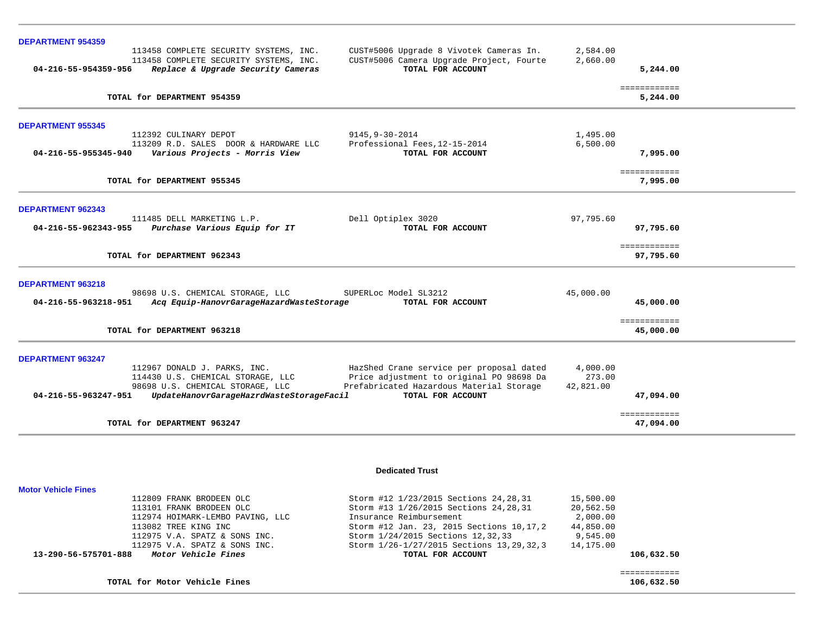| <b>DEPARTMENT 954359</b> |                                                                                                                        |                                                                                                          |                      |                           |
|--------------------------|------------------------------------------------------------------------------------------------------------------------|----------------------------------------------------------------------------------------------------------|----------------------|---------------------------|
| 04-216-55-954359-956     | 113458 COMPLETE SECURITY SYSTEMS, INC.<br>113458 COMPLETE SECURITY SYSTEMS, INC.<br>Replace & Upgrade Security Cameras | CUST#5006 Upgrade 8 Vivotek Cameras In.<br>CUST#5006 Camera Upgrade Project, Fourte<br>TOTAL FOR ACCOUNT | 2,584.00<br>2,660.00 | 5,244.00                  |
|                          | TOTAL for DEPARTMENT 954359                                                                                            |                                                                                                          |                      | ============<br>5,244.00  |
| <b>DEPARTMENT 955345</b> |                                                                                                                        |                                                                                                          |                      |                           |
|                          | 112392 CULINARY DEPOT                                                                                                  | 9145, 9-30-2014                                                                                          | 1,495.00             |                           |
| 04-216-55-955345-940     | 113209 R.D. SALES DOOR & HARDWARE LLC<br>Various Projects - Morris View                                                | Professional Fees, 12-15-2014<br>TOTAL FOR ACCOUNT                                                       | 6,500.00             | 7,995.00                  |
|                          | TOTAL for DEPARTMENT 955345                                                                                            |                                                                                                          |                      | ============<br>7,995.00  |
| <b>DEPARTMENT 962343</b> |                                                                                                                        |                                                                                                          |                      |                           |
|                          | 111485 DELL MARKETING L.P.                                                                                             | Dell Optiplex 3020                                                                                       | 97,795.60            |                           |
| 04-216-55-962343-955     | Purchase Various Equip for IT                                                                                          | TOTAL FOR ACCOUNT                                                                                        |                      | 97,795.60                 |
|                          | TOTAL for DEPARTMENT 962343                                                                                            |                                                                                                          |                      | ============<br>97,795.60 |
| <b>DEPARTMENT 963218</b> |                                                                                                                        |                                                                                                          |                      |                           |
| 04-216-55-963218-951     | 98698 U.S. CHEMICAL STORAGE, LLC<br>Acq Equip-HanovrGarageHazardWasteStorage                                           | SUPERLoc Model SL3212<br>TOTAL FOR ACCOUNT                                                               | 45,000.00            | 45,000.00                 |
|                          | TOTAL for DEPARTMENT 963218                                                                                            |                                                                                                          |                      | ============<br>45,000.00 |
| <b>DEPARTMENT 963247</b> |                                                                                                                        |                                                                                                          |                      |                           |
|                          | 112967 DONALD J. PARKS, INC.                                                                                           | HazShed Crane service per proposal dated                                                                 | 4,000.00             |                           |
|                          | 114430 U.S. CHEMICAL STORAGE, LLC<br>98698 U.S. CHEMICAL STORAGE, LLC                                                  | Price adjustment to original PO 98698 Da<br>Prefabricated Hazardous Material Storage                     | 273.00<br>42,821.00  |                           |
| 04-216-55-963247-951     | UpdateHanovrGarageHazrdWasteStorageFacil                                                                               | TOTAL FOR ACCOUNT                                                                                        |                      | 47,094.00                 |
|                          | TOTAL for DEPARTMENT 963247                                                                                            |                                                                                                          |                      | ============<br>47,094.00 |
|                          |                                                                                                                        | <b>Dedicated Trust</b>                                                                                   |                      |                           |

| 13-290-56-575701-888<br>Motor Vehicle Fines | TOTAL FOR ACCOUNT                           |           | 106,632.50 |
|---------------------------------------------|---------------------------------------------|-----------|------------|
| 112975 V.A. SPATZ & SONS INC.               | Storm 1/26-1/27/2015 Sections 13, 29, 32, 3 | 14,175.00 |            |
| 112975 V.A. SPATZ & SONS INC.               | Storm 1/24/2015 Sections 12, 32, 33         | 9,545.00  |            |
| 113082 TREE KING INC                        | Storm #12 Jan. 23, 2015 Sections 10, 17, 2  | 44,850.00 |            |
| 112974 HOIMARK-LEMBO PAVING, LLC            | Insurance Reimbursement                     | 2,000.00  |            |
| 113101 FRANK BRODEEN OLC                    | Storm #13 1/26/2015 Sections 24, 28, 31     | 20,562.50 |            |
| 112809 FRANK BRODEEN OLC                    | Storm #12 1/23/2015 Sections 24, 28, 31     | 15,500.00 |            |

**Motor Vehicle Fines** 

 ============ ============<br>106,632.50 **TOTAL for Motor Vehicle Fines 106,632.50**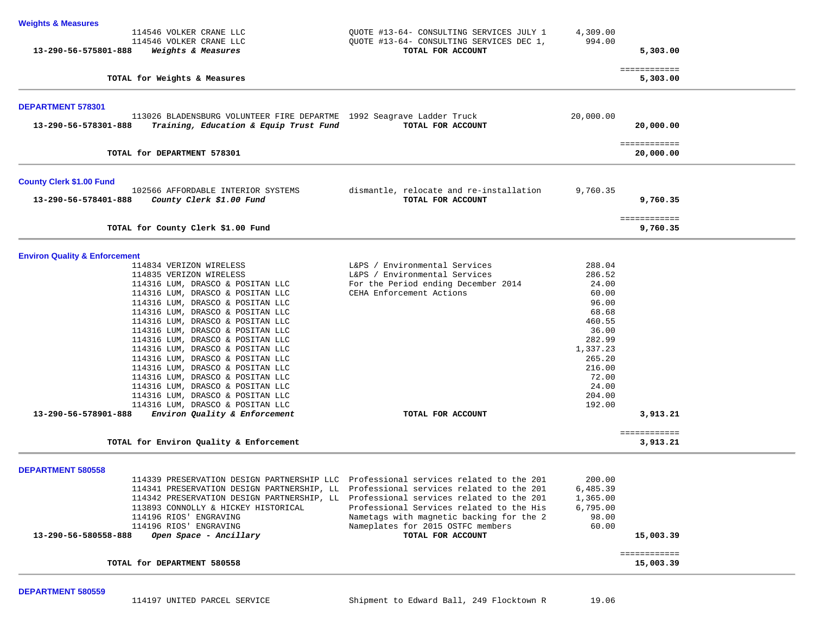| 4,309.00  |                                                                                                         |
|-----------|---------------------------------------------------------------------------------------------------------|
|           |                                                                                                         |
| 994.00    |                                                                                                         |
|           | 5,303.00                                                                                                |
|           | ============<br>5,303.00                                                                                |
|           |                                                                                                         |
| 20,000.00 |                                                                                                         |
|           | 20,000.00                                                                                               |
|           | ============<br>20,000.00                                                                               |
|           |                                                                                                         |
| 9,760.35  | 9,760.35                                                                                                |
|           | ============<br>9,760.35                                                                                |
|           |                                                                                                         |
| 288.04    |                                                                                                         |
|           |                                                                                                         |
|           |                                                                                                         |
|           |                                                                                                         |
|           |                                                                                                         |
|           |                                                                                                         |
|           |                                                                                                         |
|           |                                                                                                         |
|           |                                                                                                         |
| 265.20    |                                                                                                         |
| 216.00    |                                                                                                         |
| 72.00     |                                                                                                         |
| 24.00     |                                                                                                         |
| 204.00    |                                                                                                         |
|           |                                                                                                         |
|           | 3,913.21                                                                                                |
|           | ============<br>3,913.21                                                                                |
|           |                                                                                                         |
|           |                                                                                                         |
| 6,485.39  |                                                                                                         |
| 1,365.00  |                                                                                                         |
| 6,795.00  |                                                                                                         |
| 98.00     |                                                                                                         |
| 60.00     |                                                                                                         |
|           | 15,003.39                                                                                               |
|           | ============                                                                                            |
|           | 286.52<br>24.00<br>60.00<br>96.00<br>68.68<br>460.55<br>36.00<br>282.99<br>1,337.23<br>192.00<br>200.00 |